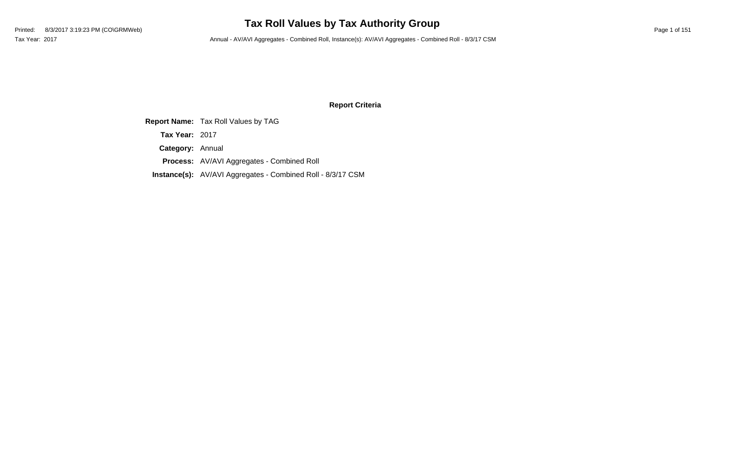## **Tax Roll Values by Tax Authority Group**

Tax Year: 2017 Annual - AV/AVI Aggregates - Combined Roll, Instance(s): AV/AVI Aggregates - Combined Roll - 8/3/17 CSM

#### **Report Criteria**

**Report Name:** Tax Roll Values by TAG **Category:** Annual **Process:** AV/AVI Aggregates - Combined Roll **Instance(s):** AV/AVI Aggregates - Combined Roll - 8/3/17 CSM **Tax Year:** 2017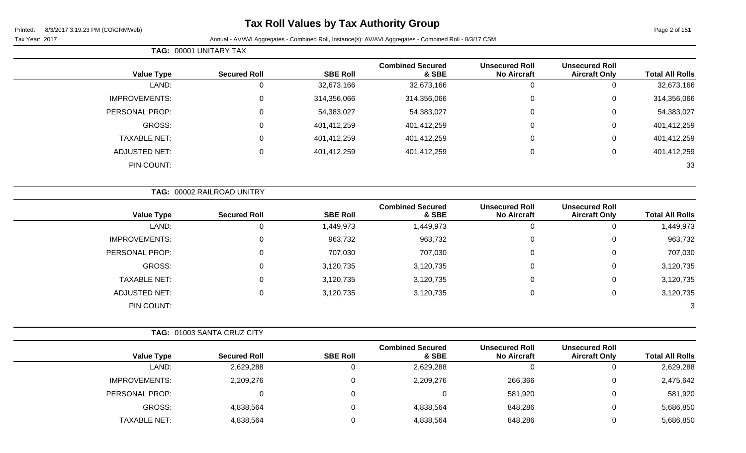**TAG:** 00001 UNITARY TAX

Page 2 of 151

| <b>Value Type</b>    | <b>Secured Roll</b>        | <b>SBE Roll</b> | <b>Combined Secured</b><br>& SBE | <b>Unsecured Roll</b><br><b>No Aircraft</b> | <b>Unsecured Roll</b><br><b>Aircraft Only</b> | <b>Total All Rolls</b> |
|----------------------|----------------------------|-----------------|----------------------------------|---------------------------------------------|-----------------------------------------------|------------------------|
| LAND:                | $\mathbf 0$                | 32,673,166      | 32,673,166                       | 0                                           | 0                                             | 32,673,166             |
| <b>IMPROVEMENTS:</b> | $\mathbf 0$                | 314,356,066     | 314,356,066                      | 0                                           | 0                                             | 314,356,066            |
| PERSONAL PROP:       | $\mathbf 0$                | 54,383,027      | 54,383,027                       | 0                                           | 0                                             | 54,383,027             |
| GROSS:               | $\mathbf 0$                | 401,412,259     | 401,412,259                      | $\Omega$                                    | 0                                             | 401,412,259            |
| <b>TAXABLE NET:</b>  | $\mathbf 0$                | 401,412,259     | 401,412,259                      | 0                                           | 0                                             | 401,412,259            |
| <b>ADJUSTED NET:</b> | $\mathbf 0$                | 401,412,259     | 401,412,259                      | $\Omega$                                    | 0                                             | 401,412,259            |
| PIN COUNT:           |                            |                 |                                  |                                             |                                               | 33                     |
|                      | TAG: 00002 RAILROAD UNITRY |                 |                                  |                                             |                                               |                        |
| <b>Value Type</b>    | <b>Secured Roll</b>        | <b>SBE Roll</b> | <b>Combined Secured</b><br>& SBE | <b>Unsecured Roll</b><br><b>No Aircraft</b> | <b>Unsecured Roll</b><br><b>Aircraft Only</b> | <b>Total All Rolls</b> |
| LAND:                | $\mathbf 0$                | 1,449,973       | 1,449,973                        | $\Omega$                                    | 0                                             | 1,449,973              |
| <b>IMPROVEMENTS:</b> | $\mathbf 0$                | 963,732         | 963,732                          | $\Omega$                                    | 0                                             | 963,732                |
| PERSONAL PROP:       | $\mathbf 0$                | 707,030         | 707,030                          | 0                                           | 0                                             | 707,030                |
| GROSS:               | $\mathbf 0$                | 3,120,735       | 3,120,735                        | 0                                           | 0                                             | 3,120,735              |
| <b>TAXABLE NET:</b>  | 0                          | 3,120,735       | 3,120,735                        | 0                                           | 0                                             | 3,120,735              |
| <b>ADJUSTED NET:</b> | $\mathbf 0$                | 3,120,735       | 3,120,735                        | 0                                           | 0                                             | 3,120,735              |
| PIN COUNT:           |                            |                 |                                  |                                             |                                               |                        |

| TAG: 01003 SANTA CRUZ CITY |                     |                 |                                  |                                             |                                               |                        |
|----------------------------|---------------------|-----------------|----------------------------------|---------------------------------------------|-----------------------------------------------|------------------------|
| <b>Value Type</b>          | <b>Secured Roll</b> | <b>SBE Roll</b> | <b>Combined Secured</b><br>& SBE | <b>Unsecured Roll</b><br><b>No Aircraft</b> | <b>Unsecured Roll</b><br><b>Aircraft Only</b> | <b>Total All Rolls</b> |
| LAND:                      | 2,629,288           |                 | 2,629,288                        |                                             | U                                             | 2,629,288              |
| <b>IMPROVEMENTS:</b>       | 2,209,276           |                 | 2,209,276                        | 266,366                                     | $\overline{0}$                                | 2,475,642              |
| PERSONAL PROP:             |                     |                 | 0                                | 581,920                                     | $\mathbf{0}$                                  | 581,920                |
| GROSS:                     | 4,838,564           |                 | 4,838,564                        | 848,286                                     | $\mathbf{0}$                                  | 5,686,850              |
| <b>TAXABLE NET:</b>        | 4,838,564           |                 | 4,838,564                        | 848,286                                     | 0                                             | 5,686,850              |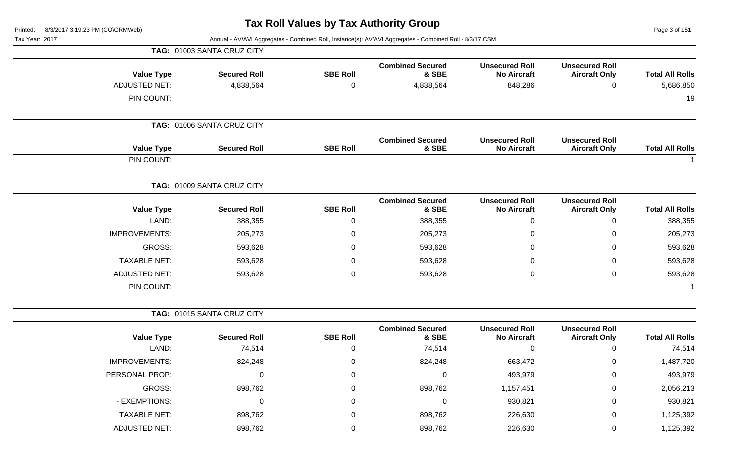Page 3 of 151

| Printea:<br>8/3/2017 3.19.23 PM (CONGRIMIVED)<br>Tax Year: 2017 |                            |                 | Annual - AV/AVI Aggregates - Combined Roll, Instance(s): AV/AVI Aggregates - Combined Roll - 8/3/17 CSM |                                             |                                               | Page 3 or 151          |
|-----------------------------------------------------------------|----------------------------|-----------------|---------------------------------------------------------------------------------------------------------|---------------------------------------------|-----------------------------------------------|------------------------|
|                                                                 | TAG: 01003 SANTA CRUZ CITY |                 |                                                                                                         |                                             |                                               |                        |
| <b>Value Type</b>                                               | <b>Secured Roll</b>        | <b>SBE Roll</b> | <b>Combined Secured</b><br>& SBE                                                                        | <b>Unsecured Roll</b><br><b>No Aircraft</b> | <b>Unsecured Roll</b><br><b>Aircraft Only</b> | <b>Total All Rolls</b> |
| <b>ADJUSTED NET:</b>                                            | 4,838,564                  | 0               | 4,838,564                                                                                               | 848,286                                     | 0                                             | 5,686,850              |
| PIN COUNT:                                                      |                            |                 |                                                                                                         |                                             |                                               | 19                     |
|                                                                 | TAG: 01006 SANTA CRUZ CITY |                 |                                                                                                         |                                             |                                               |                        |
| <b>Value Type</b>                                               | <b>Secured Roll</b>        | <b>SBE Roll</b> | <b>Combined Secured</b><br>& SBE                                                                        | <b>Unsecured Roll</b><br><b>No Aircraft</b> | <b>Unsecured Roll</b><br><b>Aircraft Only</b> | <b>Total All Rolls</b> |
| PIN COUNT:                                                      |                            |                 |                                                                                                         |                                             |                                               |                        |
|                                                                 | TAG: 01009 SANTA CRUZ CITY |                 |                                                                                                         |                                             |                                               |                        |
| <b>Value Type</b>                                               | <b>Secured Roll</b>        | <b>SBE Roll</b> | <b>Combined Secured</b><br>& SBE                                                                        | <b>Unsecured Roll</b><br><b>No Aircraft</b> | <b>Unsecured Roll</b><br><b>Aircraft Only</b> | <b>Total All Rolls</b> |
| LAND:                                                           | 388,355                    | 0               | 388,355                                                                                                 | $\pmb{0}$                                   | 0                                             | 388,355                |
| <b>IMPROVEMENTS:</b>                                            | 205,273                    | 0               | 205,273                                                                                                 | 0                                           | 0                                             | 205,273                |
| GROSS:                                                          | 593,628                    | 0               | 593,628                                                                                                 | 0                                           | 0                                             | 593,628                |
| <b>TAXABLE NET:</b>                                             | 593,628                    | 0               | 593,628                                                                                                 | 0                                           | 0                                             | 593,628                |
| <b>ADJUSTED NET:</b>                                            | 593,628                    | 0               | 593,628                                                                                                 | 0                                           | 0                                             | 593,628                |
| PIN COUNT:                                                      |                            |                 |                                                                                                         |                                             |                                               |                        |
|                                                                 | TAG: 01015 SANTA CRUZ CITY |                 |                                                                                                         |                                             |                                               |                        |
| <b>Value Type</b>                                               | <b>Secured Roll</b>        | <b>SBE Roll</b> | <b>Combined Secured</b><br>& SBE                                                                        | <b>Unsecured Roll</b><br><b>No Aircraft</b> | <b>Unsecured Roll</b><br><b>Aircraft Only</b> | <b>Total All Rolls</b> |
| LAND:                                                           | 74,514                     | 0               | 74,514                                                                                                  | 0                                           | 0                                             | 74,514                 |
| IMPROVEMENTS:                                                   | 824,248                    | 0               | 824,248                                                                                                 | 663,472                                     | 0                                             | 1,487,720              |
| PERSONAL PROP:                                                  | 0                          | 0               | 0                                                                                                       | 493,979                                     | 0                                             | 493,979                |
| GROSS:                                                          | 898,762                    |                 | 898,762                                                                                                 | 1,157,451                                   | 0                                             | 2,056,213              |
| - EXEMPTIONS:                                                   | 0                          |                 | 0                                                                                                       | 930,821                                     | 0                                             | 930,821                |
| <b>TAXABLE NET:</b>                                             | 898,762                    | 0               | 898,762                                                                                                 | 226,630                                     | 0                                             | 1,125,392              |
| <b>ADJUSTED NET:</b>                                            | 898,762                    | 0               | 898,762                                                                                                 | 226,630                                     | 0                                             | 1,125,392              |
|                                                                 |                            |                 |                                                                                                         |                                             |                                               |                        |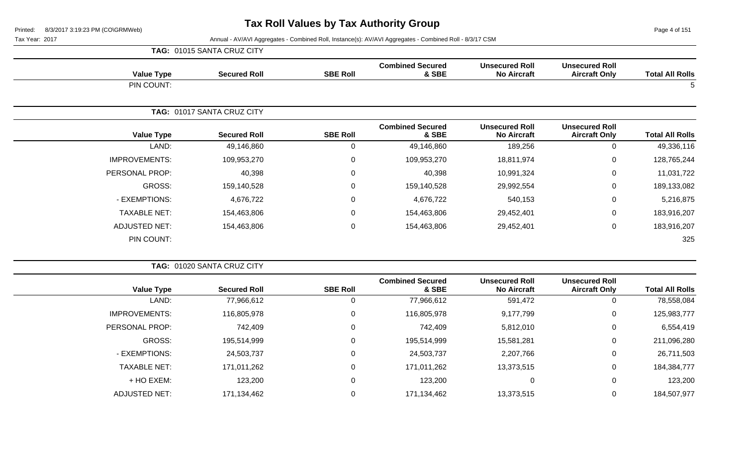Page 4 of 151

|                      | TAG: 01015 SANTA CRUZ CITY |                 |                                  |                                             |                                               |                        |
|----------------------|----------------------------|-----------------|----------------------------------|---------------------------------------------|-----------------------------------------------|------------------------|
| <b>Value Type</b>    | <b>Secured Roll</b>        | <b>SBE Roll</b> | <b>Combined Secured</b><br>& SBE | <b>Unsecured Roll</b><br><b>No Aircraft</b> | <b>Unsecured Roll</b><br><b>Aircraft Only</b> | <b>Total All Rolls</b> |
| PIN COUNT:           |                            |                 |                                  |                                             |                                               | 5                      |
|                      | TAG: 01017 SANTA CRUZ CITY |                 |                                  |                                             |                                               |                        |
| <b>Value Type</b>    | <b>Secured Roll</b>        | <b>SBE Roll</b> | <b>Combined Secured</b><br>& SBE | <b>Unsecured Roll</b><br><b>No Aircraft</b> | <b>Unsecured Roll</b><br><b>Aircraft Only</b> | <b>Total All Rolls</b> |
| LAND:                | 49,146,860                 | 0               | 49,146,860                       | 189,256                                     | 0                                             | 49,336,116             |
| <b>IMPROVEMENTS:</b> | 109,953,270                | $\mathbf 0$     | 109,953,270                      | 18,811,974                                  | $\mathbf 0$                                   | 128,765,244            |
| PERSONAL PROP:       | 40,398                     | $\mathbf 0$     | 40,398                           | 10,991,324                                  | 0                                             | 11,031,722             |
| GROSS:               | 159,140,528                | $\mathbf 0$     | 159,140,528                      | 29,992,554                                  | 0                                             | 189,133,082            |
| - EXEMPTIONS:        | 4,676,722                  | $\mathbf 0$     | 4,676,722                        | 540,153                                     | $\mathbf 0$                                   | 5,216,875              |
| <b>TAXABLE NET:</b>  | 154,463,806                | $\mathbf 0$     | 154,463,806                      | 29,452,401                                  | $\mathbf 0$                                   | 183,916,207            |
| <b>ADJUSTED NET:</b> | 154,463,806                | $\mathbf 0$     | 154,463,806                      | 29,452,401                                  | 0                                             | 183,916,207            |
| PIN COUNT:           |                            |                 |                                  |                                             |                                               | 325                    |

| <b>TAG: 01020 SANTA CRUZ CITY</b> |                 |                                  |                                             |                                               |                        |
|-----------------------------------|-----------------|----------------------------------|---------------------------------------------|-----------------------------------------------|------------------------|
| <b>Secured Roll</b>               | <b>SBE Roll</b> | <b>Combined Secured</b><br>& SBE | <b>Unsecured Roll</b><br><b>No Aircraft</b> | <b>Unsecured Roll</b><br><b>Aircraft Only</b> | <b>Total All Rolls</b> |
| 77,966,612                        |                 | 77,966,612                       | 591,472                                     | 0                                             | 78,558,084             |
| 116,805,978                       | $\Omega$        | 116,805,978                      | 9,177,799                                   | 0                                             | 125,983,777            |
| 742,409                           | $\mathbf{0}$    | 742,409                          | 5,812,010                                   | 0                                             | 6,554,419              |
| 195,514,999                       | $\Omega$        | 195,514,999                      | 15,581,281                                  | 0                                             | 211,096,280            |
| 24,503,737                        | $\Omega$        | 24,503,737                       | 2,207,766                                   | 0                                             | 26,711,503             |
| 171,011,262                       | $\Omega$        | 171,011,262                      | 13,373,515                                  | $\mathbf 0$                                   | 184,384,777            |
| 123,200                           |                 | 123,200                          |                                             | 0                                             | 123,200                |
| 171,134,462                       |                 | 171,134,462                      | 13,373,515                                  | $\mathbf 0$                                   | 184,507,977            |
|                                   |                 |                                  |                                             |                                               |                        |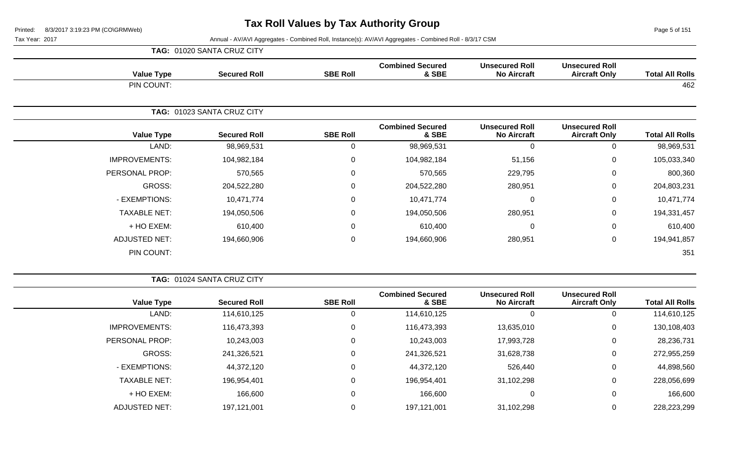Page 5 of 151

|                      | TAG: 01020 SANTA CRUZ CITY |                 |                                  |                                             |                                               |                        |
|----------------------|----------------------------|-----------------|----------------------------------|---------------------------------------------|-----------------------------------------------|------------------------|
| <b>Value Type</b>    | <b>Secured Roll</b>        | <b>SBE Roll</b> | <b>Combined Secured</b><br>& SBE | <b>Unsecured Roll</b><br><b>No Aircraft</b> | <b>Unsecured Roll</b><br><b>Aircraft Only</b> | <b>Total All Rolls</b> |
| PIN COUNT:           |                            |                 |                                  |                                             |                                               | 462                    |
|                      | TAG: 01023 SANTA CRUZ CITY |                 |                                  |                                             |                                               |                        |
| <b>Value Type</b>    | <b>Secured Roll</b>        | <b>SBE Roll</b> | <b>Combined Secured</b><br>& SBE | <b>Unsecured Roll</b><br><b>No Aircraft</b> | <b>Unsecured Roll</b><br><b>Aircraft Only</b> | <b>Total All Rolls</b> |
| LAND:                | 98,969,531                 | $\Omega$        | 98,969,531                       | $\Omega$                                    | $\Omega$                                      | 98,969,531             |
| <b>IMPROVEMENTS:</b> | 104,982,184                | $\mathbf 0$     | 104,982,184                      | 51,156                                      | 0                                             | 105,033,340            |
| PERSONAL PROP:       | 570,565                    | $\Omega$        | 570,565                          | 229,795                                     | 0                                             | 800,360                |
| GROSS:               | 204,522,280                | $\Omega$        | 204,522,280                      | 280,951                                     | 0                                             | 204,803,231            |
| - EXEMPTIONS:        | 10,471,774                 | 0               | 10,471,774                       | $\pmb{0}$                                   | $\mathbf 0$                                   | 10,471,774             |
| <b>TAXABLE NET:</b>  | 194,050,506                | $\mathbf 0$     | 194,050,506                      | 280,951                                     | $\mathbf 0$                                   | 194,331,457            |
| + HO EXEM:           | 610,400                    | $\Omega$        | 610,400                          | $\pmb{0}$                                   | $\Omega$                                      | 610,400                |
| ADJUSTED NET:        | 194,660,906                | $\mathbf 0$     | 194,660,906                      | 280,951                                     | $\mathbf 0$                                   | 194,941,857            |
| PIN COUNT:           |                            |                 |                                  |                                             |                                               | 351                    |

|                                             |                                  |                 | TAG: 01024 SANTA CRUZ CITY |                       |  |  |
|---------------------------------------------|----------------------------------|-----------------|----------------------------|-----------------------|--|--|
| <b>Unsecured Roll</b><br><b>No Aircraft</b> | <b>Combined Secured</b><br>& SBE | <b>SBE Roll</b> | <b>Secured Roll</b>        | <b>Value Type</b>     |  |  |
|                                             | 114,610,125                      | 0               | 114,610,125                | LAND:                 |  |  |
| 13,635,010                                  | 116,473,393                      | 0               | 116,473,393                | <b>IMPROVEMENTS:</b>  |  |  |
| 17,993,728                                  | 10,243,003                       | 0               | 10,243,003                 | <b>PERSONAL PROP:</b> |  |  |
| 31,628,738                                  | 241,326,521                      | 0               | 241,326,521                | GROSS:                |  |  |
| 526,440                                     | 44,372,120                       | 0               | 44,372,120                 | - EXEMPTIONS:         |  |  |
| 31,102,298                                  | 196,954,401                      | 0               | 196,954,401                | <b>TAXABLE NET:</b>   |  |  |
| 0                                           | 166,600                          | 0               | 166,600                    | + HO EXEM:            |  |  |
| 31,102,298                                  | 197,121,001                      | 0               | 197,121,001                | <b>ADJUSTED NET:</b>  |  |  |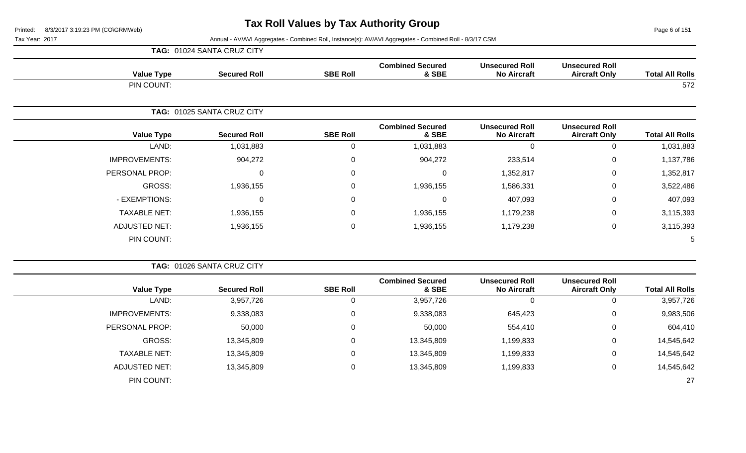Page 6 of 151

|                      | TAG: 01024 SANTA CRUZ CITY |                 |                                  |                                             |                                               |                        |
|----------------------|----------------------------|-----------------|----------------------------------|---------------------------------------------|-----------------------------------------------|------------------------|
| <b>Value Type</b>    | <b>Secured Roll</b>        | <b>SBE Roll</b> | <b>Combined Secured</b><br>& SBE | <b>Unsecured Roll</b><br><b>No Aircraft</b> | <b>Unsecured Roll</b><br><b>Aircraft Only</b> | <b>Total All Rolls</b> |
| PIN COUNT:           |                            |                 |                                  |                                             |                                               | 572                    |
|                      | TAG: 01025 SANTA CRUZ CITY |                 |                                  |                                             |                                               |                        |
| <b>Value Type</b>    | <b>Secured Roll</b>        | <b>SBE Roll</b> | <b>Combined Secured</b><br>& SBE | <b>Unsecured Roll</b><br><b>No Aircraft</b> | <b>Unsecured Roll</b><br><b>Aircraft Only</b> | <b>Total All Rolls</b> |
| LAND:                | 1,031,883                  | 0               | 1,031,883                        | $\Omega$                                    | 0                                             | 1,031,883              |
| <b>IMPROVEMENTS:</b> | 904,272                    | 0               | 904,272                          | 233,514                                     | $\mathbf 0$                                   | 1,137,786              |
| PERSONAL PROP:       | $\Omega$                   | 0               | $\mathbf 0$                      | 1,352,817                                   | $\mathbf 0$                                   | 1,352,817              |
| GROSS:               | 1,936,155                  | 0               | 1,936,155                        | 1,586,331                                   | $\overline{0}$                                | 3,522,486              |
| - EXEMPTIONS:        | $\Omega$                   | 0               | 0                                | 407,093                                     | $\mathbf 0$                                   | 407,093                |
| <b>TAXABLE NET:</b>  | 1,936,155                  | 0               | 1,936,155                        | 1,179,238                                   | $\mathbf 0$                                   | 3,115,393              |
| <b>ADJUSTED NET:</b> | 1,936,155                  | 0               | 1,936,155                        | 1,179,238                                   | $\mathbf 0$                                   | 3,115,393              |
| PIN COUNT:           |                            |                 |                                  |                                             |                                               | 5                      |

|                        |                                               |                                             |                                  | TAG: 01026 SANTA CRUZ CITY |                     |                      |  |  |
|------------------------|-----------------------------------------------|---------------------------------------------|----------------------------------|----------------------------|---------------------|----------------------|--|--|
| <b>Total All Rolls</b> | <b>Unsecured Roll</b><br><b>Aircraft Only</b> | <b>Unsecured Roll</b><br><b>No Aircraft</b> | <b>Combined Secured</b><br>& SBE | <b>SBE Roll</b>            | <b>Secured Roll</b> | <b>Value Type</b>    |  |  |
| 3,957,726              |                                               | 0                                           | 3,957,726                        | 0                          | 3,957,726           | LAND:                |  |  |
| 9,983,506              | 0                                             | 645,423                                     | 9,338,083                        | 0                          | 9,338,083           | <b>IMPROVEMENTS:</b> |  |  |
| 604,410                | 0                                             | 554,410                                     | 50,000                           | 0                          | 50,000              | PERSONAL PROP:       |  |  |
| 14,545,642             | 0                                             | 1,199,833                                   | 13,345,809                       | 0                          | 13,345,809          | GROSS:               |  |  |
| 14,545,642             | 0                                             | 1,199,833                                   | 13,345,809                       | 0                          | 13,345,809          | <b>TAXABLE NET:</b>  |  |  |
| 14,545,642             | 0                                             | 1,199,833                                   | 13,345,809                       | 0                          | 13,345,809          | <b>ADJUSTED NET:</b> |  |  |
| 27                     |                                               |                                             |                                  |                            |                     | PIN COUNT:           |  |  |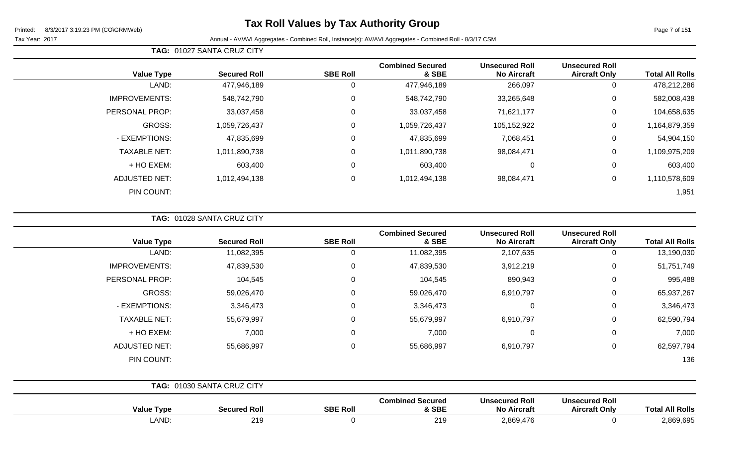Tax Year: 2017 Annual - AV/AVI Aggregates - Combined Roll, Instance(s): AV/AVI Aggregates - Combined Roll - 8/3/17 CSM

| <b>Total All Rolls</b> | <b>Unsecured Roll</b><br><b>Aircraft Only</b> | <b>Unsecured Roll</b><br><b>No Aircraft</b> | <b>Combined Secured</b><br>& SBE | <b>SBE Roll</b> | <b>Secured Roll</b> | <b>Value Type</b>    |
|------------------------|-----------------------------------------------|---------------------------------------------|----------------------------------|-----------------|---------------------|----------------------|
| 478,212,286            | 0                                             | 266,097                                     | 477,946,189                      | 0               | 477,946,189         | LAND:                |
| 582,008,438            | 0                                             | 33,265,648                                  | 548,742,790                      | 0               | 548,742,790         | <b>IMPROVEMENTS:</b> |
| 104,658,635            | 0                                             | 71,621,177                                  | 33,037,458                       | $\mathbf 0$     | 33,037,458          | PERSONAL PROP:       |
| 1,164,879,359          | 0                                             | 105,152,922                                 | 1,059,726,437                    | $\mathbf 0$     | 1,059,726,437       | <b>GROSS:</b>        |
| 54,904,150             | $\overline{0}$                                | 7,068,451                                   | 47,835,699                       | 0               | 47,835,699          | - EXEMPTIONS:        |
| 1,109,975,209          | 0                                             | 98,084,471                                  | 1,011,890,738                    | $\mathbf 0$     | 1,011,890,738       | <b>TAXABLE NET:</b>  |
| 603,400                | $\overline{0}$                                | 0                                           | 603,400                          | $\mathbf 0$     | 603,400             | + HO EXEM:           |
| 1,110,578,609          | 0                                             | 98,084,471                                  | 1,012,494,138                    | $\mathbf 0$     | 1,012,494,138       | ADJUSTED NET:        |
| 1,951                  |                                               |                                             |                                  |                 |                     | PIN COUNT:           |
|                        |                                               |                                             |                                  |                 |                     |                      |

**TAG:** 01028 SANTA CRUZ CITY

**TAG:** 01027 SANTA CRUZ CITY

| <b>Value Type</b>    | <b>Secured Roll</b>        | <b>SBE Roll</b>  | <b>Combined Secured</b><br>& SBE | <b>Unsecured Roll</b><br><b>No Aircraft</b> | <b>Unsecured Roll</b><br><b>Aircraft Only</b> | <b>Total All Rolls</b> |
|----------------------|----------------------------|------------------|----------------------------------|---------------------------------------------|-----------------------------------------------|------------------------|
| LAND:                | 11,082,395                 | 0                | 11,082,395                       | 2,107,635                                   | $\mathbf 0$                                   | 13,190,030             |
| <b>IMPROVEMENTS:</b> | 47,839,530                 | $\mathbf 0$      | 47,839,530                       | 3,912,219                                   | $\mathbf 0$                                   | 51,751,749             |
| PERSONAL PROP:       | 104,545                    | 0                | 104,545                          | 890,943                                     | $\mathbf 0$                                   | 995,488                |
| GROSS:               | 59,026,470                 | $\mathbf 0$      | 59,026,470                       | 6,910,797                                   | $\mathbf 0$                                   | 65,937,267             |
| - EXEMPTIONS:        | 3,346,473                  | $\mathbf 0$      | 3,346,473                        | $\overline{0}$                              | $\mathbf 0$                                   | 3,346,473              |
| <b>TAXABLE NET:</b>  | 55,679,997                 | $\boldsymbol{0}$ | 55,679,997                       | 6,910,797                                   | 0                                             | 62,590,794             |
| + HO EXEM:           | 7,000                      | $\mathbf 0$      | 7,000                            | $\overline{0}$                              | $\mathbf 0$                                   | 7,000                  |
| ADJUSTED NET:        | 55,686,997                 | $\mathbf 0$      | 55,686,997                       | 6,910,797                                   | $\mathbf 0$                                   | 62,597,794             |
| PIN COUNT:           |                            |                  |                                  |                                             |                                               | 136                    |
|                      | TAG: 01030 SANTA CRUZ CITY |                  |                                  |                                             |                                               |                        |

| <b>Value Type</b> | <b>Secured Roll</b> | <b>SBE Roll</b> | <b>Combined Secured</b><br>& SBE | <b>Unsecured Roll</b><br><b>No Aircraft</b> | <b>Unsecured Roll</b><br><b>Aircraft Only</b> | <b>All Rolls</b><br>'otal |
|-------------------|---------------------|-----------------|----------------------------------|---------------------------------------------|-----------------------------------------------|---------------------------|
| LAND              | 219                 |                 | 219                              | 2,869,476                                   |                                               | 2,869,695                 |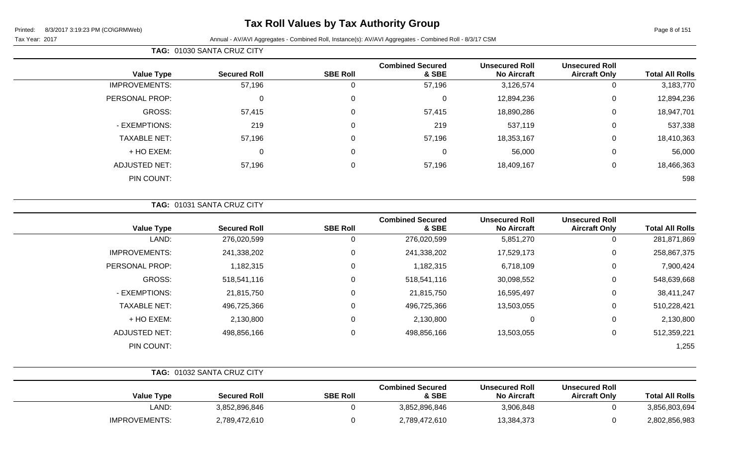## **Tax Roll Values by Tax Authority Group**

Tax Year: 2017 Annual - AV/AVI Aggregates - Combined Roll, Instance(s): AV/AVI Aggregates - Combined Roll - 8/3/17 CSM

|                        |                                               |                                             |                                  | TAG: 01030 SANTA CRUZ CITY |                     |                      |  |  |
|------------------------|-----------------------------------------------|---------------------------------------------|----------------------------------|----------------------------|---------------------|----------------------|--|--|
| <b>Total All Rolls</b> | <b>Unsecured Roll</b><br><b>Aircraft Only</b> | <b>Unsecured Roll</b><br><b>No Aircraft</b> | <b>Combined Secured</b><br>& SBE | <b>SBE Roll</b>            | <b>Secured Roll</b> | <b>Value Type</b>    |  |  |
| 3,183,770              | 0                                             | 3,126,574                                   | 57,196                           |                            | 57,196              | <b>IMPROVEMENTS:</b> |  |  |
| 12,894,236             | 0                                             | 12,894,236                                  | 0                                | $\Omega$                   |                     | PERSONAL PROP:       |  |  |
| 18,947,701             | 0                                             | 18,890,286                                  | 57,415                           | 0                          | 57,415              | GROSS:               |  |  |
| 537,338                | 0                                             | 537,119                                     | 219                              | $\Omega$                   | 219                 | - EXEMPTIONS:        |  |  |
| 18,410,363             | 0                                             | 18,353,167                                  | 57,196                           | 0                          | 57,196              | <b>TAXABLE NET:</b>  |  |  |
| 56,000                 | 0                                             | 56,000                                      | 0                                | 0                          |                     | + HO EXEM:           |  |  |
| 18,466,363             | 0                                             | 18,409,167                                  | 57,196                           |                            | 57,196              | <b>ADJUSTED NET:</b> |  |  |

PIN COUNT: 598

**TAG:** 01031 SANTA CRUZ CITY

| <b>Value Type</b>    | <b>Secured Roll</b> | <b>SBE Roll</b> | <b>Combined Secured</b><br>& SBE | <b>Unsecured Roll</b><br><b>No Aircraft</b> | <b>Unsecured Roll</b><br><b>Aircraft Only</b> | <b>Total All Rolls</b> |
|----------------------|---------------------|-----------------|----------------------------------|---------------------------------------------|-----------------------------------------------|------------------------|
| LAND:                | 276,020,599         | 0               | 276,020,599                      | 5,851,270                                   | U                                             | 281,871,869            |
| <b>IMPROVEMENTS:</b> | 241,338,202         | 0               | 241,338,202                      | 17,529,173                                  | 0                                             | 258,867,375            |
| PERSONAL PROP:       | 1,182,315           | 0               | 1,182,315                        | 6,718,109                                   | 0                                             | 7,900,424              |
| <b>GROSS:</b>        | 518,541,116         | 0               | 518,541,116                      | 30,098,552                                  | 0                                             | 548,639,668            |
| - EXEMPTIONS:        | 21,815,750          | 0               | 21,815,750                       | 16,595,497                                  | 0                                             | 38,411,247             |
| <b>TAXABLE NET:</b>  | 496,725,366         | 0               | 496,725,366                      | 13,503,055                                  | 0                                             | 510,228,421            |
| + HO EXEM:           | 2,130,800           | 0               | 2,130,800                        | 0                                           | 0                                             | 2,130,800              |
| ADJUSTED NET:        | 498,856,166         | 0               | 498,856,166                      | 13,503,055                                  | U                                             | 512,359,221            |
| PIN COUNT:           |                     |                 |                                  |                                             |                                               | 1,255                  |

|                      | <b>TAG: 01032 SANTA CRUZ CITY</b> |                 |                                  |                                             |                                               |                        |
|----------------------|-----------------------------------|-----------------|----------------------------------|---------------------------------------------|-----------------------------------------------|------------------------|
| <b>Value Type</b>    | <b>Secured Roll</b>               | <b>SBE Roll</b> | <b>Combined Secured</b><br>& SBE | <b>Unsecured Roll</b><br><b>No Aircraft</b> | <b>Unsecured Roll</b><br><b>Aircraft Only</b> | <b>Total All Rolls</b> |
| LAND:                | 3,852,896,846                     |                 | 3,852,896,846                    | 3,906,848                                   |                                               | 3,856,803,694          |
| <b>IMPROVEMENTS:</b> | 2,789,472,610                     |                 | 2,789,472,610                    | 13,384,373                                  |                                               | 2,802,856,983          |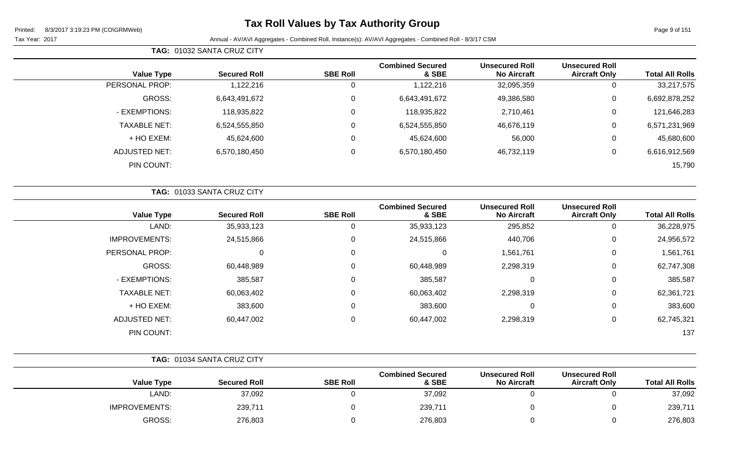## **Tax Roll Values by Tax Authority Group**

Tax Year: 2017 **Annual - AV/AVI Aggregates - Combined Roll, Instance(s): AV/AVI Aggregates - Combined Roll - 8/3/17 CSM** 

|                      | <b>TAG: 01032 SANTA CRUZ CITY</b> |                 |                                  |                                             |                                        |                        |
|----------------------|-----------------------------------|-----------------|----------------------------------|---------------------------------------------|----------------------------------------|------------------------|
| <b>Value Type</b>    | <b>Secured Roll</b>               | <b>SBE Roll</b> | <b>Combined Secured</b><br>& SBE | <b>Unsecured Roll</b><br><b>No Aircraft</b> | Unsecured Roll<br><b>Aircraft Only</b> | <b>Total All Rolls</b> |
| PERSONAL PROP:       | 1,122,216                         | 0               | 1,122,216                        | 32,095,359                                  |                                        | 33,217,575             |
| GROSS:               | 6,643,491,672                     | 0               | 6,643,491,672                    | 49,386,580                                  |                                        | 6,692,878,252          |
| - EXEMPTIONS:        | 118,935,822                       | 0               | 118,935,822                      | 2,710,461                                   | 0                                      | 121,646,283            |
| <b>TAXABLE NET:</b>  | 6,524,555,850                     | 0               | 6,524,555,850                    | 46,676,119                                  | 0                                      | 6,571,231,969          |
| $+$ HO EXEM:         | 45,624,600                        | 0               | 45,624,600                       | 56,000                                      |                                        | 45,680,600             |
| <b>ADJUSTED NET:</b> | 6,570,180,450                     |                 | 6,570,180,450                    | 46,732,119                                  |                                        | 6,616,912,569          |

PIN COUNT: 15,790

|                        |                                               |                                             |                                  |                 | TAG: 01033 SANTA CRUZ CITY |                      |  |
|------------------------|-----------------------------------------------|---------------------------------------------|----------------------------------|-----------------|----------------------------|----------------------|--|
| <b>Total All Rolls</b> | <b>Unsecured Roll</b><br><b>Aircraft Only</b> | <b>Unsecured Roll</b><br><b>No Aircraft</b> | <b>Combined Secured</b><br>& SBE | <b>SBE Roll</b> | <b>Secured Roll</b>        | <b>Value Type</b>    |  |
| 36,228,975             | 0                                             | 295,852                                     | 35,933,123                       |                 | 35,933,123                 | LAND:                |  |
| 24,956,572             | $\mathbf 0$                                   | 440,706                                     | 24,515,866                       |                 | 24,515,866                 | <b>IMPROVEMENTS:</b> |  |
| 1,561,761              | $\mathbf 0$                                   | 1,561,761                                   | $\mathbf 0$                      | 0               | 0                          | PERSONAL PROP:       |  |
| 62,747,308             | $\mathbf 0$                                   | 2,298,319                                   | 60,448,989                       | 0               | 60,448,989                 | GROSS:               |  |
| 385,587                | $\mathbf 0$                                   | 0                                           | 385,587                          | $\mathbf{0}$    | 385,587                    | - EXEMPTIONS:        |  |
| 62,361,721             | $\mathbf 0$                                   | 2,298,319                                   | 60,063,402                       | $\mathbf{0}$    | 60,063,402                 | <b>TAXABLE NET:</b>  |  |
| 383,600                | 0                                             | 0                                           | 383,600                          | $\Omega$        | 383,600                    | + HO EXEM:           |  |
| 62,745,321             | $\mathbf 0$                                   | 2,298,319                                   | 60,447,002                       | $\Omega$        | 60,447,002                 | <b>ADJUSTED NET:</b> |  |
| 137                    |                                               |                                             |                                  |                 |                            | PIN COUNT:           |  |

|                      | <b>TAG: 01034 SANTA CRUZ CITY</b> |                 |                                  |                                             |                                               |                        |
|----------------------|-----------------------------------|-----------------|----------------------------------|---------------------------------------------|-----------------------------------------------|------------------------|
| <b>Value Type</b>    | <b>Secured Roll</b>               | <b>SBE Roll</b> | <b>Combined Secured</b><br>& SBE | <b>Unsecured Roll</b><br><b>No Aircraft</b> | <b>Unsecured Roll</b><br><b>Aircraft Only</b> | <b>Total All Rolls</b> |
| LAND:                | 37,092                            |                 | 37,092                           |                                             |                                               | 37,092                 |
| <b>IMPROVEMENTS:</b> | 239,711                           |                 | 239,711                          |                                             |                                               | 239,711                |
| GROSS:               | 276,803                           |                 | 276,803                          |                                             |                                               | 276,803                |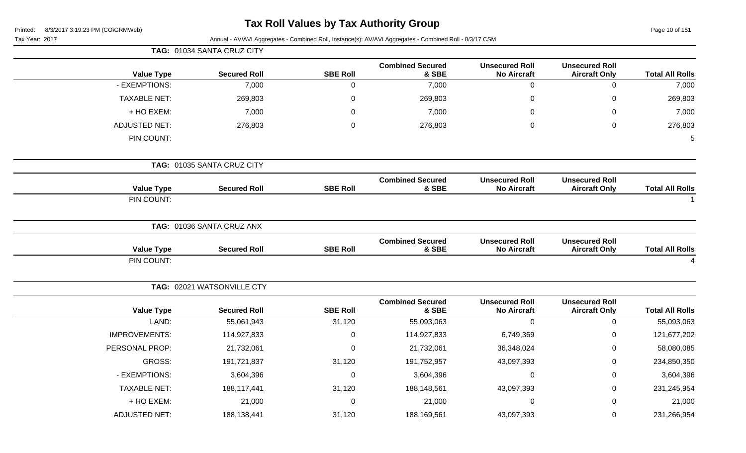# **Tax Roll Values by Tax Authority Group**

Page 10 of 151

| Annual - AV/AVI Aggregates - Combined Roll, Instance(s): AV/AVI Aggregates - Combined Roll - 8/3/17 CSM<br>Tax Year: 2017 |                            |                 |                                  |                                             |                                               |                        |
|---------------------------------------------------------------------------------------------------------------------------|----------------------------|-----------------|----------------------------------|---------------------------------------------|-----------------------------------------------|------------------------|
|                                                                                                                           | TAG: 01034 SANTA CRUZ CITY |                 |                                  |                                             |                                               |                        |
| <b>Value Type</b>                                                                                                         | <b>Secured Roll</b>        | <b>SBE Roll</b> | <b>Combined Secured</b><br>& SBE | <b>Unsecured Roll</b><br><b>No Aircraft</b> | <b>Unsecured Roll</b><br><b>Aircraft Only</b> | <b>Total All Rolls</b> |
| - EXEMPTIONS:                                                                                                             | 7,000                      | $\mathbf 0$     | 7,000                            | $\mathbf 0$                                 | $\mathbf 0$                                   | 7,000                  |
| <b>TAXABLE NET:</b>                                                                                                       | 269,803                    | $\pmb{0}$       | 269,803                          | $\pmb{0}$                                   | $\boldsymbol{0}$                              | 269,803                |
| + HO EXEM:                                                                                                                | 7,000                      | 0               | 7,000                            | 0                                           | $\Omega$                                      | 7,000                  |
| <b>ADJUSTED NET:</b>                                                                                                      | 276,803                    | $\mathbf 0$     | 276,803                          | 0                                           | $\mathbf 0$                                   | 276,803                |
| PIN COUNT:                                                                                                                |                            |                 |                                  |                                             |                                               | $\overline{5}$         |
|                                                                                                                           | TAG: 01035 SANTA CRUZ CITY |                 |                                  |                                             |                                               |                        |
| <b>Value Type</b>                                                                                                         | <b>Secured Roll</b>        | <b>SBE Roll</b> | <b>Combined Secured</b><br>& SBE | <b>Unsecured Roll</b><br><b>No Aircraft</b> | <b>Unsecured Roll</b><br><b>Aircraft Only</b> | <b>Total All Rolls</b> |
| PIN COUNT:                                                                                                                |                            |                 |                                  |                                             |                                               |                        |
|                                                                                                                           | TAG: 01036 SANTA CRUZ ANX  |                 |                                  |                                             |                                               |                        |
| <b>Value Type</b>                                                                                                         | <b>Secured Roll</b>        | <b>SBE Roll</b> | <b>Combined Secured</b><br>& SBE | <b>Unsecured Roll</b><br><b>No Aircraft</b> | <b>Unsecured Roll</b><br><b>Aircraft Only</b> | <b>Total All Rolls</b> |
| PIN COUNT:                                                                                                                |                            |                 |                                  |                                             |                                               | 4                      |
|                                                                                                                           | TAG: 02021 WATSONVILLE CTY |                 |                                  |                                             |                                               |                        |
| <b>Value Type</b>                                                                                                         | <b>Secured Roll</b>        | <b>SBE Roll</b> | <b>Combined Secured</b><br>& SBE | <b>Unsecured Roll</b><br><b>No Aircraft</b> | <b>Unsecured Roll</b><br><b>Aircraft Only</b> | <b>Total All Rolls</b> |
| LAND:                                                                                                                     | 55,061,943                 | 31,120          | 55,093,063                       | $\mathbf 0$                                 | $\mathbf 0$                                   | 55,093,063             |
| <b>IMPROVEMENTS:</b>                                                                                                      | 114,927,833                | $\pmb{0}$       | 114,927,833                      | 6,749,369                                   | 0                                             | 121,677,202            |
| PERSONAL PROP:                                                                                                            | 21,732,061                 | 0               | 21,732,061                       | 36,348,024                                  | 0                                             | 58,080,085             |
| <b>GROSS:</b>                                                                                                             | 191,721,837                | 31,120          | 191,752,957                      | 43,097,393                                  | $\mathbf 0$                                   | 234,850,350            |
| - EXEMPTIONS:                                                                                                             | 3,604,396                  | 0               | 3,604,396                        | $\boldsymbol{0}$                            | 0                                             | 3,604,396              |
| <b>TAXABLE NET:</b>                                                                                                       | 188,117,441                | 31,120          | 188,148,561                      | 43,097,393                                  | 0                                             | 231,245,954            |
| + HO EXEM:                                                                                                                | 21,000                     | $\mathbf 0$     | 21,000                           | $\mathbf 0$                                 | $\Omega$                                      | 21,000                 |
| <b>ADJUSTED NET:</b>                                                                                                      | 188,138,441                | 31,120          | 188,169,561                      | 43,097,393                                  | 0                                             | 231,266,954            |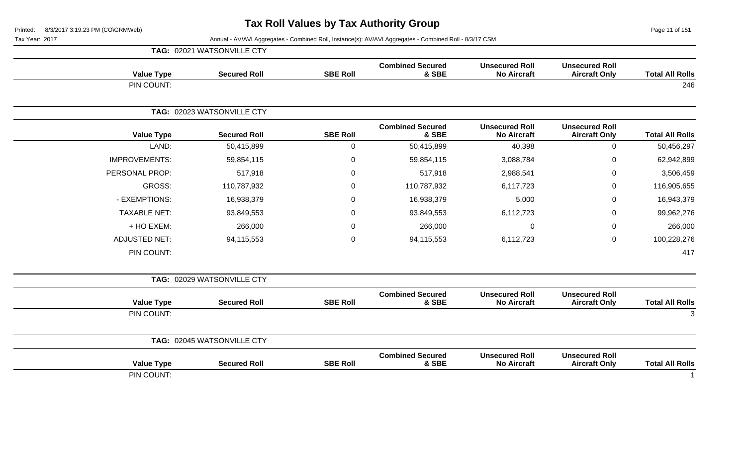Page 11 of 151

|                        |                                               |                                             |                                  |                 | TAG: 02021 WATSONVILLE CTY |                      |
|------------------------|-----------------------------------------------|---------------------------------------------|----------------------------------|-----------------|----------------------------|----------------------|
| <b>Total All Rolls</b> | <b>Unsecured Roll</b><br><b>Aircraft Only</b> | <b>Unsecured Roll</b><br><b>No Aircraft</b> | <b>Combined Secured</b><br>& SBE | <b>SBE Roll</b> | <b>Secured Roll</b>        | <b>Value Type</b>    |
| 246                    |                                               |                                             |                                  |                 |                            | PIN COUNT:           |
|                        |                                               |                                             |                                  |                 | TAG: 02023 WATSONVILLE CTY |                      |
| <b>Total All Rolls</b> | <b>Unsecured Roll</b><br><b>Aircraft Only</b> | <b>Unsecured Roll</b><br><b>No Aircraft</b> | <b>Combined Secured</b><br>& SBE | <b>SBE Roll</b> | <b>Secured Roll</b>        | <b>Value Type</b>    |
| 50,456,297             | $\mathbf 0$                                   | 40,398                                      | 50,415,899                       | $\mathbf 0$     | 50,415,899                 | LAND:                |
| 62,942,899             | 0                                             | 3,088,784                                   | 59,854,115                       | 0               | 59,854,115                 | <b>IMPROVEMENTS:</b> |
| 3,506,459              | 0                                             | 2,988,541                                   | 517,918                          | 0               | 517,918                    | PERSONAL PROP:       |
| 116,905,655            | 0                                             | 6,117,723                                   | 110,787,932                      | 0               | 110,787,932                | <b>GROSS:</b>        |
| 16,943,379             | 0                                             | 5,000                                       | 16,938,379                       | 0               | 16,938,379                 | - EXEMPTIONS:        |
| 99,962,276             | 0                                             | 6,112,723                                   | 93,849,553                       | 0               | 93,849,553                 | <b>TAXABLE NET:</b>  |
| 266,000                | 0                                             | $\Omega$                                    | 266,000                          | 0               | 266,000                    | + HO EXEM:           |
| 100,228,276            | 0                                             | 6,112,723                                   | 94,115,553                       | $\mathbf 0$     | 94,115,553                 | <b>ADJUSTED NET:</b> |
| 417                    |                                               |                                             |                                  |                 |                            | PIN COUNT:           |
|                        |                                               |                                             |                                  |                 | TAG: 02029 WATSONVILLE CTY |                      |
| <b>Total All Rolls</b> | <b>Unsecured Roll</b><br><b>Aircraft Only</b> | <b>Unsecured Roll</b><br><b>No Aircraft</b> | <b>Combined Secured</b><br>& SBE | <b>SBE Roll</b> | <b>Secured Roll</b>        | <b>Value Type</b>    |
| 3                      |                                               |                                             |                                  |                 |                            | PIN COUNT:           |
|                        |                                               |                                             |                                  |                 | TAG: 02045 WATSONVILLE CTY |                      |
| <b>Total All Rolls</b> | <b>Unsecured Roll</b><br><b>Aircraft Only</b> | <b>Unsecured Roll</b><br><b>No Aircraft</b> | <b>Combined Secured</b><br>& SBE | <b>SBE Roll</b> | <b>Secured Roll</b>        | <b>Value Type</b>    |
|                        |                                               |                                             |                                  |                 |                            | PIN COUNT:           |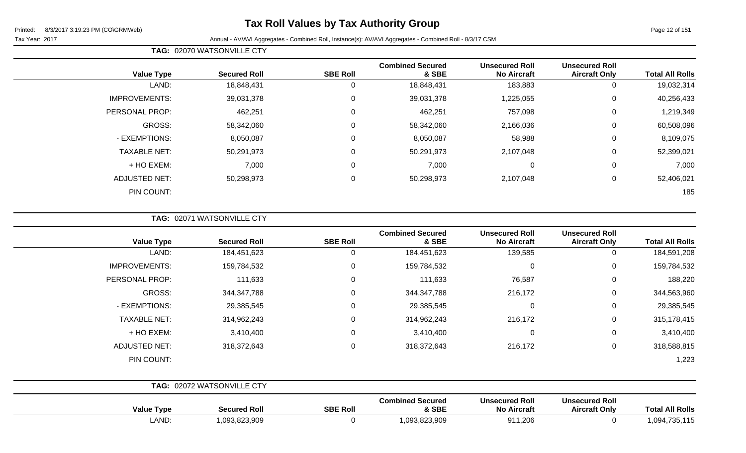Tax Year: 2017 Annual - AV/AVI Aggregates - Combined Roll, Instance(s): AV/AVI Aggregates - Combined Roll - 8/3/17 CSM

| <b>Value Type</b>    | <b>Secured Roll</b> | <b>SBE Roll</b> | <b>Combined Secured</b><br>& SBE | <b>Unsecured Roll</b><br><b>No Aircraft</b> | <b>Unsecured Roll</b><br><b>Aircraft Only</b> | <b>Total All Rolls</b> |
|----------------------|---------------------|-----------------|----------------------------------|---------------------------------------------|-----------------------------------------------|------------------------|
| LAND:                | 18,848,431          |                 | 18,848,431                       | 183,883                                     | 0                                             | 19,032,314             |
| <b>IMPROVEMENTS:</b> | 39,031,378          | 0               | 39,031,378                       | 1,225,055                                   | 0                                             | 40,256,433             |
| PERSONAL PROP:       | 462,251             | $\Omega$        | 462,251                          | 757,098                                     | 0                                             | 1,219,349              |
| GROSS:               | 58,342,060          | $\Omega$        | 58,342,060                       | 2,166,036                                   | 0                                             | 60,508,096             |
| - EXEMPTIONS:        | 8,050,087           | $\Omega$        | 8,050,087                        | 58,988                                      | 0                                             | 8,109,075              |
| <b>TAXABLE NET:</b>  | 50,291,973          | $\Omega$        | 50,291,973                       | 2,107,048                                   | 0                                             | 52,399,021             |
| + HO EXEM:           | 7,000               | $\Omega$        | 7,000                            | 0                                           | 0                                             | 7,000                  |
| <b>ADJUSTED NET:</b> | 50,298,973          | $\Omega$        | 50,298,973                       | 2,107,048                                   | 0                                             | 52,406,021             |
| PIN COUNT:           |                     |                 |                                  |                                             |                                               | 185                    |

**TAG:** 02071 WATSONVILLE CTY

**TAG:** 02070 WATSONVILLE CTY

| <b>Value Type</b>    | <b>Secured Roll</b>        | <b>SBE Roll</b> | <b>Combined Secured</b><br>& SBE | <b>Unsecured Roll</b><br><b>No Aircraft</b> | <b>Unsecured Roll</b><br><b>Aircraft Only</b> | <b>Total All Rolls</b> |
|----------------------|----------------------------|-----------------|----------------------------------|---------------------------------------------|-----------------------------------------------|------------------------|
| LAND:                | 184,451,623                | 0               | 184,451,623                      | 139,585                                     | 0                                             | 184,591,208            |
| <b>IMPROVEMENTS:</b> | 159,784,532                | 0               | 159,784,532                      | $\overline{0}$                              | $\mathbf 0$                                   | 159,784,532            |
| PERSONAL PROP:       | 111,633                    | 0               | 111,633                          | 76,587                                      | $\mathbf 0$                                   | 188,220                |
| GROSS:               | 344, 347, 788              | 0               | 344, 347, 788                    | 216,172                                     | $\mathbf 0$                                   | 344,563,960            |
| - EXEMPTIONS:        | 29,385,545                 | $\Omega$        | 29,385,545                       | $\mathbf{0}$                                | $\mathbf 0$                                   | 29,385,545             |
| <b>TAXABLE NET:</b>  | 314,962,243                | 0               | 314,962,243                      | 216,172                                     | $\mathbf 0$                                   | 315,178,415            |
| + HO EXEM:           | 3,410,400                  | 0               | 3,410,400                        | $\mathbf 0$                                 | $\mathbf 0$                                   | 3,410,400              |
| <b>ADJUSTED NET:</b> | 318,372,643                | 0               | 318,372,643                      | 216,172                                     | $\mathbf 0$                                   | 318,588,815            |
| PIN COUNT:           |                            |                 |                                  |                                             |                                               | 1,223                  |
|                      | TAG: 02072 WATSONVILLE CTY |                 |                                  |                                             |                                               |                        |

| Type<br>Value | <b>Secured Roll</b> | <b>SBE Roll</b> | Combined Secured<br>& SBE | Unsecured Roll<br><b>No Aircraft</b> | <b>Unsecured Roll</b><br><b>Aircraft Only</b> | <b>All Rolls</b><br>⊺otal |
|---------------|---------------------|-----------------|---------------------------|--------------------------------------|-----------------------------------------------|---------------------------|
| LAND.         | ,093,823,909        |                 | ,093,823,909              | 911,206                              |                                               | .<br>00 <sub>A</sub><br>. |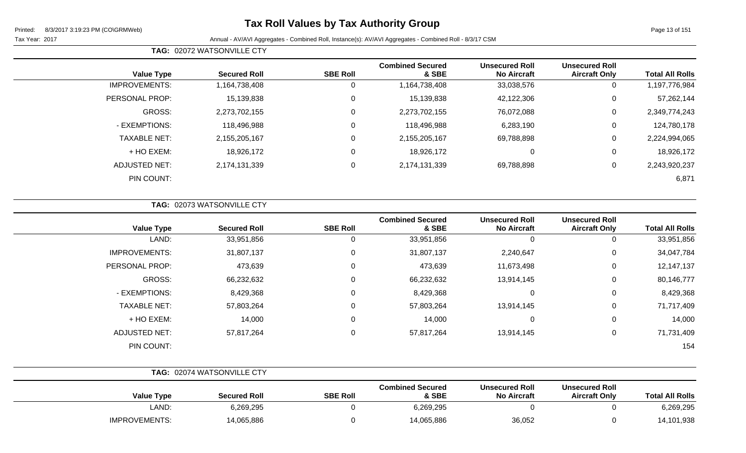**TAG:** 02072 WATSONVILLE CTY

Page 13 of 151

| <b>Total All Rolls</b> | <b>Unsecured Roll</b><br><b>Aircraft Only</b> | <b>Unsecured Roll</b><br><b>No Aircraft</b> | <b>Combined Secured</b><br>& SBE | <b>SBE Roll</b> | <b>Secured Roll</b> | <b>Value Type</b>    |
|------------------------|-----------------------------------------------|---------------------------------------------|----------------------------------|-----------------|---------------------|----------------------|
| 1,197,776,984          | 0                                             | 33,038,576                                  | 1,164,738,408                    | U               | 1,164,738,408       | <b>IMPROVEMENTS:</b> |
| 57,262,144             | $\mathbf 0$                                   | 42,122,306                                  | 15,139,838                       | $\mathbf 0$     | 15,139,838          | PERSONAL PROP:       |
| 2,349,774,243          | $\mathbf 0$                                   | 76,072,088                                  | 2,273,702,155                    | $\mathbf 0$     | 2,273,702,155       | GROSS:               |
| 124,780,178            | 0                                             | 6,283,190                                   | 118,496,988                      | $\mathbf 0$     | 118,496,988         | - EXEMPTIONS:        |
| 2,224,994,065          | 0                                             | 69,788,898                                  | 2,155,205,167                    | $\mathbf 0$     | 2,155,205,167       | <b>TAXABLE NET:</b>  |
| 18,926,172             | 0                                             | 0                                           | 18,926,172                       | $\mathbf 0$     | 18,926,172          | + HO EXEM:           |
| 2,243,920,237          | $\mathbf 0$                                   | 69,788,898                                  | 2,174,131,339                    | $\mathbf 0$     | 2,174,131,339       | <b>ADJUSTED NET:</b> |
| 6,871                  |                                               |                                             |                                  |                 |                     | PIN COUNT:           |
|                        |                                               |                                             |                                  |                 |                     |                      |

|                      | TAG: 02073 WATSONVILLE CTY |                 |                                  |                                             |                                               |                        |
|----------------------|----------------------------|-----------------|----------------------------------|---------------------------------------------|-----------------------------------------------|------------------------|
| <b>Value Type</b>    | <b>Secured Roll</b>        | <b>SBE Roll</b> | <b>Combined Secured</b><br>& SBE | <b>Unsecured Roll</b><br><b>No Aircraft</b> | <b>Unsecured Roll</b><br><b>Aircraft Only</b> | <b>Total All Rolls</b> |
| LAND:                | 33,951,856                 |                 | 33,951,856                       | 0                                           | 0                                             | 33,951,856             |
| <b>IMPROVEMENTS:</b> | 31,807,137                 | 0               | 31,807,137                       | 2,240,647                                   | $\mathbf 0$                                   | 34,047,784             |
| PERSONAL PROP:       | 473,639                    | $\mathbf{0}$    | 473,639                          | 11,673,498                                  | 0                                             | 12,147,137             |
| GROSS:               | 66,232,632                 | 0               | 66,232,632                       | 13,914,145                                  | $\mathbf 0$                                   | 80,146,777             |
| - EXEMPTIONS:        | 8,429,368                  | $\Omega$        | 8,429,368                        | $\mathbf 0$                                 | $\mathbf 0$                                   | 8,429,368              |
| <b>TAXABLE NET:</b>  | 57,803,264                 | $\Omega$        | 57,803,264                       | 13,914,145                                  | $\mathbf 0$                                   | 71,717,409             |
| + HO EXEM:           | 14,000                     | $\mathbf{0}$    | 14,000                           | $\mathbf 0$                                 | $\mathbf 0$                                   | 14,000                 |
| <b>ADJUSTED NET:</b> | 57,817,264                 | $\mathbf 0$     | 57,817,264                       | 13,914,145                                  | $\mathbf 0$                                   | 71,731,409             |
| PIN COUNT:           |                            |                 |                                  |                                             |                                               | 154                    |

|                      | <b>TAG: 02074 WATSONVILLE CTY</b> |                 |                                  |                                             |                                               |                        |
|----------------------|-----------------------------------|-----------------|----------------------------------|---------------------------------------------|-----------------------------------------------|------------------------|
| <b>Value Type</b>    | <b>Secured Roll</b>               | <b>SBE Roll</b> | <b>Combined Secured</b><br>& SBE | <b>Unsecured Roll</b><br><b>No Aircraft</b> | <b>Unsecured Roll</b><br><b>Aircraft Only</b> | <b>Total All Rolls</b> |
| LAND:                | 6,269,295                         |                 | 6,269,295                        |                                             |                                               | 6,269,295              |
| <b>IMPROVEMENTS:</b> | 14,065,886                        |                 | 14,065,886                       | 36,052                                      |                                               | 14,101,938             |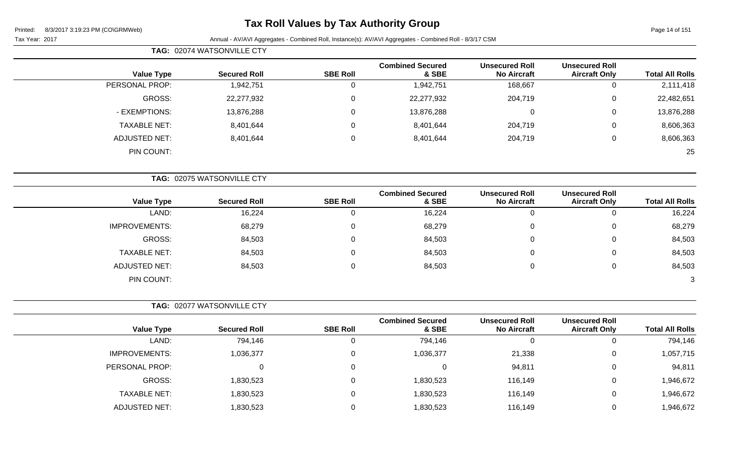## **Tax Roll Values by Tax Authority Group**

| Page 14 of 151 |  |  |
|----------------|--|--|

|  |  |  | Tax Year: 2017 |  |
|--|--|--|----------------|--|
|--|--|--|----------------|--|

|                        |                                               |                                             |                                  |                 | TAG: 02074 WATSONVILLE CTY |                      |
|------------------------|-----------------------------------------------|---------------------------------------------|----------------------------------|-----------------|----------------------------|----------------------|
| <b>Total All Rolls</b> | <b>Unsecured Roll</b><br><b>Aircraft Only</b> | <b>Unsecured Roll</b><br><b>No Aircraft</b> | <b>Combined Secured</b><br>& SBE | <b>SBE Roll</b> | <b>Secured Roll</b>        | <b>Value Type</b>    |
| 2,111,418              | $\mathbf 0$                                   | 168,667                                     | 1,942,751                        | $\overline{0}$  | 1,942,751                  | PERSONAL PROP:       |
| 22,482,651             | $\mathbf 0$                                   | 204,719                                     | 22,277,932                       | 0               | 22,277,932                 | <b>GROSS:</b>        |
| 13,876,288             | 0                                             | $\mathbf 0$                                 | 13,876,288                       | 0               | 13,876,288                 | - EXEMPTIONS:        |
| 8,606,363              | 0                                             | 204,719                                     | 8,401,644                        | 0               | 8,401,644                  | <b>TAXABLE NET:</b>  |
| 8,606,363              | $\mathbf 0$                                   | 204,719                                     | 8,401,644                        | 0               | 8,401,644                  | <b>ADJUSTED NET:</b> |
| 25                     |                                               |                                             |                                  |                 |                            | PIN COUNT:           |
|                        |                                               |                                             |                                  |                 | TAG: 02075 WATSONVILLE CTY |                      |
| <b>Total All Rolls</b> | <b>Unsecured Roll</b><br><b>Aircraft Only</b> | <b>Unsecured Roll</b><br><b>No Aircraft</b> | <b>Combined Secured</b><br>& SBE | <b>SBE Roll</b> | <b>Secured Roll</b>        | <b>Value Type</b>    |
| 16,224                 | $\mathbf 0$                                   | $\mathbf 0$                                 | 16,224                           | $\overline{0}$  | 16,224                     | LAND:                |
| 68,279                 | $\mathbf 0$                                   | $\pmb{0}$                                   | 68,279                           | $\Omega$        | 68,279                     | <b>IMPROVEMENTS:</b> |
| 84,503                 | $\mathbf 0$                                   | 0                                           | 84,503                           | 0               | 84,503                     | <b>GROSS:</b>        |
| 84,503                 | $\mathbf 0$                                   | 0                                           | 84,503                           | $\Omega$        | 84,503                     | <b>TAXABLE NET:</b>  |
| 84,503                 | $\mathbf 0$                                   | 0                                           | 84,503                           | 0               | 84,503                     | <b>ADJUSTED NET:</b> |
| 3                      |                                               |                                             |                                  |                 |                            | PIN COUNT:           |
|                        |                                               |                                             |                                  |                 | TAG: 02077 WATSONVILLE CTY |                      |
| <b>Total All Rolls</b> | <b>Unsecured Roll</b><br><b>Aircraft Only</b> | <b>Unsecured Roll</b><br><b>No Aircraft</b> | <b>Combined Secured</b><br>& SBE | <b>SBE Roll</b> | <b>Secured Roll</b>        | <b>Value Type</b>    |
| 794,146                | $\mathbf 0$                                   | $\boldsymbol{0}$                            | 794,146                          | $\mathbf 0$     | 794,146                    | LAND:                |
| 1,057,715              | $\mathbf 0$                                   | 21,338                                      | 1,036,377                        | 0               | 1,036,377                  | <b>IMPROVEMENTS:</b> |
| 94,811                 | $\mathbf 0$                                   | 94,811                                      | 0                                | 0               | 0                          | PERSONAL PROP:       |
| 1,946,672              | $\mathbf 0$                                   | 116,149                                     | 1,830,523                        | 0               | 1,830,523                  | GROSS:               |
| 1,946,672              | 0                                             | 116,149                                     | 1,830,523                        | 0               | 1,830,523                  | <b>TAXABLE NET:</b>  |
| 1,946,672              | $\mathbf 0$                                   | 116,149                                     | 1,830,523                        | $\pmb{0}$       | 1,830,523                  | <b>ADJUSTED NET:</b> |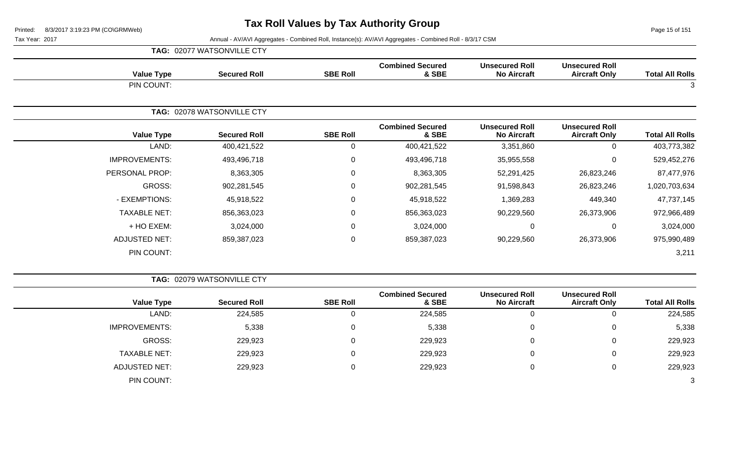**TAG:** 02077 WATSONVILLE CTY

Page 15 of 151

| <b>Value Type</b>    | <b>Secured Roll</b>        | <b>SBE Roll</b> | <b>Combined Secured</b><br>& SBE | <b>Unsecured Roll</b><br><b>No Aircraft</b> | <b>Unsecured Roll</b><br><b>Aircraft Only</b> | <b>Total All Rolls</b> |
|----------------------|----------------------------|-----------------|----------------------------------|---------------------------------------------|-----------------------------------------------|------------------------|
| PIN COUNT:           |                            |                 |                                  |                                             |                                               | 3                      |
|                      | TAG: 02078 WATSONVILLE CTY |                 |                                  |                                             |                                               |                        |
| <b>Value Type</b>    | <b>Secured Roll</b>        | <b>SBE Roll</b> | <b>Combined Secured</b><br>& SBE | <b>Unsecured Roll</b><br><b>No Aircraft</b> | <b>Unsecured Roll</b><br><b>Aircraft Only</b> | <b>Total All Rolls</b> |
| LAND:                | 400,421,522                | $\Omega$        | 400,421,522                      | 3,351,860                                   | 0                                             | 403,773,382            |
| <b>IMPROVEMENTS:</b> | 493,496,718                | $\mathbf 0$     | 493,496,718                      | 35,955,558                                  | 0                                             | 529,452,276            |
| PERSONAL PROP:       | 8,363,305                  | $\mathbf 0$     | 8,363,305                        | 52,291,425                                  | 26,823,246                                    | 87,477,976             |
| GROSS:               | 902,281,545                | $\mathbf 0$     | 902,281,545                      | 91,598,843                                  | 26,823,246                                    | 1,020,703,634          |
| - EXEMPTIONS:        | 45,918,522                 | 0               | 45,918,522                       | 1,369,283                                   | 449,340                                       | 47,737,145             |
| <b>TAXABLE NET:</b>  | 856,363,023                | $\mathbf 0$     | 856,363,023                      | 90,229,560                                  | 26,373,906                                    | 972,966,489            |
| + HO EXEM:           | 3,024,000                  | $\mathbf 0$     | 3,024,000                        | 0                                           | 0                                             | 3,024,000              |
| <b>ADJUSTED NET:</b> | 859,387,023                | $\overline{0}$  | 859,387,023                      | 90,229,560                                  | 26,373,906                                    | 975,990,489            |
| PIN COUNT:           |                            |                 |                                  |                                             |                                               | 3,211                  |

|                        |                                               |                                             |                                  |                 | TAG: 02079 WATSONVILLE CTY |                      |  |
|------------------------|-----------------------------------------------|---------------------------------------------|----------------------------------|-----------------|----------------------------|----------------------|--|
| <b>Total All Rolls</b> | <b>Unsecured Roll</b><br><b>Aircraft Only</b> | <b>Unsecured Roll</b><br><b>No Aircraft</b> | <b>Combined Secured</b><br>& SBE | <b>SBE Roll</b> | <b>Secured Roll</b>        | <b>Value Type</b>    |  |
| 224,585                | 0                                             | 0                                           | 224,585                          |                 | 224,585                    | LAND:                |  |
| 5,338                  | $\mathbf 0$                                   | $\Omega$                                    | 5,338                            |                 | 5,338                      | <b>IMPROVEMENTS:</b> |  |
| 229,923                | $\overline{0}$                                | $\Omega$                                    | 229,923                          |                 | 229,923                    | GROSS:               |  |
| 229,923                | $\mathbf{0}$                                  | 0                                           | 229,923                          |                 | 229,923                    | <b>TAXABLE NET:</b>  |  |
| 229,923                | 0                                             | 0                                           | 229,923                          |                 | 229,923                    | <b>ADJUSTED NET:</b> |  |
| 3                      |                                               |                                             |                                  |                 |                            | PIN COUNT:           |  |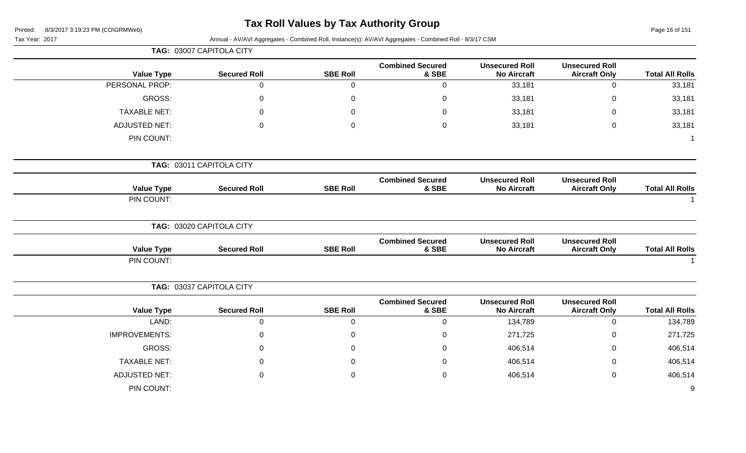### **Tax Roll Values by Tax Authority Group**

| $\ldots$<br>8/3/2017 3:19:23 PM (CO\GRMWeb)<br>Printed: |                          |                 |                                                                                                                                                                                                                                                                                                                                                                                                                                  |                                             |                                               | Page 16 of 151         |
|---------------------------------------------------------|--------------------------|-----------------|----------------------------------------------------------------------------------------------------------------------------------------------------------------------------------------------------------------------------------------------------------------------------------------------------------------------------------------------------------------------------------------------------------------------------------|---------------------------------------------|-----------------------------------------------|------------------------|
| Tax Year: 2017                                          | TAG: 03007 CAPITOLA CITY |                 |                                                                                                                                                                                                                                                                                                                                                                                                                                  |                                             |                                               |                        |
|                                                         |                          |                 |                                                                                                                                                                                                                                                                                                                                                                                                                                  |                                             |                                               |                        |
| <b>Value Type</b>                                       | <b>Secured Roll</b>      | <b>SBE Roll</b> | & SBE                                                                                                                                                                                                                                                                                                                                                                                                                            | <b>No Aircraft</b>                          | <b>Aircraft Only</b>                          | <b>Total All Rolls</b> |
| PERSONAL PROP:                                          | $\mathbf 0$              | $\mathbf 0$     | 0                                                                                                                                                                                                                                                                                                                                                                                                                                | 33,181                                      | 0                                             | 33,181                 |
| GROSS:                                                  | 0                        | $\mathbf 0$     | $\Omega$                                                                                                                                                                                                                                                                                                                                                                                                                         | 33,181                                      | 0                                             | 33,181                 |
| <b>TAXABLE NET:</b>                                     | 0                        | $\Omega$        | 0                                                                                                                                                                                                                                                                                                                                                                                                                                | 33,181                                      | $\Omega$                                      | 33,181                 |
| <b>ADJUSTED NET:</b>                                    | 0                        | $\mathbf 0$     | $\mathbf 0$                                                                                                                                                                                                                                                                                                                                                                                                                      | 33,181                                      | 0                                             | 33,181                 |
| PIN COUNT:                                              |                          |                 |                                                                                                                                                                                                                                                                                                                                                                                                                                  |                                             |                                               |                        |
|                                                         | TAG: 03011 CAPITOLA CITY |                 |                                                                                                                                                                                                                                                                                                                                                                                                                                  |                                             |                                               |                        |
| <b>Value Type</b>                                       | <b>Secured Roll</b>      | <b>SBE Roll</b> | <b>Combined Secured</b>                                                                                                                                                                                                                                                                                                                                                                                                          | <b>Unsecured Roll</b>                       | <b>Unsecured Roll</b>                         |                        |
| PIN COUNT:                                              |                          |                 |                                                                                                                                                                                                                                                                                                                                                                                                                                  |                                             |                                               | <b>Total All Rolls</b> |
|                                                         | TAG: 03020 CAPITOLA CITY |                 |                                                                                                                                                                                                                                                                                                                                                                                                                                  |                                             |                                               |                        |
| <b>Value Type</b>                                       | <b>Secured Roll</b>      | <b>SBE Roll</b> | <b>Combined Secured</b><br>& SBE                                                                                                                                                                                                                                                                                                                                                                                                 | <b>Unsecured Roll</b><br><b>No Aircraft</b> | <b>Unsecured Roll</b><br><b>Aircraft Only</b> | <b>Total All Rolls</b> |
| PIN COUNT:                                              |                          |                 | Annual - AV/AVI Aggregates - Combined Roll, Instance(s): AV/AVI Aggregates - Combined Roll - 8/3/17 CSM<br><b>Combined Secured</b><br><b>Unsecured Roll</b><br><b>Unsecured Roll</b><br><b>No Aircraft</b><br>& SBE<br><b>Aircraft Only</b><br><b>Combined Secured</b><br><b>Unsecured Roll</b><br>& SBE<br><b>No Aircraft</b><br>$\mathbf 0$<br>134,789<br>0<br>271,725<br>0<br>406,514<br>406,514<br>0<br>406,514<br>$\pmb{0}$ |                                             |                                               |                        |
|                                                         | TAG: 03037 CAPITOLA CITY |                 |                                                                                                                                                                                                                                                                                                                                                                                                                                  |                                             |                                               |                        |
| <b>Value Type</b>                                       | <b>Secured Roll</b>      | <b>SBE Roll</b> |                                                                                                                                                                                                                                                                                                                                                                                                                                  |                                             | <b>Unsecured Roll</b><br><b>Aircraft Only</b> | <b>Total All Rolls</b> |
| LAND:                                                   | $\mathbf 0$              | $\mathbf 0$     |                                                                                                                                                                                                                                                                                                                                                                                                                                  |                                             | $\mathbf 0$                                   | 134,789                |
| <b>IMPROVEMENTS:</b>                                    | 0                        | $\Omega$        |                                                                                                                                                                                                                                                                                                                                                                                                                                  |                                             | 0                                             | 271,725                |
| GROSS:                                                  | 0                        | $\mathbf 0$     |                                                                                                                                                                                                                                                                                                                                                                                                                                  |                                             | 0                                             | 406,514                |
| <b>TAXABLE NET:</b>                                     | 0                        | $\Omega$        |                                                                                                                                                                                                                                                                                                                                                                                                                                  |                                             | 0                                             | 406,514                |
| <b>ADJUSTED NET:</b>                                    | $\Omega$                 | $\mathbf 0$     |                                                                                                                                                                                                                                                                                                                                                                                                                                  |                                             | $\mathbf 0$                                   | 406,514                |
| PIN COUNT:                                              |                          |                 |                                                                                                                                                                                                                                                                                                                                                                                                                                  |                                             |                                               | 9                      |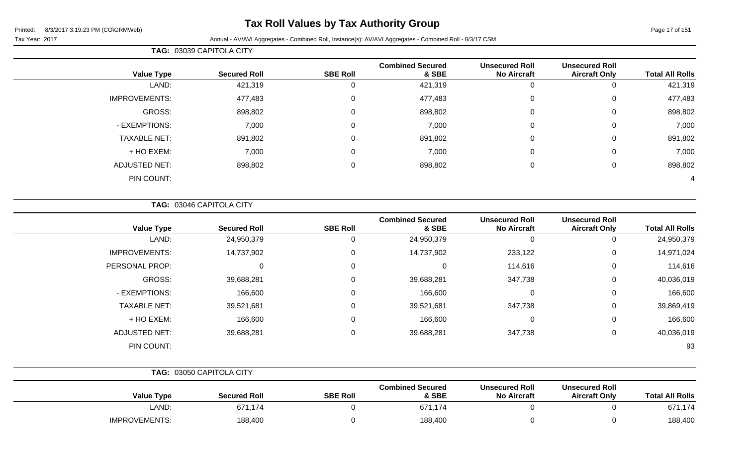## **Tax Roll Values by Tax Authority Group**

Page 17 of 151

Tax Year: 2017 Annual - AV/AVI Aggregates - Combined Roll, Instance(s): AV/AVI Aggregates - Combined Roll - 8/3/17 CSM

|                      | TAG: 03039 CAPITOLA CITY |                 |                                  |                                             |                                               |                        |
|----------------------|--------------------------|-----------------|----------------------------------|---------------------------------------------|-----------------------------------------------|------------------------|
| <b>Value Type</b>    | <b>Secured Roll</b>      | <b>SBE Roll</b> | <b>Combined Secured</b><br>& SBE | <b>Unsecured Roll</b><br><b>No Aircraft</b> | <b>Unsecured Roll</b><br><b>Aircraft Only</b> | <b>Total All Rolls</b> |
| LAND:                | 421,319                  | $\Omega$        | 421,319                          | 0                                           |                                               | 421,319                |
| <b>IMPROVEMENTS:</b> | 477,483                  | 0               | 477,483                          | $\mathbf 0$                                 | 0                                             | 477,483                |
| GROSS:               | 898,802                  | 0               | 898,802                          | $\mathbf 0$                                 | 0                                             | 898,802                |
| - EXEMPTIONS:        | 7,000                    | $\Omega$        | 7,000                            | $\mathbf 0$                                 | 0                                             | 7,000                  |
| <b>TAXABLE NET:</b>  | 891,802                  | $\Omega$        | 891,802                          | $\mathbf 0$                                 | 0                                             | 891,802                |
| + HO EXEM:           | 7,000                    | $\Omega$        | 7,000                            | $\mathbf 0$                                 | 0                                             | 7,000                  |
| <b>ADJUSTED NET:</b> | 898,802                  | $\Omega$        | 898,802                          | $\mathbf 0$                                 | 0                                             | 898,802                |
| PIN COUNT:           |                          |                 |                                  |                                             |                                               | 4                      |

**TAG:** 03046 CAPITOLA CITY

| <b>Value Type</b>    | <b>Secured Roll</b> | <b>SBE Roll</b> | <b>Combined Secured</b><br>& SBE | <b>Unsecured Roll</b><br><b>No Aircraft</b> | <b>Unsecured Roll</b><br><b>Aircraft Only</b> | <b>Total All Rolls</b> |
|----------------------|---------------------|-----------------|----------------------------------|---------------------------------------------|-----------------------------------------------|------------------------|
| LAND:                | 24,950,379          |                 | 24,950,379                       | 0                                           |                                               | 24,950,379             |
| <b>IMPROVEMENTS:</b> | 14,737,902          |                 | 14,737,902                       | 233,122                                     | 0                                             | 14,971,024             |
| PERSONAL PROP:       | $\Omega$            | $\Omega$        | $\Omega$                         | 114,616                                     | 0                                             | 114,616                |
| GROSS:               | 39,688,281          | 0               | 39,688,281                       | 347,738                                     | 0                                             | 40,036,019             |
| - EXEMPTIONS:        | 166,600             |                 | 166,600                          | $\mathbf 0$                                 | 0                                             | 166,600                |
| <b>TAXABLE NET:</b>  | 39,521,681          | 0               | 39,521,681                       | 347,738                                     | 0                                             | 39,869,419             |
| + HO EXEM:           | 166,600             | $\Omega$        | 166,600                          | $\mathbf 0$                                 | 0                                             | 166,600                |
| <b>ADJUSTED NET:</b> | 39,688,281          | $\mathbf{0}$    | 39,688,281                       | 347,738                                     | 0                                             | 40,036,019             |
| PIN COUNT:           |                     |                 |                                  |                                             |                                               | 93                     |

|                      | TAG: 03050 CAPITOLA CITY |                 |                                  |                                             |                                               |                        |
|----------------------|--------------------------|-----------------|----------------------------------|---------------------------------------------|-----------------------------------------------|------------------------|
| <b>Value Type</b>    | <b>Secured Roll</b>      | <b>SBE Roll</b> | <b>Combined Secured</b><br>& SBE | <b>Unsecured Roll</b><br><b>No Aircraft</b> | <b>Unsecured Roll</b><br><b>Aircraft Only</b> | <b>Total All Rolls</b> |
| LAND:                | 671,174                  |                 | 671,174                          |                                             |                                               | 671,174                |
| <b>IMPROVEMENTS:</b> | 188,400                  |                 | 188,400                          |                                             |                                               | 188,400                |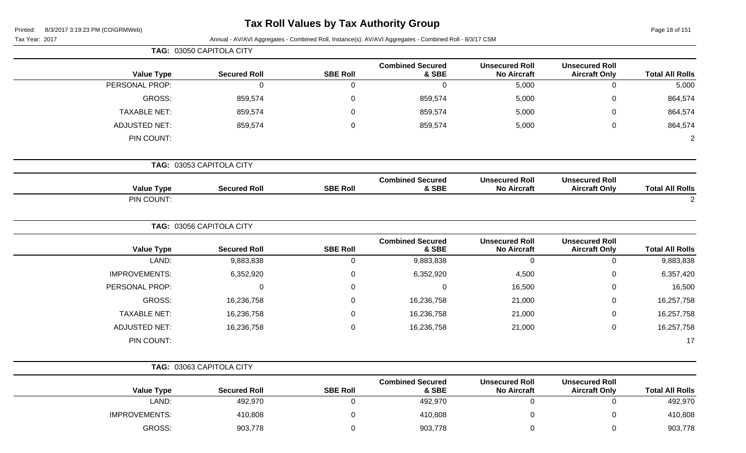## **Tax Roll Values by Tax Authority Group**

Page 18 of 151

Tax Year: 2017 **Annual - AV/AVI Aggregates - Combined Roll**, Instance(s): AV/AVI Aggregates - Combined Roll - 8/3/17 CSM

|                          |                                               |                                             |                                  |                 | TAG: 03050 CAPITOLA CITY |                      |
|--------------------------|-----------------------------------------------|---------------------------------------------|----------------------------------|-----------------|--------------------------|----------------------|
| <b>Total All Rolls</b>   | <b>Unsecured Roll</b><br><b>Aircraft Only</b> | <b>Unsecured Roll</b><br><b>No Aircraft</b> | <b>Combined Secured</b><br>& SBE | <b>SBE Roll</b> | <b>Secured Roll</b>      | <b>Value Type</b>    |
| 0<br>5,000               |                                               | 5,000                                       | $\mathbf 0$                      | $\mathbf 0$     | $\mathbf 0$              | PERSONAL PROP:       |
| $\mathsf 0$<br>864,574   |                                               | 5,000                                       | 859,574                          | $\mathbf 0$     | 859,574                  | <b>GROSS:</b>        |
| 0<br>864,574             |                                               | 5,000                                       | 859,574                          | $\mathbf 0$     | 859,574                  | <b>TAXABLE NET:</b>  |
| $\mathsf 0$<br>864,574   |                                               | 5,000                                       | 859,574                          | $\mathbf 0$     | 859,574                  | <b>ADJUSTED NET:</b> |
| $\overline{2}$           |                                               |                                             |                                  |                 |                          | PIN COUNT:           |
|                          |                                               |                                             |                                  |                 | TAG: 03053 CAPITOLA CITY |                      |
| <b>Total All Rolls</b>   | <b>Unsecured Roll</b><br><b>Aircraft Only</b> | <b>Unsecured Roll</b><br><b>No Aircraft</b> | <b>Combined Secured</b><br>& SBE | <b>SBE Roll</b> | <b>Secured Roll</b>      | <b>Value Type</b>    |
| $\sqrt{2}$               |                                               |                                             |                                  |                 |                          | PIN COUNT:           |
|                          |                                               |                                             |                                  |                 | TAG: 03056 CAPITOLA CITY |                      |
| <b>Total All Rolls</b>   | <b>Unsecured Roll</b><br><b>Aircraft Only</b> | <b>Unsecured Roll</b><br><b>No Aircraft</b> | <b>Combined Secured</b><br>& SBE | <b>SBE Roll</b> | <b>Secured Roll</b>      | <b>Value Type</b>    |
| 9,883,838<br>$\mathbf 0$ |                                               | $\mathbf 0$                                 | 9,883,838                        | $\mathbf 0$     | 9,883,838                | LAND:                |
| 6,357,420<br>0           |                                               | 4,500                                       | 6,352,920                        | 0               | 6,352,920                | <b>IMPROVEMENTS:</b> |
| 0<br>16,500              |                                               | 16,500                                      | $\mathbf 0$                      | 0               | $\pmb{0}$                | PERSONAL PROP:       |
| 0<br>16,257,758          |                                               | 21,000                                      | 16,236,758                       | $\mathbf 0$     | 16,236,758               | <b>GROSS:</b>        |
| 16,257,758<br>0          |                                               | 21,000                                      | 16,236,758                       | $\Omega$        | 16,236,758               | <b>TAXABLE NET:</b>  |
| 0<br>16,257,758          |                                               | 21,000                                      | 16,236,758                       | $\mathbf 0$     | 16,236,758               | <b>ADJUSTED NET:</b> |
| 17                       |                                               |                                             |                                  |                 |                          | PIN COUNT:           |
|                          |                                               |                                             |                                  |                 | TAG: 03063 CAPITOLA CITY |                      |
| <b>Total All Rolls</b>   | <b>Unsecured Roll</b><br><b>Aircraft Only</b> | <b>Unsecured Roll</b><br><b>No Aircraft</b> | <b>Combined Secured</b><br>& SBE | <b>SBE Roll</b> | <b>Secured Roll</b>      | <b>Value Type</b>    |
| 492,970<br>0             |                                               | $\pmb{0}$                                   | 492,970                          | $\pmb{0}$       | 492,970                  | LAND:                |

IMPROVEMENTS: 410,808 410,808 0 410,808 410,808 0 410,808 0 410,808 0 410,808

GROSS: 903,778 0 903,778 0 0 903,778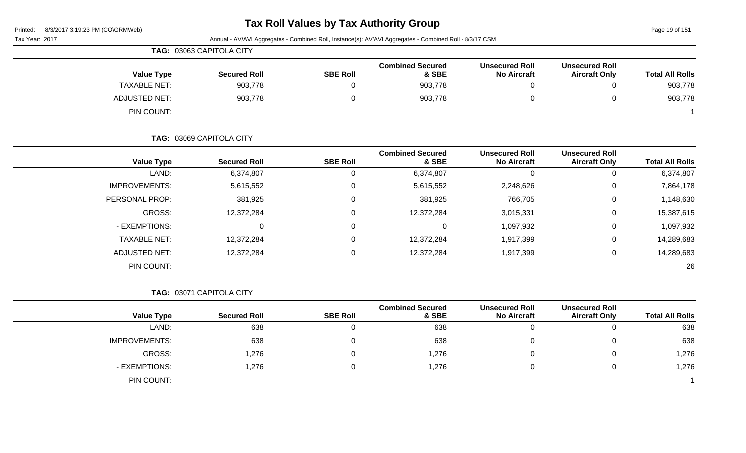### **Tax Roll Values by Tax Authority Group**

| 8/3/2017 3:19:23 PM (CO\GRMWeb)<br>Printed: | <b>Tax Roll values by Tax Authority Group</b> |                 |                                                                                                         | Page 19 of 151                              |                                               |                        |
|---------------------------------------------|-----------------------------------------------|-----------------|---------------------------------------------------------------------------------------------------------|---------------------------------------------|-----------------------------------------------|------------------------|
| Tax Year: 2017                              |                                               |                 | Annual - AV/AVI Aggregates - Combined Roll, Instance(s): AV/AVI Aggregates - Combined Roll - 8/3/17 CSM |                                             |                                               |                        |
|                                             | TAG: 03063 CAPITOLA CITY                      |                 |                                                                                                         |                                             |                                               |                        |
| <b>Value Type</b>                           | <b>Secured Roll</b>                           | <b>SBE Roll</b> | <b>Combined Secured</b><br>& SBE                                                                        | <b>Unsecured Roll</b><br><b>No Aircraft</b> | <b>Unsecured Roll</b><br><b>Aircraft Only</b> | <b>Total All Rolls</b> |
| <b>TAXABLE NET:</b>                         | 903,778                                       | 0               | 903,778                                                                                                 | $\mathbf 0$                                 | $\mathbf 0$                                   | 903,778                |
| <b>ADJUSTED NET:</b>                        | 903,778                                       | 0               | 903,778                                                                                                 | $\pmb{0}$                                   | $\pmb{0}$                                     | 903,778                |
| PIN COUNT:                                  |                                               |                 |                                                                                                         |                                             |                                               |                        |
|                                             | TAG: 03069 CAPITOLA CITY                      |                 |                                                                                                         |                                             |                                               |                        |
| <b>Value Type</b>                           | <b>Secured Roll</b>                           | <b>SBE Roll</b> | <b>Combined Secured</b><br>& SBE                                                                        | <b>Unsecured Roll</b><br><b>No Aircraft</b> | <b>Unsecured Roll</b><br><b>Aircraft Only</b> | <b>Total All Rolls</b> |
| LAND:                                       | 6,374,807                                     | $\mathbf 0$     | 6,374,807                                                                                               | $\mathbf 0$                                 | $\mathbf 0$                                   | 6,374,807              |
| <b>IMPROVEMENTS:</b>                        | 5,615,552                                     | 0               | 5,615,552                                                                                               | 2,248,626                                   | 0                                             | 7,864,178              |
| PERSONAL PROP:                              | 381,925                                       | 0               | 381,925                                                                                                 | 766,705                                     | 0                                             | 1,148,630              |
| <b>GROSS:</b>                               | 12,372,284                                    | 0               | 12,372,284                                                                                              | 3,015,331                                   | 0                                             | 15,387,615             |
| - EXEMPTIONS:                               | 0                                             | 0               | $\pmb{0}$                                                                                               | 1,097,932                                   | 0                                             | 1,097,932              |
| <b>TAXABLE NET:</b>                         | 12,372,284                                    | 0               | 12,372,284                                                                                              | 1,917,399                                   | 0                                             | 14,289,683             |
| <b>ADJUSTED NET:</b>                        | 12,372,284                                    | 0               | 12,372,284                                                                                              | 1,917,399                                   | 0                                             | 14,289,683             |
| PIN COUNT:                                  |                                               |                 |                                                                                                         |                                             |                                               | 26                     |
|                                             | TAG: 03071 CAPITOLA CITY                      |                 |                                                                                                         |                                             |                                               |                        |
| <b>Value Type</b>                           | <b>Secured Roll</b>                           | <b>SBE Roll</b> | <b>Combined Secured</b><br>& SBE                                                                        | <b>Unsecured Roll</b><br><b>No Aircraft</b> | <b>Unsecured Roll</b><br><b>Aircraft Only</b> | <b>Total All Rolls</b> |
| LAND:                                       | 638                                           | $\mathbf 0$     | 638                                                                                                     | $\mathbf 0$                                 | $\overline{0}$                                | 638                    |
| <b>IMPROVEMENTS:</b>                        | 638                                           | 0               | 638                                                                                                     | 0                                           | 0                                             | 638                    |
| <b>GROSS:</b>                               | 1,276                                         | 0               | 1,276                                                                                                   | 0                                           | 0                                             | 1,276                  |
| - EXEMPTIONS:                               | 1,276                                         | 0               | 1,276                                                                                                   | 0                                           | 0                                             | 1,276                  |
| PIN COUNT:                                  |                                               |                 |                                                                                                         |                                             |                                               | -1                     |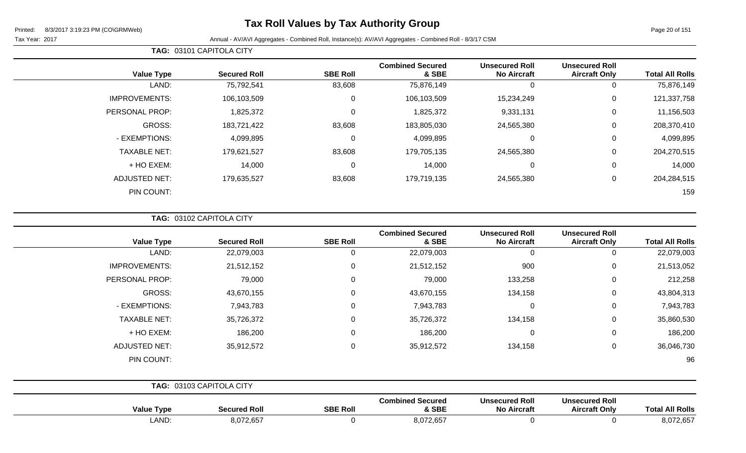## **Tax Roll Values by Tax Authority Group**

Page 20 of 151

Tax Year: 2017 Annual - AV/AVI Aggregates - Combined Roll, Instance(s): AV/AVI Aggregates - Combined Roll - 8/3/17 CSM

| <b>Total All Rolls</b> | <b>Unsecured Roll</b><br><b>Aircraft Only</b> | <b>Unsecured Roll</b><br><b>No Aircraft</b> | <b>Combined Secured</b><br>& SBE | <b>SBE Roll</b> | <b>Secured Roll</b> | <b>Value Type</b>    |
|------------------------|-----------------------------------------------|---------------------------------------------|----------------------------------|-----------------|---------------------|----------------------|
| 75,876,149             | 0                                             | 0                                           | 75,876,149                       | 83,608          | 75,792,541          | LAND:                |
| 121,337,758            | 0                                             | 15,234,249                                  | 106,103,509                      | 0               | 106,103,509         | <b>IMPROVEMENTS:</b> |
| 11,156,503             | $\mathbf 0$                                   | 9,331,131                                   | 1,825,372                        | $\mathbf 0$     | 1,825,372           | PERSONAL PROP:       |
| 208,370,410            | $\mathbf 0$                                   | 24,565,380                                  | 183,805,030                      | 83,608          | 183,721,422         | GROSS:               |
| 4,099,895              | $\mathbf 0$                                   | 0                                           | 4,099,895                        | 0               | 4,099,895           | - EXEMPTIONS:        |
| 204,270,515            | $\mathbf 0$                                   | 24,565,380                                  | 179,705,135                      | 83,608          | 179,621,527         | <b>TAXABLE NET:</b>  |
| 14,000                 | $\mathbf 0$                                   | 0                                           | 14,000                           | 0               | 14,000              | + HO EXEM:           |
| 204,284,515            | $\mathbf 0$                                   | 24,565,380                                  | 179,719,135                      | 83,608          | 179,635,527         | <b>ADJUSTED NET:</b> |
| 159                    |                                               |                                             |                                  |                 |                     | PIN COUNT:           |
|                        |                                               |                                             |                                  |                 |                     |                      |

**TAG:** 03102 CAPITOLA CITY

**TAG:** 03101 CAPITOLA CITY

| <b>Value Type</b>    | <b>Secured Roll</b>      | <b>SBE Roll</b> | <b>Combined Secured</b><br>& SBE | <b>Unsecured Roll</b><br><b>No Aircraft</b> | <b>Unsecured Roll</b><br><b>Aircraft Only</b> | <b>Total All Rolls</b> |
|----------------------|--------------------------|-----------------|----------------------------------|---------------------------------------------|-----------------------------------------------|------------------------|
| LAND:                | 22,079,003               | 0               | 22,079,003                       | $\mathbf 0$                                 | 0                                             | 22,079,003             |
| <b>IMPROVEMENTS:</b> | 21,512,152               | 0               | 21,512,152                       | 900                                         | 0                                             | 21,513,052             |
| PERSONAL PROP:       | 79,000                   | 0               | 79,000                           | 133,258                                     | 0                                             | 212,258                |
| GROSS:               | 43,670,155               | 0               | 43,670,155                       | 134,158                                     | 0                                             | 43,804,313             |
| - EXEMPTIONS:        | 7,943,783                | 0               | 7,943,783                        | 0                                           | 0                                             | 7,943,783              |
| <b>TAXABLE NET:</b>  | 35,726,372               | 0               | 35,726,372                       | 134,158                                     | $\mathbf 0$                                   | 35,860,530             |
| + HO EXEM:           | 186,200                  | 0               | 186,200                          | $\mathbf 0$                                 | $\mathbf 0$                                   | 186,200                |
| <b>ADJUSTED NET:</b> | 35,912,572               | $\mathbf{0}$    | 35,912,572                       | 134,158                                     | $\mathbf 0$                                   | 36,046,730             |
| PIN COUNT:           |                          |                 |                                  |                                             |                                               | 96                     |
|                      | TAG: 03103 CAPITOLA CITY |                 |                                  |                                             |                                               |                        |
| <b>Value Type</b>    | <b>Secured Roll</b>      | <b>SBE Roll</b> | <b>Combined Secured</b><br>& SBE | <b>Unsecured Roll</b><br><b>No Aircraft</b> | <b>Unsecured Roll</b><br><b>Aircraft Only</b> | <b>Total All Rolls</b> |

LAND: 8,072,657 0 8,072,657 0 0 8,072,657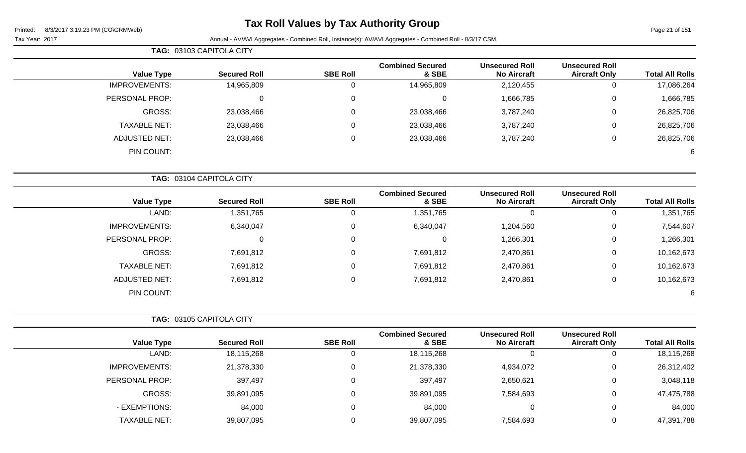## **Tax Roll Values by Tax Authority Group**

#### Tax Year: 2017 **Annual - AV/AVI Aggregates - Combined Roll**, Instance(s): AV/AVI Aggregates - Combined Roll - 8/3/17 CSM

**TAG:** 03103 CAPITOLA CITY

|                        | <b>Unsecured Roll</b> | <b>Unsecured Roll</b> | <b>Combined Secured</b> |                 |                     |                      |
|------------------------|-----------------------|-----------------------|-------------------------|-----------------|---------------------|----------------------|
| <b>Total All Rolls</b> | <b>Aircraft Only</b>  | <b>No Aircraft</b>    | & SBE                   | <b>SBE Roll</b> | <b>Secured Roll</b> | <b>Value Type</b>    |
| 17,086,264             |                       | 2,120,455             | 14,965,809              | 0               | 14,965,809          | <b>IMPROVEMENTS:</b> |
| 1,666,785              | 0                     | 1,666,785             | υ                       | 0               | 0                   | PERSONAL PROP:       |
| 26,825,706             | 0                     | 3,787,240             | 23,038,466              | 0               | 23,038,466          | GROSS:               |
| 26,825,706             | 0                     | 3,787,240             | 23,038,466              | 0               | 23,038,466          | <b>TAXABLE NET:</b>  |
| 26,825,706             | U                     | 3,787,240             | 23,038,466              | 0               | 23,038,466          | ADJUSTED NET:        |
| 6                      |                       |                       |                         |                 |                     | PIN COUNT:           |

| <b>TAG: 03104 CAPITOLA CITY</b> |                     |                 |                                  |                                             |                                               |                        |
|---------------------------------|---------------------|-----------------|----------------------------------|---------------------------------------------|-----------------------------------------------|------------------------|
| <b>Value Type</b>               | <b>Secured Roll</b> | <b>SBE Roll</b> | <b>Combined Secured</b><br>& SBE | <b>Unsecured Roll</b><br><b>No Aircraft</b> | <b>Unsecured Roll</b><br><b>Aircraft Only</b> | <b>Total All Rolls</b> |
| LAND:                           | 1,351,765           |                 | 1,351,765                        | 0                                           | v                                             | 1,351,765              |
| <b>IMPROVEMENTS:</b>            | 6,340,047           | 0               | 6,340,047                        | 1,204,560                                   | 0                                             | 7,544,607              |
| PERSONAL PROP:                  | 0                   | 0               | $\Omega$                         | 1,266,301                                   | 0                                             | 1,266,301              |
| <b>GROSS:</b>                   | 7,691,812           | 0               | 7,691,812                        | 2,470,861                                   | 0                                             | 10,162,673             |
| <b>TAXABLE NET:</b>             | 7,691,812           | 0               | 7,691,812                        | 2,470,861                                   | 0                                             | 10,162,673             |
| <b>ADJUSTED NET:</b>            | 7,691,812           | 0               | 7,691,812                        | 2,470,861                                   | 0                                             | 10,162,673             |
| PIN COUNT:                      |                     |                 |                                  |                                             |                                               | 6                      |

| <b>TAG: 03105 CAPITOLA CITY</b> |                     |                 |                                  |                                             |                                               |                        |
|---------------------------------|---------------------|-----------------|----------------------------------|---------------------------------------------|-----------------------------------------------|------------------------|
| <b>Value Type</b>               | <b>Secured Roll</b> | <b>SBE Roll</b> | <b>Combined Secured</b><br>& SBE | <b>Unsecured Roll</b><br><b>No Aircraft</b> | <b>Unsecured Roll</b><br><b>Aircraft Only</b> | <b>Total All Rolls</b> |
| LAND:                           | 18,115,268          | 0               | 18,115,268                       |                                             | ν                                             | 18,115,268             |
| <b>IMPROVEMENTS:</b>            | 21,378,330          | 0               | 21,378,330                       | 4,934,072                                   | U                                             | 26,312,402             |
| PERSONAL PROP:                  | 397,497             | 0               | 397,497                          | 2,650,621                                   | 0                                             | 3,048,118              |
| GROSS:                          | 39,891,095          | 0               | 39,891,095                       | 7,584,693                                   | 0                                             | 47,475,788             |
| - EXEMPTIONS:                   | 84,000              | 0               | 84,000                           | 0                                           | 0                                             | 84,000                 |
| <b>TAXABLE NET:</b>             | 39,807,095          | 0               | 39,807,095                       | 7,584,693                                   | 0                                             | 47,391,788             |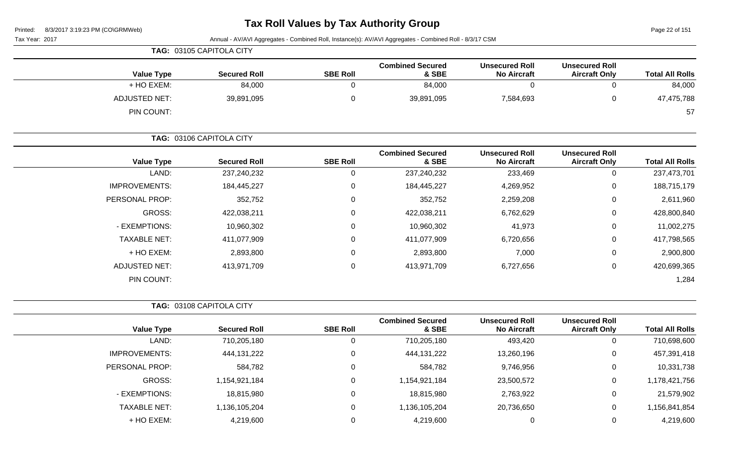# **Tax Roll Values by Tax Authority Group**

Page 22 of 151

|                        |                                               |                                             | Annual - AV/AVI Aggregates - Combined Roll, Instance(s): AV/AVI Aggregates - Combined Roll - 8/3/17 CSM |                  |                          | Tax Year: 2017       |
|------------------------|-----------------------------------------------|---------------------------------------------|---------------------------------------------------------------------------------------------------------|------------------|--------------------------|----------------------|
|                        |                                               |                                             |                                                                                                         |                  | TAG: 03105 CAPITOLA CITY |                      |
| <b>Total All Rolls</b> | <b>Unsecured Roll</b><br><b>Aircraft Only</b> | <b>Unsecured Roll</b><br><b>No Aircraft</b> | <b>Combined Secured</b><br>& SBE                                                                        | <b>SBE Roll</b>  | <b>Secured Roll</b>      | <b>Value Type</b>    |
| 84,000                 | 0                                             | $\mathbf 0$                                 | 84,000                                                                                                  | 0                | 84,000                   | + HO EXEM:           |
| 47,475,788             | 0                                             | 7,584,693                                   | 39,891,095                                                                                              | 0                | 39,891,095               | <b>ADJUSTED NET:</b> |
| 57                     |                                               |                                             |                                                                                                         |                  |                          | PIN COUNT:           |
|                        |                                               |                                             |                                                                                                         |                  | TAG: 03106 CAPITOLA CITY |                      |
| <b>Total All Rolls</b> | <b>Unsecured Roll</b><br><b>Aircraft Only</b> | <b>Unsecured Roll</b><br><b>No Aircraft</b> | <b>Combined Secured</b><br>& SBE                                                                        | <b>SBE Roll</b>  | <b>Secured Roll</b>      | <b>Value Type</b>    |
| 237,473,701            | 0                                             | 233,469                                     | 237,240,232                                                                                             | 0                | 237,240,232              | LAND:                |
| 188,715,179            | 0                                             | 4,269,952                                   | 184,445,227                                                                                             | 0                | 184,445,227              | <b>IMPROVEMENTS:</b> |
| 2,611,960              | 0                                             | 2,259,208                                   | 352,752                                                                                                 | 0                | 352,752                  | PERSONAL PROP:       |
| 428,800,840            | 0                                             | 6,762,629                                   | 422,038,211                                                                                             | 0                | 422,038,211              | <b>GROSS:</b>        |
| 11,002,275             | 0                                             | 41,973                                      | 10,960,302                                                                                              | 0                | 10,960,302               | - EXEMPTIONS:        |
| 417,798,565            | 0                                             | 6,720,656                                   | 411,077,909                                                                                             | 0                | 411,077,909              | <b>TAXABLE NET:</b>  |
| 2,900,800              | 0                                             | 7,000                                       | 2,893,800                                                                                               | 0                | 2,893,800                | + HO EXEM:           |
| 420,699,365            | 0                                             | 6,727,656                                   | 413,971,709                                                                                             | $\mathbf 0$      | 413,971,709              | <b>ADJUSTED NET:</b> |
| 1,284                  |                                               |                                             |                                                                                                         |                  |                          | PIN COUNT:           |
|                        |                                               |                                             |                                                                                                         |                  | TAG: 03108 CAPITOLA CITY |                      |
| <b>Total All Rolls</b> | <b>Unsecured Roll</b><br><b>Aircraft Only</b> | <b>Unsecured Roll</b><br><b>No Aircraft</b> | <b>Combined Secured</b><br>& SBE                                                                        | <b>SBE Roll</b>  | <b>Secured Roll</b>      | <b>Value Type</b>    |
| 710,698,600            | 0                                             | 493,420                                     | 710,205,180                                                                                             | 0                | 710,205,180              | LAND:                |
| 457,391,418            | 0                                             | 13,260,196                                  | 444, 131, 222                                                                                           | 0                | 444, 131, 222            | <b>IMPROVEMENTS:</b> |
| 10,331,738             | $\mathbf 0$                                   | 9,746,956                                   | 584,782                                                                                                 | $\mathbf 0$      | 584,782                  | PERSONAL PROP:       |
| 1,178,421,756          | 0                                             | 23,500,572                                  | 1,154,921,184                                                                                           | 0                | 1,154,921,184            | GROSS:               |
| 21,579,902             | 0                                             | 2,763,922                                   | 18,815,980                                                                                              | $\mathbf 0$      | 18,815,980               | - EXEMPTIONS:        |
| 1,156,841,854          | 0                                             | 20,736,650                                  | 1,136,105,204                                                                                           | 0                | 1,136,105,204            | <b>TAXABLE NET:</b>  |
| 4,219,600              | $\pmb{0}$                                     | 0                                           | 4,219,600                                                                                               | $\boldsymbol{0}$ | 4,219,600                | + HO EXEM:           |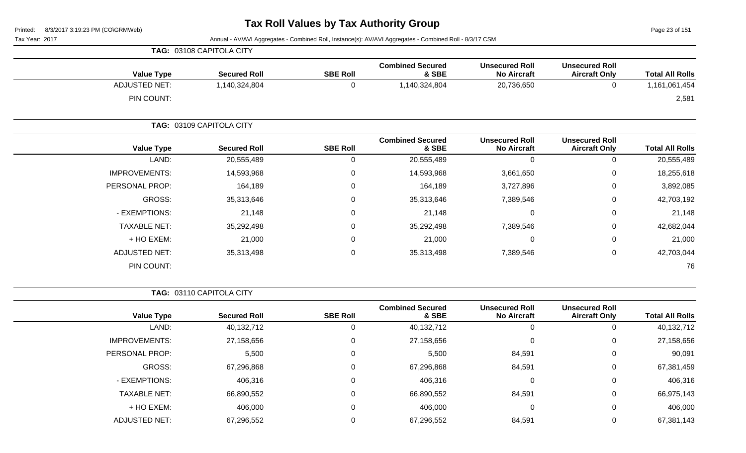Page 23 of 151

Tax Year: 2017 Annual - AV/AVI Aggregates - Combined Roll, Instance(s): AV/AVI Aggregates - Combined Roll - 8/3/17 CSM

|                      | TAG: 03108 CAPITOLA CITY |                 |                                  |                                             |                                               |                        |
|----------------------|--------------------------|-----------------|----------------------------------|---------------------------------------------|-----------------------------------------------|------------------------|
| <b>Value Type</b>    | <b>Secured Roll</b>      | <b>SBE Roll</b> | <b>Combined Secured</b><br>& SBE | <b>Unsecured Roll</b><br><b>No Aircraft</b> | <b>Unsecured Roll</b><br><b>Aircraft Only</b> | <b>Total All Rolls</b> |
| <b>ADJUSTED NET:</b> | 1,140,324,804            | 0               | 1,140,324,804                    | 20,736,650                                  | $\mathbf 0$                                   | 1,161,061,454          |
| PIN COUNT:           |                          |                 |                                  |                                             |                                               | 2,581                  |
|                      | TAG: 03109 CAPITOLA CITY |                 |                                  |                                             |                                               |                        |
| <b>Value Type</b>    | <b>Secured Roll</b>      | <b>SBE Roll</b> | <b>Combined Secured</b><br>& SBE | <b>Unsecured Roll</b><br><b>No Aircraft</b> | <b>Unsecured Roll</b><br><b>Aircraft Only</b> | <b>Total All Rolls</b> |
| LAND:                | 20,555,489               | 0               | 20,555,489                       | 0                                           | $\mathbf 0$                                   | 20,555,489             |
| <b>IMPROVEMENTS:</b> | 14,593,968               | 0               | 14,593,968                       | 3,661,650                                   | 0                                             | 18,255,618             |
| PERSONAL PROP:       | 164,189                  | 0               | 164,189                          | 3,727,896                                   | $\mathbf 0$                                   | 3,892,085              |
| GROSS:               | 35,313,646               | 0               | 35,313,646                       | 7,389,546                                   | $\mathbf 0$                                   | 42,703,192             |
| - EXEMPTIONS:        | 21,148                   | 0               | 21,148                           | 0                                           | $\mathbf 0$                                   | 21,148                 |
| <b>TAXABLE NET:</b>  | 35,292,498               | $\mathbf 0$     | 35,292,498                       | 7,389,546                                   | $\mathbf 0$                                   | 42,682,044             |
| + HO EXEM:           | 21,000                   | 0               | 21,000                           | 0                                           | $\mathbf 0$                                   | 21,000                 |
| <b>ADJUSTED NET:</b> | 35,313,498               | 0               | 35,313,498                       | 7,389,546                                   | $\pmb{0}$                                     | 42,703,044             |
| PIN COUNT:           |                          |                 |                                  |                                             |                                               | 76                     |

**TAG:** 03110 CAPITOLA CITY

|                      |                     |                 | <b>Combined Secured</b> | <b>Unsecured Roll</b> | <b>Unsecured Roll</b> |                        |
|----------------------|---------------------|-----------------|-------------------------|-----------------------|-----------------------|------------------------|
| <b>Value Type</b>    | <b>Secured Roll</b> | <b>SBE Roll</b> | & SBE                   | <b>No Aircraft</b>    | <b>Aircraft Only</b>  | <b>Total All Rolls</b> |
| LAND:                | 40,132,712          | 0               | 40,132,712              |                       | 0                     | 40,132,712             |
| <b>IMPROVEMENTS:</b> | 27,158,656          | $\mathbf 0$     | 27,158,656              |                       | 0                     | 27,158,656             |
| PERSONAL PROP:       | 5,500               | 0               | 5,500                   | 84,591                | $\mathbf{0}$          | 90,091                 |
| GROSS:               | 67,296,868          | 0               | 67,296,868              | 84,591                | 0                     | 67,381,459             |
| - EXEMPTIONS:        | 406,316             | 0               | 406,316                 |                       | $\mathbf 0$           | 406,316                |
| <b>TAXABLE NET:</b>  | 66,890,552          | 0               | 66,890,552              | 84,591                | 0                     | 66,975,143             |
| + HO EXEM:           | 406,000             | $\mathbf 0$     | 406,000                 |                       | 0                     | 406,000                |
| <b>ADJUSTED NET:</b> | 67,296,552          | $\Omega$        | 67,296,552              | 84,591                | 0                     | 67,381,143             |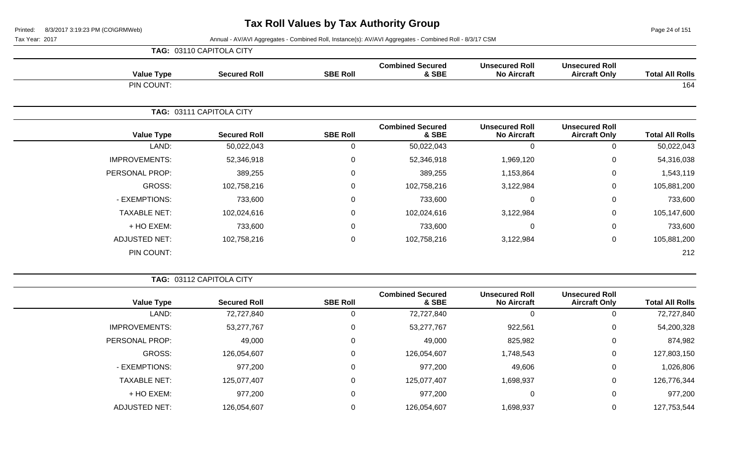Page 24 of 151

|                      | TAG: 03110 CAPITOLA CITY |                 |                                  |                                             |                                               |                        |
|----------------------|--------------------------|-----------------|----------------------------------|---------------------------------------------|-----------------------------------------------|------------------------|
| <b>Value Type</b>    | <b>Secured Roll</b>      | <b>SBE Roll</b> | <b>Combined Secured</b><br>& SBE | <b>Unsecured Roll</b><br><b>No Aircraft</b> | <b>Unsecured Roll</b><br><b>Aircraft Only</b> | <b>Total All Rolls</b> |
| PIN COUNT:           |                          |                 |                                  |                                             |                                               | 164                    |
|                      | TAG: 03111 CAPITOLA CITY |                 |                                  |                                             |                                               |                        |
| <b>Value Type</b>    | <b>Secured Roll</b>      | <b>SBE Roll</b> | <b>Combined Secured</b><br>& SBE | <b>Unsecured Roll</b><br><b>No Aircraft</b> | <b>Unsecured Roll</b><br><b>Aircraft Only</b> | <b>Total All Rolls</b> |
| LAND:                | 50,022,043               | $\mathbf 0$     | 50,022,043                       | 0                                           | $\mathbf 0$                                   | 50,022,043             |
| <b>IMPROVEMENTS:</b> | 52,346,918               | 0               | 52,346,918                       | 1,969,120                                   | $\mathbf 0$                                   | 54,316,038             |
| PERSONAL PROP:       | 389,255                  | $\mathbf 0$     | 389,255                          | 1,153,864                                   | $\mathbf 0$                                   | 1,543,119              |
| <b>GROSS:</b>        | 102,758,216              | $\mathbf 0$     | 102,758,216                      | 3,122,984                                   | $\mathbf 0$                                   | 105,881,200            |
| - EXEMPTIONS:        | 733,600                  | $\mathbf 0$     | 733,600                          |                                             | $\mathbf 0$                                   | 733,600                |
| <b>TAXABLE NET:</b>  | 102,024,616              | $\mathbf 0$     | 102,024,616                      | 3,122,984                                   | $\mathbf 0$                                   | 105,147,600            |
| + HO EXEM:           | 733,600                  | 0               | 733,600                          | $\Omega$                                    | $\mathbf 0$                                   | 733,600                |
| <b>ADJUSTED NET:</b> | 102,758,216              | 0               | 102,758,216                      | 3,122,984                                   | $\mathbf 0$                                   | 105,881,200            |
| PIN COUNT:           |                          |                 |                                  |                                             |                                               | 212                    |

|                      | TAG: 03112 CAPITOLA CITY |                 |                                  |                                             |                                               |                        |
|----------------------|--------------------------|-----------------|----------------------------------|---------------------------------------------|-----------------------------------------------|------------------------|
| <b>Value Type</b>    | <b>Secured Roll</b>      | <b>SBE Roll</b> | <b>Combined Secured</b><br>& SBE | <b>Unsecured Roll</b><br><b>No Aircraft</b> | <b>Unsecured Roll</b><br><b>Aircraft Only</b> | <b>Total All Rolls</b> |
| LAND:                | 72,727,840               | υ               | 72,727,840                       | -0                                          | 0                                             | 72,727,840             |
| <b>IMPROVEMENTS:</b> | 53,277,767               | 0               | 53,277,767                       | 922,561                                     | 0                                             | 54,200,328             |
| PERSONAL PROP:       | 49,000                   | 0               | 49,000                           | 825,982                                     | 0                                             | 874,982                |
| GROSS:               | 126,054,607              | 0               | 126,054,607                      | 1,748,543                                   | 0                                             | 127,803,150            |
| - EXEMPTIONS:        | 977,200                  | 0               | 977,200                          | 49,606                                      | 0                                             | 1,026,806              |
| <b>TAXABLE NET:</b>  | 125,077,407              | $\Omega$        | 125,077,407                      | 1,698,937                                   | 0                                             | 126,776,344            |
| + HO EXEM:           | 977,200                  | 0               | 977,200                          | 0                                           | 0                                             | 977,200                |
| <b>ADJUSTED NET:</b> | 126,054,607              |                 | 126,054,607                      | 1,698,937                                   | 0                                             | 127,753,544            |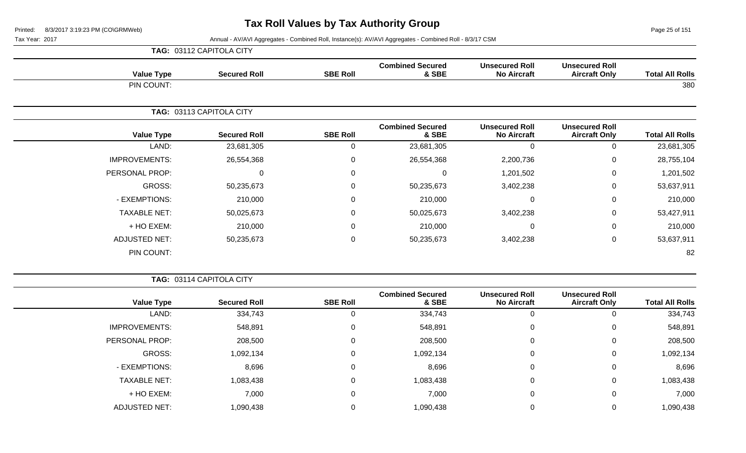Page 25 of 151

Tax Year: 2017 Annual - AV/AVI Aggregates - Combined Roll, Instance(s): AV/AVI Aggregates - Combined Roll - 8/3/17 CSM

|                      | TAG: 03112 CAPITOLA CITY |                  |                                  |                                             |                                               |                        |
|----------------------|--------------------------|------------------|----------------------------------|---------------------------------------------|-----------------------------------------------|------------------------|
| <b>Value Type</b>    | <b>Secured Roll</b>      | <b>SBE Roll</b>  | <b>Combined Secured</b><br>& SBE | <b>Unsecured Roll</b><br><b>No Aircraft</b> | <b>Unsecured Roll</b><br><b>Aircraft Only</b> | <b>Total All Rolls</b> |
| PIN COUNT:           |                          |                  |                                  |                                             |                                               | 380                    |
|                      | TAG: 03113 CAPITOLA CITY |                  |                                  |                                             |                                               |                        |
| <b>Value Type</b>    | <b>Secured Roll</b>      | <b>SBE Roll</b>  | <b>Combined Secured</b><br>& SBE | <b>Unsecured Roll</b><br><b>No Aircraft</b> | <b>Unsecured Roll</b><br><b>Aircraft Only</b> | <b>Total All Rolls</b> |
| LAND:                | 23,681,305               | $\mathbf{0}$     | 23,681,305                       | 0                                           | 0                                             | 23,681,305             |
| <b>IMPROVEMENTS:</b> | 26,554,368               | $\boldsymbol{0}$ | 26,554,368                       | 2,200,736                                   | $\mathbf 0$                                   | 28,755,104             |
| PERSONAL PROP:       | $\Omega$                 | $\Omega$         | $\Omega$                         | 1,201,502                                   | $\mathbf 0$                                   | 1,201,502              |
| GROSS:               | 50,235,673               | 0                | 50,235,673                       | 3,402,238                                   | $\mathbf 0$                                   | 53,637,911             |
| - EXEMPTIONS:        | 210,000                  | $\mathbf 0$      | 210,000                          | 0                                           | 0                                             | 210,000                |
| <b>TAXABLE NET:</b>  | 50,025,673               | $\Omega$         | 50,025,673                       | 3,402,238                                   | $\mathbf 0$                                   | 53,427,911             |
| + HO EXEM:           | 210,000                  | 0                | 210,000                          | 0                                           | 0                                             | 210,000                |
| <b>ADJUSTED NET:</b> | 50,235,673               | $\boldsymbol{0}$ | 50,235,673                       | 3,402,238                                   | 0                                             | 53,637,911             |
| PIN COUNT:           |                          |                  |                                  |                                             |                                               | 82                     |

**TAG:** 03114 CAPITOLA CITY

| <b>Total All Rolls</b> | <b>Unsecured Roll</b><br><b>Aircraft Only</b> | <b>Unsecured Roll</b><br><b>No Aircraft</b> | <b>Combined Secured</b><br>& SBE | <b>SBE Roll</b> | <b>Secured Roll</b> | <b>Value Type</b>    |
|------------------------|-----------------------------------------------|---------------------------------------------|----------------------------------|-----------------|---------------------|----------------------|
| 334,743                |                                               |                                             | 334,743                          | 0               | 334,743             | LAND:                |
| 548,891                | 0                                             | 0                                           | 548,891                          | 0               | 548,891             | <b>IMPROVEMENTS:</b> |
| 208,500                | 0                                             | $\Omega$                                    | 208,500                          | 0               | 208,500             | PERSONAL PROP:       |
| 1,092,134              | 0                                             | 0                                           | 1,092,134                        | 0               | 1,092,134           | GROSS:               |
| 8,696                  | 0                                             | $\Omega$                                    | 8,696                            | 0               | 8,696               | - EXEMPTIONS:        |
| 1,083,438              | $\Omega$                                      | 0                                           | 1,083,438                        | 0               | 1,083,438           | <b>TAXABLE NET:</b>  |
| 7,000                  | 0                                             | 0                                           | 7,000                            | 0               | 7,000               | + HO EXEM:           |
| 1,090,438              |                                               |                                             | 1,090,438                        | 0               | 1,090,438           | <b>ADJUSTED NET:</b> |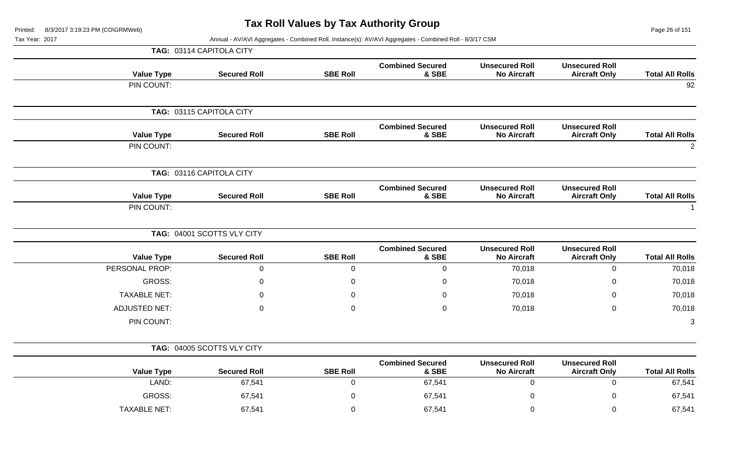Page 26 of 151

**Total All Rolls**<br>2

| Tax Year: 2017 |                      |                            |                 | Annual - AV/AVI Aggregates - Combined Roll, Instance(s): AV/AVI Aggregates - Combined Roll - 8/3/17 CSM |                                             |                                               |                        |
|----------------|----------------------|----------------------------|-----------------|---------------------------------------------------------------------------------------------------------|---------------------------------------------|-----------------------------------------------|------------------------|
|                |                      | TAG: 03114 CAPITOLA CITY   |                 |                                                                                                         |                                             |                                               |                        |
|                | <b>Value Type</b>    | <b>Secured Roll</b>        | <b>SBE Roll</b> | <b>Combined Secured</b><br>& SBE                                                                        | <b>Unsecured Roll</b><br><b>No Aircraft</b> | <b>Unsecured Roll</b><br><b>Aircraft Only</b> | <b>Total All Rolls</b> |
|                | PIN COUNT:           |                            |                 |                                                                                                         |                                             |                                               | 92                     |
|                |                      | TAG: 03115 CAPITOLA CITY   |                 |                                                                                                         |                                             |                                               |                        |
|                | <b>Value Type</b>    | <b>Secured Roll</b>        | <b>SBE Roll</b> | <b>Combined Secured</b><br>& SBE                                                                        | <b>Unsecured Roll</b><br><b>No Aircraft</b> | <b>Unsecured Roll</b><br><b>Aircraft Only</b> | <b>Total All Rolls</b> |
|                | PIN COUNT:           |                            |                 |                                                                                                         |                                             |                                               |                        |
|                |                      | TAG: 03116 CAPITOLA CITY   |                 |                                                                                                         |                                             |                                               |                        |
|                | <b>Value Type</b>    | <b>Secured Roll</b>        | <b>SBE Roll</b> | <b>Combined Secured</b><br>& SBE                                                                        | <b>Unsecured Roll</b><br><b>No Aircraft</b> | <b>Unsecured Roll</b><br><b>Aircraft Only</b> | <b>Total All Rolls</b> |
|                | PIN COUNT:           |                            |                 |                                                                                                         |                                             |                                               |                        |
|                |                      | TAG: 04001 SCOTTS VLY CITY |                 |                                                                                                         |                                             |                                               |                        |
|                | <b>Value Type</b>    | <b>Secured Roll</b>        | <b>SBE Roll</b> | <b>Combined Secured</b><br>& SBE                                                                        | <b>Unsecured Roll</b><br><b>No Aircraft</b> | <b>Unsecured Roll</b><br><b>Aircraft Only</b> | <b>Total All Rolls</b> |
|                | PERSONAL PROP:       | $\mathsf{O}\xspace$        | 0               | $\pmb{0}$                                                                                               | 70,018                                      | $\overline{0}$                                | 70,018                 |
|                | <b>GROSS:</b>        | $\mathbf 0$                | 0               | 0                                                                                                       | 70,018                                      | 0                                             | 70,018                 |
|                | <b>TAXABLE NET:</b>  | $\mathbf 0$                | 0               | $\mathbf 0$                                                                                             | 70,018                                      | 0                                             | 70,018                 |
|                | <b>ADJUSTED NET:</b> | $\mathbf{0}$               | $\mathbf 0$     | $\mathbf 0$                                                                                             | 70,018                                      | 0                                             | 70,018                 |
|                | PIN COUNT:           |                            |                 |                                                                                                         |                                             |                                               | 3                      |
|                |                      | TAG: 04005 SCOTTS VLY CITY |                 |                                                                                                         |                                             |                                               |                        |
|                | <b>Value Type</b>    | <b>Secured Roll</b>        | <b>SBE Roll</b> | <b>Combined Secured</b><br>& SBE                                                                        | <b>Unsecured Roll</b><br><b>No Aircraft</b> | <b>Unsecured Roll</b><br><b>Aircraft Only</b> | <b>Total All Rolls</b> |
|                | LAND:                | 67,541                     | 0               | 67,541                                                                                                  | $\mathbf 0$                                 | $\overline{0}$                                | 67,541                 |
|                | <b>GROSS:</b>        | 67,541                     | 0               | 67,541                                                                                                  | 0                                           | 0                                             | 67,541                 |
|                | <b>TAXABLE NET:</b>  | 67,541                     | $\mathbf 0$     | 67,541                                                                                                  | 0                                           | 0                                             | 67,541                 |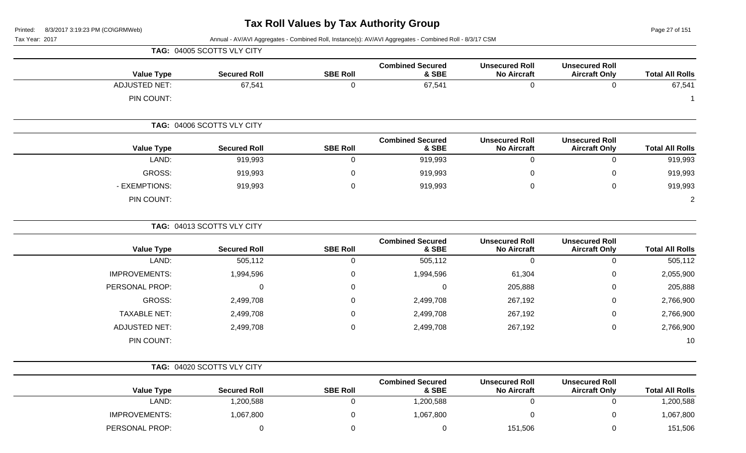Page 27 of 151

Tax Year: 2017 **Annual - AV/AVI Aggregates - Combined Roll**, Instance(s): AV/AVI Aggregates - Combined Roll - 8/3/17 CSM

|                        |                                               |                                             |                                  |                  | TAG: 04005 SCOTTS VLY CITY |                      |
|------------------------|-----------------------------------------------|---------------------------------------------|----------------------------------|------------------|----------------------------|----------------------|
| <b>Total All Rolls</b> | <b>Unsecured Roll</b><br><b>Aircraft Only</b> | <b>Unsecured Roll</b><br><b>No Aircraft</b> | <b>Combined Secured</b><br>& SBE | <b>SBE Roll</b>  | <b>Secured Roll</b>        | <b>Value Type</b>    |
| 67,541                 | $\mathbf 0$                                   | $\mathbf 0$                                 | 67,541                           | $\mathbf 0$      | 67,541                     | <b>ADJUSTED NET:</b> |
| $\mathbf 1$            |                                               |                                             |                                  |                  |                            | PIN COUNT:           |
|                        |                                               |                                             |                                  |                  | TAG: 04006 SCOTTS VLY CITY |                      |
| <b>Total All Rolls</b> | <b>Unsecured Roll</b><br><b>Aircraft Only</b> | <b>Unsecured Roll</b><br><b>No Aircraft</b> | <b>Combined Secured</b><br>& SBE | <b>SBE Roll</b>  | <b>Secured Roll</b>        | <b>Value Type</b>    |
| 919,993                | $\pmb{0}$                                     | $\mathbf 0$                                 | 919,993                          | $\mathbf 0$      | 919,993                    | LAND:                |
| 919,993                | $\Omega$                                      | 0                                           | 919,993                          | 0                | 919,993                    | GROSS:               |
| 919,993                | $\mathbf 0$                                   | $\boldsymbol{0}$                            | 919,993                          | $\Omega$         | 919,993                    | - EXEMPTIONS:        |
| $\overline{2}$         |                                               |                                             |                                  |                  |                            | PIN COUNT:           |
|                        |                                               |                                             |                                  |                  | TAG: 04013 SCOTTS VLY CITY |                      |
| <b>Total All Rolls</b> | <b>Unsecured Roll</b><br><b>Aircraft Only</b> | <b>Unsecured Roll</b><br><b>No Aircraft</b> | <b>Combined Secured</b><br>& SBE | <b>SBE Roll</b>  | <b>Secured Roll</b>        | <b>Value Type</b>    |
| 505,112                | $\mathbf 0$                                   | $\mathbf 0$                                 | 505,112                          | $\mathbf 0$      | 505,112                    | LAND:                |
| 2,055,900              | $\mathbf 0$                                   | 61,304                                      | 1,994,596                        | $\boldsymbol{0}$ | 1,994,596                  | <b>IMPROVEMENTS:</b> |
| 205,888                | 0                                             | 205,888                                     | 0                                | 0                | 0                          | PERSONAL PROP:       |
| 2,766,900              | 0                                             | 267,192                                     | 2,499,708                        | $\Omega$         | 2,499,708                  | GROSS:               |
| 2,766,900              | $\mathbf 0$                                   | 267,192                                     | 2,499,708                        | $\Omega$         | 2,499,708                  | <b>TAXABLE NET:</b>  |
| 2,766,900              | $\mathbf 0$                                   | 267,192                                     | 2,499,708                        | $\Omega$         | 2,499,708                  | <b>ADJUSTED NET:</b> |
| 10                     |                                               |                                             |                                  |                  |                            | PIN COUNT:           |
|                        |                                               |                                             |                                  |                  | TAG: 04020 SCOTTS VLY CITY |                      |
| <b>Total All Rolls</b> | <b>Unsecured Roll</b><br><b>Aircraft Only</b> | <b>Unsecured Roll</b><br><b>No Aircraft</b> | <b>Combined Secured</b><br>& SBE | <b>SBE Roll</b>  | <b>Secured Roll</b>        | <b>Value Type</b>    |
| 1,200,588              | $\mathbf 0$                                   | $\boldsymbol{0}$                            | 1,200,588                        | $\boldsymbol{0}$ | 1,200,588                  | LAND:                |
| 1,067,800              | 0                                             | 0                                           | 1,067,800                        | 0                | 1,067,800                  | <b>IMPROVEMENTS:</b> |

PERSONAL PROP: 0 0 0 151,506 0 151,506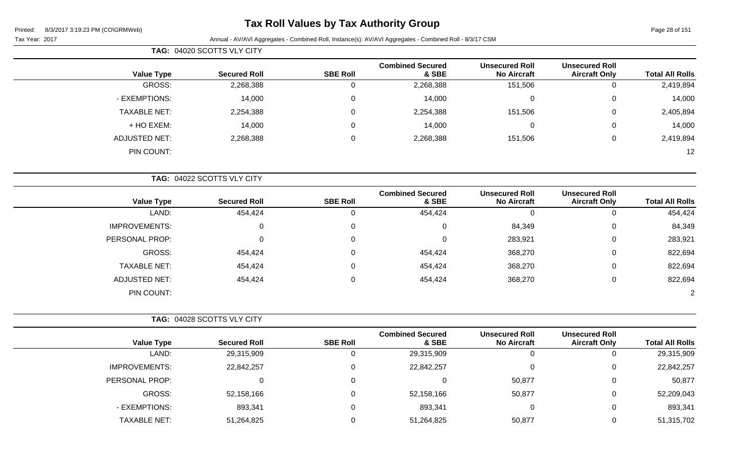## **Tax Roll Values by Tax Authority Group**

Page 28 of 151

Tax Year: 2017 Annual - AV/AVI Aggregates - Combined Roll, Instance(s): AV/AVI Aggregates - Combined Roll - 8/3/17 CSM

|                      | TAG: 04020 SCOTTS VLY CITY |                 |                                  |                                             |                                               |                        |
|----------------------|----------------------------|-----------------|----------------------------------|---------------------------------------------|-----------------------------------------------|------------------------|
| <b>Value Type</b>    | <b>Secured Roll</b>        | <b>SBE Roll</b> | <b>Combined Secured</b><br>& SBE | <b>Unsecured Roll</b><br><b>No Aircraft</b> | <b>Unsecured Roll</b><br><b>Aircraft Only</b> | <b>Total All Rolls</b> |
| GROSS:               | 2,268,388                  | 0               | 2,268,388                        | 151,506                                     | 0                                             | 2,419,894              |
| - EXEMPTIONS:        | 14,000                     | $\mathbf 0$     | 14,000                           | $\mathbf 0$                                 | $\mathbf 0$                                   | 14,000                 |
| <b>TAXABLE NET:</b>  | 2,254,388                  | $\mathbf 0$     | 2,254,388                        | 151,506                                     | 0                                             | 2,405,894              |
| + HO EXEM:           | 14,000                     | 0               | 14,000                           | $\Omega$                                    | 0                                             | 14,000                 |
| <b>ADJUSTED NET:</b> | 2,268,388                  | $\mathbf 0$     | 2,268,388                        | 151,506                                     | 0                                             | 2,419,894              |
| PIN COUNT:           |                            |                 |                                  |                                             |                                               | 12                     |
|                      | TAG: 04022 SCOTTS VLY CITY |                 |                                  |                                             |                                               |                        |
| <b>Value Type</b>    | <b>Secured Roll</b>        | <b>SBE Roll</b> | <b>Combined Secured</b><br>& SBE | <b>Unsecured Roll</b><br><b>No Aircraft</b> | <b>Unsecured Roll</b><br><b>Aircraft Only</b> | <b>Total All Rolls</b> |
| LAND:                | 454,424                    | 0               | 454,424                          | $\mathbf{0}$                                | $\Omega$                                      | 454,424                |
| <b>IMPROVEMENTS:</b> | 0                          | 0               | 0                                | 84,349                                      | $\overline{0}$                                | 84,349                 |
| PERSONAL PROP:       | $\Omega$                   | 0               | 0                                | 283,921                                     | 0                                             | 283,921                |
| GROSS:               | 454,424                    | 0               | 454,424                          | 368,270                                     | 0                                             | 822,694                |
| <b>TAXABLE NET:</b>  | 454,424                    | 0               | 454,424                          | 368,270                                     | $\mathbf 0$                                   | 822,694                |
| <b>ADJUSTED NET:</b> | 454,424                    | 0               | 454,424                          | 368,270                                     | 0                                             | 822,694                |

PIN COUNT: 2

|                      | TAG: 04028 SCOTTS VLY CITY |                 |                                  |                                             |                                               |                        |
|----------------------|----------------------------|-----------------|----------------------------------|---------------------------------------------|-----------------------------------------------|------------------------|
| <b>Value Type</b>    | <b>Secured Roll</b>        | <b>SBE Roll</b> | <b>Combined Secured</b><br>& SBE | <b>Unsecured Roll</b><br><b>No Aircraft</b> | <b>Unsecured Roll</b><br><b>Aircraft Only</b> | <b>Total All Rolls</b> |
| LAND:                | 29,315,909                 | 0               | 29,315,909                       | 0                                           | U                                             | 29,315,909             |
| <b>IMPROVEMENTS:</b> | 22,842,257                 | 0               | 22,842,257                       | $\Omega$                                    | 0                                             | 22,842,257             |
| PERSONAL PROP:       | 0                          | 0               |                                  | 50,877                                      | 0                                             | 50,877                 |
| GROSS:               | 52,158,166                 | 0               | 52,158,166                       | 50,877                                      | 0                                             | 52,209,043             |
| - EXEMPTIONS:        | 893,341                    | 0               | 893,341                          | 0                                           | 0                                             | 893,341                |
| <b>TAXABLE NET:</b>  | 51,264,825                 | $\Omega$        | 51,264,825                       | 50,877                                      | 0                                             | 51,315,702             |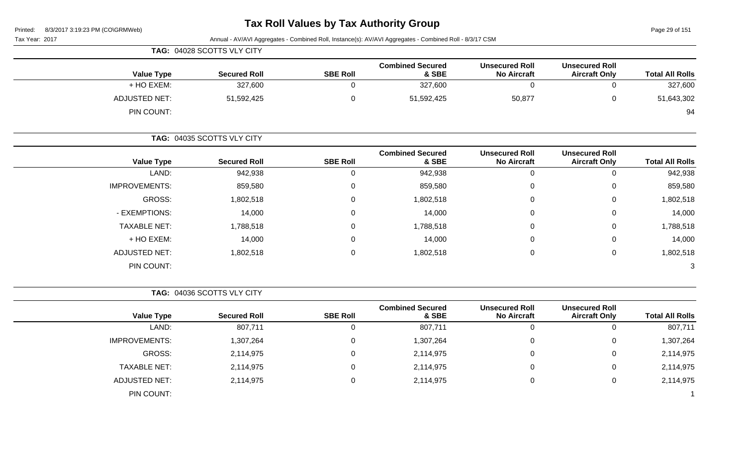### **Tax Roll Values by Tax Authority Group**

Page 29 of 151

| 8/3/2017 3:19:23 PM (CO\GRMWeb)<br>Printed: |                            |                 |                                                                                                         |                                             |                                               | Page 29 of 151         |
|---------------------------------------------|----------------------------|-----------------|---------------------------------------------------------------------------------------------------------|---------------------------------------------|-----------------------------------------------|------------------------|
| Tax Year: 2017                              |                            |                 | Annual - AV/AVI Aggregates - Combined Roll, Instance(s): AV/AVI Aggregates - Combined Roll - 8/3/17 CSM |                                             |                                               |                        |
|                                             | TAG: 04028 SCOTTS VLY CITY |                 |                                                                                                         |                                             |                                               |                        |
| <b>Value Type</b>                           | <b>Secured Roll</b>        | <b>SBE Roll</b> | <b>Combined Secured</b><br>& SBE                                                                        | <b>Unsecured Roll</b><br><b>No Aircraft</b> | <b>Unsecured Roll</b><br><b>Aircraft Only</b> | <b>Total All Rolls</b> |
| + HO EXEM:                                  | 327,600                    | $\Omega$        | 327,600                                                                                                 | $\Omega$                                    | 0                                             | 327,600                |
| <b>ADJUSTED NET:</b>                        | 51,592,425                 | $\mathbf 0$     | 51,592,425                                                                                              | 50,877                                      | 0                                             | 51,643,302             |
| PIN COUNT:                                  |                            |                 |                                                                                                         |                                             |                                               | 94                     |
|                                             | TAG: 04035 SCOTTS VLY CITY |                 |                                                                                                         |                                             |                                               |                        |
| <b>Value Type</b>                           | <b>Secured Roll</b>        | <b>SBE Roll</b> | <b>Combined Secured</b><br>& SBE                                                                        | <b>Unsecured Roll</b><br><b>No Aircraft</b> | <b>Unsecured Roll</b><br><b>Aircraft Only</b> | <b>Total All Rolls</b> |
| LAND:                                       | 942,938                    | $\Omega$        | 942,938                                                                                                 | $\Omega$                                    | $\Omega$                                      | 942,938                |
| <b>IMPROVEMENTS:</b>                        | 859,580                    | $\Omega$        | 859,580                                                                                                 | $\Omega$                                    | $\Omega$                                      | 859,580                |
| GROSS:                                      | 1,802,518                  | $\Omega$        | 1,802,518                                                                                               | $\Omega$                                    | $\Omega$                                      | 1,802,518              |
| - EXEMPTIONS:                               | 14,000                     | $\Omega$        | 14,000                                                                                                  | $\Omega$                                    | 0                                             | 14,000                 |
| <b>TAXABLE NET:</b>                         | 1,788,518                  | 0               | 1,788,518                                                                                               | $\pmb{0}$                                   | 0                                             | 1,788,518              |
| + HO EXEM:                                  | 14,000                     | $\Omega$        | 14,000                                                                                                  | 0                                           | $\Omega$                                      | 14,000                 |
| <b>ADJUSTED NET:</b>                        | 1,802,518                  | $\mathbf 0$     | 1,802,518                                                                                               | $\mathbf 0$                                 | 0                                             | 1,802,518              |
| PIN COUNT:                                  |                            |                 |                                                                                                         |                                             |                                               | 3                      |

**TAG:** 04036 SCOTTS VLY CITY

| <b>Value Type</b>    | <b>Secured Roll</b> | <b>SBE Roll</b> | <b>Combined Secured</b><br>& SBE | <b>Unsecured Roll</b><br><b>No Aircraft</b> | <b>Unsecured Roll</b><br><b>Aircraft Only</b> | <b>Total All Rolls</b> |
|----------------------|---------------------|-----------------|----------------------------------|---------------------------------------------|-----------------------------------------------|------------------------|
| LAND:                | 807,711             |                 | 807,711                          |                                             | 0                                             | 807,711                |
| <b>IMPROVEMENTS:</b> | 1,307,264           |                 | 1,307,264                        |                                             | 0                                             | 1,307,264              |
| GROSS:               | 2,114,975           |                 | 2,114,975                        |                                             | 0                                             | 2,114,975              |
| <b>TAXABLE NET:</b>  | 2,114,975           |                 | 2,114,975                        |                                             | 0                                             | 2,114,975              |
| ADJUSTED NET:        | 2,114,975           |                 | 2,114,975                        |                                             | 0                                             | 2,114,975              |
| PIN COUNT:           |                     |                 |                                  |                                             |                                               |                        |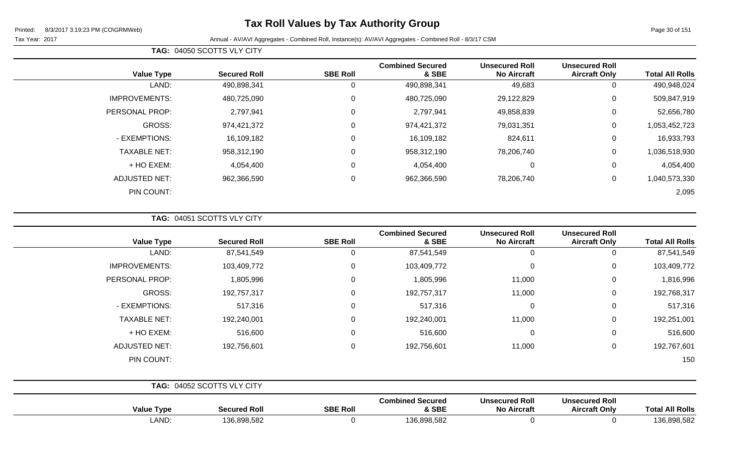## **Tax Roll Values by Tax Authority Group**

Page 30 of 151

Tax Year: 2017 Annual - AV/AVI Aggregates - Combined Roll, Instance(s): AV/AVI Aggregates - Combined Roll - 8/3/17 CSM

| <b>Value Type</b>    | <b>Secured Roll</b> | <b>SBE Roll</b> | <b>Combined Secured</b><br>& SBE | <b>Unsecured Roll</b><br><b>No Aircraft</b> | <b>Unsecured Roll</b><br><b>Aircraft Only</b> | <b>Total All Rolls</b> |
|----------------------|---------------------|-----------------|----------------------------------|---------------------------------------------|-----------------------------------------------|------------------------|
| LAND:                | 490,898,341         | υ               | 490,898,341                      | 49,683                                      | 0                                             | 490,948,024            |
| <b>IMPROVEMENTS:</b> | 480,725,090         | 0               | 480,725,090                      | 29,122,829                                  | 0                                             | 509,847,919            |
| PERSONAL PROP:       | 2,797,941           | $\Omega$        | 2,797,941                        | 49,858,839                                  | 0                                             | 52,656,780             |
| <b>GROSS:</b>        | 974,421,372         | 0               | 974,421,372                      | 79,031,351                                  | 0                                             | 1,053,452,723          |
| - EXEMPTIONS:        | 16,109,182          | $\Omega$        | 16,109,182                       | 824,611                                     | $\mathbf 0$                                   | 16,933,793             |
| <b>TAXABLE NET:</b>  | 958,312,190         | $\Omega$        | 958,312,190                      | 78,206,740                                  | $\mathbf 0$                                   | 1,036,518,930          |
| $+$ HO EXEM:         | 4,054,400           | $\Omega$        | 4,054,400                        | 0                                           | 0                                             | 4,054,400              |
| <b>ADJUSTED NET:</b> | 962,366,590         | $\Omega$        | 962,366,590                      | 78,206,740                                  | $\mathbf 0$                                   | 1,040,573,330          |
| PIN COUNT:           |                     |                 |                                  |                                             |                                               | 2,095                  |

**TAG:** 04051 SCOTTS VLY CITY

**TAG:** 04050 SCOTTS VLY CITY

| <b>Value Type</b>    | <b>Secured Roll</b>        | <b>SBE Roll</b> | <b>Combined Secured</b><br>& SBE | <b>Unsecured Roll</b><br><b>No Aircraft</b> | <b>Unsecured Roll</b><br><b>Aircraft Only</b> | <b>Total All Rolls</b> |
|----------------------|----------------------------|-----------------|----------------------------------|---------------------------------------------|-----------------------------------------------|------------------------|
| LAND:                | 87,541,549                 | 0               | 87,541,549                       | $\overline{0}$                              | 0                                             | 87,541,549             |
| <b>IMPROVEMENTS:</b> | 103,409,772                | 0               | 103,409,772                      | $\overline{0}$                              | 0                                             | 103,409,772            |
| PERSONAL PROP:       | 1,805,996                  | $\Omega$        | 1,805,996                        | 11,000                                      | $\mathbf 0$                                   | 1,816,996              |
| GROSS:               | 192,757,317                | $\mathbf 0$     | 192,757,317                      | 11,000                                      | $\mathbf 0$                                   | 192,768,317            |
| - EXEMPTIONS:        | 517,316                    | $\Omega$        | 517,316                          | $\mathbf 0$                                 | $\mathbf 0$                                   | 517,316                |
| <b>TAXABLE NET:</b>  | 192,240,001                | 0               | 192,240,001                      | 11,000                                      | $\mathbf 0$                                   | 192,251,001            |
| + HO EXEM:           | 516,600                    | 0               | 516,600                          | $\mathbf 0$                                 | $\mathbf 0$                                   | 516,600                |
| <b>ADJUSTED NET:</b> | 192,756,601                | $\Omega$        | 192,756,601                      | 11,000                                      | $\mathbf 0$                                   | 192,767,601            |
| PIN COUNT:           |                            |                 |                                  |                                             |                                               | 150                    |
|                      | TAG: 04052 SCOTTS VLY CITY |                 |                                  |                                             |                                               |                        |
| <b>Value Type</b>    | <b>Secured Roll</b>        | <b>SBE Roll</b> | <b>Combined Secured</b><br>& SBE | <b>Unsecured Roll</b><br><b>No Aircraft</b> | <b>Unsecured Roll</b><br><b>Aircraft Only</b> | <b>Total All Rolls</b> |

LAND: 136,898,582 0 136,898,582 0 0 136,898,582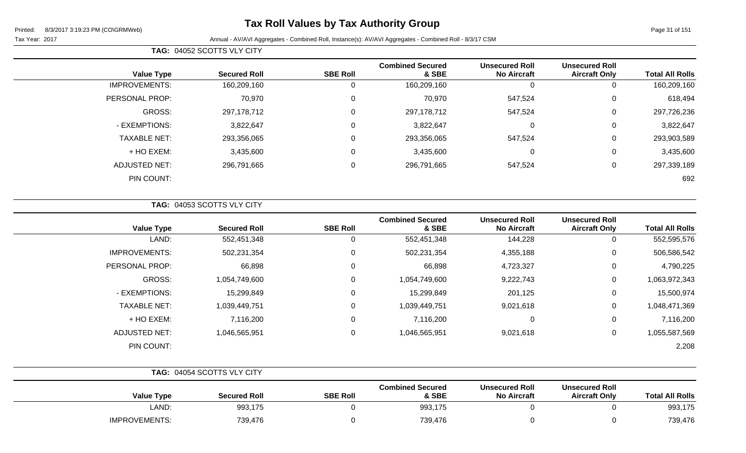# **Tax Roll Values by Tax Authority Group**

Page 31 of 151

÷

Tax Year: 2017 **Annual - AV/AVI Aggregates - Combined Roll**, Instance(s): AV/AVI Aggregates - Combined Roll - 8/3/17 CSM

| <b>Total All Rolls</b> | <b>Unsecured Roll</b><br><b>Aircraft Only</b> | <b>Unsecured Roll</b><br><b>No Aircraft</b> | <b>Combined Secured</b><br>& SBE | <b>SBE Roll</b> | <b>Secured Roll</b> | <b>Value Type</b>    |
|------------------------|-----------------------------------------------|---------------------------------------------|----------------------------------|-----------------|---------------------|----------------------|
| 160,209,160            | 0                                             | 0                                           | 160,209,160                      |                 | 160,209,160         | <b>IMPROVEMENTS:</b> |
| 618,494                | 0                                             | 547,524                                     | 70,970                           | 0               | 70,970              | PERSONAL PROP:       |
| 297,726,236            | 0                                             | 547,524                                     | 297, 178, 712                    | $\Omega$        | 297,178,712         | GROSS:               |
| 3,822,647              | 0                                             | 0                                           | 3,822,647                        | $\Omega$        | 3,822,647           | - EXEMPTIONS:        |
| 293,903,589            | 0                                             | 547,524                                     | 293,356,065                      | $\Omega$        | 293,356,065         | <b>TAXABLE NET:</b>  |
| 3,435,600              | 0                                             | 0                                           | 3,435,600                        |                 | 3,435,600           | + HO EXEM:           |
| 297,339,189            | 0                                             | 547,524                                     | 296,791,665                      | $\Omega$        | 296,791,665         | ADJUSTED NET:        |
| 692                    |                                               |                                             |                                  |                 |                     | PIN COUNT:           |
|                        |                                               |                                             |                                  |                 |                     |                      |

**TAG:** 04052 SCOTTS VLY CITY

| <b>Value Type</b>    | <b>Secured Roll</b> | <b>SBE Roll</b> | <b>Combined Secured</b><br>& SBE | <b>Unsecured Roll</b><br><b>No Aircraft</b> | <b>Unsecured Roll</b><br><b>Aircraft Only</b> | <b>Total All Rolls</b> |
|----------------------|---------------------|-----------------|----------------------------------|---------------------------------------------|-----------------------------------------------|------------------------|
| LAND:                | 552,451,348         | 0               | 552,451,348                      | 144,228                                     | 0                                             | 552,595,576            |
| <b>IMPROVEMENTS:</b> | 502,231,354         | 0               | 502,231,354                      | 4,355,188                                   | 0                                             | 506,586,542            |
| PERSONAL PROP:       | 66,898              | 0               | 66,898                           | 4,723,327                                   | 0                                             | 4,790,225              |
| GROSS:               | 1,054,749,600       | 0               | 1,054,749,600                    | 9,222,743                                   | 0                                             | 1,063,972,343          |
| - EXEMPTIONS:        | 15,299,849          | 0               | 15,299,849                       | 201,125                                     | 0                                             | 15,500,974             |
| <b>TAXABLE NET:</b>  | 1,039,449,751       | 0               | 1,039,449,751                    | 9,021,618                                   | 0                                             | 1,048,471,369          |
| + HO EXEM:           | 7,116,200           | $\mathbf 0$     | 7,116,200                        | 0                                           | 0                                             | 7,116,200              |
| ADJUSTED NET:        | 1,046,565,951       | 0               | 1,046,565,951                    | 9,021,618                                   | 0                                             | 1,055,587,569          |
| PIN COUNT:           |                     |                 |                                  |                                             |                                               | 2,208                  |

|                      | TAG: 04054 SCOTTS VLY CITY |                 |                                  |                                             |                                               |                        |
|----------------------|----------------------------|-----------------|----------------------------------|---------------------------------------------|-----------------------------------------------|------------------------|
| <b>Value Type</b>    | <b>Secured Roll</b>        | <b>SBE Roll</b> | <b>Combined Secured</b><br>& SBE | <b>Unsecured Roll</b><br><b>No Aircraft</b> | <b>Unsecured Roll</b><br><b>Aircraft Only</b> | <b>Total All Rolls</b> |
| LAND:                | 993,175                    |                 | 993,175                          |                                             |                                               | 993,175                |
| <b>IMPROVEMENTS:</b> | 739,476                    |                 | 739,476                          |                                             |                                               | 739,476                |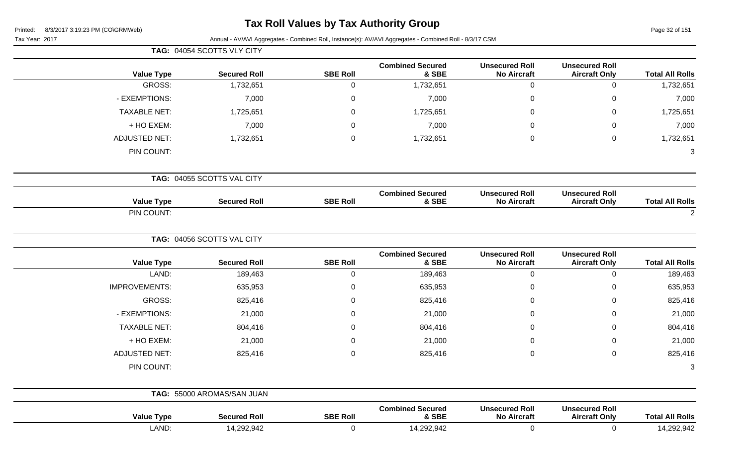## **Tax Roll Values by Tax Authority Group**

Page 32 of 151

|                        |                                               |                                             |                                  |                 | TAG: 04054 SCOTTS VLY CITY |                      |
|------------------------|-----------------------------------------------|---------------------------------------------|----------------------------------|-----------------|----------------------------|----------------------|
| <b>Total All Rolls</b> | <b>Unsecured Roll</b><br><b>Aircraft Only</b> | <b>Unsecured Roll</b><br><b>No Aircraft</b> | <b>Combined Secured</b><br>& SBE | <b>SBE Roll</b> | <b>Secured Roll</b>        | <b>Value Type</b>    |
| 1,732,651              | $\pmb{0}$                                     | $\pmb{0}$                                   | 1,732,651                        | $\mathbf 0$     | 1,732,651                  | <b>GROSS:</b>        |
| 7,000                  | $\,0\,$                                       | $\mathbf 0$                                 | 7,000                            | $\mathbf 0$     | 7,000                      | - EXEMPTIONS:        |
| 1,725,651              | $\mathbf 0$                                   | $\Omega$                                    | 1,725,651                        | $\pmb{0}$       | 1,725,651                  | <b>TAXABLE NET:</b>  |
| 7,000                  | $\pmb{0}$                                     | $\Omega$                                    | 7,000                            | $\mathbf 0$     | 7,000                      | + HO EXEM:           |
| 1,732,651              | $\mathbf 0$                                   | $\pmb{0}$                                   | 1,732,651                        | $\mathbf 0$     | 1,732,651                  | <b>ADJUSTED NET:</b> |
| $\mathbf{3}$           |                                               |                                             |                                  |                 |                            | PIN COUNT:           |
|                        |                                               |                                             |                                  |                 | TAG: 04055 SCOTTS VAL CITY |                      |
| <b>Total All Rolls</b> | <b>Unsecured Roll</b><br><b>Aircraft Only</b> | <b>Unsecured Roll</b><br><b>No Aircraft</b> | <b>Combined Secured</b><br>& SBE | <b>SBE Roll</b> | <b>Secured Roll</b>        | <b>Value Type</b>    |
| $\overline{2}$         |                                               |                                             |                                  |                 |                            | PIN COUNT:           |
|                        |                                               |                                             |                                  |                 | TAG: 04056 SCOTTS VAL CITY |                      |
| <b>Total All Rolls</b> | <b>Unsecured Roll</b><br><b>Aircraft Only</b> | <b>Unsecured Roll</b><br><b>No Aircraft</b> | <b>Combined Secured</b><br>& SBE | <b>SBE Roll</b> | <b>Secured Roll</b>        | <b>Value Type</b>    |
| 189,463                | $\pmb{0}$                                     | $\mathbf 0$                                 | 189,463                          | $\mathbf 0$     | 189,463                    | LAND:                |
| 635,953                | $\pmb{0}$                                     | $\mathbf 0$                                 | 635,953                          | $\pmb{0}$       | 635,953                    | <b>IMPROVEMENTS:</b> |
| 825,416                | $\pmb{0}$                                     | $\Omega$                                    | 825,416                          | $\mathbf 0$     | 825,416                    | GROSS:               |
| 21,000                 | $\,0\,$                                       | $\mathbf 0$                                 | 21,000                           | $\mathbf 0$     | 21,000                     | - EXEMPTIONS:        |
| 804,416                | $\mathbf 0$                                   | $\Omega$                                    | 804,416                          | $\mathbf 0$     | 804,416                    | <b>TAXABLE NET:</b>  |
| 21,000                 | $\pmb{0}$                                     | 0                                           | 21,000                           | $\mathbf 0$     | 21,000                     | + HO EXEM:           |
| 825,416                | $\pmb{0}$                                     | $\pmb{0}$                                   | 825,416                          | $\mathbf 0$     | 825,416                    | <b>ADJUSTED NET:</b> |
| 3                      |                                               |                                             |                                  |                 |                            | PIN COUNT:           |
|                        |                                               |                                             |                                  |                 | TAG: 55000 AROMAS/SAN JUAN |                      |
| <b>Total All Rolls</b> | <b>Unsecured Roll</b><br><b>Aircraft Only</b> | <b>Unsecured Roll</b><br><b>No Aircraft</b> | <b>Combined Secured</b><br>& SBE | <b>SBE Roll</b> | <b>Secured Roll</b>        | <b>Value Type</b>    |
| 14,292,942             | $\pmb{0}$                                     | $\mathbf 0$                                 | 14,292,942                       | $\mathbf 0$     | 14,292,942                 | LAND:                |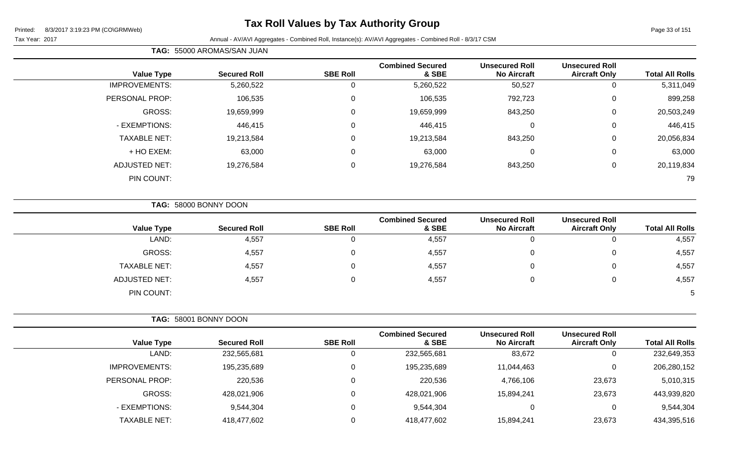## **Tax Roll Values by Tax Authority Group**

#### Tax Year: 2017 Annual - AV/AVI Aggregates - Combined Roll, Instance(s): AV/AVI Aggregates - Combined Roll - 8/3/17 CSM

**TAG:** 55000 AROMAS/SAN JUAN

| <b>Total All Rolls</b> | <b>Unsecured Roll</b><br><b>Aircraft Only</b> | <b>Unsecured Roll</b><br><b>No Aircraft</b> | <b>Combined Secured</b><br>& SBE | <b>SBE Roll</b> | <b>Secured Roll</b> | <b>Value Type</b>    |
|------------------------|-----------------------------------------------|---------------------------------------------|----------------------------------|-----------------|---------------------|----------------------|
| 5,311,049              | 0                                             | 50,527                                      | 5,260,522                        | 0               | 5,260,522           | <b>IMPROVEMENTS:</b> |
| 899,258                | $\mathbf 0$                                   | 792,723                                     | 106,535                          | $\mathbf 0$     | 106,535             | PERSONAL PROP:       |
| 20,503,249             | 0                                             | 843,250                                     | 19,659,999                       | $\overline{0}$  | 19,659,999          | <b>GROSS:</b>        |
| 446,415                | 0                                             | 0                                           | 446,415                          | 0               | 446,415             | - EXEMPTIONS:        |
| 20,056,834             | $\mathbf 0$                                   | 843,250                                     | 19,213,584                       | $\mathbf 0$     | 19,213,584          | <b>TAXABLE NET:</b>  |
| 63,000                 | $\mathbf 0$                                   | 0                                           | 63,000                           | $\mathbf 0$     | 63,000              | + HO EXEM:           |
| 20,119,834             | 0                                             | 843,250                                     | 19,276,584                       | $\mathbf 0$     | 19,276,584          | <b>ADJUSTED NET:</b> |
| 79                     |                                               |                                             |                                  |                 |                     | PIN COUNT:           |
|                        |                                               |                                             |                                  |                 |                     |                      |

**TAG:** 58000 BONNY DOON

| <b>Value Type</b>    | <b>Secured Roll</b> | <b>SBE Roll</b> | <b>Combined Secured</b><br>& SBE | <b>Unsecured Roll</b><br><b>No Aircraft</b> | <b>Unsecured Roll</b><br><b>Aircraft Only</b> | <b>Total All Rolls</b> |
|----------------------|---------------------|-----------------|----------------------------------|---------------------------------------------|-----------------------------------------------|------------------------|
| LAND:                | 4,557               |                 | 4,557                            |                                             | 0                                             | 4,557                  |
| GROSS:               | 4,557               |                 | 4,557                            |                                             | 0                                             | 4,557                  |
| <b>TAXABLE NET:</b>  | 4,557               |                 | 4,557                            |                                             | 0                                             | 4,557                  |
| <b>ADJUSTED NET:</b> | 4,557               |                 | 4,557                            |                                             | 0                                             | 4,557                  |
| PIN COUNT:           |                     |                 |                                  |                                             |                                               |                        |

| TAG: 58001 BONNY DOON |                     |                 |                                  |                                             |                                               |                        |
|-----------------------|---------------------|-----------------|----------------------------------|---------------------------------------------|-----------------------------------------------|------------------------|
| <b>Value Type</b>     | <b>Secured Roll</b> | <b>SBE Roll</b> | <b>Combined Secured</b><br>& SBE | <b>Unsecured Roll</b><br><b>No Aircraft</b> | <b>Unsecured Roll</b><br><b>Aircraft Only</b> | <b>Total All Rolls</b> |
| LAND:                 | 232,565,681         | 0               | 232,565,681                      | 83,672                                      | U                                             | 232,649,353            |
| IMPROVEMENTS:         | 195,235,689         | 0               | 195,235,689                      | 11,044,463                                  | 0                                             | 206,280,152            |
| PERSONAL PROP:        | 220,536             | 0               | 220,536                          | 4,766,106                                   | 23,673                                        | 5,010,315              |
| GROSS:                | 428,021,906         | $\Omega$        | 428,021,906                      | 15,894,241                                  | 23,673                                        | 443,939,820            |
| - EXEMPTIONS:         | 9,544,304           | 0               | 9,544,304                        | 0                                           |                                               | 9,544,304              |
| <b>TAXABLE NET:</b>   | 418,477,602         | 0               | 418,477,602                      | 15,894,241                                  | 23,673                                        | 434,395,516            |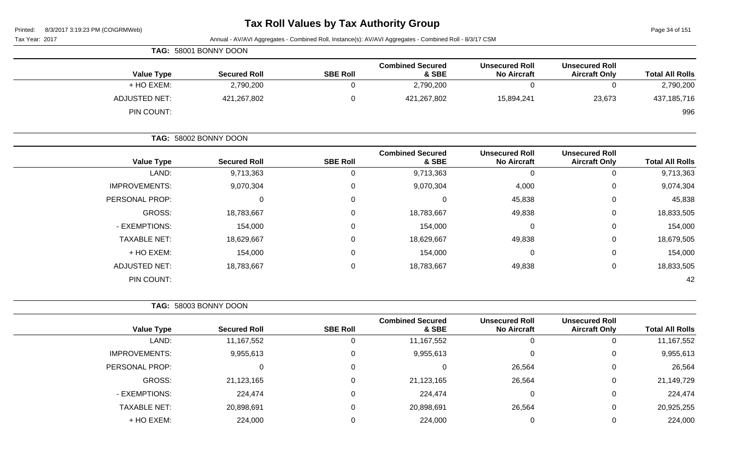# **Tax Roll Values by Tax Authority Group**

Page 34 of 151

| $1$ agu o $7$ or $101$ |                                               |                                             | Annual - AV/AVI Aggregates - Combined Roll, Instance(s): AV/AVI Aggregates - Combined Roll - 8/3/17 CSM |                 |                       | $0.972011$ $0.19.2011$ $0.101$ (00110110100)<br>Tax Year: 2017 |
|------------------------|-----------------------------------------------|---------------------------------------------|---------------------------------------------------------------------------------------------------------|-----------------|-----------------------|----------------------------------------------------------------|
|                        |                                               |                                             |                                                                                                         |                 | TAG: 58001 BONNY DOON |                                                                |
| <b>Total All Rolls</b> | <b>Unsecured Roll</b><br><b>Aircraft Only</b> | <b>Unsecured Roll</b><br><b>No Aircraft</b> | <b>Combined Secured</b><br>& SBE                                                                        | <b>SBE Roll</b> | <b>Secured Roll</b>   | <b>Value Type</b>                                              |
| 2,790,200              | 0                                             | 0                                           | 2,790,200                                                                                               | $\mathbf 0$     | 2,790,200             | + HO EXEM:                                                     |
| 437,185,716            | 23,673                                        | 15,894,241                                  | 421,267,802                                                                                             | $\mathbf 0$     | 421,267,802           | <b>ADJUSTED NET:</b>                                           |
| 996                    |                                               |                                             |                                                                                                         |                 |                       | PIN COUNT:                                                     |
|                        |                                               |                                             |                                                                                                         |                 | TAG: 58002 BONNY DOON |                                                                |
| <b>Total All Rolls</b> | <b>Unsecured Roll</b><br><b>Aircraft Only</b> | <b>Unsecured Roll</b><br><b>No Aircraft</b> | <b>Combined Secured</b><br>& SBE                                                                        | <b>SBE Roll</b> | <b>Secured Roll</b>   | <b>Value Type</b>                                              |
| 9,713,363              | $\mathbf 0$                                   | 0                                           | 9,713,363                                                                                               | $\mathbf 0$     | 9,713,363             | LAND:                                                          |
| 9,074,304              | 0                                             | 4,000                                       | 9,070,304                                                                                               | 0               | 9,070,304             | <b>IMPROVEMENTS:</b>                                           |
| 45,838                 | 0                                             | 45,838                                      | $\pmb{0}$                                                                                               | $\Omega$        | 0                     | PERSONAL PROP:                                                 |
| 18,833,505             | 0                                             | 49,838                                      | 18,783,667                                                                                              |                 | 18,783,667            | <b>GROSS:</b>                                                  |
| 154,000                | 0                                             | $\Omega$                                    | 154,000                                                                                                 |                 | 154,000               | - EXEMPTIONS:                                                  |
| 18,679,505             | 0                                             | 49,838                                      | 18,629,667                                                                                              |                 | 18,629,667            | <b>TAXABLE NET:</b>                                            |
| 154,000                | 0                                             | $\Omega$                                    | 154,000                                                                                                 |                 | 154,000               | + HO EXEM:                                                     |
| 18,833,505             | 0                                             | 49,838                                      | 18,783,667                                                                                              | $\Omega$        | 18,783,667            | <b>ADJUSTED NET:</b>                                           |
| 42                     |                                               |                                             |                                                                                                         |                 |                       | PIN COUNT:                                                     |
|                        |                                               |                                             |                                                                                                         |                 | TAG: 58003 BONNY DOON |                                                                |
| <b>Total All Rolls</b> | <b>Unsecured Roll</b><br><b>Aircraft Only</b> | <b>Unsecured Roll</b><br><b>No Aircraft</b> | <b>Combined Secured</b><br>& SBE                                                                        | <b>SBE Roll</b> | <b>Secured Roll</b>   | <b>Value Type</b>                                              |
| 11,167,552             | $\mathbf 0$                                   | $\mathbf 0$                                 | 11,167,552                                                                                              | $\mathbf 0$     | 11,167,552            | LAND:                                                          |
| 9,955,613              | 0                                             | $\Omega$                                    | 9,955,613                                                                                               | 0               | 9,955,613             | <b>IMPROVEMENTS:</b>                                           |
| 26,564                 | $\mathbf 0$                                   | 26,564                                      | $\mathbf 0$                                                                                             | 0               | 0                     | PERSONAL PROP:                                                 |
| 21,149,729             | 0                                             | 26,564                                      | 21,123,165                                                                                              | $\mathbf 0$     | 21,123,165            | <b>GROSS:</b>                                                  |
| 224,474                | 0                                             | 0                                           | 224,474                                                                                                 | 0               | 224,474               | - EXEMPTIONS:                                                  |
| 20,925,255             | 0                                             | 26,564                                      | 20,898,691                                                                                              | 0               | 20,898,691            | <b>TAXABLE NET:</b>                                            |
| 224,000                | $\mathbf 0$                                   | $\mathbf 0$                                 | 224,000                                                                                                 | $\mathbf 0$     | 224,000               | + HO EXEM:                                                     |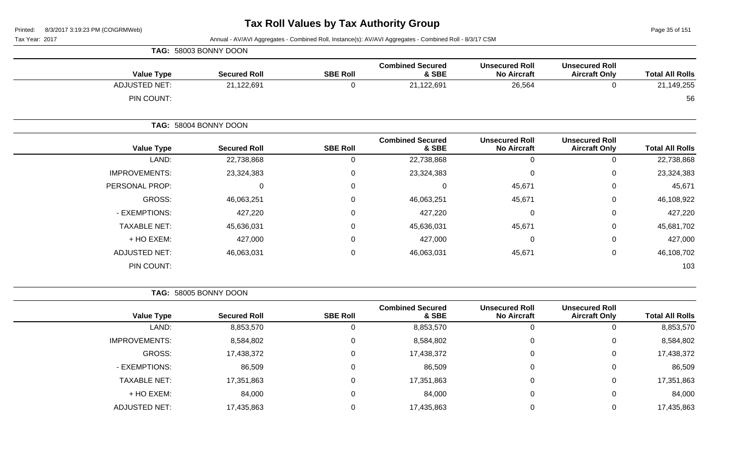Page 35 of 151

Tax Year: 2017 Annual - AV/AVI Aggregates - Combined Roll, Instance(s): AV/AVI Aggregates - Combined Roll - 8/3/17 CSM

|                      | TAG: 58003 BONNY DOON |                 |                                  |                                             |                                               |                        |
|----------------------|-----------------------|-----------------|----------------------------------|---------------------------------------------|-----------------------------------------------|------------------------|
| <b>Value Type</b>    | <b>Secured Roll</b>   | <b>SBE Roll</b> | <b>Combined Secured</b><br>& SBE | <b>Unsecured Roll</b><br><b>No Aircraft</b> | <b>Unsecured Roll</b><br><b>Aircraft Only</b> | <b>Total All Rolls</b> |
| <b>ADJUSTED NET:</b> | 21,122,691            | $\Omega$        | 21,122,691                       | 26,564                                      | 0                                             | 21,149,255             |
| PIN COUNT:           |                       |                 |                                  |                                             |                                               | 56                     |
|                      | TAG: 58004 BONNY DOON |                 |                                  |                                             |                                               |                        |
| <b>Value Type</b>    | <b>Secured Roll</b>   | <b>SBE Roll</b> | <b>Combined Secured</b><br>& SBE | <b>Unsecured Roll</b><br><b>No Aircraft</b> | <b>Unsecured Roll</b><br><b>Aircraft Only</b> | <b>Total All Rolls</b> |
| LAND:                | 22,738,868            | $\Omega$        | 22,738,868                       | $\mathbf 0$                                 | 0                                             | 22,738,868             |
| <b>IMPROVEMENTS:</b> | 23,324,383            | 0               | 23,324,383                       | $\mathbf 0$                                 | 0                                             | 23,324,383             |
| PERSONAL PROP:       |                       | 0<br>0          | 0                                | 45,671                                      | 0                                             | 45,671                 |
| <b>GROSS:</b>        | 46,063,251            | 0               | 46,063,251                       | 45,671                                      | 0                                             | 46,108,922             |
| - EXEMPTIONS:        | 427,220               | $\Omega$        | 427,220                          | $\Omega$                                    | 0                                             | 427,220                |
| <b>TAXABLE NET:</b>  | 45,636,031            | $\Omega$        | 45,636,031                       | 45,671                                      | 0                                             | 45,681,702             |
| + HO EXEM:           | 427,000               | $\mathbf 0$     | 427,000                          | $\mathbf 0$                                 | $\mathbf 0$                                   | 427,000                |
| <b>ADJUSTED NET:</b> | 46,063,031            | $\mathbf 0$     | 46,063,031                       | 45,671                                      | 0                                             | 46,108,702             |
| PIN COUNT:           |                       |                 |                                  |                                             |                                               | 103                    |

**TAG:** 58005 BONNY DOON

| <b>Total All Rolls</b> | <b>Unsecured Roll</b><br><b>Aircraft Only</b> | <b>Unsecured Roll</b><br><b>No Aircraft</b> | <b>Combined Secured</b><br>& SBE | <b>SBE Roll</b> | <b>Secured Roll</b> | <b>Value Type</b>    |
|------------------------|-----------------------------------------------|---------------------------------------------|----------------------------------|-----------------|---------------------|----------------------|
| 8,853,570              |                                               | 0                                           | 8,853,570                        | 0               | 8,853,570           | LAND:                |
| 8,584,802              |                                               | $\mathbf{0}$                                | 8,584,802                        | 0               | 8,584,802           | <b>IMPROVEMENTS:</b> |
| 17,438,372             |                                               | $\overline{0}$                              | 17,438,372                       | 0               | 17,438,372          | GROSS:               |
| 86,509                 |                                               | $\mathbf 0$                                 | 86,509                           | 0               | 86,509              | - EXEMPTIONS:        |
| 17,351,863             |                                               | 0                                           | 17,351,863                       | 0               | 17,351,863          | <b>TAXABLE NET:</b>  |
| 84,000                 |                                               | 0                                           | 84,000                           | 0               | 84,000              | + HO EXEM:           |
| 17,435,863             |                                               | 0                                           | 17,435,863                       |                 | 17,435,863          | <b>ADJUSTED NET:</b> |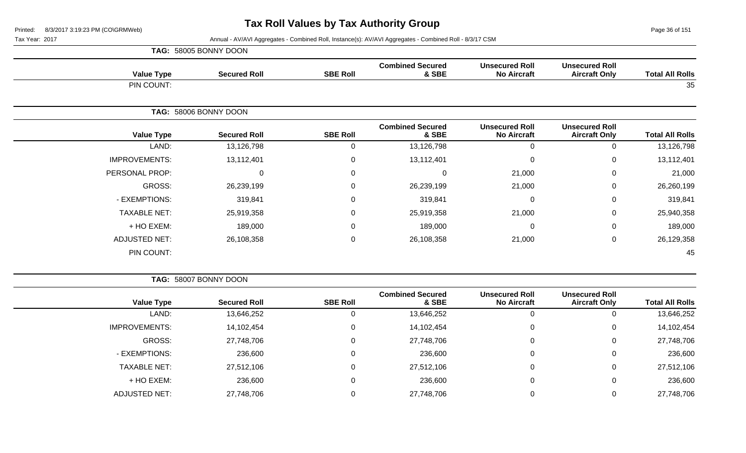Page 36 of 151

Tax Year: 2017 Annual - AV/AVI Aggregates - Combined Roll, Instance(s): AV/AVI Aggregates - Combined Roll - 8/3/17 CSM

|                      | TAG: 58005 BONNY DOON |                  |                                  |                                             |                                               |                        |
|----------------------|-----------------------|------------------|----------------------------------|---------------------------------------------|-----------------------------------------------|------------------------|
| <b>Value Type</b>    | <b>Secured Roll</b>   | <b>SBE Roll</b>  | <b>Combined Secured</b><br>& SBE | <b>Unsecured Roll</b><br><b>No Aircraft</b> | <b>Unsecured Roll</b><br><b>Aircraft Only</b> | <b>Total All Rolls</b> |
| PIN COUNT:           |                       |                  |                                  |                                             |                                               | 35                     |
|                      | TAG: 58006 BONNY DOON |                  |                                  |                                             |                                               |                        |
| <b>Value Type</b>    | <b>Secured Roll</b>   | <b>SBE Roll</b>  | <b>Combined Secured</b><br>& SBE | <b>Unsecured Roll</b><br><b>No Aircraft</b> | <b>Unsecured Roll</b><br><b>Aircraft Only</b> | <b>Total All Rolls</b> |
| LAND:                | 13,126,798            | 0                | 13,126,798                       | 0                                           | 0                                             | 13,126,798             |
| <b>IMPROVEMENTS:</b> | 13,112,401            | $\mathbf 0$      | 13,112,401                       | $\mathbf 0$                                 | 0                                             | 13,112,401             |
| PERSONAL PROP:       | 0                     | $\boldsymbol{0}$ | $\mathbf 0$                      | 21,000                                      | 0                                             | 21,000                 |
| GROSS:               | 26,239,199            | $\mathbf 0$      | 26,239,199                       | 21,000                                      | 0                                             | 26,260,199             |
| - EXEMPTIONS:        | 319,841               | $\mathbf 0$      | 319,841                          | 0                                           | 0                                             | 319,841                |
| <b>TAXABLE NET:</b>  | 25,919,358            | $\mathbf 0$      | 25,919,358                       | 21,000                                      | 0                                             | 25,940,358             |
| + HO EXEM:           | 189,000               | 0                | 189,000                          | 0                                           | 0                                             | 189,000                |
| <b>ADJUSTED NET:</b> | 26,108,358            | $\boldsymbol{0}$ | 26,108,358                       | 21,000                                      | 0                                             | 26,129,358             |
| PIN COUNT:           |                       |                  |                                  |                                             |                                               | 45                     |

**TAG:** 58007 BONNY DOON

|                      |                     |                 | <b>Combined Secured</b> | <b>Unsecured Roll</b> | <b>Unsecured Roll</b> |                        |
|----------------------|---------------------|-----------------|-------------------------|-----------------------|-----------------------|------------------------|
| <b>Value Type</b>    | <b>Secured Roll</b> | <b>SBE Roll</b> | & SBE                   | <b>No Aircraft</b>    | <b>Aircraft Only</b>  | <b>Total All Rolls</b> |
| LAND:                | 13,646,252          | υ               | 13,646,252              | 0                     |                       | 13,646,252             |
| <b>IMPROVEMENTS:</b> | 14,102,454          | U               | 14,102,454              | $\Omega$              | 0                     | 14,102,454             |
| GROSS:               | 27,748,706          | 0               | 27,748,706              | $\Omega$              |                       | 27,748,706             |
| - EXEMPTIONS:        | 236,600             | U               | 236,600                 | 0                     | 0                     | 236,600                |
| <b>TAXABLE NET:</b>  | 27,512,106          | 0               | 27,512,106              | $\Omega$              | 0                     | 27,512,106             |
| + HO EXEM:           | 236,600             |                 | 236,600                 | 0                     | 0                     | 236,600                |
| <b>ADJUSTED NET:</b> | 27,748,706          |                 | 27,748,706              |                       |                       | 27,748,706             |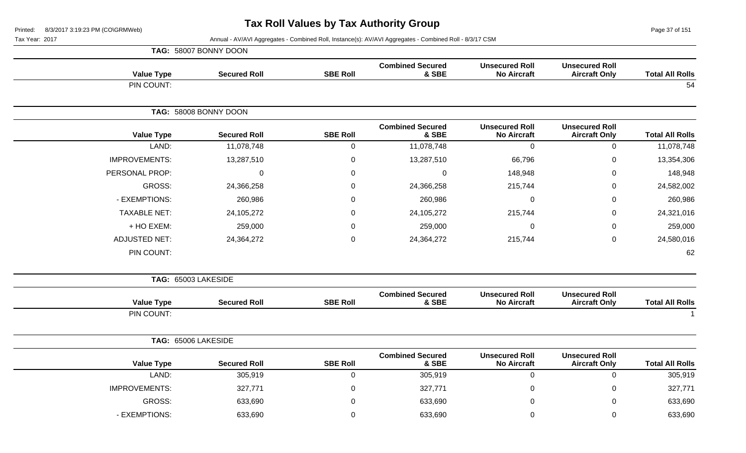Page 37 of 151

|                        |                                               |                                             |                                  |                  | TAG: 58007 BONNY DOON |                      |
|------------------------|-----------------------------------------------|---------------------------------------------|----------------------------------|------------------|-----------------------|----------------------|
| <b>Total All Rolls</b> | <b>Unsecured Roll</b><br><b>Aircraft Only</b> | <b>Unsecured Roll</b><br><b>No Aircraft</b> | <b>Combined Secured</b><br>& SBE | <b>SBE Roll</b>  | <b>Secured Roll</b>   | <b>Value Type</b>    |
| 54                     |                                               |                                             |                                  |                  |                       | PIN COUNT:           |
|                        |                                               |                                             |                                  |                  | TAG: 58008 BONNY DOON |                      |
| <b>Total All Rolls</b> | <b>Unsecured Roll</b><br><b>Aircraft Only</b> | <b>Unsecured Roll</b><br><b>No Aircraft</b> | <b>Combined Secured</b><br>& SBE | <b>SBE Roll</b>  | <b>Secured Roll</b>   | <b>Value Type</b>    |
| 11,078,748             | $\pmb{0}$                                     | $\mathbf 0$                                 | 11,078,748                       | $\pmb{0}$        | 11,078,748            | LAND:                |
| 13,354,306             | $\mathbf 0$                                   | 66,796                                      | 13,287,510                       | $\mathbf 0$      | 13,287,510            | <b>IMPROVEMENTS:</b> |
| 148,948                | $\mathbf 0$                                   | 148,948                                     | $\mathbf 0$                      | 0                | $\mathbf{0}$          | PERSONAL PROP:       |
| 24,582,002             | $\pmb{0}$                                     | 215,744                                     | 24,366,258                       | $\boldsymbol{0}$ | 24,366,258            | <b>GROSS:</b>        |
| 260,986                | $\mathbf 0$                                   | 0                                           | 260,986                          | $\mathbf 0$      | 260,986               | - EXEMPTIONS:        |
| 24,321,016             | $\mathbf 0$                                   | 215,744                                     | 24,105,272                       | 0                | 24,105,272            | <b>TAXABLE NET:</b>  |
| 259,000                | $\mathbf 0$                                   | $\Omega$                                    | 259,000                          | 0                | 259,000               | + HO EXEM:           |
| 24,580,016             | $\pmb{0}$                                     | 215,744                                     | 24,364,272                       | $\pmb{0}$        | 24,364,272            | <b>ADJUSTED NET:</b> |
| 62                     |                                               |                                             |                                  |                  |                       | PIN COUNT:           |
|                        |                                               |                                             |                                  |                  |                       | TAG: 65003 LAKESIDE  |
| <b>Total All Rolls</b> | <b>Unsecured Roll</b><br><b>Aircraft Only</b> | <b>Unsecured Roll</b><br><b>No Aircraft</b> | <b>Combined Secured</b><br>& SBE | <b>SBE Roll</b>  | <b>Secured Roll</b>   | <b>Value Type</b>    |
|                        |                                               |                                             |                                  |                  |                       | PIN COUNT:           |
|                        |                                               |                                             |                                  |                  |                       | TAG: 65006 LAKESIDE  |
| <b>Total All Rolls</b> | <b>Unsecured Roll</b><br><b>Aircraft Only</b> | <b>Unsecured Roll</b><br><b>No Aircraft</b> | <b>Combined Secured</b><br>& SBE | <b>SBE Roll</b>  | <b>Secured Roll</b>   | <b>Value Type</b>    |
| 305,919                | $\pmb{0}$                                     | $\mathbf 0$                                 | 305,919                          | $\boldsymbol{0}$ | 305,919               | LAND:                |
| 327,771                | $\mathbf 0$                                   | $\Omega$                                    | 327,771                          | $\boldsymbol{0}$ | 327,771               | <b>IMPROVEMENTS:</b> |
| 633,690                | $\mathbf 0$                                   | $\Omega$                                    | 633,690                          | $\overline{0}$   | 633,690               | <b>GROSS:</b>        |
| 633,690                | $\mathbf 0$                                   | $\Omega$                                    | 633,690                          | $\Omega$         | 633,690               | - EXEMPTIONS:        |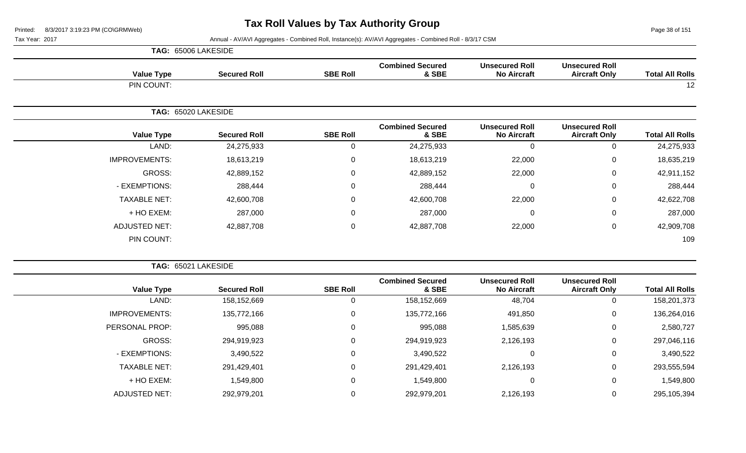Page 38 of 151

|                      | TAG: 65006 LAKESIDE |                 |                                  |                                             |                                               |                        |
|----------------------|---------------------|-----------------|----------------------------------|---------------------------------------------|-----------------------------------------------|------------------------|
| <b>Value Type</b>    | <b>Secured Roll</b> | <b>SBE Roll</b> | <b>Combined Secured</b><br>& SBE | <b>Unsecured Roll</b><br><b>No Aircraft</b> | <b>Unsecured Roll</b><br><b>Aircraft Only</b> | <b>Total All Rolls</b> |
| PIN COUNT:           |                     |                 |                                  |                                             |                                               | 12                     |
|                      | TAG: 65020 LAKESIDE |                 |                                  |                                             |                                               |                        |
| <b>Value Type</b>    | <b>Secured Roll</b> | <b>SBE Roll</b> | <b>Combined Secured</b><br>& SBE | <b>Unsecured Roll</b><br><b>No Aircraft</b> | <b>Unsecured Roll</b><br><b>Aircraft Only</b> | <b>Total All Rolls</b> |
| LAND:                | 24,275,933          | $\overline{0}$  | 24,275,933                       | 0                                           | 0                                             | 24,275,933             |
| <b>IMPROVEMENTS:</b> | 18,613,219          | $\overline{0}$  | 18,613,219                       | 22,000                                      | 0                                             | 18,635,219             |
| GROSS:               | 42,889,152          | $\overline{0}$  | 42,889,152                       | 22,000                                      | 0                                             | 42,911,152             |
| - EXEMPTIONS:        | 288,444             | $\overline{0}$  | 288,444                          | 0                                           | 0                                             | 288,444                |
| <b>TAXABLE NET:</b>  | 42,600,708          | $\overline{0}$  | 42,600,708                       | 22,000                                      | 0                                             | 42,622,708             |
| + HO EXEM:           | 287,000             | $\overline{0}$  | 287,000                          | $\mathbf 0$                                 | 0                                             | 287,000                |
| <b>ADJUSTED NET:</b> | 42,887,708          | $\mathbf 0$     | 42,887,708                       | 22,000                                      | 0                                             | 42,909,708             |
| PIN COUNT:           |                     |                 |                                  |                                             |                                               | 109                    |

|                      | TAG: 65021 LAKESIDE |                 |                                  |                                             |                                               |                        |
|----------------------|---------------------|-----------------|----------------------------------|---------------------------------------------|-----------------------------------------------|------------------------|
| <b>Value Type</b>    | <b>Secured Roll</b> | <b>SBE Roll</b> | <b>Combined Secured</b><br>& SBE | <b>Unsecured Roll</b><br><b>No Aircraft</b> | <b>Unsecured Roll</b><br><b>Aircraft Only</b> | <b>Total All Rolls</b> |
| LAND:                | 158,152,669         | 0               | 158,152,669                      | 48,704                                      | 0                                             | 158,201,373            |
| <b>IMPROVEMENTS:</b> | 135,772,166         | 0               | 135,772,166                      | 491,850                                     | 0                                             | 136,264,016            |
| PERSONAL PROP:       | 995,088             | 0               | 995,088                          | 1,585,639                                   | 0                                             | 2,580,727              |
| GROSS:               | 294,919,923         | 0               | 294,919,923                      | 2,126,193                                   | 0                                             | 297,046,116            |
| - EXEMPTIONS:        | 3,490,522           | 0               | 3,490,522                        |                                             | 0                                             | 3,490,522              |
| <b>TAXABLE NET:</b>  | 291,429,401         | 0               | 291,429,401                      | 2,126,193                                   | 0                                             | 293,555,594            |
| + HO EXEM:           | 1,549,800           | 0               | 1,549,800                        |                                             | 0                                             | 1,549,800              |
| <b>ADJUSTED NET:</b> | 292,979,201         | 0               | 292,979,201                      | 2,126,193                                   | 0                                             | 295,105,394            |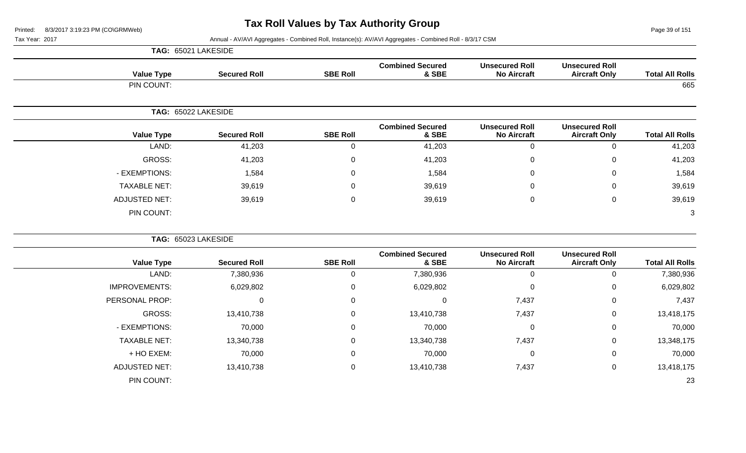Page 39 of 151

Tax Year: 2017 Annual - AV/AVI Aggregates - Combined Roll, Instance(s): AV/AVI Aggregates - Combined Roll - 8/3/17 CSM

|                        |                                               |                                             |                                  |                 |                     | TAG: 65021 LAKESIDE  |
|------------------------|-----------------------------------------------|---------------------------------------------|----------------------------------|-----------------|---------------------|----------------------|
| <b>Total All Rolls</b> | <b>Unsecured Roll</b><br><b>Aircraft Only</b> | <b>Unsecured Roll</b><br><b>No Aircraft</b> | <b>Combined Secured</b><br>& SBE | <b>SBE Roll</b> | <b>Secured Roll</b> | <b>Value Type</b>    |
| 665                    |                                               |                                             |                                  |                 |                     | PIN COUNT:           |
|                        |                                               |                                             |                                  |                 |                     | TAG: 65022 LAKESIDE  |
| <b>Total All Rolls</b> | <b>Unsecured Roll</b><br><b>Aircraft Only</b> | <b>Unsecured Roll</b><br><b>No Aircraft</b> | <b>Combined Secured</b><br>& SBE | <b>SBE Roll</b> | <b>Secured Roll</b> | <b>Value Type</b>    |
| 41,203                 | $\Omega$                                      | 0                                           | 41,203                           | 0               | 41,203              | LAND:                |
| 41,203                 | $\Omega$                                      | 0                                           | 41,203                           | $\Omega$        | 41,203              | GROSS:               |
| 1,584                  | 0                                             | 0                                           | 1,584                            | $\mathbf 0$     | 1,584               | - EXEMPTIONS:        |
| 39,619                 | $\mathbf 0$                                   | 0                                           | 39,619                           | $\Omega$        | 39,619              | <b>TAXABLE NET:</b>  |
| 39,619                 | 0                                             | 0                                           | 39,619                           | 0               | 39,619              | <b>ADJUSTED NET:</b> |
| 3                      |                                               |                                             |                                  |                 |                     | PIN COUNT:           |
|                        |                                               |                                             |                                  |                 |                     | TAG: 65023 LAKESIDE  |
| <b>Total All Rolls</b> | <b>Unsecured Roll</b><br><b>Aircraft Only</b> | <b>Unsecured Roll</b><br><b>No Aircraft</b> | <b>Combined Secured</b><br>& SBE | <b>SBE Roll</b> | <b>Secured Roll</b> | <b>Value Type</b>    |
| 7,380,936              | 0                                             | $\mathbf 0$                                 | 7,380,936                        | $\mathbf 0$     | 7,380,936           | LAND:                |
| 6,029,802              | 0                                             | 0                                           | 6,029,802                        | $\mathbf 0$     | 6,029,802           | <b>IMPROVEMENTS:</b> |
| 7,437                  | 0                                             | 7,437                                       | $\Omega$                         | $\mathbf{0}$    | $\mathbf 0$         | PERSONAL PROP:       |
| 13,418,175             | $\mathbf 0$                                   | 7,437                                       | 13,410,738                       | 0               | 13,410,738          | <b>GROSS:</b>        |

- EXEMPTIONS: 70,000 0 70,000 0 0 70,000 TAXABLE NET: 13,340,738 0 13,340,738 7,437 0 13,348,175 + HO EXEM: 70,000 0 70,000 0 0 70,000

ADJUSTED NET: 13,410,738 0 13,410,738 7,437 0 13,418,175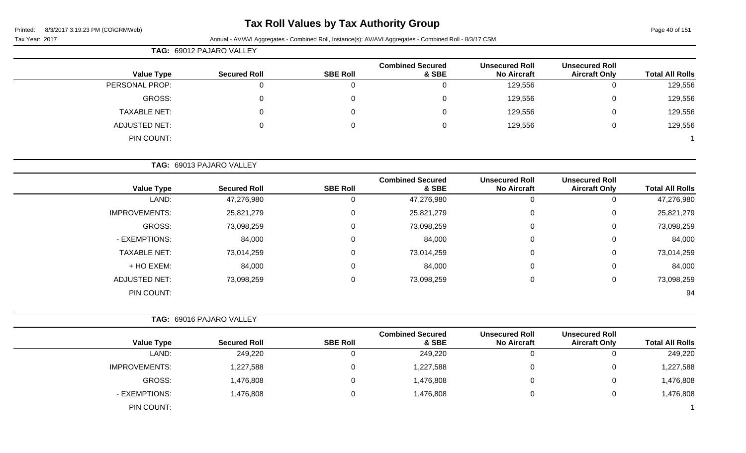### **Tax Roll Values by Tax Authority Group**

Page 40 of 151

| Tax Year: 2017 |                      |                          |                 | Annual - AV/AVI Aggregates - Combined Roll, Instance(s): AV/AVI Aggregates - Combined Roll - 8/3/17 CSM |                                             |                                               |                        |
|----------------|----------------------|--------------------------|-----------------|---------------------------------------------------------------------------------------------------------|---------------------------------------------|-----------------------------------------------|------------------------|
|                |                      | TAG: 69012 PAJARO VALLEY |                 |                                                                                                         |                                             |                                               |                        |
|                | <b>Value Type</b>    | <b>Secured Roll</b>      | <b>SBE Roll</b> | <b>Combined Secured</b><br>& SBE                                                                        | <b>Unsecured Roll</b><br><b>No Aircraft</b> | <b>Unsecured Roll</b><br><b>Aircraft Only</b> | <b>Total All Rolls</b> |
|                | PERSONAL PROP:       | 0                        | 0               | $\Omega$                                                                                                | 129,556                                     | $\mathbf 0$                                   | 129,556                |
|                | GROSS:               | 0                        | 0               | $\Omega$                                                                                                | 129,556                                     | 0                                             | 129,556                |
|                | <b>TAXABLE NET:</b>  | 0                        | 0               | $\Omega$                                                                                                | 129,556                                     | 0                                             | 129,556                |
|                | <b>ADJUSTED NET:</b> | 0                        | 0               | 0                                                                                                       | 129,556                                     | $\mathsf 0$                                   | 129,556                |
|                | PIN COUNT:           |                          |                 |                                                                                                         |                                             |                                               |                        |
|                |                      | TAG: 69013 PAJARO VALLEY |                 |                                                                                                         |                                             |                                               |                        |
|                | <b>Value Type</b>    | <b>Secured Roll</b>      | <b>SBE Roll</b> | <b>Combined Secured</b><br>& SBE                                                                        | <b>Unsecured Roll</b><br><b>No Aircraft</b> | <b>Unsecured Roll</b><br><b>Aircraft Only</b> | <b>Total All Rolls</b> |
|                | LAND:                | 47,276,980               | 0               | 47,276,980                                                                                              | $\mathbf 0$                                 | $\mathbf 0$                                   | 47,276,980             |
|                | <b>IMPROVEMENTS:</b> | 25,821,279               | 0               | 25,821,279                                                                                              | 0                                           | 0                                             | 25,821,279             |
|                | GROSS:               | 73,098,259               | 0               | 73,098,259                                                                                              | 0                                           | 0                                             | 73,098,259             |
|                | - EXEMPTIONS:        | 84,000                   | 0               | 84,000                                                                                                  | $\Omega$                                    | 0                                             | 84,000                 |
|                | <b>TAXABLE NET:</b>  | 73,014,259               | 0               | 73,014,259                                                                                              | 0                                           | 0                                             | 73,014,259             |
|                | + HO EXEM:           | 84,000                   | 0               | 84,000                                                                                                  | 0                                           | 0                                             | 84,000                 |
|                | <b>ADJUSTED NET:</b> | 73,098,259               | 0               | 73,098,259                                                                                              | $\mathbf 0$                                 | $\mathbf 0$                                   | 73,098,259             |
|                | PIN COUNT:           |                          |                 |                                                                                                         |                                             |                                               | 94                     |
|                |                      | TAG: 69016 PAJARO VALLEY |                 |                                                                                                         |                                             |                                               |                        |
|                | <b>Value Type</b>    | <b>Secured Roll</b>      | <b>SBE Roll</b> | <b>Combined Secured</b><br>& SBE                                                                        | <b>Unsecured Roll</b><br><b>No Aircraft</b> | <b>Unsecured Roll</b><br><b>Aircraft Only</b> | <b>Total All Rolls</b> |

LAND: 249,220 0 249,220 0 0 249,220

GROSS: 1,476,808 0 1,476,808 0 0 1,476,808

IMPROVEMENTS: 1,227,588 0 0 1,227,588 0 1,227,588 0 1,227,588 0 1,227,588 0 1,227,588

- EXEMPTIONS: 1,476,808 0 1,476,808 0 1,476,808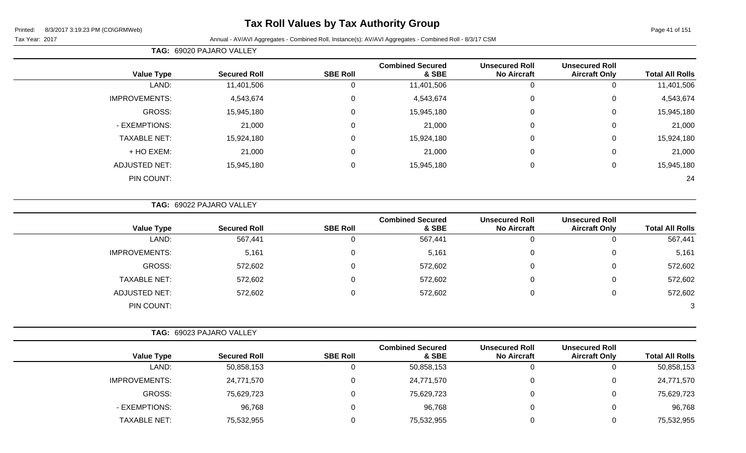### **Tax Roll Values by Tax Authority Group**

Tax Year: 2017 Annual - AV/AVI Aggregates - Combined Roll, Instance(s): AV/AVI Aggregates - Combined Roll - 8/3/17 CSM

| <b>Total All Rolls</b> | <b>Unsecured Roll</b><br><b>Aircraft Only</b> | <b>Unsecured Roll</b><br><b>No Aircraft</b> | <b>Combined Secured</b><br>& SBE | <b>SBE Roll</b> | <b>Secured Roll</b> | <b>Value Type</b>    |
|------------------------|-----------------------------------------------|---------------------------------------------|----------------------------------|-----------------|---------------------|----------------------|
| 11,401,506             | 0                                             | 0                                           | 11,401,506                       |                 | 11,401,506          | LAND:                |
| 4,543,674              | 0                                             | $\mathbf 0$                                 | 4,543,674                        | $\Omega$        | 4,543,674           | <b>IMPROVEMENTS:</b> |
| 15,945,180             | 0                                             | $\mathbf 0$                                 | 15,945,180                       | 0               | 15,945,180          | GROSS:               |
| 21,000                 | 0                                             | $\mathbf 0$                                 | 21,000                           |                 | 21,000              | - EXEMPTIONS:        |
| 15,924,180             | 0                                             | $\mathbf 0$                                 | 15,924,180                       | $\Omega$        | 15,924,180          | <b>TAXABLE NET:</b>  |
| 21,000                 | 0                                             | $\mathbf 0$                                 | 21,000                           | $\Omega$        | 21,000              | + HO EXEM:           |
| 15,945,180             | 0                                             | $\mathbf 0$                                 | 15,945,180                       | 0               | 15,945,180          | <b>ADJUSTED NET:</b> |
| 24                     |                                               |                                             |                                  |                 |                     | PIN COUNT:           |
|                        |                                               |                                             |                                  |                 |                     |                      |

**TAG:** 69022 PAJARO VALLEY

**TAG:** 69020 PAJARO VALLEY

| <b>Value Type</b>    | <b>Secured Roll</b> | <b>SBE Roll</b> | <b>Combined Secured</b><br>& SBE | <b>Unsecured Roll</b><br><b>No Aircraft</b> | <b>Unsecured Roll</b><br><b>Aircraft Only</b> | <b>Total All Rolls</b> |
|----------------------|---------------------|-----------------|----------------------------------|---------------------------------------------|-----------------------------------------------|------------------------|
| LAND:                | 567,441             | $\Omega$        | 567,441                          | O                                           |                                               | 567,441                |
| <b>IMPROVEMENTS:</b> | 5,161               | 0               | 5,161                            | $\overline{0}$                              | 0                                             | 5,161                  |
| GROSS:               | 572,602             | $\Omega$        | 572,602                          | 0                                           | 0                                             | 572,602                |
| <b>TAXABLE NET:</b>  | 572,602             | 0               | 572,602                          | 0                                           | 0                                             | 572,602                |
| ADJUSTED NET:        | 572,602             | 0               | 572,602                          | 0                                           | 0                                             | 572,602                |
| PIN COUNT:           |                     |                 |                                  |                                             |                                               | 3                      |

|  | <b>TAG: 69023 PAJARO VALLEY</b> |
|--|---------------------------------|
|--|---------------------------------|

|                      |                     |                 | <b>Combined Secured</b> | <b>Unsecured Roll</b> | <b>Unsecured Roll</b> |                        |
|----------------------|---------------------|-----------------|-------------------------|-----------------------|-----------------------|------------------------|
| <b>Value Type</b>    | <b>Secured Roll</b> | <b>SBE Roll</b> | & SBE                   | <b>No Aircraft</b>    | <b>Aircraft Only</b>  | <b>Total All Rolls</b> |
| LAND:                | 50,858,153          |                 | 50,858,153              |                       | υ                     | 50,858,153             |
| <b>IMPROVEMENTS:</b> | 24,771,570          |                 | 24,771,570              |                       | 0                     | 24,771,570             |
| GROSS:               | 75,629,723          |                 | 75,629,723              |                       | 0                     | 75,629,723             |
| - EXEMPTIONS:        | 96,768              |                 | 96,768                  |                       | 0                     | 96,768                 |
| <b>TAXABLE NET:</b>  | 75,532,955          |                 | 75,532,955              |                       | 0                     | 75,532,955             |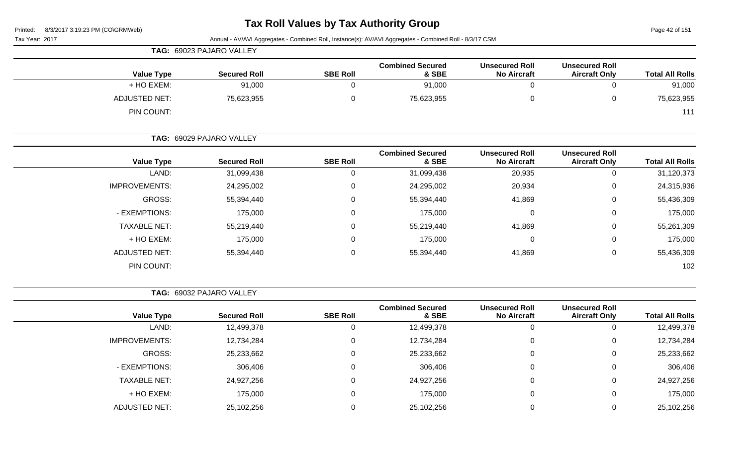| Tax Year: 2017 |                      |                                 |                 | Annual - AV/AVI Aggregates - Combined Roll, Instance(s): AV/AVI Aggregates - Combined Roll - 8/3/17 CSM |                                             |                                               |                        |
|----------------|----------------------|---------------------------------|-----------------|---------------------------------------------------------------------------------------------------------|---------------------------------------------|-----------------------------------------------|------------------------|
|                |                      | <b>TAG: 69023 PAJARO VALLEY</b> |                 |                                                                                                         |                                             |                                               |                        |
|                | <b>Value Type</b>    | <b>Secured Roll</b>             | <b>SBE Roll</b> | <b>Combined Secured</b><br>& SBE                                                                        | <b>Unsecured Roll</b><br><b>No Aircraft</b> | <b>Unsecured Roll</b><br><b>Aircraft Only</b> | <b>Total All Rolls</b> |
|                | + HO EXEM:           | 91,000                          | 0               | 91,000                                                                                                  | 0                                           | 0                                             | 91,000                 |
|                | <b>ADJUSTED NET:</b> | 75,623,955                      | $\Omega$        | 75,623,955                                                                                              | 0                                           | $\mathbf{0}$                                  | 75,623,955             |
|                | PIN COUNT:           |                                 |                 |                                                                                                         |                                             |                                               | 111                    |
|                |                      | TAG: 69029 PAJARO VALLEY        |                 |                                                                                                         |                                             |                                               |                        |
|                | <b>Value Type</b>    | <b>Secured Roll</b>             | <b>SBE Roll</b> | <b>Combined Secured</b><br>& SBE                                                                        | <b>Unsecured Roll</b><br><b>No Aircraft</b> | <b>Unsecured Roll</b><br><b>Aircraft Only</b> | <b>Total All Rolls</b> |
|                | LAND:                | 31,099,438                      |                 | 31,099,438                                                                                              | 20,935                                      | $\Omega$                                      | 31,120,373             |
|                | <b>IMPROVEMENTS:</b> | 24,295,002                      | 0               | 24,295,002                                                                                              | 20,934                                      | $\mathbf{0}$                                  | 24,315,936             |
|                | GROSS:               | 55,394,440                      | 0               | 55,394,440                                                                                              | 41,869                                      | $\mathbf{0}$                                  | 55,436,309             |
|                | - EXEMPTIONS:        | 175,000                         | 0               | 175,000                                                                                                 | 0                                           | 0                                             | 175,000                |

| 55,261,309 | 41,869 | 55,219,440 | 55,219,440 | <b>TAXABLE NET:</b>  |
|------------|--------|------------|------------|----------------------|
| 175,000    |        | 175,000    | 175,000    | + HO EXEM:           |
| 55,436,309 | 41,869 | 55,394,440 | 55,394,440 | <b>ADJUSTED NET:</b> |
| 102        |        |            |            | PIN COUNT:           |
|            |        |            |            |                      |

| <b>TAG: 69032 PAJARO VALLEY</b> |
|---------------------------------|
|---------------------------------|

|                      |                     |                 | <b>Combined Secured</b> | <b>Unsecured Roll</b> | <b>Unsecured Roll</b> |                        |
|----------------------|---------------------|-----------------|-------------------------|-----------------------|-----------------------|------------------------|
| <b>Value Type</b>    | <b>Secured Roll</b> | <b>SBE Roll</b> | & SBE                   | <b>No Aircraft</b>    | <b>Aircraft Only</b>  | <b>Total All Rolls</b> |
| LAND:                | 12,499,378          | 0               | 12,499,378              | 0                     |                       | 12,499,378             |
| <b>IMPROVEMENTS:</b> | 12,734,284          | 0               | 12,734,284              | $\overline{0}$        | υ                     | 12,734,284             |
| GROSS:               | 25,233,662          | 0               | 25,233,662              | $\overline{0}$        |                       | 25,233,662             |
| - EXEMPTIONS:        | 306,406             | 0               | 306,406                 | $\overline{0}$        |                       | 306,406                |
| <b>TAXABLE NET:</b>  | 24,927,256          | 0               | 24,927,256              | 0                     |                       | 24,927,256             |
| + HO EXEM:           | 175,000             | 0               | 175,000                 | $\overline{0}$        |                       | 175,000                |
| <b>ADJUSTED NET:</b> | 25,102,256          |                 | 25,102,256              |                       |                       | 25,102,256             |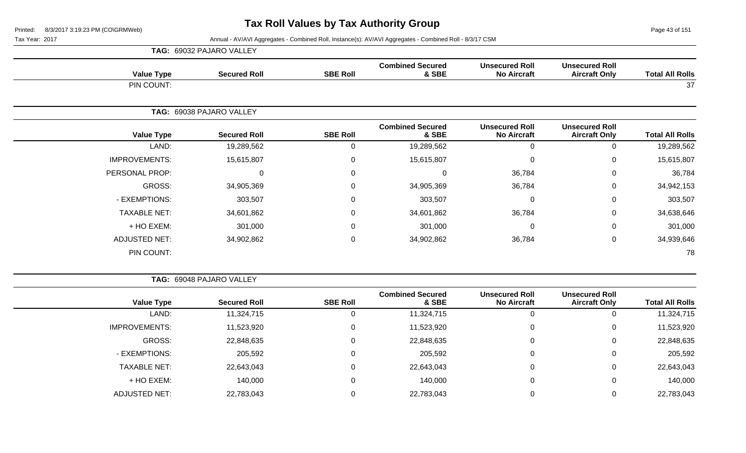Page 43 of 151

|                      | TAG: 69032 PAJARO VALLEY |                 |                                  |                                             |                                               |                        |
|----------------------|--------------------------|-----------------|----------------------------------|---------------------------------------------|-----------------------------------------------|------------------------|
| <b>Value Type</b>    | <b>Secured Roll</b>      | <b>SBE Roll</b> | <b>Combined Secured</b><br>& SBE | <b>Unsecured Roll</b><br><b>No Aircraft</b> | <b>Unsecured Roll</b><br><b>Aircraft Only</b> | <b>Total All Rolls</b> |
| PIN COUNT:           |                          |                 |                                  |                                             |                                               | 37                     |
|                      | TAG: 69038 PAJARO VALLEY |                 |                                  |                                             |                                               |                        |
| <b>Value Type</b>    | <b>Secured Roll</b>      | <b>SBE Roll</b> | <b>Combined Secured</b><br>& SBE | <b>Unsecured Roll</b><br><b>No Aircraft</b> | <b>Unsecured Roll</b><br><b>Aircraft Only</b> | <b>Total All Rolls</b> |
| LAND:                | 19,289,562               | 0               | 19,289,562                       | $\Omega$                                    | 0                                             | 19,289,562             |
| <b>IMPROVEMENTS:</b> | 15,615,807               | 0               | 15,615,807                       | $\Omega$                                    | $\mathbf 0$                                   | 15,615,807             |
| PERSONAL PROP:       |                          | $\Omega$<br>0   | $\Omega$                         | 36,784                                      | 0                                             | 36,784                 |
| GROSS:               | 34,905,369               | 0               | 34,905,369                       | 36,784                                      | $\mathbf 0$                                   | 34,942,153             |
| - EXEMPTIONS:        | 303,507                  | 0               | 303,507                          | 0                                           | $\mathbf 0$                                   | 303,507                |
| <b>TAXABLE NET:</b>  | 34,601,862               | 0               | 34,601,862                       | 36,784                                      | $\mathbf 0$                                   | 34,638,646             |
| + HO EXEM:           | 301,000                  | 0               | 301,000                          | $\Omega$                                    | 0                                             | 301,000                |
| <b>ADJUSTED NET:</b> | 34,902,862               | 0               | 34,902,862                       | 36,784                                      | $\mathbf 0$                                   | 34,939,646             |
| PIN COUNT:           |                          |                 |                                  |                                             |                                               | 78                     |

| <b>TAG: 69048 PAJARO VALLEY</b> |  |
|---------------------------------|--|
|                                 |  |

| <b>Value Type</b>    | <b>Secured Roll</b> | <b>SBE Roll</b> | <b>Combined Secured</b><br>& SBE | <b>Unsecured Roll</b><br><b>No Aircraft</b> | <b>Unsecured Roll</b><br><b>Aircraft Only</b> | <b>Total All Rolls</b> |
|----------------------|---------------------|-----------------|----------------------------------|---------------------------------------------|-----------------------------------------------|------------------------|
| LAND:                | 11,324,715          | 0               | 11,324,715                       | 0                                           | U                                             | 11,324,715             |
| <b>IMPROVEMENTS:</b> | 11,523,920          | $\mathbf 0$     | 11,523,920                       | 0                                           | U                                             | 11,523,920             |
| GROSS:               | 22,848,635          | 0               | 22,848,635                       | 0                                           | 0                                             | 22,848,635             |
| - EXEMPTIONS:        | 205,592             | 0               | 205,592                          | 0                                           | 0                                             | 205,592                |
| <b>TAXABLE NET:</b>  | 22,643,043          | 0               | 22,643,043                       | 0                                           | 0                                             | 22,643,043             |
| + HO EXEM:           | 140,000             | 0               | 140,000                          | 0                                           | 0                                             | 140,000                |
| ADJUSTED NET:        | 22,783,043          |                 | 22,783,043                       | 0                                           |                                               | 22,783,043             |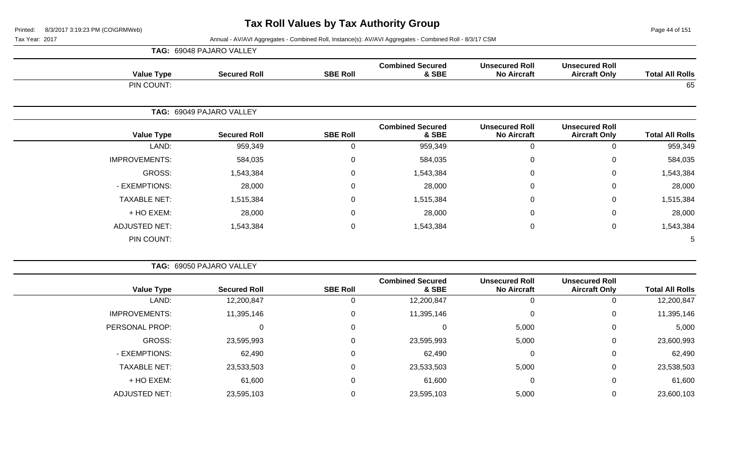Page 44 of 151

|                      | TAG: 69048 PAJARO VALLEY |                  |                                  |                                             |                                               |                        |
|----------------------|--------------------------|------------------|----------------------------------|---------------------------------------------|-----------------------------------------------|------------------------|
| <b>Value Type</b>    | <b>Secured Roll</b>      | <b>SBE Roll</b>  | <b>Combined Secured</b><br>& SBE | <b>Unsecured Roll</b><br><b>No Aircraft</b> | <b>Unsecured Roll</b><br><b>Aircraft Only</b> | <b>Total All Rolls</b> |
| PIN COUNT:           |                          |                  |                                  |                                             |                                               | 65                     |
|                      | TAG: 69049 PAJARO VALLEY |                  |                                  |                                             |                                               |                        |
| <b>Value Type</b>    | <b>Secured Roll</b>      | <b>SBE Roll</b>  | <b>Combined Secured</b><br>& SBE | <b>Unsecured Roll</b><br><b>No Aircraft</b> | <b>Unsecured Roll</b><br><b>Aircraft Only</b> | <b>Total All Rolls</b> |
| LAND:                | 959,349                  | $\Omega$         | 959,349                          | 0                                           | $\mathbf 0$                                   | 959,349                |
| <b>IMPROVEMENTS:</b> | 584,035                  | $\mathbf 0$      | 584,035                          | $\mathbf{0}$                                | $\mathbf 0$                                   | 584,035                |
| GROSS:               | 1,543,384                | $\mathbf 0$      | 1,543,384                        | 0                                           | $\mathbf 0$                                   | 1,543,384              |
| - EXEMPTIONS:        | 28,000                   | $\mathbf 0$      | 28,000                           | $\mathbf{0}$                                | $\mathbf 0$                                   | 28,000                 |
| <b>TAXABLE NET:</b>  | 1,515,384                | $\mathbf 0$      | 1,515,384                        | 0                                           | $\mathbf 0$                                   | 1,515,384              |
| + HO EXEM:           | 28,000                   | $\mathbf 0$      | 28,000                           | $\mathbf{0}$                                | $\mathbf 0$                                   | 28,000                 |
| <b>ADJUSTED NET:</b> | 1,543,384                | $\boldsymbol{0}$ | 1,543,384                        | $\mathbf 0$                                 | $\mathbf 0$                                   | 1,543,384              |
| PIN COUNT:           |                          |                  |                                  |                                             |                                               | 5                      |

|                        |                                               |                                             |                                  |                 | TAG: 69050 PAJARO VALLEY |                      |  |
|------------------------|-----------------------------------------------|---------------------------------------------|----------------------------------|-----------------|--------------------------|----------------------|--|
| <b>Total All Rolls</b> | <b>Unsecured Roll</b><br><b>Aircraft Only</b> | <b>Unsecured Roll</b><br><b>No Aircraft</b> | <b>Combined Secured</b><br>& SBE | <b>SBE Roll</b> | <b>Secured Roll</b>      | <b>Value Type</b>    |  |
| 12,200,847             |                                               |                                             | 12,200,847                       |                 | 12,200,847               | LAND:                |  |
| 11,395,146             | 0                                             | 0                                           | 11,395,146                       | 0               | 11,395,146               | <b>IMPROVEMENTS:</b> |  |
| 5,000                  | 0                                             | 5,000                                       |                                  | $\Omega$        | 0                        | PERSONAL PROP:       |  |
| 23,600,993             | 0                                             | 5,000                                       | 23,595,993                       | 0               | 23,595,993               | GROSS:               |  |
| 62,490                 | 0                                             | $\Omega$                                    | 62,490                           | 0               | 62,490                   | - EXEMPTIONS:        |  |
| 23,538,503             | 0                                             | 5,000                                       | 23,533,503                       | 0               | 23,533,503               | <b>TAXABLE NET:</b>  |  |
| 61,600                 | 0                                             | 0                                           | 61,600                           | 0               | 61,600                   | + HO EXEM:           |  |
| 23,600,103             | 0                                             | 5,000                                       | 23,595,103                       |                 | 23,595,103               | <b>ADJUSTED NET:</b> |  |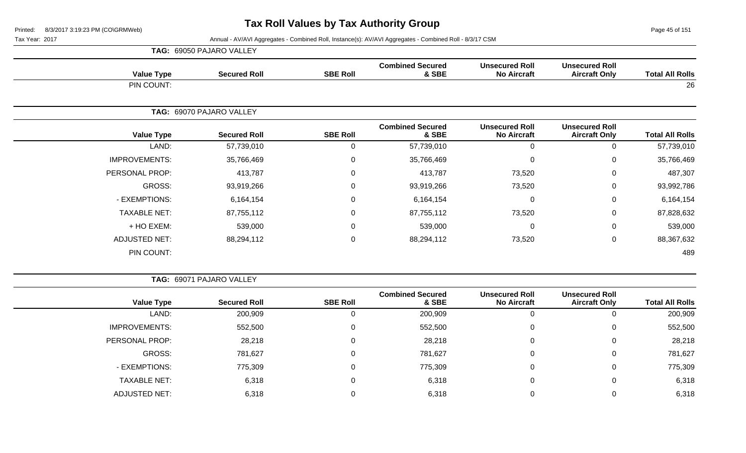Page 45 of 151

|                      | TAG: 69050 PAJARO VALLEY |                 |                                  |                                             |                                               |                        |
|----------------------|--------------------------|-----------------|----------------------------------|---------------------------------------------|-----------------------------------------------|------------------------|
| <b>Value Type</b>    | <b>Secured Roll</b>      | <b>SBE Roll</b> | <b>Combined Secured</b><br>& SBE | <b>Unsecured Roll</b><br><b>No Aircraft</b> | <b>Unsecured Roll</b><br><b>Aircraft Only</b> | <b>Total All Rolls</b> |
| PIN COUNT:           |                          |                 |                                  |                                             |                                               | 26                     |
|                      | TAG: 69070 PAJARO VALLEY |                 |                                  |                                             |                                               |                        |
| <b>Value Type</b>    | <b>Secured Roll</b>      | <b>SBE Roll</b> | <b>Combined Secured</b><br>& SBE | <b>Unsecured Roll</b><br><b>No Aircraft</b> | <b>Unsecured Roll</b><br><b>Aircraft Only</b> | <b>Total All Rolls</b> |
| LAND:                | 57,739,010               | 0               | 57,739,010                       | 0                                           | $\mathbf 0$                                   | 57,739,010             |
| <b>IMPROVEMENTS:</b> | 35,766,469               | 0               | 35,766,469                       | $\mathbf 0$                                 | 0                                             | 35,766,469             |
| PERSONAL PROP:       | 413,787                  | 0               | 413,787                          | 73,520                                      | 0                                             | 487,307                |
| GROSS:               | 93,919,266               | 0               | 93,919,266                       | 73,520                                      | 0                                             | 93,992,786             |
| - EXEMPTIONS:        | 6,164,154                | 0               | 6,164,154                        | $\mathbf 0$                                 | 0                                             | 6,164,154              |
| <b>TAXABLE NET:</b>  | 87,755,112               | $\mathbf 0$     | 87,755,112                       | 73,520                                      | 0                                             | 87,828,632             |
| + HO EXEM:           | 539,000                  | 0               | 539,000                          | $\mathbf 0$                                 | 0                                             | 539,000                |
| <b>ADJUSTED NET:</b> | 88,294,112               | 0               | 88,294,112                       | 73,520                                      | 0                                             | 88,367,632             |
| PIN COUNT:           |                          |                 |                                  |                                             |                                               | 489                    |

|  |  |  | <b>TAG: 69071 PAJARO VALLEY</b> |  |
|--|--|--|---------------------------------|--|
|--|--|--|---------------------------------|--|

| <b>Value Type</b>    | <b>Secured Roll</b> | <b>SBE Roll</b> | <b>Combined Secured</b><br>& SBE | <b>Unsecured Roll</b><br><b>No Aircraft</b> | <b>Unsecured Roll</b><br><b>Aircraft Only</b> | <b>Total All Rolls</b> |
|----------------------|---------------------|-----------------|----------------------------------|---------------------------------------------|-----------------------------------------------|------------------------|
| LAND:                | 200,909             |                 | 200,909                          |                                             | 0                                             | 200,909                |
| <b>IMPROVEMENTS:</b> | 552,500             | 0               | 552,500                          |                                             | 0                                             | 552,500                |
| PERSONAL PROP:       | 28,218              | 0               | 28,218                           | υ                                           | 0                                             | 28,218                 |
| GROSS:               | 781,627             |                 | 781,627                          |                                             | 0                                             | 781,627                |
| - EXEMPTIONS:        | 775,309             |                 | 775,309                          |                                             | 0                                             | 775,309                |
| <b>TAXABLE NET:</b>  | 6,318               |                 | 6,318                            |                                             | 0                                             | 6,318                  |
| <b>ADJUSTED NET:</b> | 6,318               |                 | 6,318                            |                                             | 0                                             | 6,318                  |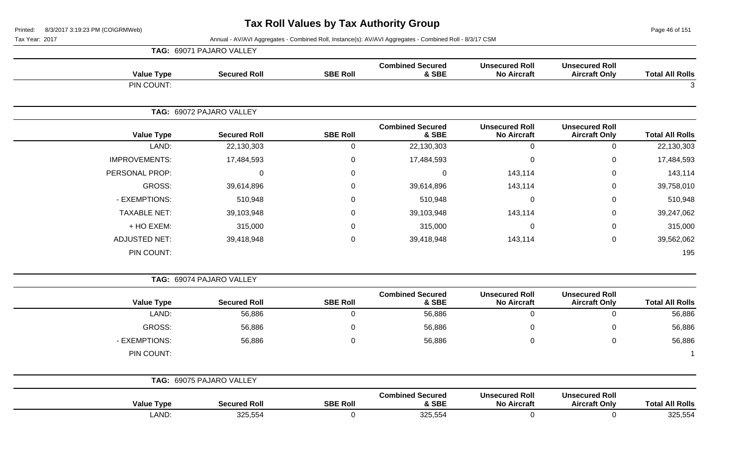Page 46 of 151

|                        |                                               |                                             |                                  |                     | TAG: 69071 PAJARO VALLEY |                      |
|------------------------|-----------------------------------------------|---------------------------------------------|----------------------------------|---------------------|--------------------------|----------------------|
| <b>Total All Rolls</b> | <b>Unsecured Roll</b><br><b>Aircraft Only</b> | <b>Unsecured Roll</b><br><b>No Aircraft</b> | <b>Combined Secured</b><br>& SBE | <b>SBE Roll</b>     | <b>Secured Roll</b>      | <b>Value Type</b>    |
| 3                      |                                               |                                             |                                  |                     |                          | PIN COUNT:           |
|                        |                                               |                                             |                                  |                     | TAG: 69072 PAJARO VALLEY |                      |
| <b>Total All Rolls</b> | <b>Unsecured Roll</b><br><b>Aircraft Only</b> | <b>Unsecured Roll</b><br><b>No Aircraft</b> | <b>Combined Secured</b><br>& SBE | <b>SBE Roll</b>     | <b>Secured Roll</b>      | <b>Value Type</b>    |
| 22,130,303             | $\mathsf{O}\xspace$                           | $\mathsf{O}\xspace$                         | 22,130,303                       | $\mathbf 0$         | 22,130,303               | LAND:                |
| 17,484,593             | $\pmb{0}$                                     | $\mathbf 0$                                 | 17,484,593                       | $\pmb{0}$           | 17,484,593               | <b>IMPROVEMENTS:</b> |
| 143,114                | 0                                             | 143,114                                     | 0                                | $\mathbf 0$         | $\Omega$                 | PERSONAL PROP:       |
| 39,758,010             | 0                                             | 143,114                                     | 39,614,896                       | 0                   | 39,614,896               | <b>GROSS:</b>        |
| 510,948                | 0                                             | $\mathbf 0$                                 | 510,948                          | $\mathbf 0$         | 510,948                  | - EXEMPTIONS:        |
| 39,247,062             | $\mathbf 0$                                   | 143,114                                     | 39,103,948                       | $\mathbf 0$         | 39,103,948               | <b>TAXABLE NET:</b>  |
| 315,000                | 0                                             | $\mathbf 0$                                 | 315,000                          | $\mathbf 0$         | 315,000                  | + HO EXEM:           |
| 39,562,062             | 0                                             | 143,114                                     | 39,418,948                       | $\pmb{0}$           | 39,418,948               | <b>ADJUSTED NET:</b> |
| 195                    |                                               |                                             |                                  |                     |                          | PIN COUNT:           |
|                        |                                               |                                             |                                  |                     | TAG: 69074 PAJARO VALLEY |                      |
| <b>Total All Rolls</b> | <b>Unsecured Roll</b><br><b>Aircraft Only</b> | <b>Unsecured Roll</b><br><b>No Aircraft</b> | <b>Combined Secured</b><br>& SBE | <b>SBE Roll</b>     | <b>Secured Roll</b>      | <b>Value Type</b>    |
| 56,886                 | $\mathbf 0$                                   | $\mathbf 0$                                 | 56,886                           | $\mathbf 0$         | 56,886                   | LAND:                |
| 56,886                 | 0                                             | $\pmb{0}$                                   | 56,886                           | 0                   | 56,886                   | <b>GROSS:</b>        |
| 56,886                 | 0                                             | $\mathbf 0$                                 | 56,886                           | $\mathbf 0$         | 56,886                   | - EXEMPTIONS:        |
|                        |                                               |                                             |                                  |                     |                          | PIN COUNT:           |
|                        |                                               |                                             |                                  |                     | TAG: 69075 PAJARO VALLEY |                      |
| <b>Total All Rolls</b> | <b>Unsecured Roll</b><br><b>Aircraft Only</b> | <b>Unsecured Roll</b><br><b>No Aircraft</b> | <b>Combined Secured</b><br>& SBE | <b>SBE Roll</b>     | <b>Secured Roll</b>      | <b>Value Type</b>    |
| 325,554                | $\pmb{0}$                                     | $\pmb{0}$                                   | 325,554                          | $\mathsf{O}\xspace$ | 325,554                  | LAND:                |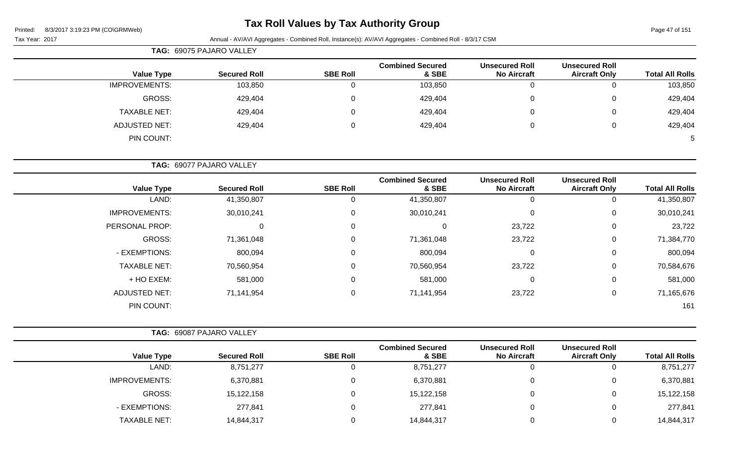### **Tax Roll Values by Tax Authority Group**

|                      | TAG: 69075 PAJARO VALLEY |                 |                                  |                                             |                                               |                        |
|----------------------|--------------------------|-----------------|----------------------------------|---------------------------------------------|-----------------------------------------------|------------------------|
| <b>Value Type</b>    | <b>Secured Roll</b>      | <b>SBE Roll</b> | <b>Combined Secured</b><br>& SBE | <b>Unsecured Roll</b><br><b>No Aircraft</b> | <b>Unsecured Roll</b><br><b>Aircraft Only</b> | <b>Total All Rolls</b> |
| <b>IMPROVEMENTS:</b> | 103,850                  |                 | 103,850                          | 0                                           | O                                             | 103,850                |
| GROSS:               | 429,404                  |                 | 429,404                          | 0                                           | 0                                             | 429,404                |
| <b>TAXABLE NET:</b>  | 429,404                  |                 | 429,404                          | 0                                           | 0                                             | 429,404                |
| <b>ADJUSTED NET:</b> | 429,404                  |                 | 429,404                          | 0                                           | $\mathbf{0}$                                  | 429,404                |
| PIN COUNT:           |                          |                 |                                  |                                             |                                               |                        |

|                      | TAG: 69077 PAJARO VALLEY |                 |                                  |                                             |                                               |                        |
|----------------------|--------------------------|-----------------|----------------------------------|---------------------------------------------|-----------------------------------------------|------------------------|
| <b>Value Type</b>    | <b>Secured Roll</b>      | <b>SBE Roll</b> | <b>Combined Secured</b><br>& SBE | <b>Unsecured Roll</b><br><b>No Aircraft</b> | <b>Unsecured Roll</b><br><b>Aircraft Only</b> | <b>Total All Rolls</b> |
| LAND:                | 41,350,807               |                 | 41,350,807                       | 0                                           | 0                                             | 41,350,807             |
| <b>IMPROVEMENTS:</b> | 30,010,241               | $\Omega$        | 30,010,241                       | 0                                           | 0                                             | 30,010,241             |
| PERSONAL PROP:       | 0                        | 0               | 0                                | 23,722                                      | 0                                             | 23,722                 |
| GROSS:               | 71,361,048               |                 | 71,361,048                       | 23,722                                      | 0                                             | 71,384,770             |
| - EXEMPTIONS:        | 800,094                  | $\Omega$        | 800,094                          | 0                                           | 0                                             | 800,094                |
| <b>TAXABLE NET:</b>  | 70,560,954               | 0               | 70,560,954                       | 23,722                                      | 0                                             | 70,584,676             |
| + HO EXEM:           | 581,000                  | 0               | 581,000                          | 0                                           | 0                                             | 581,000                |
| <b>ADJUSTED NET:</b> | 71,141,954               | 0               | 71,141,954                       | 23,722                                      | 0                                             | 71,165,676             |
| PIN COUNT:           |                          |                 |                                  |                                             |                                               | 161                    |

|                      | TAG: 69087 PAJARO VALLEY |                 |                                  |                                             |                                               |                        |
|----------------------|--------------------------|-----------------|----------------------------------|---------------------------------------------|-----------------------------------------------|------------------------|
| <b>Value Type</b>    | <b>Secured Roll</b>      | <b>SBE Roll</b> | <b>Combined Secured</b><br>& SBE | <b>Unsecured Roll</b><br><b>No Aircraft</b> | <b>Unsecured Roll</b><br><b>Aircraft Only</b> | <b>Total All Rolls</b> |
| LAND:                | 8,751,277                | $\Omega$        | 8,751,277                        | J.                                          |                                               | 8,751,277              |
| <b>IMPROVEMENTS:</b> | 6,370,881                | $\Omega$        | 6,370,881                        | C                                           |                                               | 6,370,881              |
| GROSS:               | 15,122,158               | $\Omega$        | 15,122,158                       | C                                           |                                               | 15,122,158             |
| - EXEMPTIONS:        | 277,841                  | $\Omega$        | 277,841                          | C                                           |                                               | 277,841                |
| <b>TAXABLE NET:</b>  | 14,844,317               |                 | 14,844,317                       |                                             |                                               | 14,844,317             |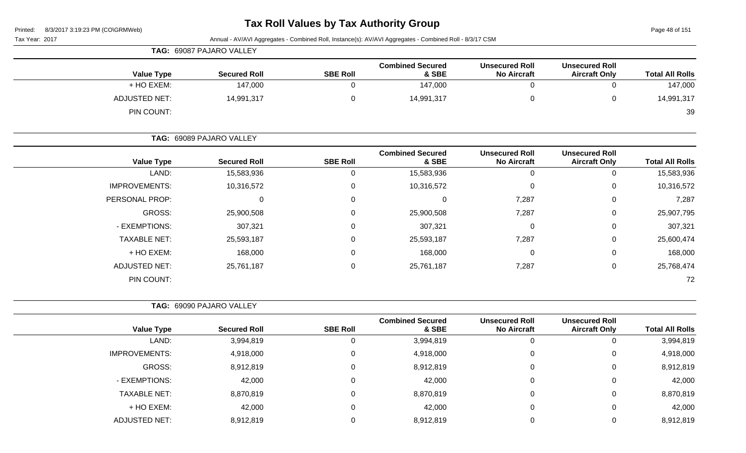# **Tax Roll Values by Tax Authority Group**

Page 48 of 151

|                        | Annual - AV/AVI Aggregates - Combined Roll, Instance(s): AV/AVI Aggregates - Combined Roll - 8/3/17 CSM<br>Tax Year: 2017 |                                             |                                  |                 |                          |                      |  |  |
|------------------------|---------------------------------------------------------------------------------------------------------------------------|---------------------------------------------|----------------------------------|-----------------|--------------------------|----------------------|--|--|
|                        |                                                                                                                           |                                             |                                  |                 | TAG: 69087 PAJARO VALLEY |                      |  |  |
| <b>Total All Rolls</b> | <b>Unsecured Roll</b><br><b>Aircraft Only</b>                                                                             | <b>Unsecured Roll</b><br><b>No Aircraft</b> | <b>Combined Secured</b><br>& SBE | <b>SBE Roll</b> | <b>Secured Roll</b>      | <b>Value Type</b>    |  |  |
| 147,000                | $\mathbf 0$                                                                                                               | 0                                           | 147,000                          | $\mathbf 0$     | 147,000                  | + HO EXEM:           |  |  |
| 14,991,317             | 0                                                                                                                         | $\pmb{0}$                                   | 14,991,317                       | $\mathbf 0$     | 14,991,317               | <b>ADJUSTED NET:</b> |  |  |
| 39                     |                                                                                                                           |                                             |                                  |                 |                          | PIN COUNT:           |  |  |
|                        |                                                                                                                           |                                             |                                  |                 | TAG: 69089 PAJARO VALLEY |                      |  |  |
| <b>Total All Rolls</b> | <b>Unsecured Roll</b><br><b>Aircraft Only</b>                                                                             | <b>Unsecured Roll</b><br><b>No Aircraft</b> | <b>Combined Secured</b><br>& SBE | <b>SBE Roll</b> | <b>Secured Roll</b>      | <b>Value Type</b>    |  |  |
| 15,583,936             | $\mathbf 0$                                                                                                               | 0                                           | 15,583,936                       | $\overline{0}$  | 15,583,936               | LAND:                |  |  |
| 10,316,572             | 0                                                                                                                         | 0                                           | 10,316,572                       | $\mathbf 0$     | 10,316,572               | <b>IMPROVEMENTS:</b> |  |  |
| 7,287                  | 0                                                                                                                         | 7,287                                       | $\mathbf 0$                      | $\mathbf 0$     | 0                        | PERSONAL PROP:       |  |  |
| 25,907,795             | 0                                                                                                                         | 7,287                                       | 25,900,508                       | $\mathbf 0$     | 25,900,508               | <b>GROSS:</b>        |  |  |
| 307,321                | 0                                                                                                                         | 0                                           | 307,321                          | $\mathbf 0$     | 307,321                  | - EXEMPTIONS:        |  |  |
| 25,600,474             | 0                                                                                                                         | 7,287                                       | 25,593,187                       | $\mathbf 0$     | 25,593,187               | <b>TAXABLE NET:</b>  |  |  |
| 168,000                | 0                                                                                                                         | 0                                           | 168,000                          | $\mathbf 0$     | 168,000                  | + HO EXEM:           |  |  |
| 25,768,474             | 0                                                                                                                         | 7,287                                       | 25,761,187                       | $\mathbf 0$     | 25,761,187               | <b>ADJUSTED NET:</b> |  |  |
| 72                     |                                                                                                                           |                                             |                                  |                 |                          | PIN COUNT:           |  |  |
|                        |                                                                                                                           |                                             |                                  |                 | TAG: 69090 PAJARO VALLEY |                      |  |  |
| <b>Total All Rolls</b> | <b>Unsecured Roll</b><br><b>Aircraft Only</b>                                                                             | <b>Unsecured Roll</b><br><b>No Aircraft</b> | <b>Combined Secured</b><br>& SBE | <b>SBE Roll</b> | <b>Secured Roll</b>      | <b>Value Type</b>    |  |  |
| 3,994,819              | 0                                                                                                                         | $\mathbf 0$                                 | 3,994,819                        | $\mathbf 0$     | 3,994,819                | LAND:                |  |  |
| 4,918,000              | 0                                                                                                                         | 0                                           | 4,918,000                        | $\mathbf 0$     | 4,918,000                | <b>IMPROVEMENTS:</b> |  |  |
| 8,912,819              | 0                                                                                                                         | 0                                           | 8,912,819                        | 0               | 8,912,819                | <b>GROSS:</b>        |  |  |
| 42,000                 | $\pmb{0}$                                                                                                                 | $\mathbf 0$                                 | 42,000                           | 0               | 42,000                   | - EXEMPTIONS:        |  |  |
| 8,870,819              | 0                                                                                                                         | $\mathbf 0$                                 | 8,870,819                        | 0               | 8,870,819                | <b>TAXABLE NET:</b>  |  |  |
| 42,000                 | 0                                                                                                                         | 0                                           | 42,000                           | $\mathbf 0$     | 42,000                   | + HO EXEM:           |  |  |
| 8,912,819              | $\pmb{0}$                                                                                                                 | $\pmb{0}$                                   | 8,912,819                        | $\mathbf 0$     | 8,912,819                | <b>ADJUSTED NET:</b> |  |  |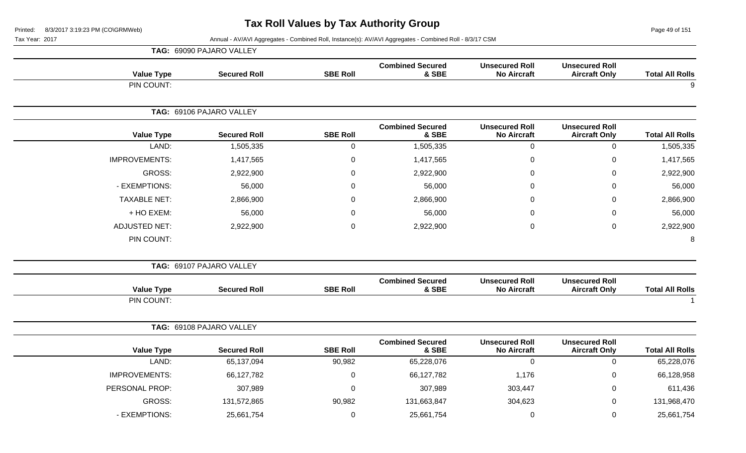Page 49 of 151

|                      | TAG: 69090 PAJARO VALLEY |                  |                                  |                                             |                                               |                        |
|----------------------|--------------------------|------------------|----------------------------------|---------------------------------------------|-----------------------------------------------|------------------------|
| <b>Value Type</b>    | <b>Secured Roll</b>      | <b>SBE Roll</b>  | <b>Combined Secured</b><br>& SBE | <b>Unsecured Roll</b><br><b>No Aircraft</b> | <b>Unsecured Roll</b><br><b>Aircraft Only</b> | <b>Total All Rolls</b> |
| PIN COUNT:           |                          |                  |                                  |                                             |                                               | 9                      |
|                      | TAG: 69106 PAJARO VALLEY |                  |                                  |                                             |                                               |                        |
| <b>Value Type</b>    | <b>Secured Roll</b>      | <b>SBE Roll</b>  | <b>Combined Secured</b><br>& SBE | <b>Unsecured Roll</b><br><b>No Aircraft</b> | <b>Unsecured Roll</b><br><b>Aircraft Only</b> | <b>Total All Rolls</b> |
| LAND:                | 1,505,335                | $\pmb{0}$        | 1,505,335                        | $\mathbf 0$                                 | $\mathsf{O}\xspace$                           | 1,505,335              |
| <b>IMPROVEMENTS:</b> | 1,417,565                | $\boldsymbol{0}$ | 1,417,565                        | $\overline{0}$                              | $\mathbf 0$                                   | 1,417,565              |
| <b>GROSS:</b>        | 2,922,900                | $\mathbf{0}$     | 2,922,900                        | $\Omega$                                    | 0                                             | 2,922,900              |
| - EXEMPTIONS:        | 56,000                   | $\mathbf 0$      | 56,000                           | $\pmb{0}$                                   | $\pmb{0}$                                     | 56,000                 |
| <b>TAXABLE NET:</b>  | 2,866,900                | $\Omega$         | 2,866,900                        | 0                                           | 0                                             | 2,866,900              |
| + HO EXEM:           | 56,000                   | $\overline{0}$   | 56,000                           | 0                                           | $\mathbf 0$                                   | 56,000                 |
| <b>ADJUSTED NET:</b> | 2,922,900                | $\overline{0}$   | 2,922,900                        | $\pmb{0}$                                   | $\pmb{0}$                                     | 2,922,900              |
| PIN COUNT:           |                          |                  |                                  |                                             |                                               | 8                      |
|                      | TAG: 69107 PAJARO VALLEY |                  |                                  |                                             |                                               |                        |
| <b>Value Type</b>    | <b>Secured Roll</b>      | <b>SBE Roll</b>  | <b>Combined Secured</b><br>& SBE | <b>Unsecured Roll</b><br><b>No Aircraft</b> | <b>Unsecured Roll</b><br><b>Aircraft Only</b> | <b>Total All Rolls</b> |
| PIN COUNT:           |                          |                  |                                  |                                             |                                               | $\overline{1}$         |
|                      | TAG: 69108 PAJARO VALLEY |                  |                                  |                                             |                                               |                        |
| <b>Value Type</b>    | <b>Secured Roll</b>      | <b>SBE Roll</b>  | <b>Combined Secured</b><br>& SBE | <b>Unsecured Roll</b><br><b>No Aircraft</b> | <b>Unsecured Roll</b><br><b>Aircraft Only</b> | <b>Total All Rolls</b> |
| LAND:                | 65,137,094               | 90,982           | 65,228,076                       | $\overline{0}$                              | $\mathbf 0$                                   | 65,228,076             |
| <b>IMPROVEMENTS:</b> | 66,127,782               | $\mathbf 0$      | 66,127,782                       | 1,176                                       | $\mathbf 0$                                   | 66,128,958             |
| PERSONAL PROP:       | 307,989                  | $\mathbf 0$      | 307,989                          | 303,447                                     | $\mathbf 0$                                   | 611,436                |
| <b>GROSS:</b>        | 131,572,865              | 90,982           | 131,663,847                      | 304,623                                     | 0                                             | 131,968,470            |
| - EXEMPTIONS:        | 25,661,754               | $\mathbf 0$      | 25,661,754                       | $\boldsymbol{0}$                            | $\mathbf 0$                                   | 25,661,754             |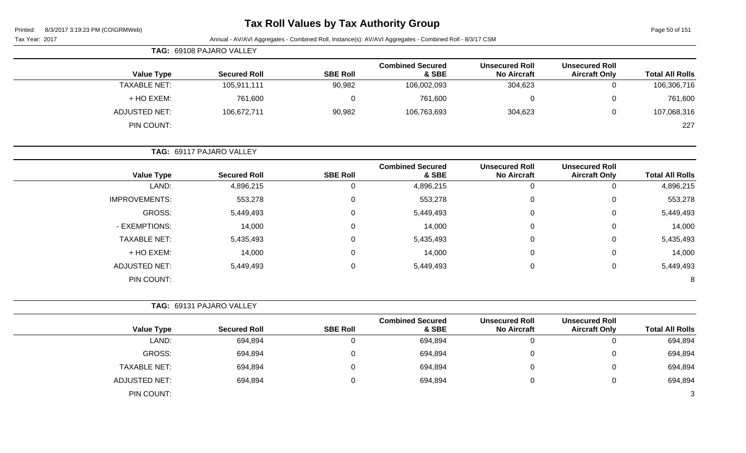| Printed: |  | 8/3/2017 3:19:23 PM (CO\GRMWeb) |  |
|----------|--|---------------------------------|--|
|          |  |                                 |  |

### **Tax Roll Values by Tax Authority Group**

Page 50 of 151

|                        |                                               |                                             | Annual - AV/AVI Aggregates - Combined Roll, Instance(s): AV/AVI Aggregates - Combined Roll - 8/3/17 CSM |                  |                          | Tax Year: 2017       |
|------------------------|-----------------------------------------------|---------------------------------------------|---------------------------------------------------------------------------------------------------------|------------------|--------------------------|----------------------|
|                        |                                               |                                             |                                                                                                         |                  | TAG: 69108 PAJARO VALLEY |                      |
| <b>Total All Rolls</b> | <b>Unsecured Roll</b><br><b>Aircraft Only</b> | <b>Unsecured Roll</b><br><b>No Aircraft</b> | <b>Combined Secured</b><br>& SBE                                                                        | <b>SBE Roll</b>  | <b>Secured Roll</b>      | <b>Value Type</b>    |
| 106,306,716            | $\mathbf 0$                                   | 304,623                                     | 106,002,093                                                                                             | 90,982           | 105,911,111              | <b>TAXABLE NET:</b>  |
| 761,600                | $\pmb{0}$                                     | $\mathbf 0$                                 | 761,600                                                                                                 | $\pmb{0}$        | 761,600                  | + HO EXEM:           |
| 107,068,316            | $\mathbf 0$                                   | 304,623                                     | 106,763,693                                                                                             | 90,982           | 106,672,711              | <b>ADJUSTED NET:</b> |
| 227                    |                                               |                                             |                                                                                                         |                  |                          | PIN COUNT:           |
|                        |                                               |                                             | TAG: 69117 PAJARO VALLEY                                                                                |                  |                          |                      |
| <b>Total All Rolls</b> | <b>Unsecured Roll</b><br><b>Aircraft Only</b> | <b>Unsecured Roll</b><br><b>No Aircraft</b> | <b>Combined Secured</b><br>& SBE                                                                        | <b>SBE Roll</b>  | <b>Secured Roll</b>      | <b>Value Type</b>    |
| 4,896,215              | $\mathbf 0$                                   | $\mathbf 0$                                 | 4,896,215                                                                                               | $\mathbf 0$      | 4,896,215                | LAND:                |
| 553,278                | $\mathbf 0$                                   | 0                                           | 553,278                                                                                                 | $\mathbf 0$      | 553,278                  | <b>IMPROVEMENTS:</b> |
| 5,449,493              | $\mathbf 0$                                   | $\Omega$                                    | 5,449,493                                                                                               | 0                | 5,449,493                | <b>GROSS:</b>        |
| 14,000                 | $\mathbf 0$                                   | $\Omega$                                    | 14,000                                                                                                  | 0                | 14,000                   | - EXEMPTIONS:        |
| 5,435,493              | $\mathbf 0$                                   | $\Omega$                                    | 5,435,493                                                                                               | 0                | 5,435,493                | <b>TAXABLE NET:</b>  |
| 14,000                 | $\mathbf 0$                                   | $\Omega$                                    | 14,000                                                                                                  | 0                | 14,000                   | + HO EXEM:           |
| 5,449,493              | $\mathbf 0$                                   | $\mathbf 0$                                 | 5,449,493                                                                                               | $\mathbf 0$      | 5,449,493                | <b>ADJUSTED NET:</b> |
| 8                      |                                               |                                             |                                                                                                         |                  |                          | PIN COUNT:           |
|                        |                                               |                                             |                                                                                                         |                  | TAG: 69131 PAJARO VALLEY |                      |
| <b>Total All Rolls</b> | <b>Unsecured Roll</b><br><b>Aircraft Only</b> | <b>Unsecured Roll</b><br><b>No Aircraft</b> | <b>Combined Secured</b><br>& SBE                                                                        | <b>SBE Roll</b>  | <b>Secured Roll</b>      | <b>Value Type</b>    |
| 694,894                | $\overline{0}$                                | $\mathbf 0$                                 | 694,894                                                                                                 | $\mathbf 0$      | 694,894                  | LAND:                |
| 694,894                | $\pmb{0}$                                     | 0                                           | 694,894                                                                                                 | $\boldsymbol{0}$ | 694,894                  | <b>GROSS:</b>        |
| 694,894                | $\mathbf 0$                                   | $\mathbf 0$                                 | 694,894                                                                                                 | $\mathbf 0$      | 694,894                  | <b>TAXABLE NET:</b>  |
| 694,894                | $\mathbf 0$                                   | 0                                           | 694,894                                                                                                 | 0                | 694,894                  | <b>ADJUSTED NET:</b> |
| 3                      |                                               |                                             |                                                                                                         |                  |                          | PIN COUNT:           |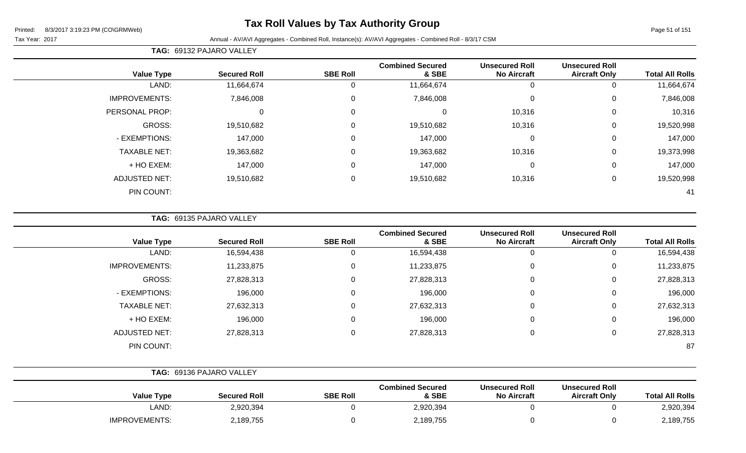### **Tax Roll Values by Tax Authority Group**

#### Tax Year: 2017 Annual - AV/AVI Aggregates - Combined Roll, Instance(s): AV/AVI Aggregates - Combined Roll - 8/3/17 CSM

**TAG:** 69132 PAJARO VALLEY

| <b>Value Type</b>    | <b>Secured Roll</b> | <b>SBE Roll</b> | <b>Combined Secured</b><br>& SBE | <b>Unsecured Roll</b><br><b>No Aircraft</b> | <b>Unsecured Roll</b><br><b>Aircraft Only</b> | <b>Total All Rolls</b> |
|----------------------|---------------------|-----------------|----------------------------------|---------------------------------------------|-----------------------------------------------|------------------------|
| LAND:                | 11,664,674          |                 | 11,664,674                       |                                             | 0                                             | 11,664,674             |
| <b>IMPROVEMENTS:</b> | 7,846,008           | $\Omega$        | 7,846,008                        | $\Omega$                                    | 0                                             | 7,846,008              |
| PERSONAL PROP:       | $\Omega$            | 0               | 0                                | 10,316                                      | 0                                             | 10,316                 |
| GROSS:               | 19,510,682          | $\Omega$        | 19,510,682                       | 10,316                                      | 0                                             | 19,520,998             |
| - EXEMPTIONS:        | 147,000             | $\Omega$        | 147,000                          | $\Omega$                                    | $\mathbf 0$                                   | 147,000                |
| <b>TAXABLE NET:</b>  | 19,363,682          | $\Omega$        | 19,363,682                       | 10,316                                      | $\mathbf 0$                                   | 19,373,998             |
| + HO EXEM:           | 147,000             | $\Omega$        | 147,000                          | 0                                           | $\mathbf 0$                                   | 147,000                |
| <b>ADJUSTED NET:</b> | 19,510,682          | $\Omega$        | 19,510,682                       | 10,316                                      | 0                                             | 19,520,998             |
| PIN COUNT:           |                     |                 |                                  |                                             |                                               | 41                     |

**TAG:** 69135 PAJARO VALLEY

|                      |                     |                 | <b>Combined Secured</b> |                                             |                                               |                        |
|----------------------|---------------------|-----------------|-------------------------|---------------------------------------------|-----------------------------------------------|------------------------|
| <b>Value Type</b>    | <b>Secured Roll</b> | <b>SBE Roll</b> | & SBE                   | <b>Unsecured Roll</b><br><b>No Aircraft</b> | <b>Unsecured Roll</b><br><b>Aircraft Only</b> | <b>Total All Rolls</b> |
| LAND:                | 16,594,438          |                 | 16,594,438              |                                             |                                               | 16,594,438             |
| <b>IMPROVEMENTS:</b> | 11,233,875          | 0               | 11,233,875              | 0                                           | 0                                             | 11,233,875             |
| <b>GROSS:</b>        | 27,828,313          | 0               | 27,828,313              | 0                                           | 0                                             | 27,828,313             |
| - EXEMPTIONS:        | 196,000             | 0               | 196,000                 | 0                                           | $\Omega$                                      | 196,000                |
| <b>TAXABLE NET:</b>  | 27,632,313          | 0               | 27,632,313              | $\Omega$                                    | 0                                             | 27,632,313             |
| + HO EXEM:           | 196,000             |                 | 196,000                 | 0                                           | 0                                             | 196,000                |
| <b>ADJUSTED NET:</b> | 27,828,313          | 0               | 27,828,313              | 0                                           | 0                                             | 27,828,313             |
| PIN COUNT:           |                     |                 |                         |                                             |                                               | 87                     |

|                      | TAG: 69136 PAJARO VALLEY |                 |                                  |                                             |                                               |                        |
|----------------------|--------------------------|-----------------|----------------------------------|---------------------------------------------|-----------------------------------------------|------------------------|
| <b>Value Type</b>    | <b>Secured Roll</b>      | <b>SBE Roll</b> | <b>Combined Secured</b><br>& SBE | <b>Unsecured Roll</b><br><b>No Aircraft</b> | <b>Unsecured Roll</b><br><b>Aircraft Only</b> | <b>Total All Rolls</b> |
| LAND:                | 2,920,394                |                 | 2,920,394                        |                                             |                                               | 2,920,394              |
| <b>IMPROVEMENTS:</b> | 2,189,755                |                 | 2,189,755                        |                                             |                                               | 2,189,755              |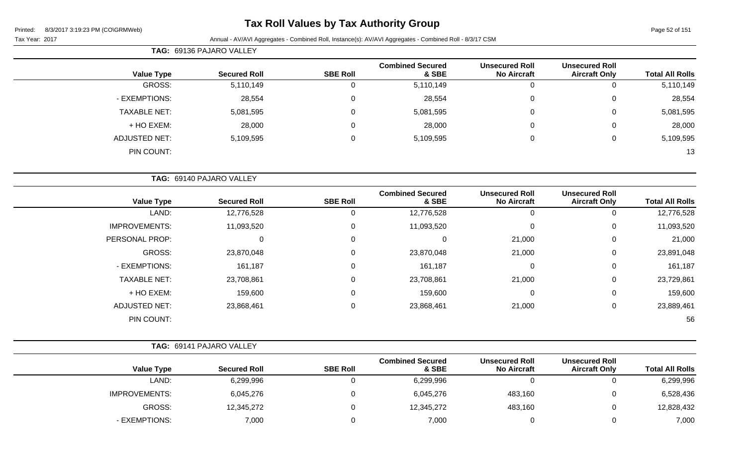### **Tax Roll Values by Tax Authority Group**

| <b>TAG: 69136 PAJARO VALLEY</b> |  |
|---------------------------------|--|
|---------------------------------|--|

| <b>Total All Rolls</b> | <b>Unsecured Roll</b><br><b>Aircraft Only</b> | <b>Unsecured Roll</b><br><b>No Aircraft</b> | <b>Combined Secured</b><br>& SBE | <b>SBE Roll</b> | <b>Secured Roll</b> | <b>Value Type</b>    |
|------------------------|-----------------------------------------------|---------------------------------------------|----------------------------------|-----------------|---------------------|----------------------|
| 5,110,149              |                                               | 0                                           | 5,110,149                        |                 | 5,110,149           | GROSS:               |
| 28,554                 |                                               | 0                                           | 28,554                           |                 | 28,554              | - EXEMPTIONS:        |
| 5,081,595              | 0                                             | 0                                           | 5,081,595                        |                 | 5,081,595           | <b>TAXABLE NET:</b>  |
| 28,000                 | 0                                             | 0                                           | 28,000                           |                 | 28,000              | + HO EXEM:           |
| 5,109,595              |                                               | 0                                           | 5,109,595                        |                 | 5,109,595           | <b>ADJUSTED NET:</b> |
| 13                     |                                               |                                             |                                  |                 |                     | PIN COUNT:           |
|                        |                                               |                                             |                                  |                 |                     |                      |

|                      | TAG: 69140 PAJARO VALLEY |                 |                                  |                                             |                                               |                        |
|----------------------|--------------------------|-----------------|----------------------------------|---------------------------------------------|-----------------------------------------------|------------------------|
| <b>Value Type</b>    | <b>Secured Roll</b>      | <b>SBE Roll</b> | <b>Combined Secured</b><br>& SBE | <b>Unsecured Roll</b><br><b>No Aircraft</b> | <b>Unsecured Roll</b><br><b>Aircraft Only</b> | <b>Total All Rolls</b> |
| LAND:                | 12,776,528               | $\Omega$        | 12,776,528                       | 0                                           |                                               | 12,776,528             |
| <b>IMPROVEMENTS:</b> | 11,093,520               | 0               | 11,093,520                       | $\mathbf 0$                                 | 0                                             | 11,093,520             |
| PERSONAL PROP:       | 0                        | 0               | 0                                | 21,000                                      | 0                                             | 21,000                 |
| GROSS:               | 23,870,048               | $\Omega$        | 23,870,048                       | 21,000                                      | 0                                             | 23,891,048             |
| - EXEMPTIONS:        | 161,187                  | 0               | 161,187                          | $\mathbf 0$                                 | 0                                             | 161,187                |
| <b>TAXABLE NET:</b>  | 23,708,861               | 0               | 23,708,861                       | 21,000                                      | 0                                             | 23,729,861             |
| + HO EXEM:           | 159,600                  | 0               | 159,600                          | $\mathbf 0$                                 | 0                                             | 159,600                |
| <b>ADJUSTED NET:</b> | 23,868,461               | $\mathbf 0$     | 23,868,461                       | 21,000                                      | $\Omega$                                      | 23,889,461             |
| PIN COUNT:           |                          |                 |                                  |                                             |                                               | 56                     |

|                        |                                               |                                             |                                  |                 | <b>TAG: 69141 PAJARO VALLEY</b> |                      |
|------------------------|-----------------------------------------------|---------------------------------------------|----------------------------------|-----------------|---------------------------------|----------------------|
| <b>Total All Rolls</b> | <b>Unsecured Roll</b><br><b>Aircraft Only</b> | <b>Unsecured Roll</b><br><b>No Aircraft</b> | <b>Combined Secured</b><br>& SBE | <b>SBE Roll</b> | <b>Secured Roll</b>             | <b>Value Type</b>    |
| 6,299,996              |                                               |                                             | 6,299,996                        |                 | 6,299,996                       | LAND:                |
| 6,528,436              |                                               | 483,160                                     | 6,045,276                        |                 | 6,045,276                       | <b>IMPROVEMENTS:</b> |
| 12,828,432             |                                               | 483,160                                     | 12,345,272                       |                 | 12,345,272                      | GROSS:               |
| 7,000                  |                                               |                                             | 7,000                            |                 | 7,000                           | - EXEMPTIONS:        |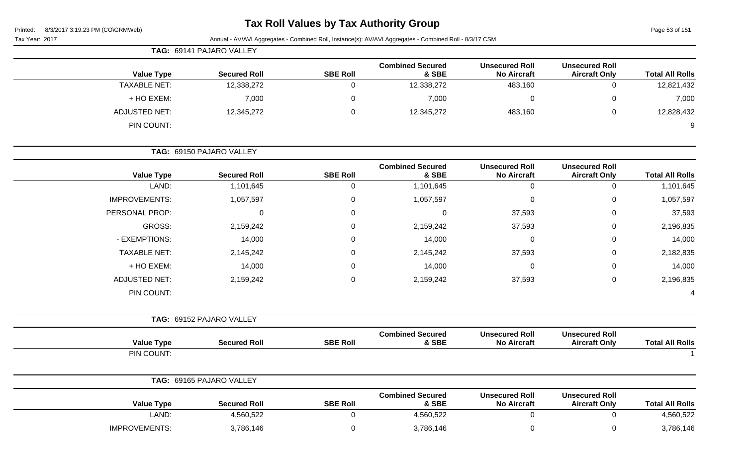# **Tax Roll Values by Tax Authority Group**

Page 53 of 151

|                        |                                               |                                             |                                  |                 | TAG: 69141 PAJARO VALLEY |                      |
|------------------------|-----------------------------------------------|---------------------------------------------|----------------------------------|-----------------|--------------------------|----------------------|
| <b>Total All Rolls</b> | <b>Unsecured Roll</b><br><b>Aircraft Only</b> | <b>Unsecured Roll</b><br><b>No Aircraft</b> | <b>Combined Secured</b><br>& SBE | <b>SBE Roll</b> | <b>Secured Roll</b>      | <b>Value Type</b>    |
| 12,821,432             | $\mathbf 0$                                   | 483,160                                     | 12,338,272                       | 0               | 12,338,272               | <b>TAXABLE NET:</b>  |
| 7,000                  | 0                                             | 0                                           | 7,000                            | 0               | 7,000                    | + HO EXEM:           |
| 12,828,432             | $\mathbf 0$                                   | 483,160                                     | 12,345,272                       | 0               | 12,345,272               | <b>ADJUSTED NET:</b> |
| 9                      |                                               |                                             |                                  |                 |                          | PIN COUNT:           |
|                        |                                               |                                             |                                  |                 | TAG: 69150 PAJARO VALLEY |                      |
| <b>Total All Rolls</b> | <b>Unsecured Roll</b><br><b>Aircraft Only</b> | <b>Unsecured Roll</b><br><b>No Aircraft</b> | <b>Combined Secured</b><br>& SBE | <b>SBE Roll</b> | <b>Secured Roll</b>      | <b>Value Type</b>    |
| 1,101,645              | 0                                             | 0                                           | 1,101,645                        | 0               | 1,101,645                | LAND:                |
| 1,057,597              | 0                                             | 0                                           | 1,057,597                        | 0               | 1,057,597                | <b>IMPROVEMENTS:</b> |
| 37,593                 | 0                                             | 37,593                                      | $\Omega$                         | 0               | $\Omega$                 | PERSONAL PROP:       |
| 2,196,835              | 0                                             | 37,593                                      | 2,159,242                        | 0               | 2,159,242                | GROSS:               |
| 14,000                 | 0                                             | 0                                           | 14,000                           | 0               | 14,000                   | - EXEMPTIONS:        |
| 2,182,835              | 0                                             | 37,593                                      | 2,145,242                        | 0               | 2,145,242                | <b>TAXABLE NET:</b>  |
| 14,000                 | 0                                             | 0                                           | 14,000                           | 0               | 14,000                   | + HO EXEM:           |
| 2,196,835              | $\mathbf 0$                                   | 37,593                                      | 2,159,242                        | 0               | 2,159,242                | <b>ADJUSTED NET:</b> |
|                        |                                               |                                             |                                  |                 |                          | PIN COUNT:           |
|                        |                                               |                                             |                                  |                 | TAG: 69152 PAJARO VALLEY |                      |
| <b>Total All Rolls</b> | <b>Unsecured Roll</b><br><b>Aircraft Only</b> | <b>Unsecured Roll</b><br><b>No Aircraft</b> | <b>Combined Secured</b><br>& SBE | <b>SBE Roll</b> | <b>Secured Roll</b>      | <b>Value Type</b>    |
|                        |                                               |                                             |                                  |                 |                          | PIN COUNT:           |
|                        |                                               |                                             |                                  |                 | TAG: 69165 PAJARO VALLEY |                      |
| <b>Total All Rolls</b> | <b>Unsecured Roll</b><br><b>Aircraft Only</b> | <b>Unsecured Roll</b><br><b>No Aircraft</b> | <b>Combined Secured</b><br>& SBE | <b>SBE Roll</b> | <b>Secured Roll</b>      | <b>Value Type</b>    |
| 4,560,522              | $\mathsf 0$                                   | 0                                           | 4,560,522                        | 0               | 4,560,522                | LAND:                |
| 3,786,146              | $\mathbf 0$                                   | 0                                           | 3,786,146                        | 0               | 3,786,146                | <b>IMPROVEMENTS:</b> |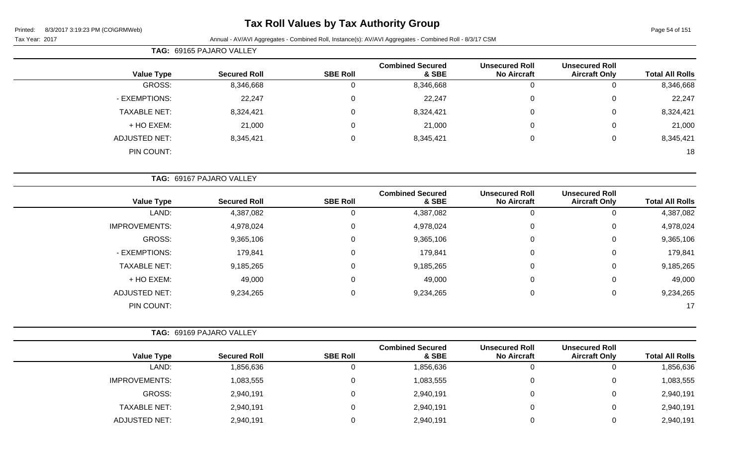**TAG:** 69165 PAJARO VALLEY

### **Tax Roll Values by Tax Authority Group**

Page 54 of 151

| <b>Value Type</b>    | <b>Secured Roll</b>      | <b>SBE Roll</b> | <b>Combined Secured</b><br>& SBE | <b>Unsecured Roll</b><br><b>No Aircraft</b> | <b>Unsecured Roll</b><br><b>Aircraft Only</b> | <b>Total All Rolls</b>              |
|----------------------|--------------------------|-----------------|----------------------------------|---------------------------------------------|-----------------------------------------------|-------------------------------------|
| GROSS:               | 8,346,668                | 0               | 8,346,668                        | 0                                           | $\mathbf 0$                                   | 8,346,668                           |
| - EXEMPTIONS:        | 22,247                   | 0               | 22,247                           | 0                                           | 0                                             | 22,247                              |
| <b>TAXABLE NET:</b>  | 8,324,421                | 0               | 8,324,421                        | 0                                           | 0                                             | 8,324,421                           |
| + HO EXEM:           | 21,000                   | 0               | 21,000                           | $\mathbf 0$                                 | $\mathbf 0$                                   | 21,000                              |
| <b>ADJUSTED NET:</b> | 8,345,421                | $\pmb{0}$       | 8,345,421                        | $\mathbf 0$                                 | $\mathbf 0$                                   | 8,345,421                           |
| PIN COUNT:           |                          |                 |                                  |                                             |                                               | 18                                  |
|                      | TAG: 69167 PAJARO VALLEY |                 |                                  |                                             |                                               |                                     |
|                      |                          |                 |                                  |                                             |                                               |                                     |
| <b>Value Type</b>    | <b>Secured Roll</b>      | <b>SBE Roll</b> | <b>Combined Secured</b><br>& SBE | <b>Unsecured Roll</b><br><b>No Aircraft</b> | <b>Unsecured Roll</b><br><b>Aircraft Only</b> |                                     |
| LAND:                | 4,387,082                | 0               | 4,387,082                        | $\Omega$                                    | $\mathbf{0}$                                  | <b>Total All Rolls</b><br>4,387,082 |
| <b>IMPROVEMENTS:</b> | 4,978,024                | 0               | 4,978,024                        | 0                                           | $\mathbf 0$                                   | 4,978,024                           |
| <b>GROSS:</b>        | 9,365,106                | $\mathbf 0$     | 9,365,106                        | 0                                           | 0                                             | 9,365,106                           |
| - EXEMPTIONS:        | 179,841                  | $\Omega$        | 179,841                          | 0                                           | $\mathbf 0$                                   | 179,841                             |
| <b>TAXABLE NET:</b>  | 9,185,265                | $\overline{0}$  | 9,185,265                        | $\mathbf 0$                                 | $\mathbf 0$                                   | 9,185,265                           |
| + HO EXEM:           | 49,000                   | $\Omega$        | 49,000                           | 0                                           | 0                                             | 49,000                              |
| <b>ADJUSTED NET:</b> | 9,234,265                | 0               | 9,234,265                        | $\mathbf 0$                                 | $\mathbf 0$                                   | 9,234,265                           |

|                      | <b>TAG: 69169 PAJARO VALLEY</b> |                 |                                  |                                             |                                               |                        |
|----------------------|---------------------------------|-----------------|----------------------------------|---------------------------------------------|-----------------------------------------------|------------------------|
| <b>Value Type</b>    | <b>Secured Roll</b>             | <b>SBE Roll</b> | <b>Combined Secured</b><br>& SBE | <b>Unsecured Roll</b><br><b>No Aircraft</b> | <b>Unsecured Roll</b><br><b>Aircraft Only</b> | <b>Total All Rolls</b> |
| LAND:                | 1,856,636                       |                 | 1,856,636                        | Ü                                           |                                               | 1,856,636              |
| <b>IMPROVEMENTS:</b> | 1,083,555                       | 0               | 1,083,555                        | 0                                           |                                               | 1,083,555              |
| GROSS:               | 2,940,191                       | 0               | 2,940,191                        | 0                                           |                                               | 2,940,191              |
| <b>TAXABLE NET:</b>  | 2,940,191                       | 0               | 2,940,191                        | 0                                           |                                               | 2,940,191              |
| ADJUSTED NET:        | 2,940,191                       |                 | 2,940,191                        | 0                                           |                                               | 2,940,191              |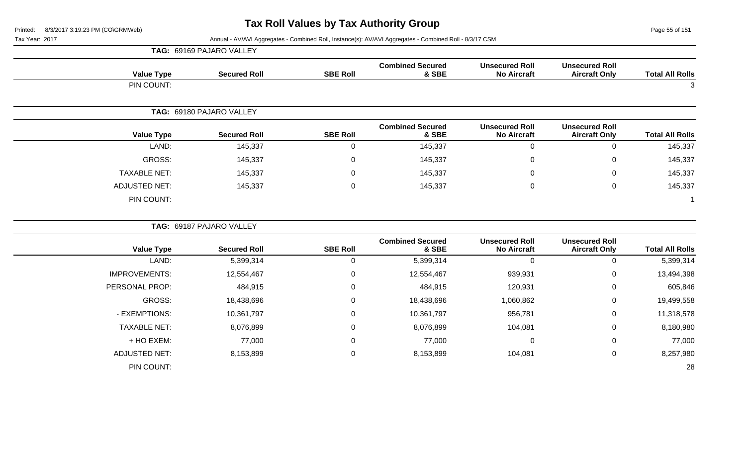**TAG:** 69169 PAJARO VALLEY

Page 55 of 151

| <b>Value Type</b>    | <b>Secured Roll</b>      | <b>SBE Roll</b> | <b>Combined Secured</b><br>& SBE | <b>Unsecured Roll</b><br><b>No Aircraft</b> | <b>Unsecured Roll</b><br><b>Aircraft Only</b> | <b>Total All Rolls</b> |
|----------------------|--------------------------|-----------------|----------------------------------|---------------------------------------------|-----------------------------------------------|------------------------|
| PIN COUNT:           |                          |                 |                                  |                                             |                                               | 3                      |
|                      | TAG: 69180 PAJARO VALLEY |                 |                                  |                                             |                                               |                        |
| <b>Value Type</b>    | <b>Secured Roll</b>      | <b>SBE Roll</b> | <b>Combined Secured</b><br>& SBE | <b>Unsecured Roll</b><br><b>No Aircraft</b> | <b>Unsecured Roll</b><br><b>Aircraft Only</b> | <b>Total All Rolls</b> |
| LAND:                | 145,337                  | $\mathbf 0$     | 145,337                          | $\mathbf 0$                                 | 0                                             | 145,337                |
| <b>GROSS:</b>        | 145,337                  | $\mathbf 0$     | 145,337                          | 0                                           | 0                                             | 145,337                |
| <b>TAXABLE NET:</b>  | 145,337                  | $\overline{0}$  | 145,337                          | 0                                           | 0                                             | 145,337                |
| <b>ADJUSTED NET:</b> | 145,337                  | $\mathbf 0$     | 145,337                          | $\mathbf 0$                                 | $\mathbf 0$                                   | 145,337                |
| PIN COUNT:           |                          |                 |                                  |                                             |                                               | $\mathbf 1$            |
|                      | TAG: 69187 PAJARO VALLEY |                 |                                  |                                             |                                               |                        |
| <b>Value Type</b>    | <b>Secured Roll</b>      | <b>SBE Roll</b> | <b>Combined Secured</b><br>& SBE | <b>Unsecured Roll</b><br><b>No Aircraft</b> | <b>Unsecured Roll</b><br><b>Aircraft Only</b> | <b>Total All Rolls</b> |
| LAND:                | 5,399,314                | $\overline{0}$  | 5,399,314                        | 0                                           | $\Omega$                                      | 5,399,314              |
| <b>IMPROVEMENTS:</b> | 12,554,467               | $\mathbf 0$     | 12,554,467                       | 939,931                                     | 0                                             | 13,494,398             |
| PERSONAL PROP:       | 484,915                  | $\mathbf 0$     | 484,915                          | 120,931                                     | 0                                             | 605,846                |
| <b>GROSS:</b>        | 18,438,696               | $\overline{0}$  | 18,438,696                       | 1,060,862                                   | 0                                             | 19,499,558             |
| - EXEMPTIONS:        | 10,361,797               | $\mathbf 0$     | 10,361,797                       | 956,781                                     | $\mathbf 0$                                   | 11,318,578             |
| <b>TAXABLE NET:</b>  | 8,076,899                | $\overline{0}$  | 8,076,899                        | 104,081                                     | $\pmb{0}$                                     | 8,180,980              |
| + HO EXEM:           | 77,000                   | $\mathbf 0$     | 77,000                           | $\mathbf 0$                                 | $\mathbf 0$                                   | 77,000                 |
| <b>ADJUSTED NET:</b> | 8,153,899                | $\mathbf 0$     | 8,153,899                        | 104,081                                     | $\mathbf 0$                                   | 8,257,980              |
| PIN COUNT:           |                          |                 |                                  |                                             |                                               | 28                     |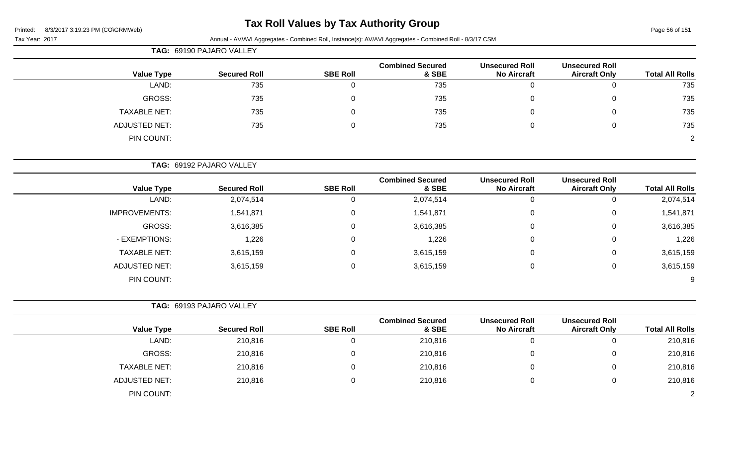### **Tax Roll Values by Tax Authority Group**

| Page 56 of 151 |  |  |
|----------------|--|--|
|                |  |  |

| 8/3/2017 3:19:23 PM (CO\GRMWeb)<br>Printed: |                          |                 | <b>I AX KOIL VAILLES DY TAX AULITOITLY GIOUP</b>                                                        |                                             |                                               | Page 56 of 151         |
|---------------------------------------------|--------------------------|-----------------|---------------------------------------------------------------------------------------------------------|---------------------------------------------|-----------------------------------------------|------------------------|
| Tax Year: 2017                              |                          |                 | Annual - AV/AVI Aggregates - Combined Roll, Instance(s): AV/AVI Aggregates - Combined Roll - 8/3/17 CSM |                                             |                                               |                        |
|                                             | TAG: 69190 PAJARO VALLEY |                 |                                                                                                         |                                             |                                               |                        |
| <b>Value Type</b>                           | <b>Secured Roll</b>      | <b>SBE Roll</b> | <b>Combined Secured</b><br>& SBE                                                                        | <b>Unsecured Roll</b><br><b>No Aircraft</b> | <b>Unsecured Roll</b><br><b>Aircraft Only</b> | <b>Total All Rolls</b> |
| LAND:                                       | 735                      | $\mathbf 0$     | 735                                                                                                     | $\mathbf 0$                                 | 0                                             | 735                    |
| <b>GROSS:</b>                               | 735                      | 0               | 735                                                                                                     | 0                                           | 0                                             | 735                    |
| <b>TAXABLE NET:</b>                         | 735                      | 0               | 735                                                                                                     | 0                                           | 0                                             | 735                    |
| <b>ADJUSTED NET:</b>                        | 735                      | 0               | 735                                                                                                     | 0                                           | $\mathbf 0$                                   | 735                    |
| PIN COUNT:                                  |                          |                 |                                                                                                         |                                             |                                               | 2                      |
|                                             | TAG: 69192 PAJARO VALLEY |                 |                                                                                                         |                                             |                                               |                        |
| <b>Value Type</b>                           | <b>Secured Roll</b>      | <b>SBE Roll</b> | <b>Combined Secured</b><br>& SBE                                                                        | <b>Unsecured Roll</b><br><b>No Aircraft</b> | <b>Unsecured Roll</b><br><b>Aircraft Only</b> | <b>Total All Rolls</b> |
| LAND:                                       | 2,074,514                | 0               | 2,074,514                                                                                               | $\mathbf 0$                                 | 0                                             | 2,074,514              |
| <b>IMPROVEMENTS:</b>                        | 1,541,871                | 0               | 1,541,871                                                                                               | 0                                           | 0                                             | 1,541,871              |
| <b>GROSS:</b>                               | 3,616,385                | 0               | 3,616,385                                                                                               | 0                                           | 0                                             | 3,616,385              |
| - EXEMPTIONS:                               | 1,226                    | 0               | 1,226                                                                                                   | 0                                           | 0                                             | 1,226                  |
| <b>TAXABLE NET:</b>                         | 3,615,159                | 0               | 3,615,159                                                                                               | 0                                           | 0                                             | 3,615,159              |
| <b>ADJUSTED NET:</b>                        | 3,615,159                | 0               | 3,615,159                                                                                               | 0                                           | 0                                             | 3,615,159              |
| PIN COUNT:                                  |                          |                 |                                                                                                         |                                             |                                               |                        |
|                                             | TAG: 69193 PAJARO VALLEY |                 |                                                                                                         |                                             |                                               |                        |
| <b>Value Type</b>                           | <b>Secured Roll</b>      | <b>SBE Roll</b> | <b>Combined Secured</b><br>& SBE                                                                        | <b>Unsecured Roll</b><br><b>No Aircraft</b> | <b>Unsecured Roll</b><br><b>Aircraft Only</b> | <b>Total All Rolls</b> |
| LAND:                                       | 210,816                  | 0               | 210,816                                                                                                 | $\Omega$                                    | 0                                             | 210,816                |
| GROSS:                                      | 210,816                  | $\mathbf 0$     | 210,816                                                                                                 | 0                                           | 0                                             | 210,816                |
| TAXABLE NET:                                | 210,816                  | $\mathbf{0}$    | 210,816                                                                                                 | 0                                           | 0                                             | 210,816                |
| ADJUSTED NET:                               | 210,816                  | 0               | 210,816                                                                                                 | 0                                           | 0                                             | 210,816                |
| PIN COUNT:                                  |                          |                 |                                                                                                         |                                             |                                               | $\overline{c}$         |
|                                             |                          |                 |                                                                                                         |                                             |                                               |                        |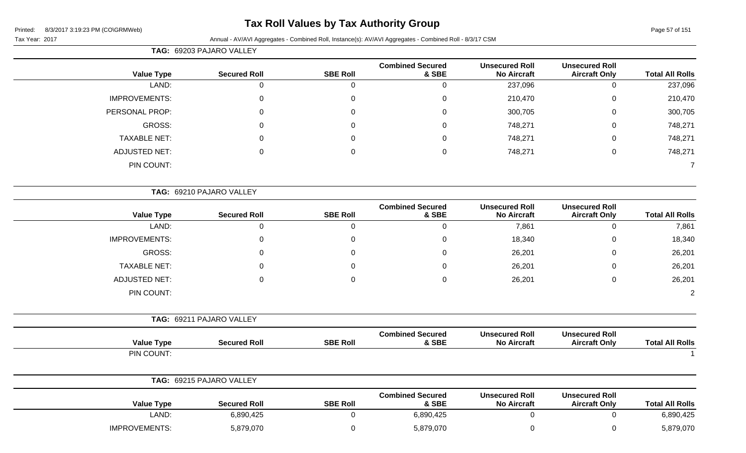### **Tax Roll Values by Tax Authority Group**

|                        |                                               |                                             |                                  |                  | TAG: 69203 PAJARO VALLEY |                      |
|------------------------|-----------------------------------------------|---------------------------------------------|----------------------------------|------------------|--------------------------|----------------------|
| <b>Total All Rolls</b> | <b>Unsecured Roll</b><br><b>Aircraft Only</b> | <b>Unsecured Roll</b><br><b>No Aircraft</b> | <b>Combined Secured</b><br>& SBE | <b>SBE Roll</b>  | <b>Secured Roll</b>      | <b>Value Type</b>    |
| 237,096                | $\mathbf 0$                                   | 237,096                                     | $\mathbf 0$                      | $\overline{0}$   | $\mathbf{0}$             | LAND:                |
| 210,470                | $\boldsymbol{0}$                              | 210,470                                     | $\boldsymbol{0}$                 | 0                | $\mathbf 0$              | <b>IMPROVEMENTS:</b> |
| 300,705                | $\boldsymbol{0}$                              | 300,705                                     | 0                                | 0                | 0                        | PERSONAL PROP:       |
| 748,271                | $\Omega$                                      | 748,271                                     | 0                                | $\Omega$         | 0                        | <b>GROSS:</b>        |
| 748,271                | $\mathbf 0$                                   | 748,271                                     | 0                                | $\Omega$         | ∩                        | <b>TAXABLE NET:</b>  |
| 748,271                | $\boldsymbol{0}$                              | 748,271                                     | $\boldsymbol{0}$                 | $\mathbf 0$      | $\Omega$                 | <b>ADJUSTED NET:</b> |
| $\overline{7}$         |                                               |                                             |                                  |                  |                          | PIN COUNT:           |
|                        |                                               |                                             |                                  |                  | TAG: 69210 PAJARO VALLEY |                      |
| <b>Total All Rolls</b> | <b>Unsecured Roll</b><br><b>Aircraft Only</b> | <b>Unsecured Roll</b><br><b>No Aircraft</b> | <b>Combined Secured</b><br>& SBE | <b>SBE Roll</b>  | <b>Secured Roll</b>      | <b>Value Type</b>    |
| 7,861                  | $\boldsymbol{0}$                              | 7,861                                       | $\mathbf 0$                      | $\pmb{0}$        | $\mathbf 0$              | LAND:                |
| 18,340                 | $\boldsymbol{0}$                              | 18,340                                      | 0                                | 0                | $\mathbf 0$              | <b>IMPROVEMENTS:</b> |
| 26,201                 | 0                                             | 26,201                                      | 0                                | 0                | 0                        | <b>GROSS:</b>        |
| 26,201                 | 0                                             | 26,201                                      | $\Omega$                         | 0                | 0                        | <b>TAXABLE NET:</b>  |
| 26,201                 | $\mathbf 0$                                   | 26,201                                      | 0                                | $\Omega$         | $\Omega$                 | <b>ADJUSTED NET:</b> |
| $\overline{2}$         |                                               |                                             |                                  |                  |                          | PIN COUNT:           |
|                        |                                               |                                             |                                  |                  | TAG: 69211 PAJARO VALLEY |                      |
| <b>Total All Rolls</b> | <b>Unsecured Roll</b><br><b>Aircraft Only</b> | <b>Unsecured Roll</b><br><b>No Aircraft</b> | <b>Combined Secured</b><br>& SBE | <b>SBE Roll</b>  | <b>Secured Roll</b>      | <b>Value Type</b>    |
| $\overline{1}$         |                                               |                                             |                                  |                  |                          | PIN COUNT:           |
|                        |                                               |                                             |                                  |                  | TAG: 69215 PAJARO VALLEY |                      |
| <b>Total All Rolls</b> | <b>Unsecured Roll</b><br><b>Aircraft Only</b> | <b>Unsecured Roll</b><br><b>No Aircraft</b> | <b>Combined Secured</b><br>& SBE | <b>SBE Roll</b>  | <b>Secured Roll</b>      | <b>Value Type</b>    |
| 6,890,425              | $\mathbf 0$                                   | $\mathbf 0$                                 | 6,890,425                        | $\mathbf 0$      | 6,890,425                | LAND:                |
| 5,879,070              | 0                                             | $\mathbf 0$                                 | 5,879,070                        | $\boldsymbol{0}$ | 5,879,070                | <b>IMPROVEMENTS:</b> |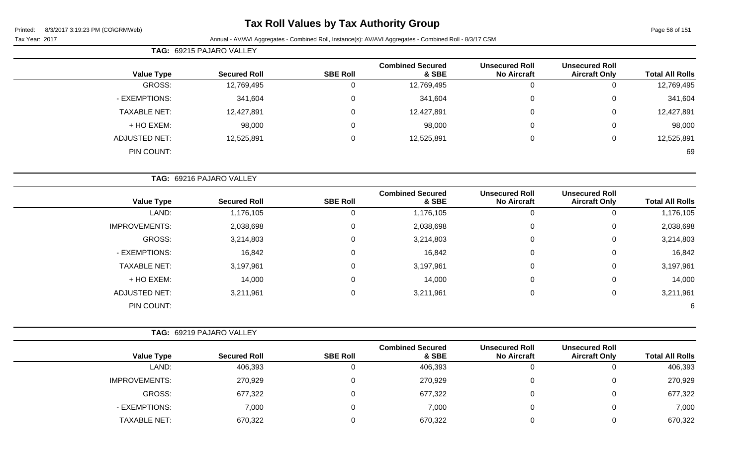### **Tax Roll Values by Tax Authority Group**

Page 58 of 151

|                      | TAG: 69215 PAJARO VALLEY        |                 |                                  |                                             |                                               |                        |
|----------------------|---------------------------------|-----------------|----------------------------------|---------------------------------------------|-----------------------------------------------|------------------------|
| <b>Value Type</b>    | <b>Secured Roll</b>             | <b>SBE Roll</b> | <b>Combined Secured</b><br>& SBE | <b>Unsecured Roll</b><br><b>No Aircraft</b> | <b>Unsecured Roll</b><br><b>Aircraft Only</b> | <b>Total All Rolls</b> |
| GROSS:               | 12,769,495                      | U               | 12,769,495                       | 0                                           | 0                                             | 12,769,495             |
| - EXEMPTIONS:        | 341,604                         | $\Omega$        | 341,604                          | 0                                           | 0                                             | 341,604                |
| <b>TAXABLE NET:</b>  | 12,427,891                      | 0               | 12,427,891                       | 0                                           | 0                                             | 12,427,891             |
| + HO EXEM:           | 98,000                          | 0               | 98,000                           | $\mathbf 0$                                 | $\overline{0}$                                | 98,000                 |
| <b>ADJUSTED NET:</b> | 12,525,891                      | $\mathbf{0}$    | 12,525,891                       | 0                                           | $\mathbf 0$                                   | 12,525,891             |
| PIN COUNT:           |                                 |                 |                                  |                                             |                                               | 69                     |
|                      |                                 |                 |                                  |                                             |                                               |                        |
|                      | <b>TAG: 69216 PAJARO VALLEY</b> |                 |                                  |                                             |                                               |                        |

| <b>Combined Secured</b> |                 |                     |                      |
|-------------------------|-----------------|---------------------|----------------------|
| & SBE                   | <b>SBE Roll</b> | <b>Secured Roll</b> | <b>Value Type</b>    |
| 1,176,105               | U               | 1,176,105           | LAND:                |
| 2,038,698               | 0               | 2,038,698           | <b>IMPROVEMENTS:</b> |
| 3,214,803               | 0               | 3,214,803           | GROSS:               |
| 16,842                  | 0               | 16,842              | - EXEMPTIONS:        |
| 3,197,961               | 0               | 3,197,961           | <b>TAXABLE NET:</b>  |
| 14,000                  | 0               | 14,000              | + HO EXEM:           |
| 3,211,961               | 0               | 3,211,961           | <b>ADJUSTED NET:</b> |
|                         |                 |                     | PIN COUNT:           |
|                         |                 |                     |                      |

|                      | TAG: 69219 PAJARO VALLEY |                 |                                  |                                             |                                               |                        |
|----------------------|--------------------------|-----------------|----------------------------------|---------------------------------------------|-----------------------------------------------|------------------------|
| <b>Value Type</b>    | <b>Secured Roll</b>      | <b>SBE Roll</b> | <b>Combined Secured</b><br>& SBE | <b>Unsecured Roll</b><br><b>No Aircraft</b> | <b>Unsecured Roll</b><br><b>Aircraft Only</b> | <b>Total All Rolls</b> |
| LAND:                | 406,393                  |                 | 406,393                          | U                                           | 0                                             | 406,393                |
| <b>IMPROVEMENTS:</b> | 270,929                  |                 | 270,929                          | 0                                           | 0                                             | 270,929                |
| GROSS:               | 677,322                  |                 | 677,322                          | 0                                           | 0                                             | 677,322                |
| - EXEMPTIONS:        | 7,000                    |                 | 7,000                            | 0                                           | 0                                             | 7,000                  |
| <b>TAXABLE NET:</b>  | 670,322                  |                 | 670,322                          | C                                           | 0                                             | 670,322                |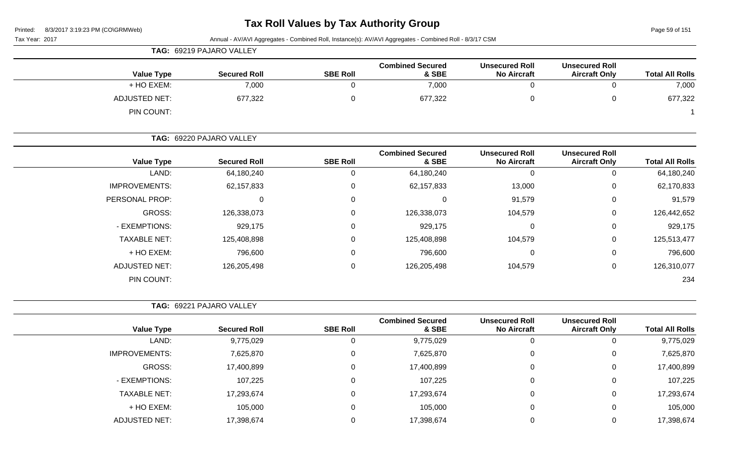# **Tax Roll Values by Tax Authority Group**

Page 59 of 151

|                        |                                               |                                             | Annual - AV/AVI Aggregates - Combined Roll, Instance(s): AV/AVI Aggregates - Combined Roll - 8/3/17 CSM |                 |                          | Tax Year: 2017       |
|------------------------|-----------------------------------------------|---------------------------------------------|---------------------------------------------------------------------------------------------------------|-----------------|--------------------------|----------------------|
|                        |                                               |                                             |                                                                                                         |                 | TAG: 69219 PAJARO VALLEY |                      |
| <b>Total All Rolls</b> | <b>Unsecured Roll</b><br><b>Aircraft Only</b> | <b>Unsecured Roll</b><br><b>No Aircraft</b> | <b>Combined Secured</b><br>& SBE                                                                        | <b>SBE Roll</b> | <b>Secured Roll</b>      | <b>Value Type</b>    |
| 7,000                  | 0                                             | $\mathbf 0$                                 | 7,000                                                                                                   | 0               | 7,000                    | + HO EXEM:           |
| 677,322                | 0                                             | 0                                           | 677,322                                                                                                 | 0               | 677,322                  | <b>ADJUSTED NET:</b> |
|                        |                                               |                                             |                                                                                                         |                 |                          | PIN COUNT:           |
|                        |                                               |                                             |                                                                                                         |                 | TAG: 69220 PAJARO VALLEY |                      |
| <b>Total All Rolls</b> | <b>Unsecured Roll</b><br><b>Aircraft Only</b> | <b>Unsecured Roll</b><br><b>No Aircraft</b> | <b>Combined Secured</b><br>& SBE                                                                        | <b>SBE Roll</b> | <b>Secured Roll</b>      | <b>Value Type</b>    |
| 64,180,240             | 0                                             | $\mathbf 0$                                 | 64,180,240                                                                                              | $\mathbf 0$     | 64,180,240               | LAND:                |
| 62,170,833             | 0                                             | 13,000                                      | 62,157,833                                                                                              | 0               | 62, 157, 833             | <b>IMPROVEMENTS:</b> |
| 91,579                 | 0                                             | 91,579                                      | 0                                                                                                       | 0               | $\mathbf{0}$             | PERSONAL PROP:       |
| 126,442,652            | 0                                             | 104,579                                     | 126,338,073                                                                                             | 0               | 126,338,073              | <b>GROSS:</b>        |
| 929,175                | 0                                             | 0                                           | 929,175                                                                                                 | 0               | 929,175                  | - EXEMPTIONS:        |
| 125,513,477            | 0                                             | 104,579                                     | 125,408,898                                                                                             | 0               | 125,408,898              | <b>TAXABLE NET:</b>  |
| 796,600                | 0                                             | 0                                           | 796,600                                                                                                 | 0               | 796,600                  | + HO EXEM:           |
| 126,310,077            | 0                                             | 104,579                                     | 126,205,498                                                                                             | $\mathbf 0$     | 126,205,498              | <b>ADJUSTED NET:</b> |
| 234                    |                                               |                                             |                                                                                                         |                 |                          | PIN COUNT:           |
|                        |                                               |                                             |                                                                                                         |                 | TAG: 69221 PAJARO VALLEY |                      |
| <b>Total All Rolls</b> | <b>Unsecured Roll</b><br><b>Aircraft Only</b> | <b>Unsecured Roll</b><br><b>No Aircraft</b> | <b>Combined Secured</b><br>& SBE                                                                        | <b>SBE Roll</b> | <b>Secured Roll</b>      | <b>Value Type</b>    |
| 9,775,029              | 0                                             | $\mathbf 0$                                 | 9,775,029                                                                                               | 0               | 9,775,029                | LAND:                |
| 7,625,870              | 0                                             | 0                                           | 7,625,870                                                                                               | 0               | 7,625,870                | <b>IMPROVEMENTS:</b> |
| 17,400,899             | $\boldsymbol{0}$                              | $\mathbf 0$                                 | 17,400,899                                                                                              | $\pmb{0}$       | 17,400,899               | <b>GROSS:</b>        |
| 107,225                | 0                                             | $\mathbf 0$                                 | 107,225                                                                                                 | $\pmb{0}$       | 107,225                  | - EXEMPTIONS:        |
| 17,293,674             | 0                                             | $\mathbf 0$                                 | 17,293,674                                                                                              | 0               | 17,293,674               | <b>TAXABLE NET:</b>  |
| 105,000                | 0                                             | $\mathbf 0$                                 | 105,000                                                                                                 | 0               | 105,000                  | + HO EXEM:           |
| 17,398,674             | $\pmb{0}$                                     | $\mathbf 0$                                 | 17,398,674                                                                                              | $\mathbf 0$     | 17,398,674               | <b>ADJUSTED NET:</b> |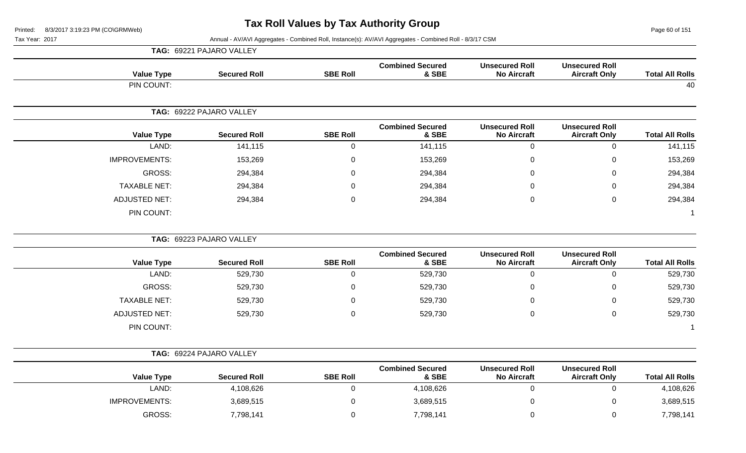Page 60 of 151

|                      | TAG: 69221 PAJARO VALLEY |                  |                                  |                                             |                                               |                        |
|----------------------|--------------------------|------------------|----------------------------------|---------------------------------------------|-----------------------------------------------|------------------------|
| <b>Value Type</b>    | <b>Secured Roll</b>      | <b>SBE Roll</b>  | <b>Combined Secured</b><br>& SBE | <b>Unsecured Roll</b><br><b>No Aircraft</b> | <b>Unsecured Roll</b><br><b>Aircraft Only</b> | <b>Total All Rolls</b> |
| PIN COUNT:           |                          |                  |                                  |                                             |                                               | 40                     |
|                      | TAG: 69222 PAJARO VALLEY |                  |                                  |                                             |                                               |                        |
| <b>Value Type</b>    | <b>Secured Roll</b>      | <b>SBE Roll</b>  | <b>Combined Secured</b><br>& SBE | <b>Unsecured Roll</b><br><b>No Aircraft</b> | <b>Unsecured Roll</b><br><b>Aircraft Only</b> | <b>Total All Rolls</b> |
| LAND:                | 141,115                  | $\mathbf 0$      | 141,115                          | $\overline{0}$                              | $\mathbf 0$                                   | 141,115                |
| <b>IMPROVEMENTS:</b> | 153,269                  | $\mathbf 0$      | 153,269                          | $\boldsymbol{0}$                            | $\mathbf 0$                                   | 153,269                |
| <b>GROSS:</b>        | 294,384                  | $\mathbf 0$      | 294,384                          | 0                                           | $\mathbf 0$                                   | 294,384                |
| <b>TAXABLE NET:</b>  | 294,384                  | $\mathbf 0$      | 294,384                          | $\overline{0}$                              | $\mathbf 0$                                   | 294,384                |
| <b>ADJUSTED NET:</b> | 294,384                  | $\pmb{0}$        | 294,384                          | 0                                           | $\mathbf 0$                                   | 294,384                |
| PIN COUNT:           |                          |                  |                                  |                                             |                                               | $\overline{1}$         |
|                      | TAG: 69223 PAJARO VALLEY |                  |                                  |                                             |                                               |                        |
| <b>Value Type</b>    | <b>Secured Roll</b>      | <b>SBE Roll</b>  | <b>Combined Secured</b><br>& SBE | <b>Unsecured Roll</b><br><b>No Aircraft</b> | <b>Unsecured Roll</b><br><b>Aircraft Only</b> | <b>Total All Rolls</b> |
| LAND:                | 529,730                  | $\mathbf 0$      | 529,730                          | $\overline{0}$                              | $\mathbf 0$                                   | 529,730                |
| <b>GROSS:</b>        | 529,730                  | $\mathsf 0$      | 529,730                          | $\overline{0}$                              | $\mathbf 0$                                   | 529,730                |
| <b>TAXABLE NET:</b>  | 529,730                  | $\pmb{0}$        | 529,730                          | 0                                           | $\mathbf 0$                                   | 529,730                |
| <b>ADJUSTED NET:</b> | 529,730                  | $\mathbf 0$      | 529,730                          | $\mathbf 0$                                 | $\mathbf 0$                                   | 529,730                |
| PIN COUNT:           |                          |                  |                                  |                                             |                                               | $\overline{1}$         |
|                      | TAG: 69224 PAJARO VALLEY |                  |                                  |                                             |                                               |                        |
| <b>Value Type</b>    | <b>Secured Roll</b>      | <b>SBE Roll</b>  | <b>Combined Secured</b><br>& SBE | <b>Unsecured Roll</b><br><b>No Aircraft</b> | <b>Unsecured Roll</b><br><b>Aircraft Only</b> | <b>Total All Rolls</b> |
| LAND:                | 4,108,626                | $\boldsymbol{0}$ | 4,108,626                        | $\mathbf 0$                                 | $\mathbf 0$                                   | 4,108,626              |
| <b>IMPROVEMENTS:</b> | 3,689,515                | $\mathbf 0$      | 3,689,515                        | 0                                           | 0                                             | 3,689,515              |
| <b>GROSS:</b>        | 7,798,141                | $\mathbf 0$      | 7,798,141                        | $\overline{0}$                              | $\Omega$                                      | 7,798,141              |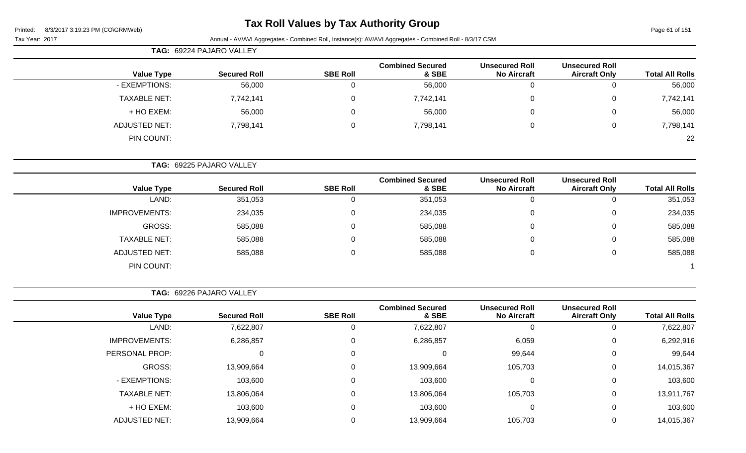### **Tax Roll Values by Tax Authority Group**

Page 61 of 151

Tax Year: 2017 **Annual - AV/AVI Aggregates - Combined Roll**, Instance(s): AV/AVI Aggregates - Combined Roll - 8/3/17 CSM

|                     | TAG: 69224 PAJARO VALLEY |                 |                                  |                                             |                                               |                        |
|---------------------|--------------------------|-----------------|----------------------------------|---------------------------------------------|-----------------------------------------------|------------------------|
| <b>Value Type</b>   | <b>Secured Roll</b>      | <b>SBE Roll</b> | <b>Combined Secured</b><br>& SBE | <b>Unsecured Roll</b><br><b>No Aircraft</b> | <b>Unsecured Roll</b><br><b>Aircraft Only</b> | <b>Total All Rolls</b> |
| - EXEMPTIONS:       | 56,000                   | J               | 56,000                           | $\overline{0}$                              |                                               | 56,000                 |
| <b>TAXABLE NET:</b> | 7,742,141                | 0               | 7,742,141                        | 0                                           | 0                                             | 7,742,141              |
| + HO EXEM:          | 56,000                   | 0               | 56,000                           | 0                                           |                                               | 56,000                 |
| ADJUSTED NET:       | 7,798,141                | 0               | 7,798,141                        | 0                                           | 0                                             | 7,798,141              |
| PIN COUNT:          |                          |                 |                                  |                                             |                                               | 22                     |

**TAG:** 69225 PAJARO VALLEY

|                      |                     |                 | <b>Combined Secured</b> | <b>Unsecured Roll</b> | <b>Unsecured Roll</b> |                        |
|----------------------|---------------------|-----------------|-------------------------|-----------------------|-----------------------|------------------------|
| <b>Value Type</b>    | <b>Secured Roll</b> | <b>SBE Roll</b> | & SBE                   | <b>No Aircraft</b>    | <b>Aircraft Only</b>  | <b>Total All Rolls</b> |
| LAND:                | 351,053             | $\overline{0}$  | 351,053                 |                       | U                     | 351,053                |
| <b>IMPROVEMENTS:</b> | 234,035             | $\mathbf{0}$    | 234,035                 | U                     | 0                     | 234,035                |
| GROSS:               | 585,088             | 0               | 585,088                 |                       | 0                     | 585,088                |
| <b>TAXABLE NET:</b>  | 585,088             | $\mathbf{0}$    | 585,088                 |                       | 0                     | 585,088                |
| <b>ADJUSTED NET:</b> | 585,088             | $\overline{0}$  | 585,088                 | U                     | 0                     | 585,088                |
| PIN COUNT:           |                     |                 |                         |                       |                       |                        |

**TAG:** 69226 PAJARO VALLEY

|                      |                     |                 | <b>Combined Secured</b> | <b>Unsecured Roll</b> | <b>Unsecured Roll</b> |                        |
|----------------------|---------------------|-----------------|-------------------------|-----------------------|-----------------------|------------------------|
| <b>Value Type</b>    | <b>Secured Roll</b> | <b>SBE Roll</b> | & SBE                   | <b>No Aircraft</b>    | <b>Aircraft Only</b>  | <b>Total All Rolls</b> |
| LAND:                | 7,622,807           | υ               | 7,622,807               | 0                     | U                     | 7,622,807              |
| <b>IMPROVEMENTS:</b> | 6,286,857           | 0               | 6,286,857               | 6,059                 | 0                     | 6,292,916              |
| PERSONAL PROP:       |                     | 0               |                         | 99,644                | 0                     | 99,644                 |
| GROSS:               | 13,909,664          | 0               | 13,909,664              | 105,703               | 0                     | 14,015,367             |
| - EXEMPTIONS:        | 103,600             | 0               | 103,600                 | $\Omega$              | 0                     | 103,600                |
| <b>TAXABLE NET:</b>  | 13,806,064          | 0               | 13,806,064              | 105,703               | $\mathbf 0$           | 13,911,767             |
| + HO EXEM:           | 103,600             | 0               | 103,600                 | $\Omega$              | 0                     | 103,600                |
| <b>ADJUSTED NET:</b> | 13,909,664          |                 | 13,909,664              | 105,703               | $\Omega$              | 14,015,367             |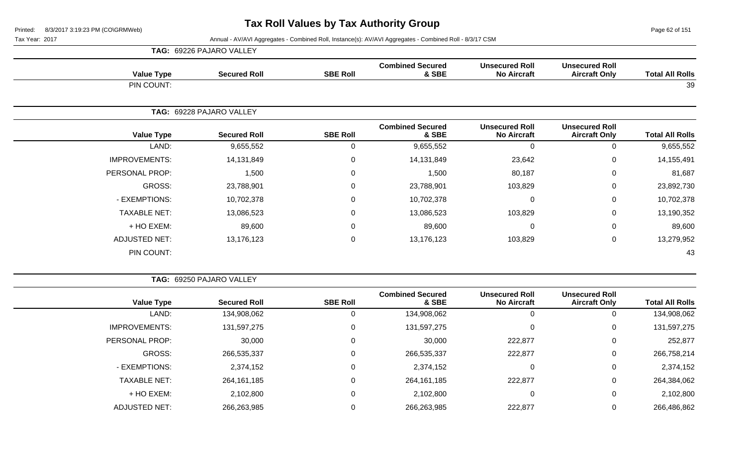Page 62 of 151

|                      | TAG: 69226 PAJARO VALLEY |            |                 |                                  |                                             |                                               |                        |
|----------------------|--------------------------|------------|-----------------|----------------------------------|---------------------------------------------|-----------------------------------------------|------------------------|
| <b>Value Type</b>    | <b>Secured Roll</b>      |            | <b>SBE Roll</b> | <b>Combined Secured</b><br>& SBE | <b>Unsecured Roll</b><br><b>No Aircraft</b> | <b>Unsecured Roll</b><br><b>Aircraft Only</b> | <b>Total All Rolls</b> |
| PIN COUNT:           |                          |            |                 |                                  |                                             |                                               | 39                     |
|                      | TAG: 69228 PAJARO VALLEY |            |                 |                                  |                                             |                                               |                        |
| <b>Value Type</b>    | <b>Secured Roll</b>      |            | <b>SBE Roll</b> | <b>Combined Secured</b><br>& SBE | <b>Unsecured Roll</b><br><b>No Aircraft</b> | <b>Unsecured Roll</b><br><b>Aircraft Only</b> | <b>Total All Rolls</b> |
| LAND:                |                          | 9,655,552  | 0               | 9,655,552                        | $\Omega$                                    | 0                                             | 9,655,552              |
| <b>IMPROVEMENTS:</b> |                          | 14,131,849 | $\mathbf 0$     | 14,131,849                       | 23,642                                      | $\mathbf 0$                                   | 14,155,491             |
| PERSONAL PROP:       |                          | 1,500      | 0               | 1,500                            | 80,187                                      | $\mathbf 0$                                   | 81,687                 |
| GROSS:               | 23,788,901               |            | $\mathbf 0$     | 23,788,901                       | 103,829                                     | $\mathbf 0$                                   | 23,892,730             |
| - EXEMPTIONS:        |                          | 10,702,378 | 0               | 10,702,378                       |                                             | $\mathbf 0$                                   | 10,702,378             |
| <b>TAXABLE NET:</b>  |                          | 13,086,523 | 0               | 13,086,523                       | 103,829                                     | $\mathbf 0$                                   | 13,190,352             |
| + HO EXEM:           |                          | 89,600     | $\mathbf 0$     | 89,600                           | $\Omega$                                    | $\mathbf 0$                                   | 89,600                 |
| <b>ADJUSTED NET:</b> |                          | 13,176,123 | $\pmb{0}$       | 13,176,123                       | 103,829                                     | $\mathbf 0$                                   | 13,279,952             |
| PIN COUNT:           |                          |            |                 |                                  |                                             |                                               | 43                     |

|                        | <b>Unsecured Roll</b> | <b>Unsecured Roll</b> | <b>Combined Secured</b> |                 |                     |                      |
|------------------------|-----------------------|-----------------------|-------------------------|-----------------|---------------------|----------------------|
| <b>Total All Rolls</b> | <b>Aircraft Only</b>  | <b>No Aircraft</b>    | & SBE                   | <b>SBE Roll</b> | <b>Secured Roll</b> | <b>Value Type</b>    |
| 134,908,062            | 0                     |                       | 134,908,062             | 0               | 134,908,062         | LAND:                |
| 131,597,275            | 0                     | 0                     | 131,597,275             | 0               | 131,597,275         | <b>IMPROVEMENTS:</b> |
| 252,877                | 0                     | 222,877               | 30,000                  | 0               | 30,000              | PERSONAL PROP:       |
| 266,758,214            | 0                     | 222,877               | 266,535,337             | 0               | 266,535,337         | GROSS:               |
| 2,374,152              | 0                     | 0                     | 2,374,152               | 0               | 2,374,152           | - EXEMPTIONS:        |
| 264,384,062            | 0                     | 222,877               | 264,161,185             | 0               | 264,161,185         | <b>TAXABLE NET:</b>  |
| 2,102,800              | 0                     | 0                     | 2,102,800               | 0               | 2,102,800           | + HO EXEM:           |
| 266,486,862            | 0                     | 222,877               | 266,263,985             | 0               | 266,263,985         | <b>ADJUSTED NET:</b> |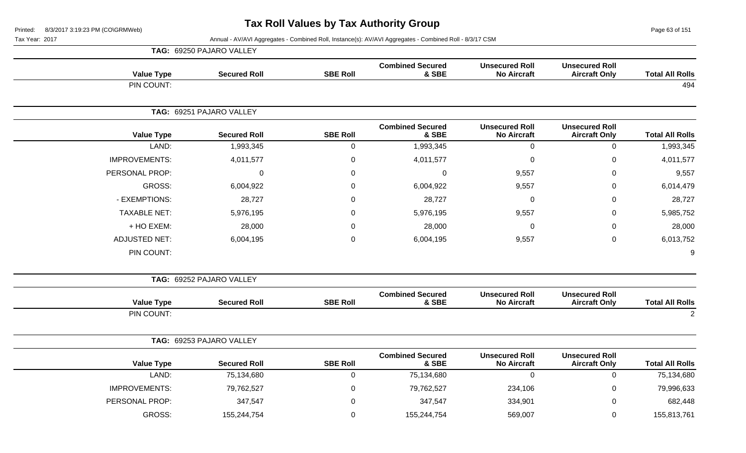Page 63 of 151

|                        |                                               |                                             |                                  | TAG: 69250 PAJARO VALLEY |                          |                      |  |  |
|------------------------|-----------------------------------------------|---------------------------------------------|----------------------------------|--------------------------|--------------------------|----------------------|--|--|
| <b>Total All Rolls</b> | <b>Unsecured Roll</b><br><b>Aircraft Only</b> | <b>Unsecured Roll</b><br><b>No Aircraft</b> | <b>Combined Secured</b><br>& SBE | <b>SBE Roll</b>          | <b>Secured Roll</b>      | <b>Value Type</b>    |  |  |
| 494                    |                                               |                                             |                                  |                          |                          | PIN COUNT:           |  |  |
|                        |                                               |                                             |                                  |                          | TAG: 69251 PAJARO VALLEY |                      |  |  |
| <b>Total All Rolls</b> | <b>Unsecured Roll</b><br><b>Aircraft Only</b> | <b>Unsecured Roll</b><br><b>No Aircraft</b> | <b>Combined Secured</b><br>& SBE | <b>SBE Roll</b>          | <b>Secured Roll</b>      | <b>Value Type</b>    |  |  |
| 1,993,345              | $\mathsf 0$                                   | $\mathbf 0$                                 | 1,993,345                        | $\pmb{0}$                | 1,993,345                | LAND:                |  |  |
| 4,011,577              | $\mathbf 0$                                   | $\mathbf 0$                                 | 4,011,577                        | $\mathbf 0$              | 4,011,577                | <b>IMPROVEMENTS:</b> |  |  |
| 9,557                  | $\overline{0}$                                | 9,557                                       | $\mathbf 0$                      | $\pmb{0}$                | $\mathbf 0$              | PERSONAL PROP:       |  |  |
| 6,014,479              | $\mathbf 0$                                   | 9,557                                       | 6,004,922                        | 0                        | 6,004,922                | <b>GROSS:</b>        |  |  |
| 28,727                 | $\mathbf 0$                                   | 0                                           | 28,727                           | $\mathbf{0}$             | 28,727                   | - EXEMPTIONS:        |  |  |
| 5,985,752              | $\mathbf 0$                                   | 9,557                                       | 5,976,195                        | $\mathbf 0$              | 5,976,195                | <b>TAXABLE NET:</b>  |  |  |
| 28,000                 | $\mathbf 0$                                   | 0                                           | 28,000                           | $\mathbf 0$              | 28,000                   | + HO EXEM:           |  |  |
| 6,013,752              | $\mathbf 0$                                   | 9,557                                       | 6,004,195                        | $\boldsymbol{0}$         | 6,004,195                | <b>ADJUSTED NET:</b> |  |  |
| 9                      |                                               |                                             |                                  |                          |                          | PIN COUNT:           |  |  |
|                        |                                               |                                             |                                  |                          | TAG: 69252 PAJARO VALLEY |                      |  |  |
| <b>Total All Rolls</b> | <b>Unsecured Roll</b><br><b>Aircraft Only</b> | <b>Unsecured Roll</b><br><b>No Aircraft</b> | <b>Combined Secured</b><br>& SBE | <b>SBE Roll</b>          | <b>Secured Roll</b>      | <b>Value Type</b>    |  |  |
| $\sqrt{2}$             |                                               |                                             |                                  |                          |                          | PIN COUNT:           |  |  |
|                        |                                               |                                             |                                  |                          | TAG: 69253 PAJARO VALLEY |                      |  |  |
| <b>Total All Rolls</b> | <b>Unsecured Roll</b><br><b>Aircraft Only</b> | <b>Unsecured Roll</b><br><b>No Aircraft</b> | <b>Combined Secured</b><br>& SBE | <b>SBE Roll</b>          | <b>Secured Roll</b>      | <b>Value Type</b>    |  |  |
| 75,134,680             | $\pmb{0}$                                     | $\overline{0}$                              | 75,134,680                       | $\pmb{0}$                | 75,134,680               | LAND:                |  |  |
| 79,996,633             | $\mathbf 0$                                   | 234,106                                     | 79,762,527                       | $\boldsymbol{0}$         | 79,762,527               | <b>IMPROVEMENTS:</b> |  |  |
| 682,448                | $\mathbf 0$                                   | 334,901                                     | 347,547                          | $\overline{0}$           | 347,547                  | PERSONAL PROP:       |  |  |
| 155,813,761            | $\mathbf 0$                                   | 569,007                                     | 155,244,754                      | $\mathbf 0$              | 155,244,754              | <b>GROSS:</b>        |  |  |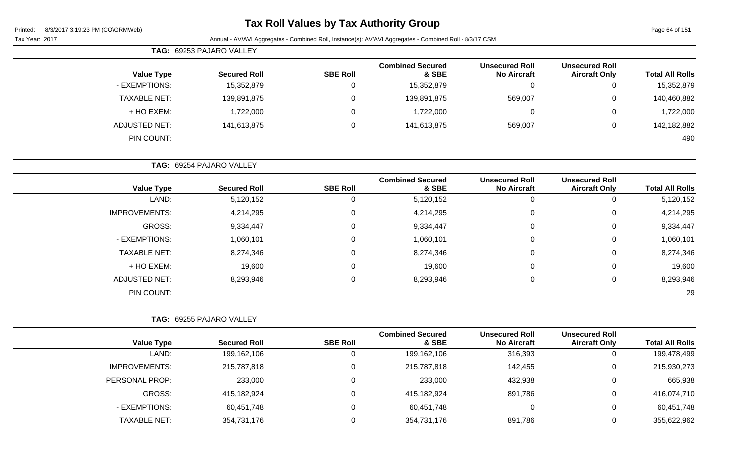### **Tax Roll Values by Tax Authority Group**

Page 64 of 151

Tax Year: 2017 Annual - AV/AVI Aggregates - Combined Roll, Instance(s): AV/AVI Aggregates - Combined Roll - 8/3/17 CSM

| <b>TAG: 69253 PAJARO VALLEY</b> |  |                     |                 |                                  |                                             |                                               |                        |
|---------------------------------|--|---------------------|-----------------|----------------------------------|---------------------------------------------|-----------------------------------------------|------------------------|
| <b>Value Type</b>               |  | <b>Secured Roll</b> | <b>SBE Roll</b> | <b>Combined Secured</b><br>& SBE | <b>Unsecured Roll</b><br><b>No Aircraft</b> | <b>Unsecured Roll</b><br><b>Aircraft Only</b> | <b>Total All Rolls</b> |
| - EXEMPTIONS:                   |  | 15,352,879          |                 | 15,352,879                       | 0                                           |                                               | 15,352,879             |
| <b>TAXABLE NET:</b>             |  | 139,891,875         |                 | 139,891,875                      | 569,007                                     | 0                                             | 140,460,882            |
| + HO EXEM:                      |  | 1,722,000           |                 | 1,722,000                        | 0                                           | 0                                             | 1,722,000              |
| ADJUSTED NET:                   |  | 141,613,875         |                 | 141,613,875                      | 569,007                                     | 0                                             | 142,182,882            |
| PIN COUNT:                      |  |                     |                 |                                  |                                             |                                               | 490                    |

| <b>TAG: 69254 PAJARO VALLEY</b> |                     |                 |                                  |                                             |                                               |                        |
|---------------------------------|---------------------|-----------------|----------------------------------|---------------------------------------------|-----------------------------------------------|------------------------|
| <b>Value Type</b>               | <b>Secured Roll</b> | <b>SBE Roll</b> | <b>Combined Secured</b><br>& SBE | <b>Unsecured Roll</b><br><b>No Aircraft</b> | <b>Unsecured Roll</b><br><b>Aircraft Only</b> | <b>Total All Rolls</b> |
| LAND:                           | 5,120,152           |                 | 5,120,152                        |                                             | 0                                             | 5,120,152              |
| <b>IMPROVEMENTS:</b>            | 4,214,295           | 0               | 4,214,295                        |                                             | 0                                             | 4,214,295              |
| GROSS:                          | 9,334,447           | $\Omega$        | 9,334,447                        |                                             | 0                                             | 9,334,447              |
| - EXEMPTIONS:                   | 1,060,101           | 0               | 1,060,101                        |                                             | 0                                             | 1,060,101              |
| <b>TAXABLE NET:</b>             | 8,274,346           | $\Omega$        | 8,274,346                        |                                             | 0                                             | 8,274,346              |
| + HO EXEM:                      | 19,600              | 0               | 19,600                           |                                             | 0                                             | 19,600                 |
| ADJUSTED NET:                   | 8,293,946           | 0               | 8,293,946                        |                                             | 0                                             | 8,293,946              |

PIN COUNT: 29

| <b>TAG: 69255 PAJARO VALLEY</b> |                     |                 |                                  |                                             |                                               |                        |
|---------------------------------|---------------------|-----------------|----------------------------------|---------------------------------------------|-----------------------------------------------|------------------------|
| <b>Value Type</b>               | <b>Secured Roll</b> | <b>SBE Roll</b> | <b>Combined Secured</b><br>& SBE | <b>Unsecured Roll</b><br><b>No Aircraft</b> | <b>Unsecured Roll</b><br><b>Aircraft Only</b> | <b>Total All Rolls</b> |
| LAND:                           | 199,162,106         | 0               | 199,162,106                      | 316,393                                     | 0                                             | 199,478,499            |
| <b>IMPROVEMENTS:</b>            | 215,787,818         | 0               | 215,787,818                      | 142,455                                     | 0                                             | 215,930,273            |
| PERSONAL PROP:                  | 233,000             | 0               | 233,000                          | 432,938                                     | 0                                             | 665,938                |
| GROSS:                          | 415,182,924         | 0               | 415,182,924                      | 891,786                                     | 0                                             | 416,074,710            |
| - EXEMPTIONS:                   | 60,451,748          | 0               | 60,451,748                       |                                             | 0                                             | 60,451,748             |
| <b>TAXABLE NET:</b>             | 354,731,176         | 0               | 354,731,176                      | 891,786                                     | 0                                             | 355,622,962            |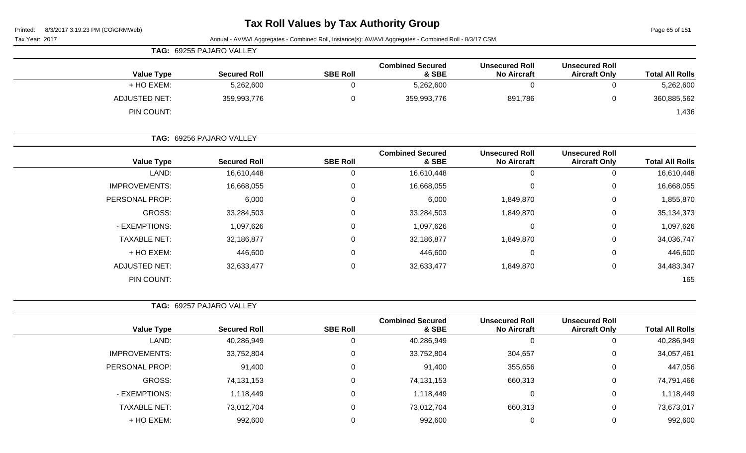|                   | TAG: 69255 PAJARO VALLEY |                 |                                  |                                             |                                               |                        |
|-------------------|--------------------------|-----------------|----------------------------------|---------------------------------------------|-----------------------------------------------|------------------------|
| <b>Value Type</b> | <b>Secured Roll</b>      | <b>SBE Roll</b> | <b>Combined Secured</b><br>& SBE | <b>Unsecured Roll</b><br><b>No Aircraft</b> | <b>Unsecured Roll</b><br><b>Aircraft Only</b> | <b>Total All Rolls</b> |
| + HO EXEM:        | 5,262,600                |                 | 5,262,600                        |                                             | υ                                             | 5,262,600              |
| ADJUSTED NET:     | 359,993,776              |                 | 359,993,776                      | 891,786                                     | 0                                             | 360,885,562            |
| PIN COUNT:        |                          |                 |                                  |                                             |                                               | 1,436                  |

| TAG: 69256 PAJARO VALLEY |                     |                 |                                  |                                             |                                               |                        |
|--------------------------|---------------------|-----------------|----------------------------------|---------------------------------------------|-----------------------------------------------|------------------------|
| <b>Value Type</b>        | <b>Secured Roll</b> | <b>SBE Roll</b> | <b>Combined Secured</b><br>& SBE | <b>Unsecured Roll</b><br><b>No Aircraft</b> | <b>Unsecured Roll</b><br><b>Aircraft Only</b> | <b>Total All Rolls</b> |
| LAND:                    | 16,610,448          | 0               | 16,610,448                       | 0                                           | 0                                             | 16,610,448             |
| <b>IMPROVEMENTS:</b>     | 16,668,055          | $\mathbf 0$     | 16,668,055                       | 0                                           | 0                                             | 16,668,055             |
| PERSONAL PROP:           | 6,000               | 0               | 6,000                            | 1,849,870                                   | 0                                             | 1,855,870              |
| GROSS:                   | 33,284,503          | $\mathbf 0$     | 33,284,503                       | 1,849,870                                   | 0                                             | 35,134,373             |
| - EXEMPTIONS:            | 1,097,626           | 0               | 1,097,626                        | 0                                           | 0                                             | 1,097,626              |
| <b>TAXABLE NET:</b>      | 32,186,877          | $\mathbf 0$     | 32,186,877                       | 1,849,870                                   | $\mathbf 0$                                   | 34,036,747             |
| + HO EXEM:               | 446,600             | $\mathbf 0$     | 446,600                          | 0                                           | $\mathbf 0$                                   | 446,600                |
| <b>ADJUSTED NET:</b>     | 32,633,477          | $\mathbf 0$     | 32,633,477                       | 1,849,870                                   | 0                                             | 34,483,347             |
| PIN COUNT:               |                     |                 |                                  |                                             |                                               | 165                    |

| <b>TAG: 69257 PAJARO VALLEY</b> |
|---------------------------------|
|                                 |

| <b>Value Type</b>    | <b>Secured Roll</b> | <b>SBE Roll</b> | <b>Combined Secured</b><br>& SBE | <b>Unsecured Roll</b><br><b>No Aircraft</b> | <b>Unsecured Roll</b><br><b>Aircraft Only</b> | <b>Total All Rolls</b> |
|----------------------|---------------------|-----------------|----------------------------------|---------------------------------------------|-----------------------------------------------|------------------------|
| LAND:                | 40,286,949          | 0               | 40,286,949                       | 0                                           | U                                             | 40,286,949             |
| <b>IMPROVEMENTS:</b> | 33,752,804          |                 | 33,752,804                       | 304,657                                     | 0                                             | 34,057,461             |
| PERSONAL PROP:       | 91,400              |                 | 91,400                           | 355,656                                     | 0                                             | 447,056                |
| GROSS:               | 74,131,153          | 0               | 74,131,153                       | 660,313                                     | 0                                             | 74,791,466             |
| - EXEMPTIONS:        | 1,118,449           | 0               | 1,118,449                        | 0                                           | 0                                             | 1,118,449              |
| TAXABLE NET:         | 73,012,704          | 0               | 73,012,704                       | 660,313                                     | 0                                             | 73,673,017             |
| + HO EXEM:           | 992,600             |                 | 992,600                          | O                                           | 0                                             | 992,600                |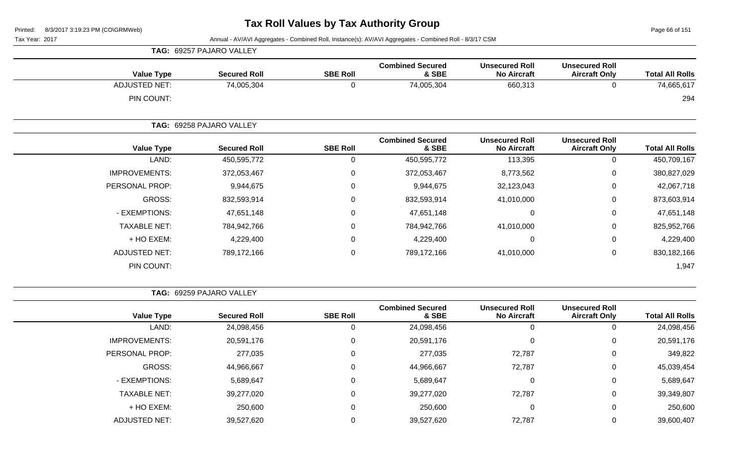Page 66 of 151

Tax Year: 2017 Annual - AV/AVI Aggregates - Combined Roll, Instance(s): AV/AVI Aggregates - Combined Roll - 8/3/17 CSM

|                      | TAG: 69257 PAJARO VALLEY |                 |                                  |                                             |                                               |                        |
|----------------------|--------------------------|-----------------|----------------------------------|---------------------------------------------|-----------------------------------------------|------------------------|
| <b>Value Type</b>    | <b>Secured Roll</b>      | <b>SBE Roll</b> | <b>Combined Secured</b><br>& SBE | <b>Unsecured Roll</b><br><b>No Aircraft</b> | <b>Unsecured Roll</b><br><b>Aircraft Only</b> | <b>Total All Rolls</b> |
| <b>ADJUSTED NET:</b> | 74,005,304               | $\mathbf 0$     | 74,005,304                       | 660,313                                     | 0                                             | 74,665,617             |
| PIN COUNT:           |                          |                 |                                  |                                             |                                               | 294                    |
|                      | TAG: 69258 PAJARO VALLEY |                 |                                  |                                             |                                               |                        |
| <b>Value Type</b>    | <b>Secured Roll</b>      | <b>SBE Roll</b> | <b>Combined Secured</b><br>& SBE | <b>Unsecured Roll</b><br><b>No Aircraft</b> | <b>Unsecured Roll</b><br><b>Aircraft Only</b> | <b>Total All Rolls</b> |
| LAND:                | 450,595,772              | $\mathbf 0$     | 450,595,772                      | 113,395                                     | $\mathbf 0$                                   | 450,709,167            |
| <b>IMPROVEMENTS:</b> | 372,053,467              | $\mathbf 0$     | 372,053,467                      | 8,773,562                                   | $\pmb{0}$                                     | 380,827,029            |
| PERSONAL PROP:       | 9,944,675                | $\mathbf 0$     | 9,944,675                        | 32,123,043                                  | $\mathbf 0$                                   | 42,067,718             |
| GROSS:               | 832,593,914              | $\mathbf 0$     | 832,593,914                      | 41,010,000                                  | $\mathbf 0$                                   | 873,603,914            |
| - EXEMPTIONS:        | 47,651,148               | $\mathbf 0$     | 47,651,148                       | $\mathbf 0$                                 | $\mathbf 0$                                   | 47,651,148             |
| <b>TAXABLE NET:</b>  | 784,942,766              | $\mathbf 0$     | 784,942,766                      | 41,010,000                                  | 0                                             | 825,952,766            |
| + HO EXEM:           | 4,229,400                | $\mathbf 0$     | 4,229,400                        | $\mathbf 0$                                 | 0                                             | 4,229,400              |
| <b>ADJUSTED NET:</b> | 789,172,166              | $\mathbf 0$     | 789,172,166                      | 41,010,000                                  | $\boldsymbol{0}$                              | 830,182,166            |
| PIN COUNT:           |                          |                 |                                  |                                             |                                               | 1,947                  |

**TAG:** 69259 PAJARO VALLEY

| <b>Value Type</b>    | <b>Secured Roll</b> | <b>SBE Roll</b> | <b>Combined Secured</b><br>& SBE | <b>Unsecured Roll</b><br><b>No Aircraft</b> | <b>Unsecured Roll</b><br><b>Aircraft Only</b> | <b>Total All Rolls</b> |
|----------------------|---------------------|-----------------|----------------------------------|---------------------------------------------|-----------------------------------------------|------------------------|
| LAND:                | 24,098,456          |                 | 24,098,456                       | 0                                           | $\overline{0}$                                | 24,098,456             |
| <b>IMPROVEMENTS:</b> | 20,591,176          |                 | 20,591,176                       | $\Omega$                                    | $\mathbf 0$                                   | 20,591,176             |
| PERSONAL PROP:       | 277,035             |                 | 277,035                          | 72,787                                      | 0                                             | 349,822                |
| GROSS:               | 44,966,667          |                 | 44,966,667                       | 72,787                                      | 0                                             | 45,039,454             |
| - EXEMPTIONS:        | 5,689,647           |                 | 5,689,647                        | 0                                           | 0                                             | 5,689,647              |
| <b>TAXABLE NET:</b>  | 39,277,020          |                 | 39,277,020                       | 72,787                                      | $\mathbf 0$                                   | 39,349,807             |
| + HO EXEM:           | 250,600             |                 | 250,600                          | 0                                           | 0                                             | 250,600                |
| <b>ADJUSTED NET:</b> | 39,527,620          |                 | 39,527,620                       | 72,787                                      | 0                                             | 39,600,407             |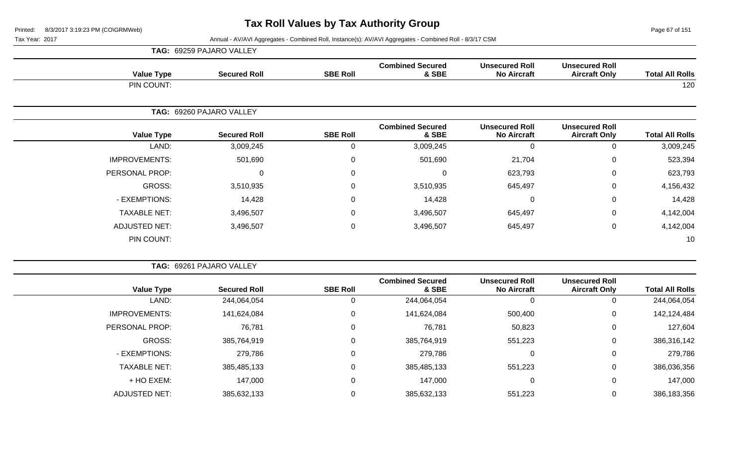Page 67 of 151

|                      | TAG: 69259 PAJARO VALLEY |                 |                                  |                                             |                                               |                        |
|----------------------|--------------------------|-----------------|----------------------------------|---------------------------------------------|-----------------------------------------------|------------------------|
| <b>Value Type</b>    | <b>Secured Roll</b>      | <b>SBE Roll</b> | <b>Combined Secured</b><br>& SBE | <b>Unsecured Roll</b><br><b>No Aircraft</b> | <b>Unsecured Roll</b><br><b>Aircraft Only</b> | <b>Total All Rolls</b> |
| PIN COUNT:           |                          |                 |                                  |                                             |                                               | 120                    |
|                      | TAG: 69260 PAJARO VALLEY |                 |                                  |                                             |                                               |                        |
| <b>Value Type</b>    | <b>Secured Roll</b>      | <b>SBE Roll</b> | <b>Combined Secured</b><br>& SBE | <b>Unsecured Roll</b><br><b>No Aircraft</b> | <b>Unsecured Roll</b><br><b>Aircraft Only</b> | <b>Total All Rolls</b> |
| LAND:                | 3,009,245                | 0               | 3,009,245                        | 0                                           | $\mathbf 0$                                   | 3,009,245              |
| <b>IMPROVEMENTS:</b> | 501,690                  | 0               | 501,690                          | 21,704                                      | 0                                             | 523,394                |
| PERSONAL PROP:       | 0                        | $\mathbf 0$     | $\Omega$                         | 623,793                                     | 0                                             | 623,793                |
| GROSS:               | 3,510,935                | $\mathbf 0$     | 3,510,935                        | 645,497                                     | 0                                             | 4,156,432              |
| - EXEMPTIONS:        | 14,428                   | $\mathbf 0$     | 14,428                           | 0                                           | $\mathbf 0$                                   | 14,428                 |
| <b>TAXABLE NET:</b>  | 3,496,507                | $\mathbf 0$     | 3,496,507                        | 645,497                                     | $\mathbf 0$                                   | 4,142,004              |
| ADJUSTED NET:        | 3,496,507                | $\mathbf 0$     | 3,496,507                        | 645,497                                     | $\mathbf 0$                                   | 4,142,004              |
| PIN COUNT:           |                          |                 |                                  |                                             |                                               | 10                     |

|                        |                                               |                                             |                                  |                 | TAG: 69261 PAJARO VALLEY |                      |
|------------------------|-----------------------------------------------|---------------------------------------------|----------------------------------|-----------------|--------------------------|----------------------|
| <b>Total All Rolls</b> | <b>Unsecured Roll</b><br><b>Aircraft Only</b> | <b>Unsecured Roll</b><br><b>No Aircraft</b> | <b>Combined Secured</b><br>& SBE | <b>SBE Roll</b> | <b>Secured Roll</b>      | <b>Value Type</b>    |
| 244,064,054            |                                               |                                             | 244,064,054                      |                 | 244,064,054              | LAND:                |
| 142,124,484            | 0                                             | 500,400                                     | 141,624,084                      | 0               | 141,624,084              | <b>IMPROVEMENTS:</b> |
| 127,604                | 0                                             | 50,823                                      | 76,781                           | $\Omega$        | 76,781                   | PERSONAL PROP:       |
| 386,316,142            | 0                                             | 551,223                                     | 385,764,919                      | 0               | 385,764,919              | <b>GROSS:</b>        |
| 279,786                | $\Omega$                                      |                                             | 279,786                          | 0               | 279,786                  | - EXEMPTIONS:        |
| 386,036,356            | 0                                             | 551,223                                     | 385,485,133                      | 0               | 385,485,133              | <b>TAXABLE NET:</b>  |
| 147,000                | 0                                             | 0                                           | 147,000                          | 0               | 147,000                  | + HO EXEM:           |
| 386,183,356            |                                               | 551,223                                     | 385,632,133                      |                 | 385,632,133              | <b>ADJUSTED NET:</b> |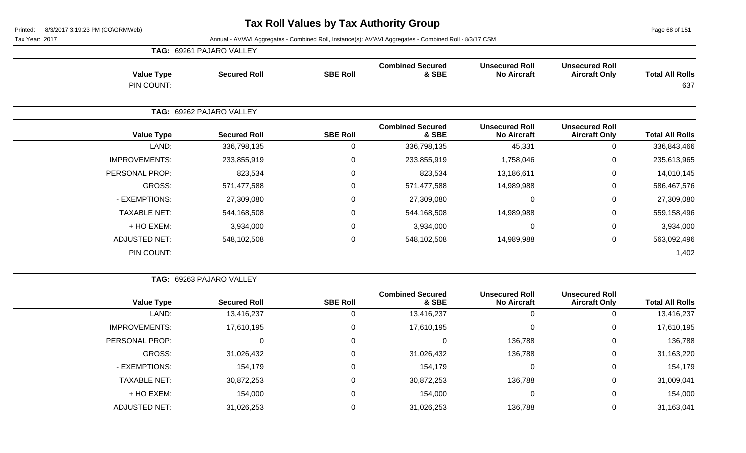Page 68 of 151

|                      | <b>TAG: 69261 PAJARO VALLEY</b> |                 |                                  |                                             |                                               |                        |
|----------------------|---------------------------------|-----------------|----------------------------------|---------------------------------------------|-----------------------------------------------|------------------------|
| <b>Value Type</b>    | <b>Secured Roll</b>             | <b>SBE Roll</b> | <b>Combined Secured</b><br>& SBE | <b>Unsecured Roll</b><br><b>No Aircraft</b> | <b>Unsecured Roll</b><br><b>Aircraft Only</b> | <b>Total All Rolls</b> |
| PIN COUNT:           |                                 |                 |                                  |                                             |                                               | 637                    |
| TAG:                 | 69262 PAJARO VALLEY             |                 |                                  |                                             |                                               |                        |
| <b>Value Type</b>    | <b>Secured Roll</b>             | <b>SBE Roll</b> | <b>Combined Secured</b><br>& SBE | <b>Unsecured Roll</b><br><b>No Aircraft</b> | <b>Unsecured Roll</b><br><b>Aircraft Only</b> | <b>Total All Rolls</b> |
| LAND:                | 336,798,135                     | $\mathbf{0}$    | 336,798,135                      | 45,331                                      | 0                                             | 336,843,466            |
| <b>IMPROVEMENTS:</b> | 233,855,919                     | 0               | 233,855,919                      | 1,758,046                                   | $\mathbf 0$                                   | 235,613,965            |
| PERSONAL PROP:       | 823,534                         | $\mathbf{0}$    | 823,534                          | 13,186,611                                  | 0                                             | 14,010,145             |
| GROSS:               | 571,477,588                     | $\mathbf{0}$    | 571,477,588                      | 14,989,988                                  | $\mathbf 0$                                   | 586,467,576            |
| - EXEMPTIONS:        | 27,309,080                      | $\mathbf{0}$    | 27,309,080                       | 0                                           | 0                                             | 27,309,080             |
| <b>TAXABLE NET:</b>  | 544,168,508                     | $\mathbf 0$     | 544,168,508                      | 14,989,988                                  | $\mathbf 0$                                   | 559,158,496            |
| + HO EXEM:           | 3,934,000                       | $\mathbf{0}$    | 3,934,000                        | 0                                           | 0                                             | 3,934,000              |
| <b>ADJUSTED NET:</b> | 548,102,508                     | 0               | 548,102,508                      | 14,989,988                                  | $\mathbf 0$                                   | 563,092,496            |
| PIN COUNT:           |                                 |                 |                                  |                                             |                                               | 1,402                  |

|--|

| <b>Total All Rolls</b> | <b>Unsecured Roll</b><br><b>Aircraft Only</b> | <b>Unsecured Roll</b><br><b>No Aircraft</b> | <b>Combined Secured</b><br>& SBE | <b>SBE Roll</b> | <b>Secured Roll</b> | <b>Value Type</b>    |
|------------------------|-----------------------------------------------|---------------------------------------------|----------------------------------|-----------------|---------------------|----------------------|
| 13,416,237             |                                               | 0                                           | 13,416,237                       |                 | 13,416,237          | LAND:                |
| 17,610,195             | 0                                             | 0                                           | 17,610,195                       |                 | 17,610,195          | <b>IMPROVEMENTS:</b> |
| 136,788                | 0                                             | 136,788                                     |                                  |                 |                     | PERSONAL PROP:       |
| 31,163,220             | 0                                             | 136,788                                     | 31,026,432                       |                 | 31,026,432          | GROSS:               |
| 154,179                | 0                                             | 0                                           | 154,179                          |                 | 154,179             | - EXEMPTIONS:        |
| 31,009,041             | 0                                             | 136,788                                     | 30,872,253                       |                 | 30,872,253          | <b>TAXABLE NET:</b>  |
| 154,000                | 0                                             | $\overline{0}$                              | 154,000                          |                 | 154,000             | + HO EXEM:           |
| 31,163,041             |                                               | 136,788                                     | 31,026,253                       |                 | 31,026,253          | <b>ADJUSTED NET:</b> |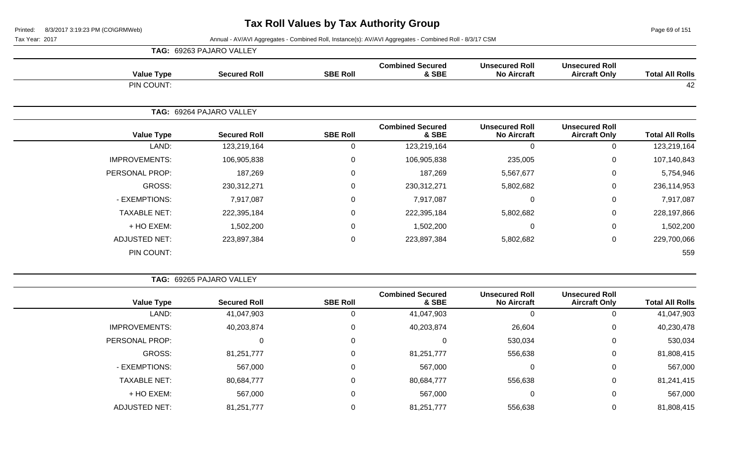Page 69 of 151

|                      | TAG:              | 69263 PAJARO VALLEY |                 |                                  |                                             |                                               |                        |
|----------------------|-------------------|---------------------|-----------------|----------------------------------|---------------------------------------------|-----------------------------------------------|------------------------|
|                      | <b>Value Type</b> | <b>Secured Roll</b> | <b>SBE Roll</b> | <b>Combined Secured</b><br>& SBE | <b>Unsecured Roll</b><br><b>No Aircraft</b> | <b>Unsecured Roll</b><br><b>Aircraft Only</b> | <b>Total All Rolls</b> |
|                      | PIN COUNT:        |                     |                 |                                  |                                             |                                               | 42                     |
|                      | TAG:              | 69264 PAJARO VALLEY |                 |                                  |                                             |                                               |                        |
|                      | <b>Value Type</b> | <b>Secured Roll</b> | <b>SBE Roll</b> | <b>Combined Secured</b><br>& SBE | <b>Unsecured Roll</b><br><b>No Aircraft</b> | <b>Unsecured Roll</b><br><b>Aircraft Only</b> | <b>Total All Rolls</b> |
|                      | LAND:             | 123,219,164         | $\mathbf{0}$    | 123,219,164                      | $\Omega$                                    | 0                                             | 123,219,164            |
| <b>IMPROVEMENTS:</b> |                   | 106,905,838         | $\mathbf 0$     | 106,905,838                      | 235,005                                     | $\mathbf 0$                                   | 107,140,843            |
| PERSONAL PROP:       |                   | 187,269             | $\mathbf{0}$    | 187,269                          | 5,567,677                                   | $\mathbf 0$                                   | 5,754,946              |
|                      | GROSS:            | 230,312,271         | $\Omega$        | 230,312,271                      | 5,802,682                                   | $\mathbf 0$                                   | 236,114,953            |
| - EXEMPTIONS:        |                   | 7,917,087           | $\mathbf{0}$    | 7,917,087                        | 0                                           | $\mathbf 0$                                   | 7,917,087              |
| <b>TAXABLE NET:</b>  |                   | 222,395,184         | $\mathbf{0}$    | 222,395,184                      | 5,802,682                                   | 0                                             | 228,197,866            |
|                      | + HO EXEM:        | 1,502,200           | $\mathbf{0}$    | 1,502,200                        | 0                                           | $\mathbf 0$                                   | 1,502,200              |
| <b>ADJUSTED NET:</b> |                   | 223,897,384         | 0               | 223,897,384                      | 5,802,682                                   | $\mathbf 0$                                   | 229,700,066            |
|                      | PIN COUNT:        |                     |                 |                                  |                                             |                                               | 559                    |

| <b>Total All Rolls</b> | <b>Unsecured Roll</b><br><b>Aircraft Only</b> | <b>Unsecured Roll</b><br><b>No Aircraft</b> | <b>Combined Secured</b><br>& SBE | <b>SBE Roll</b> | <b>Secured Roll</b> | <b>Value Type</b>    |
|------------------------|-----------------------------------------------|---------------------------------------------|----------------------------------|-----------------|---------------------|----------------------|
| 41,047,903             |                                               |                                             | 41,047,903                       |                 | 41,047,903          | LAND:                |
| 40,230,478             | 0                                             | 26,604                                      | 40,203,874                       |                 | 40,203,874          | <b>IMPROVEMENTS:</b> |
| 530,034                | 0                                             | 530,034                                     |                                  | 0               | 0                   | PERSONAL PROP:       |
| 81,808,415             | 0                                             | 556,638                                     | 81,251,777                       |                 | 81,251,777          | GROSS:               |
| 567,000                | 0                                             |                                             | 567,000                          | 0               | 567,000             | - EXEMPTIONS:        |
| 81,241,415             | 0                                             | 556,638                                     | 80,684,777                       | 0               | 80,684,777          | <b>TAXABLE NET:</b>  |
| 567,000                | 0                                             | 0                                           | 567,000                          | 0               | 567,000             | + HO EXEM:           |
| 81,808,415             |                                               | 556,638                                     | 81,251,777                       |                 | 81,251,777          | <b>ADJUSTED NET:</b> |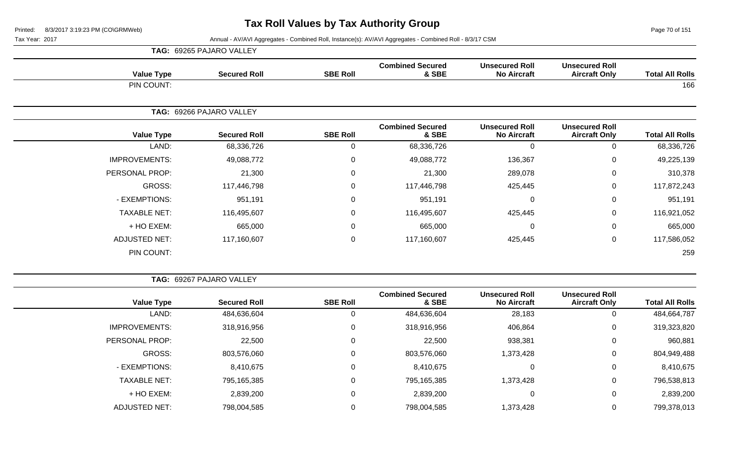Page 70 of 151

|                      | <b>TAG: 69265 PAJARO VALLEY</b> |                 |                                  |                                             |                                               |                        |
|----------------------|---------------------------------|-----------------|----------------------------------|---------------------------------------------|-----------------------------------------------|------------------------|
| <b>Value Type</b>    | <b>Secured Roll</b>             | <b>SBE Roll</b> | <b>Combined Secured</b><br>& SBE | <b>Unsecured Roll</b><br><b>No Aircraft</b> | <b>Unsecured Roll</b><br><b>Aircraft Only</b> | <b>Total All Rolls</b> |
| PIN COUNT:           |                                 |                 |                                  |                                             |                                               | 166                    |
|                      | TAG: 69266 PAJARO VALLEY        |                 |                                  |                                             |                                               |                        |
| <b>Value Type</b>    | <b>Secured Roll</b>             | <b>SBE Roll</b> | <b>Combined Secured</b><br>& SBE | <b>Unsecured Roll</b><br><b>No Aircraft</b> | <b>Unsecured Roll</b><br><b>Aircraft Only</b> | <b>Total All Rolls</b> |
| LAND:                | 68,336,726                      | 0               | 68,336,726                       | $\Omega$                                    | 0                                             | 68,336,726             |
| <b>IMPROVEMENTS:</b> | 49,088,772                      | $\mathbf 0$     | 49,088,772                       | 136,367                                     | $\mathbf 0$                                   | 49,225,139             |
| PERSONAL PROP:       | 21,300                          | 0               | 21,300                           | 289,078                                     | $\mathbf 0$                                   | 310,378                |
| GROSS:               | 117,446,798                     | $\mathbf 0$     | 117,446,798                      | 425,445                                     | $\mathbf 0$                                   | 117,872,243            |
| - EXEMPTIONS:        | 951,191                         | $\mathbf 0$     | 951,191                          |                                             | $\mathbf 0$                                   | 951,191                |
| <b>TAXABLE NET:</b>  | 116,495,607                     | $\mathbf 0$     | 116,495,607                      | 425,445                                     | $\mathbf 0$                                   | 116,921,052            |
| + HO EXEM:           | 665,000                         | $\mathbf 0$     | 665,000                          | $\Omega$                                    | $\mathbf 0$                                   | 665,000                |
| <b>ADJUSTED NET:</b> | 117,160,607                     | $\pmb{0}$       | 117,160,607                      | 425,445                                     | $\mathbf 0$                                   | 117,586,052            |
| PIN COUNT:           |                                 |                 |                                  |                                             |                                               | 259                    |

|                        |                                               |                                             |                                  |                 | TAG: 69267 PAJARO VALLEY |                      |  |
|------------------------|-----------------------------------------------|---------------------------------------------|----------------------------------|-----------------|--------------------------|----------------------|--|
| <b>Total All Rolls</b> | <b>Unsecured Roll</b><br><b>Aircraft Only</b> | <b>Unsecured Roll</b><br><b>No Aircraft</b> | <b>Combined Secured</b><br>& SBE | <b>SBE Roll</b> | <b>Secured Roll</b>      | <b>Value Type</b>    |  |
| 484,664,787            | 0                                             | 28,183                                      | 484,636,604                      | 0               | 484,636,604              | LAND:                |  |
| 319,323,820            | $\mathbf 0$                                   | 406,864                                     | 318,916,956                      | $\pmb{0}$       | 318,916,956              | <b>IMPROVEMENTS:</b> |  |
| 960,881                | $\mathbf 0$                                   | 938,381                                     | 22,500                           | $\mathbf 0$     | 22,500                   | PERSONAL PROP:       |  |
| 804,949,488            | 0                                             | 1,373,428                                   | 803,576,060                      | $\mathbf 0$     | 803,576,060              | GROSS:               |  |
| 8,410,675              | $\mathbf 0$                                   | 0                                           | 8,410,675                        | $\pmb{0}$       | 8,410,675                | - EXEMPTIONS:        |  |
| 796,538,813            | 0                                             | 1,373,428                                   | 795,165,385                      | 0               | 795,165,385              | <b>TAXABLE NET:</b>  |  |
| 2,839,200              | $\mathbf 0$                                   | $\Omega$                                    | 2,839,200                        | $\mathbf 0$     | 2,839,200                | + HO EXEM:           |  |
| 799,378,013            | 0                                             | 1,373,428                                   | 798,004,585                      | $\mathbf 0$     | 798,004,585              | <b>ADJUSTED NET:</b> |  |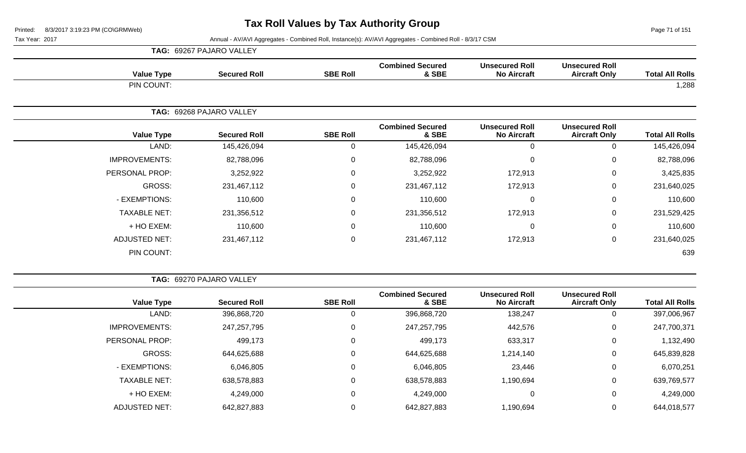Page 71 of 151

|                      | <b>TAG: 69267 PAJARO VALLEY</b> |                 |                                  |                                             |                                               |                        |
|----------------------|---------------------------------|-----------------|----------------------------------|---------------------------------------------|-----------------------------------------------|------------------------|
| <b>Value Type</b>    | <b>Secured Roll</b>             | <b>SBE Roll</b> | <b>Combined Secured</b><br>& SBE | <b>Unsecured Roll</b><br><b>No Aircraft</b> | <b>Unsecured Roll</b><br><b>Aircraft Only</b> | <b>Total All Rolls</b> |
| PIN COUNT:           |                                 |                 |                                  |                                             |                                               | 1,288                  |
|                      | TAG: 69268 PAJARO VALLEY        |                 |                                  |                                             |                                               |                        |
| <b>Value Type</b>    | <b>Secured Roll</b>             | <b>SBE Roll</b> | <b>Combined Secured</b><br>& SBE | <b>Unsecured Roll</b><br><b>No Aircraft</b> | <b>Unsecured Roll</b><br><b>Aircraft Only</b> | <b>Total All Rolls</b> |
| LAND:                | 145,426,094                     | 0               | 145,426,094                      | $\mathbf 0$                                 | $\Omega$                                      | 145,426,094            |
| <b>IMPROVEMENTS:</b> | 82,788,096                      | 0               | 82,788,096                       | $\pmb{0}$                                   | 0                                             | 82,788,096             |
| PERSONAL PROP:       | 3,252,922                       | 0               | 3,252,922                        | 172,913                                     | 0                                             | 3,425,835              |
| GROSS:               | 231,467,112                     | $\mathbf 0$     | 231,467,112                      | 172,913                                     | 0                                             | 231,640,025            |
| - EXEMPTIONS:        | 110,600                         | 0               | 110,600                          | $\pmb{0}$                                   | 0                                             | 110,600                |
| <b>TAXABLE NET:</b>  | 231,356,512                     | 0               | 231,356,512                      | 172,913                                     | 0                                             | 231,529,425            |
| + HO EXEM:           | 110,600                         | 0               | 110,600                          | $\pmb{0}$                                   | 0                                             | 110,600                |
| <b>ADJUSTED NET:</b> | 231,467,112                     | 0               | 231,467,112                      | 172,913                                     | 0                                             | 231,640,025            |
| PIN COUNT:           |                                 |                 |                                  |                                             |                                               | 639                    |

|                        |                                               |                                             |                                  |                 | TAG: 69270 PAJARO VALLEY |                      |  |  |
|------------------------|-----------------------------------------------|---------------------------------------------|----------------------------------|-----------------|--------------------------|----------------------|--|--|
| <b>Total All Rolls</b> | <b>Unsecured Roll</b><br><b>Aircraft Only</b> | <b>Unsecured Roll</b><br><b>No Aircraft</b> | <b>Combined Secured</b><br>& SBE | <b>SBE Roll</b> | <b>Secured Roll</b>      | <b>Value Type</b>    |  |  |
| 397,006,967            | 0                                             | 138,247                                     | 396,868,720                      | 0               | 396,868,720              | LAND:                |  |  |
| 247,700,371            | $\mathbf 0$                                   | 442,576                                     | 247,257,795                      | 0               | 247,257,795              | <b>IMPROVEMENTS:</b> |  |  |
| 1,132,490              | $\overline{0}$                                | 633,317                                     | 499,173                          | 0               | 499,173                  | PERSONAL PROP:       |  |  |
| 645,839,828            | 0                                             | 1,214,140                                   | 644,625,688                      | 0               | 644,625,688              | GROSS:               |  |  |
| 6,070,251              | 0                                             | 23,446                                      | 6,046,805                        | 0               | 6,046,805                | - EXEMPTIONS:        |  |  |
| 639,769,577            | 0                                             | 1,190,694                                   | 638,578,883                      | 0               | 638,578,883              | <b>TAXABLE NET:</b>  |  |  |
| 4,249,000              | $\mathbf 0$                                   | 0                                           | 4,249,000                        | 0               | 4,249,000                | + HO EXEM:           |  |  |
| 644,018,577            | 0                                             | 1,190,694                                   | 642,827,883                      | 0               | 642,827,883              | <b>ADJUSTED NET:</b> |  |  |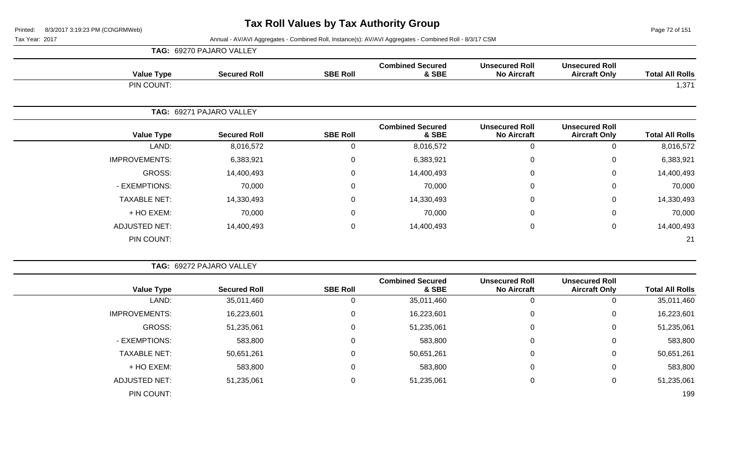**TAG:** 69270 PAJARO VALLEY

Page 72 of 151

| <b>Value Type</b>    | <b>Secured Roll</b>      | <b>SBE Roll</b>  | <b>Combined Secured</b><br>& SBE | <b>Unsecured Roll</b><br><b>No Aircraft</b> | <b>Unsecured Roll</b><br><b>Aircraft Only</b> | <b>Total All Rolls</b> |
|----------------------|--------------------------|------------------|----------------------------------|---------------------------------------------|-----------------------------------------------|------------------------|
| PIN COUNT:           |                          |                  |                                  |                                             |                                               | 1,371                  |
|                      | TAG: 69271 PAJARO VALLEY |                  |                                  |                                             |                                               |                        |
| <b>Value Type</b>    | <b>Secured Roll</b>      | <b>SBE Roll</b>  | <b>Combined Secured</b><br>& SBE | <b>Unsecured Roll</b><br><b>No Aircraft</b> | <b>Unsecured Roll</b><br><b>Aircraft Only</b> | <b>Total All Rolls</b> |
| LAND:                | 8,016,572                | $\mathbf 0$      | 8,016,572                        | 0                                           | 0                                             | 8,016,572              |
| <b>IMPROVEMENTS:</b> | 6,383,921                | $\mathbf 0$      | 6,383,921                        | 0                                           | $\mathbf 0$                                   | 6,383,921              |
| GROSS:               | 14,400,493               | 0                | 14,400,493                       | 0                                           | 0                                             | 14,400,493             |
| - EXEMPTIONS:        | 70,000                   | $\mathbf 0$      | 70,000                           | 0                                           | 0                                             | 70,000                 |
| <b>TAXABLE NET:</b>  | 14,330,493               | $\mathbf 0$      | 14,330,493                       | 0                                           | $\mathbf 0$                                   | 14,330,493             |
| + HO EXEM:           | 70,000                   | 0                | 70,000                           | 0                                           | $\mathbf 0$                                   | 70,000                 |
| <b>ADJUSTED NET:</b> | 14,400,493               | $\boldsymbol{0}$ | 14,400,493                       | $\pmb{0}$                                   | 0                                             | 14,400,493             |
| PIN COUNT:           |                          |                  |                                  |                                             |                                               | 21                     |

|                      | TAG: 69272 PAJARO VALLEY |                 |                                  |                                             |                                               |                        |
|----------------------|--------------------------|-----------------|----------------------------------|---------------------------------------------|-----------------------------------------------|------------------------|
| <b>Value Type</b>    | <b>Secured Roll</b>      | <b>SBE Roll</b> | <b>Combined Secured</b><br>& SBE | <b>Unsecured Roll</b><br><b>No Aircraft</b> | <b>Unsecured Roll</b><br><b>Aircraft Only</b> | <b>Total All Rolls</b> |
| LAND:                | 35,011,460               | U               | 35,011,460                       |                                             | U                                             | 35,011,460             |
| <b>IMPROVEMENTS:</b> | 16,223,601               | 0               | 16,223,601                       |                                             | 0                                             | 16,223,601             |
| GROSS:               | 51,235,061               | 0               | 51,235,061                       |                                             | $\mathbf 0$                                   | 51,235,061             |
| - EXEMPTIONS:        | 583,800                  | 0               | 583,800                          |                                             | $\mathbf 0$                                   | 583,800                |
| <b>TAXABLE NET:</b>  | 50,651,261               | 0               | 50,651,261                       |                                             | 0                                             | 50,651,261             |
| + HO EXEM:           | 583,800                  | 0               | 583,800                          |                                             | $\mathbf 0$                                   | 583,800                |
| <b>ADJUSTED NET:</b> | 51,235,061               | 0               | 51,235,061                       |                                             | 0                                             | 51,235,061             |
| PIN COUNT:           |                          |                 |                                  |                                             |                                               | 199                    |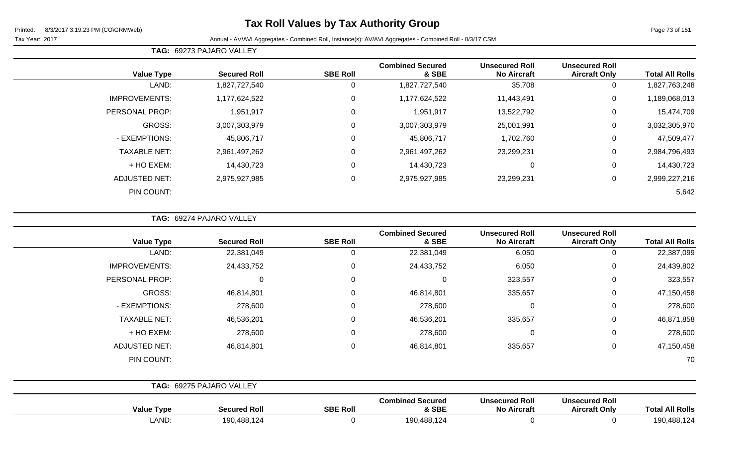## **Tax Roll Values by Tax Authority Group**

Tax Year: 2017 Annual - AV/AVI Aggregates - Combined Roll, Instance(s): AV/AVI Aggregates - Combined Roll - 8/3/17 CSM

**TAG:** 69273 PAJARO VALLEY

| <b>Value Type</b>    | <b>Secured Roll</b> | <b>SBE Roll</b> | <b>Combined Secured</b><br>& SBE | <b>Unsecured Roll</b><br><b>No Aircraft</b> | <b>Unsecured Roll</b><br><b>Aircraft Only</b> | <b>Total All Rolls</b> |
|----------------------|---------------------|-----------------|----------------------------------|---------------------------------------------|-----------------------------------------------|------------------------|
| LAND:                | 1,827,727,540       | 0               | 1,827,727,540                    | 35,708                                      | 0                                             | 1,827,763,248          |
| <b>IMPROVEMENTS:</b> | 1,177,624,522       | $\mathbf 0$     | 1,177,624,522                    | 11,443,491                                  | $\mathbf 0$                                   | 1,189,068,013          |
| PERSONAL PROP:       | 1,951,917           | $\mathbf 0$     | 1,951,917                        | 13,522,792                                  | 0                                             | 15,474,709             |
| <b>GROSS:</b>        | 3,007,303,979       | 0               | 3,007,303,979                    | 25,001,991                                  | $\Omega$                                      | 3,032,305,970          |
| - EXEMPTIONS:        | 45,806,717          | $\mathbf 0$     | 45,806,717                       | 1,702,760                                   | 0                                             | 47,509,477             |
| <b>TAXABLE NET:</b>  | 2,961,497,262       | $\mathbf 0$     | 2,961,497,262                    | 23,299,231                                  | $\Omega$                                      | 2,984,796,493          |
| + HO EXEM:           | 14,430,723          | $\mathbf 0$     | 14,430,723                       | 0                                           | 0                                             | 14,430,723             |
| <b>ADJUSTED NET:</b> | 2,975,927,985       | $\mathbf 0$     | 2,975,927,985                    | 23,299,231                                  | $\mathbf 0$                                   | 2,999,227,216          |
| PIN COUNT:           |                     |                 |                                  |                                             |                                               | 5,642                  |

**TAG:** 69274 PAJARO VALLEY

| <b>Value Type</b>    | <b>Secured Roll</b>      | <b>SBE Roll</b> | <b>Combined Secured</b><br>& SBE | <b>Unsecured Roll</b><br><b>No Aircraft</b> | <b>Unsecured Roll</b><br><b>Aircraft Only</b> | <b>Total All Rolls</b> |
|----------------------|--------------------------|-----------------|----------------------------------|---------------------------------------------|-----------------------------------------------|------------------------|
| LAND:                | 22,381,049               |                 | 22,381,049                       | 6,050                                       | 0                                             | 22,387,099             |
| <b>IMPROVEMENTS:</b> | 24,433,752               | 0               | 24,433,752                       | 6,050                                       | $\mathbf 0$                                   | 24,439,802             |
| PERSONAL PROP:       | 0                        | 0               | $\Omega$                         | 323,557                                     | $\mathbf 0$                                   | 323,557                |
| <b>GROSS:</b>        | 46,814,801               | 0               | 46,814,801                       | 335,657                                     | 0                                             | 47,150,458             |
| - EXEMPTIONS:        | 278,600                  | $\Omega$        | 278,600                          | $\mathbf 0$                                 | 0                                             | 278,600                |
| <b>TAXABLE NET:</b>  | 46,536,201               | 0               | 46,536,201                       | 335,657                                     | $\mathbf 0$                                   | 46,871,858             |
| + HO EXEM:           | 278,600                  | $\Omega$        | 278,600                          | 0                                           | 0                                             | 278,600                |
| <b>ADJUSTED NET:</b> | 46,814,801               | $\Omega$        | 46,814,801                       | 335,657                                     | 0                                             | 47,150,458             |
| PIN COUNT:           |                          |                 |                                  |                                             |                                               | 70                     |
|                      | TAG: 69275 PAJARO VALLEY |                 |                                  |                                             |                                               |                        |
| <b>Value Type</b>    | <b>Secured Roll</b>      | <b>SBE Roll</b> | <b>Combined Secured</b><br>& SBE | <b>Unsecured Roll</b><br><b>No Aircraft</b> | <b>Unsecured Roll</b><br><b>Aircraft Only</b> | <b>Total All Rolls</b> |

LAND: 190,488,124 0 190,488,124 0 0 190,488,124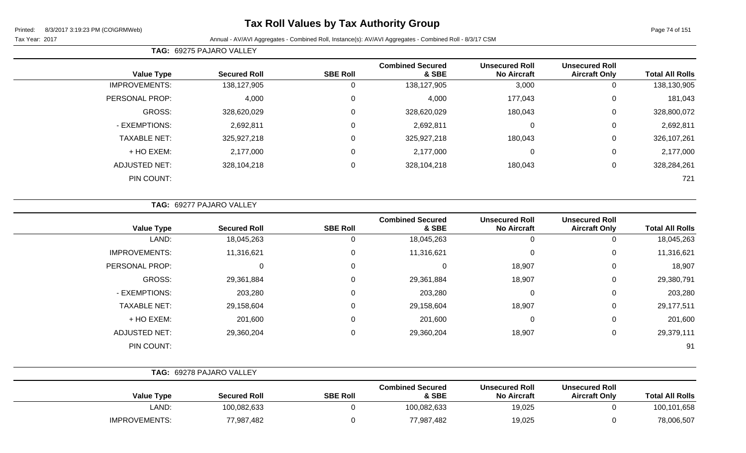## **Tax Roll Values by Tax Authority Group**

#### Tax Year: 2017 Annual - AV/AVI Aggregates - Combined Roll, Instance(s): AV/AVI Aggregates - Combined Roll - 8/3/17 CSM

**TAG:** 69275 PAJARO VALLEY

| <b>Total All Rolls</b> | <b>Unsecured Roll</b><br><b>Aircraft Only</b> | <b>Unsecured Roll</b><br><b>No Aircraft</b> | <b>Combined Secured</b><br>& SBE | <b>SBE Roll</b> | <b>Secured Roll</b> | <b>Value Type</b>    |  |  |
|------------------------|-----------------------------------------------|---------------------------------------------|----------------------------------|-----------------|---------------------|----------------------|--|--|
| 138,130,905            | 0                                             | 3,000                                       | 138,127,905                      | υ               | 138,127,905         | <b>IMPROVEMENTS:</b> |  |  |
| 181,043                | $\overline{0}$                                | 177,043                                     | 4,000                            |                 | 4,000               | PERSONAL PROP:       |  |  |
| 328,800,072            | $\mathbf 0$                                   | 180,043                                     | 328,620,029                      |                 | 328,620,029         | <b>GROSS:</b>        |  |  |
| 2,692,811              | 0                                             | 0                                           | 2,692,811                        | $\Omega$        | 2,692,811           | - EXEMPTIONS:        |  |  |
| 326,107,261            | 0                                             | 180,043                                     | 325,927,218                      | 0               | 325,927,218         | <b>TAXABLE NET:</b>  |  |  |
| 2,177,000              | 0                                             | $\mathbf 0$                                 | 2,177,000                        | $\Omega$        | 2,177,000           | + HO EXEM:           |  |  |
| 328,284,261            | 0                                             | 180,043                                     | 328,104,218                      | $\Omega$        | 328,104,218         | <b>ADJUSTED NET:</b> |  |  |
| 721                    |                                               |                                             |                                  |                 |                     | PIN COUNT:           |  |  |
|                        |                                               |                                             |                                  |                 |                     |                      |  |  |

**TAG:** 69277 PAJARO VALLEY

| <b>Value Type</b>    | <b>Secured Roll</b> | <b>SBE Roll</b> | <b>Combined Secured</b><br>& SBE | <b>Unsecured Roll</b><br><b>No Aircraft</b> | <b>Unsecured Roll</b><br><b>Aircraft Only</b> | <b>Total All Rolls</b> |
|----------------------|---------------------|-----------------|----------------------------------|---------------------------------------------|-----------------------------------------------|------------------------|
| LAND:                | 18,045,263          | O               | 18,045,263                       | 0                                           | 0                                             | 18,045,263             |
| <b>IMPROVEMENTS:</b> | 11,316,621          | $\Omega$        | 11,316,621                       | $\mathbf 0$                                 | 0                                             | 11,316,621             |
| PERSONAL PROP:       | $\Omega$            | $\Omega$        | $\Omega$                         | 18,907                                      | 0                                             | 18,907                 |
| GROSS:               | 29,361,884          | 0               | 29,361,884                       | 18,907                                      | 0                                             | 29,380,791             |
| - EXEMPTIONS:        | 203,280             |                 | 203,280                          | 0                                           | 0                                             | 203,280                |
| <b>TAXABLE NET:</b>  | 29,158,604          |                 | 29,158,604                       | 18,907                                      | $\Omega$                                      | 29,177,511             |
| + HO EXEM:           | 201,600             | $\Omega$        | 201,600                          | $\mathbf 0$                                 | $\Omega$                                      | 201,600                |
| <b>ADJUSTED NET:</b> | 29,360,204          | $\Omega$        | 29,360,204                       | 18,907                                      | 0                                             | 29,379,111             |
| PIN COUNT:           |                     |                 |                                  |                                             |                                               | 91                     |

|                      | <b>TAG: 69278 PAJARO VALLEY</b> |                 |                                  |                                             |                                               |                        |
|----------------------|---------------------------------|-----------------|----------------------------------|---------------------------------------------|-----------------------------------------------|------------------------|
| <b>Value Type</b>    | <b>Secured Roll</b>             | <b>SBE Roll</b> | <b>Combined Secured</b><br>& SBE | <b>Unsecured Roll</b><br><b>No Aircraft</b> | <b>Unsecured Roll</b><br><b>Aircraft Only</b> | <b>Total All Rolls</b> |
| LAND:                | 100,082,633                     |                 | 100,082,633                      | 19,025                                      |                                               | 100,101,658            |
| <b>IMPROVEMENTS:</b> | 77,987,482                      |                 | 77,987,482                       | 19,025                                      |                                               | 78,006,507             |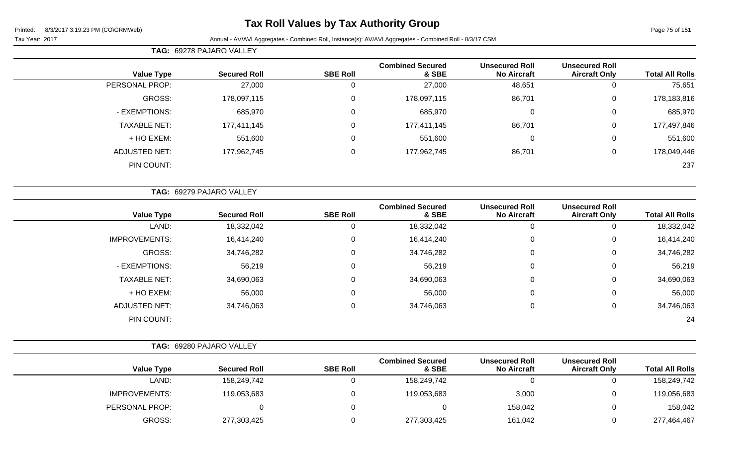## **Tax Roll Values by Tax Authority Group**

|                      | TAG: 69278 PAJARO VALLEY        |                 |                                  |                                             |                                               |                        |
|----------------------|---------------------------------|-----------------|----------------------------------|---------------------------------------------|-----------------------------------------------|------------------------|
| <b>Value Type</b>    | <b>Secured Roll</b>             | <b>SBE Roll</b> | <b>Combined Secured</b><br>& SBE | <b>Unsecured Roll</b><br><b>No Aircraft</b> | <b>Unsecured Roll</b><br><b>Aircraft Only</b> | <b>Total All Rolls</b> |
| PERSONAL PROP:       | 27,000                          | 0               | 27,000                           | 48,651                                      | 0                                             | 75,651                 |
| <b>GROSS:</b>        | 178,097,115                     | 0               | 178,097,115                      | 86,701                                      | $\mathbf 0$                                   | 178,183,816            |
| - EXEMPTIONS:        | 685,970                         | 0               | 685,970                          | 0                                           | $\mathbf 0$                                   | 685,970                |
| <b>TAXABLE NET:</b>  | 177,411,145                     | 0               | 177,411,145                      | 86,701                                      | $\mathbf 0$                                   | 177,497,846            |
| + HO EXEM:           | 551,600                         | 0               | 551,600                          | 0                                           | 0                                             | 551,600                |
| <b>ADJUSTED NET:</b> | 177,962,745                     | 0               | 177,962,745                      | 86,701                                      | $\mathbf 0$                                   | 178,049,446            |
| PIN COUNT:           |                                 |                 |                                  |                                             |                                               | 237                    |
|                      |                                 |                 |                                  |                                             |                                               |                        |
|                      | <b>TAG: 69279 PAJARO VALLEY</b> |                 |                                  |                                             |                                               |                        |

| <b>Value Type</b>    | <b>Secured Roll</b> | <b>SBE Roll</b> | <b>Combined Secured</b><br>& SBE | <b>Unsecured Roll</b><br><b>No Aircraft</b> | <b>Unsecured Roll</b><br><b>Aircraft Only</b> | <b>Total All Rolls</b> |
|----------------------|---------------------|-----------------|----------------------------------|---------------------------------------------|-----------------------------------------------|------------------------|
| LAND:                | 18,332,042          | 0               | 18,332,042                       |                                             | 0                                             | 18,332,042             |
| <b>IMPROVEMENTS:</b> | 16,414,240          | 0               | 16,414,240                       | 0                                           | 0                                             | 16,414,240             |
| GROSS:               | 34,746,282          | 0               | 34,746,282                       | $\mathbf 0$                                 | 0                                             | 34,746,282             |
| - EXEMPTIONS:        | 56,219              | 0               | 56,219                           | 0                                           | 0                                             | 56,219                 |
| <b>TAXABLE NET:</b>  | 34,690,063          | 0               | 34,690,063                       | 0                                           | 0                                             | 34,690,063             |
| + HO EXEM:           | 56,000              | 0               | 56,000                           | $\mathbf 0$                                 | 0                                             | 56,000                 |
| <b>ADJUSTED NET:</b> | 34,746,063          | 0               | 34,746,063                       | 0                                           | 0                                             | 34,746,063             |
| PIN COUNT:           |                     |                 |                                  |                                             |                                               | 24                     |

|                        |                                               |                                             |                                  | TAG: 69280 PAJARO VALLEY |                     |                      |  |  |
|------------------------|-----------------------------------------------|---------------------------------------------|----------------------------------|--------------------------|---------------------|----------------------|--|--|
| <b>Total All Rolls</b> | <b>Unsecured Roll</b><br><b>Aircraft Only</b> | <b>Unsecured Roll</b><br><b>No Aircraft</b> | <b>Combined Secured</b><br>& SBE | <b>SBE Roll</b>          | <b>Secured Roll</b> | <b>Value Type</b>    |  |  |
| 158,249,742            |                                               |                                             | 158,249,742                      |                          | 158,249,742         | LAND:                |  |  |
| 119,056,683            |                                               | 3,000                                       | 119,053,683                      |                          | 119,053,683         | <b>IMPROVEMENTS:</b> |  |  |
| 158,042                |                                               | 158,042                                     |                                  |                          |                     | PERSONAL PROP:       |  |  |
| 277,464,467            |                                               | 161,042                                     | 277,303,425                      |                          | 277,303,425         | GROSS:               |  |  |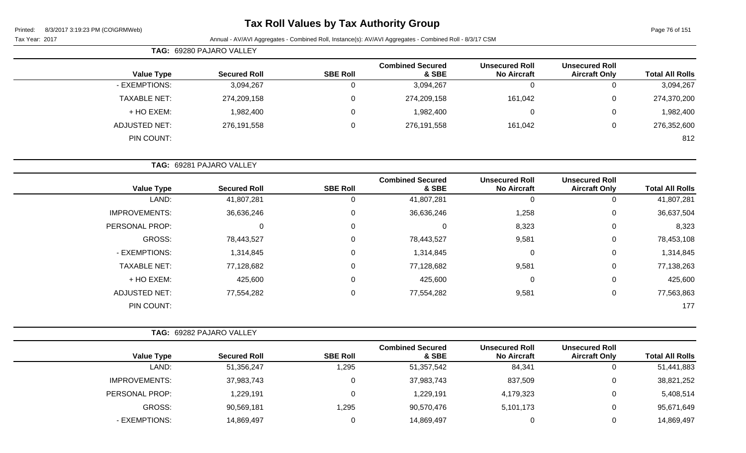## **Tax Roll Values by Tax Authority Group**

Page 76 of 151

| TAG: 69280 PAJARO VALLEY |                     |                     |                 |                                  |                                             |                                               |                        |
|--------------------------|---------------------|---------------------|-----------------|----------------------------------|---------------------------------------------|-----------------------------------------------|------------------------|
|                          | <b>Value Type</b>   | <b>Secured Roll</b> | <b>SBE Roll</b> | <b>Combined Secured</b><br>& SBE | <b>Unsecured Roll</b><br><b>No Aircraft</b> | <b>Unsecured Roll</b><br><b>Aircraft Only</b> | <b>Total All Rolls</b> |
|                          | - EXEMPTIONS:       | 3,094,267           |                 | 3,094,267                        |                                             |                                               | 3,094,267              |
|                          | <b>TAXABLE NET:</b> | 274,209,158         | 0               | 274,209,158                      | 161,042                                     | 0                                             | 274,370,200            |
|                          | + HO EXEM:          | 1,982,400           |                 | 1,982,400                        |                                             | 0                                             | 1,982,400              |
|                          | ADJUSTED NET:       | 276,191,558         | $\Omega$        | 276,191,558                      | 161,042                                     |                                               | 276,352,600            |
|                          | PIN COUNT:          |                     |                 |                                  |                                             |                                               | 812                    |

|                      | TAG: 69281 PAJARO VALLEY |                 |                                  |                                             |                                               |                        |
|----------------------|--------------------------|-----------------|----------------------------------|---------------------------------------------|-----------------------------------------------|------------------------|
| <b>Value Type</b>    | <b>Secured Roll</b>      | <b>SBE Roll</b> | <b>Combined Secured</b><br>& SBE | <b>Unsecured Roll</b><br><b>No Aircraft</b> | <b>Unsecured Roll</b><br><b>Aircraft Only</b> | <b>Total All Rolls</b> |
| LAND:                | 41,807,281               | U               | 41,807,281                       | 0                                           | 0                                             | 41,807,281             |
| <b>IMPROVEMENTS:</b> | 36,636,246               | 0               | 36,636,246                       | 1,258                                       | $\mathbf 0$                                   | 36,637,504             |
| PERSONAL PROP:       | $\Omega$                 | 0               | $\overline{0}$                   | 8,323                                       | 0                                             | 8,323                  |
| <b>GROSS:</b>        | 78,443,527               | 0               | 78,443,527                       | 9,581                                       | 0                                             | 78,453,108             |
| - EXEMPTIONS:        | 1,314,845                | $\Omega$        | 1,314,845                        | $\Omega$                                    | $\mathbf 0$                                   | 1,314,845              |
| <b>TAXABLE NET:</b>  | 77,128,682               | 0               | 77,128,682                       | 9,581                                       | 0                                             | 77,138,263             |
| + HO EXEM:           | 425,600                  | $\Omega$        | 425,600                          | $\mathbf 0$                                 | 0                                             | 425,600                |
| <b>ADJUSTED NET:</b> | 77,554,282               | $\Omega$        | 77,554,282                       | 9,581                                       | 0                                             | 77,563,863             |
| PIN COUNT:           |                          |                 |                                  |                                             |                                               | 177                    |

|                   | <b>TAG: 69282 PAJARO VALLEY</b> |                     |                 |                                  |                                             |                                               |                        |
|-------------------|---------------------------------|---------------------|-----------------|----------------------------------|---------------------------------------------|-----------------------------------------------|------------------------|
| <b>Value Type</b> |                                 | <b>Secured Roll</b> | <b>SBE Roll</b> | <b>Combined Secured</b><br>& SBE | <b>Unsecured Roll</b><br><b>No Aircraft</b> | <b>Unsecured Roll</b><br><b>Aircraft Only</b> | <b>Total All Rolls</b> |
|                   | LAND:                           | 51,356,247          | 1,295           | 51,357,542                       | 84,341                                      | U                                             | 51,441,883             |
| IMPROVEMENTS:     |                                 | 37,983,743          | 0               | 37,983,743                       | 837,509                                     | 0                                             | 38,821,252             |
| PERSONAL PROP:    |                                 | 1,229,191           | 0               | 1,229,191                        | 4,179,323                                   | υ                                             | 5,408,514              |
| GROSS:            |                                 | 90,569,181          | 1,295           | 90,570,476                       | 5,101,173                                   | υ                                             | 95,671,649             |
| - EXEMPTIONS:     |                                 | 14,869,497          | 0               | 14,869,497                       |                                             | 0                                             | 14,869,497             |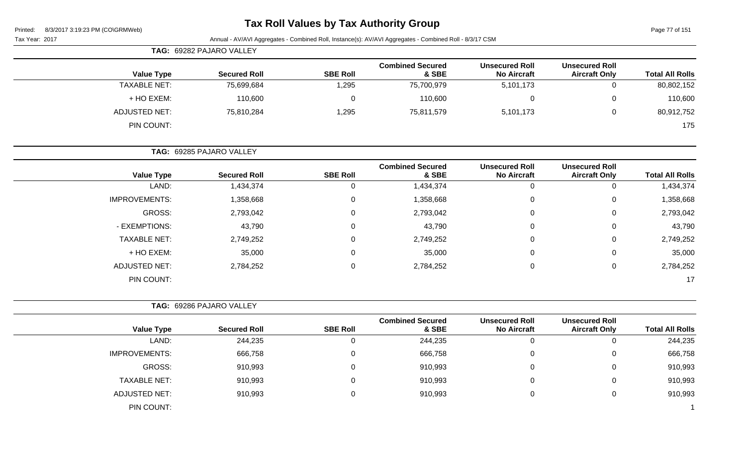| Printed: |  | 8/3/2017 3:19:23 PM (CO\GRMWeb) |  |
|----------|--|---------------------------------|--|
|          |  |                                 |  |

# **Tax Roll Values by Tax Authority Group**

Page 77 of 151

| Page 77 or 151         |                                               |                                             | Annual - AV/AVI Aggregates - Combined Roll, Instance(s): AV/AVI Aggregates - Combined Roll - 8/3/17 CSM |                 |                          | Printed:<br>8/3/2017 3.19.23 PM (CONGRMWPD)<br>Tax Year: 2017 |
|------------------------|-----------------------------------------------|---------------------------------------------|---------------------------------------------------------------------------------------------------------|-----------------|--------------------------|---------------------------------------------------------------|
|                        |                                               |                                             |                                                                                                         |                 | TAG: 69282 PAJARO VALLEY |                                                               |
| <b>Total All Rolls</b> | <b>Unsecured Roll</b><br><b>Aircraft Only</b> | <b>Unsecured Roll</b><br><b>No Aircraft</b> | <b>Combined Secured</b><br>& SBE                                                                        | <b>SBE Roll</b> | <b>Secured Roll</b>      | <b>Value Type</b>                                             |
| 80,802,152             | 0                                             | 5,101,173                                   | 75,700,979                                                                                              | 1,295           | 75,699,684               | <b>TAXABLE NET:</b>                                           |
| 110,600                | 0                                             | $\mathbf 0$                                 | 110,600                                                                                                 | 0               | 110,600                  | + HO EXEM:                                                    |
| 80,912,752             | 0                                             | 5,101,173                                   | 75,811,579                                                                                              | 1,295           | 75,810,284               | <b>ADJUSTED NET:</b>                                          |
| 175                    |                                               |                                             |                                                                                                         |                 |                          | PIN COUNT:                                                    |
|                        |                                               |                                             |                                                                                                         |                 | TAG: 69285 PAJARO VALLEY |                                                               |
| <b>Total All Rolls</b> | <b>Unsecured Roll</b><br><b>Aircraft Only</b> | <b>Unsecured Roll</b><br><b>No Aircraft</b> | <b>Combined Secured</b><br>& SBE                                                                        | <b>SBE Roll</b> | <b>Secured Roll</b>      | <b>Value Type</b>                                             |
| 1,434,374              | $\mathbf 0$                                   | $\pmb{0}$                                   | 1,434,374                                                                                               | $\pmb{0}$       | 1,434,374                | LAND:                                                         |
| 1,358,668              | 0                                             | $\overline{0}$                              | 1,358,668                                                                                               | $\overline{0}$  | 1,358,668                | <b>IMPROVEMENTS:</b>                                          |
| 2,793,042              | 0                                             | $\Omega$                                    | 2,793,042                                                                                               | $\Omega$        | 2,793,042                | <b>GROSS:</b>                                                 |
| 43,790                 | 0                                             | $\Omega$                                    | 43,790                                                                                                  | $\Omega$        | 43,790                   | - EXEMPTIONS:                                                 |
| 2,749,252              | 0                                             | $\Omega$                                    | 2,749,252                                                                                               | $\Omega$        | 2,749,252                | <b>TAXABLE NET:</b>                                           |
| 35,000                 | 0                                             | $\Omega$                                    | 35,000                                                                                                  | $\Omega$        | 35,000                   | + HO EXEM:                                                    |
| 2,784,252              | 0                                             | $\mathbf 0$                                 | 2,784,252                                                                                               | $\mathbf 0$     | 2,784,252                | <b>ADJUSTED NET:</b>                                          |
| 17                     |                                               |                                             |                                                                                                         |                 |                          | PIN COUNT:                                                    |
|                        |                                               |                                             |                                                                                                         |                 | TAG: 69286 PAJARO VALLEY |                                                               |
| <b>Total All Rolls</b> | <b>Unsecured Roll</b><br><b>Aircraft Only</b> | <b>Unsecured Roll</b><br><b>No Aircraft</b> | <b>Combined Secured</b><br>& SBE                                                                        | <b>SBE Roll</b> | <b>Secured Roll</b>      | <b>Value Type</b>                                             |
| 244,235                | 0                                             | $\mathbf 0$                                 | 244,235                                                                                                 | 0               | 244,235                  | LAND:                                                         |
| 666,758                | 0                                             | $\mathbf 0$                                 | 666,758                                                                                                 | $\mathbf 0$     | 666,758                  | <b>IMPROVEMENTS:</b>                                          |
| 910,993                | 0                                             | $\Omega$                                    | 910,993                                                                                                 | 0               | 910,993                  | <b>GROSS:</b>                                                 |
| 910,993                | 0                                             | 0                                           | 910,993                                                                                                 | $\Omega$        | 910,993                  | <b>TAXABLE NET:</b>                                           |
| 910,993                | 0                                             | $\mathbf 0$                                 | 910,993                                                                                                 | $\mathbf 0$     | 910,993                  | <b>ADJUSTED NET:</b>                                          |
|                        |                                               |                                             |                                                                                                         |                 |                          | PIN COUNT:                                                    |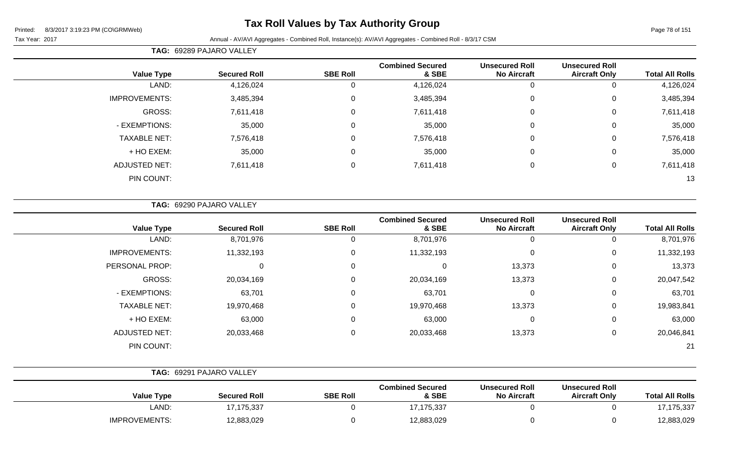## **Tax Roll Values by Tax Authority Group**

#### Tax Year: 2017 Annual - AV/AVI Aggregates - Combined Roll, Instance(s): AV/AVI Aggregates - Combined Roll - 8/3/17 CSM

**TAG:** 69289 PAJARO VALLEY

| <b>Value Type</b>    | <b>Secured Roll</b> | <b>SBE Roll</b>  | <b>Combined Secured</b><br>& SBE | <b>Unsecured Roll</b><br><b>No Aircraft</b> | <b>Unsecured Roll</b><br><b>Aircraft Only</b> | <b>Total All Rolls</b> |
|----------------------|---------------------|------------------|----------------------------------|---------------------------------------------|-----------------------------------------------|------------------------|
| LAND:                | 4,126,024           | U                | 4,126,024                        | 0                                           |                                               | 4,126,024              |
| <b>IMPROVEMENTS:</b> | 3,485,394           | $\mathbf 0$      | 3,485,394                        | $\mathbf 0$                                 | 0                                             | 3,485,394              |
| GROSS:               | 7,611,418           | $\boldsymbol{0}$ | 7,611,418                        | 0                                           | 0                                             | 7,611,418              |
| - EXEMPTIONS:        | 35,000              | $\mathbf 0$      | 35,000                           | $\mathbf 0$                                 | 0                                             | 35,000                 |
| <b>TAXABLE NET:</b>  | 7,576,418           | $\mathbf 0$      | 7,576,418                        | $\mathbf 0$                                 | 0                                             | 7,576,418              |
| + HO EXEM:           | 35,000              | $\mathbf 0$      | 35,000                           | $\mathbf 0$                                 | 0                                             | 35,000                 |
| ADJUSTED NET:        | 7,611,418           | $\boldsymbol{0}$ | 7,611,418                        | 0                                           | $\mathbf 0$                                   | 7,611,418              |
| PIN COUNT:           |                     |                  |                                  |                                             |                                               | 13                     |

**TAG:** 69290 PAJARO VALLEY

| <b>Value Type</b>    | <b>Secured Roll</b> | <b>SBE Roll</b> | <b>Combined Secured</b><br>& SBE | <b>Unsecured Roll</b><br><b>No Aircraft</b> | <b>Unsecured Roll</b><br><b>Aircraft Only</b> | <b>Total All Rolls</b> |
|----------------------|---------------------|-----------------|----------------------------------|---------------------------------------------|-----------------------------------------------|------------------------|
| LAND:                | 8,701,976           | 0               | 8,701,976                        |                                             |                                               | 8,701,976              |
| <b>IMPROVEMENTS:</b> | 11,332,193          | 0               | 11,332,193                       | $\Omega$                                    | $\Omega$                                      | 11,332,193             |
| PERSONAL PROP:       |                     | 0               | 0                                | 13,373                                      | 0                                             | 13,373                 |
| GROSS:               | 20,034,169          | 0               | 20,034,169                       | 13,373                                      | $\Omega$                                      | 20,047,542             |
| - EXEMPTIONS:        | 63,701              | $\mathbf 0$     | 63,701                           | $\mathbf 0$                                 | $\Omega$                                      | 63,701                 |
| <b>TAXABLE NET:</b>  | 19,970,468          | 0               | 19,970,468                       | 13,373                                      | $\Omega$                                      | 19,983,841             |
| + HO EXEM:           | 63,000              | 0               | 63,000                           | $\Omega$                                    | 0                                             | 63,000                 |
| <b>ADJUSTED NET:</b> | 20,033,468          | 0               | 20,033,468                       | 13,373                                      | $\Omega$                                      | 20,046,841             |
| PIN COUNT:           |                     |                 |                                  |                                             |                                               | 21                     |

|                      | <b>TAG: 69291 PAJARO VALLEY</b> |                 |                                  |                                             |                                               |                        |  |
|----------------------|---------------------------------|-----------------|----------------------------------|---------------------------------------------|-----------------------------------------------|------------------------|--|
| <b>Value Type</b>    | <b>Secured Roll</b>             | <b>SBE Roll</b> | <b>Combined Secured</b><br>& SBE | <b>Unsecured Roll</b><br><b>No Aircraft</b> | <b>Unsecured Roll</b><br><b>Aircraft Only</b> | <b>Total All Rolls</b> |  |
| LAND:                | 17,175,337                      |                 | 17, 175, 337                     |                                             |                                               | 17, 175, 337           |  |
| <b>IMPROVEMENTS:</b> | 12,883,029                      |                 | 12,883,029                       |                                             |                                               | 12,883,029             |  |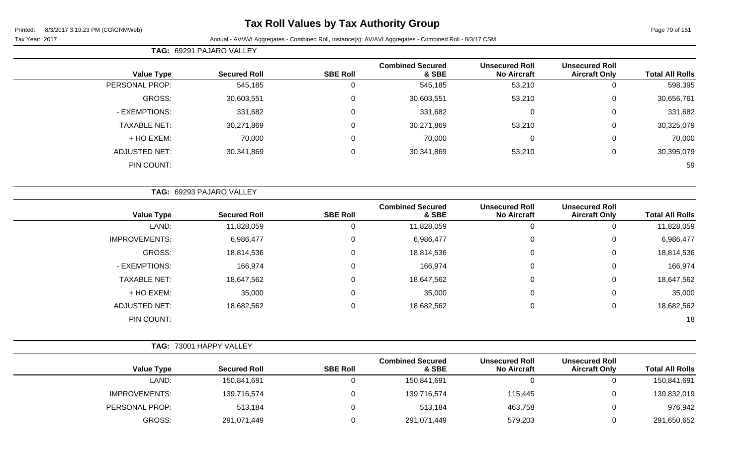## **Tax Roll Values by Tax Authority Group**

|                        |                                               |                                             |                                  | TAG: 69291 PAJARO VALLEY |                          |                      |  |  |  |
|------------------------|-----------------------------------------------|---------------------------------------------|----------------------------------|--------------------------|--------------------------|----------------------|--|--|--|
| <b>Total All Rolls</b> | <b>Unsecured Roll</b><br><b>Aircraft Only</b> | <b>Unsecured Roll</b><br><b>No Aircraft</b> | <b>Combined Secured</b><br>& SBE | <b>SBE Roll</b>          | <b>Secured Roll</b>      | <b>Value Type</b>    |  |  |  |
| 598,395                |                                               | 53,210                                      | 545,185                          | 0                        | 545,185                  | PERSONAL PROP:       |  |  |  |
| 30,656,761             | $\Omega$                                      | 53,210                                      | 30,603,551                       | $\mathbf 0$              | 30,603,551               | GROSS:               |  |  |  |
| 331,682                | $\Omega$                                      | $\pmb{0}$                                   | 331,682                          | 0                        | 331,682                  | - EXEMPTIONS:        |  |  |  |
| 30,325,079             | $\Omega$                                      | 53,210                                      | 30,271,869                       | $\mathbf 0$              | 30,271,869               | <b>TAXABLE NET:</b>  |  |  |  |
| 70,000                 | $\Omega$                                      | 0                                           | 70,000                           | 0                        | 70,000                   | + HO EXEM:           |  |  |  |
| 30,395,079             | 0                                             | 53,210                                      | 30,341,869                       | $\mathbf 0$              | 30,341,869               | <b>ADJUSTED NET:</b> |  |  |  |
| 59                     |                                               |                                             |                                  |                          |                          | PIN COUNT:           |  |  |  |
|                        |                                               |                                             |                                  |                          | TAG: 69293 PAJARO VALLEY |                      |  |  |  |
| <b>Total All Rolls</b> | <b>Unsecured Roll</b><br><b>Aircraft Only</b> | <b>Unsecured Roll</b><br><b>No Aircraft</b> | <b>Combined Secured</b><br>& SBE | <b>SBE Roll</b>          | <b>Secured Roll</b>      | <b>Value Type</b>    |  |  |  |
| 11,828,059             |                                               | 0                                           | 11,828,059                       | $\mathbf 0$              | 11,828,059               | LAND:                |  |  |  |
| 6,986,477              |                                               | 0                                           | 6,986,477                        | $\mathbf 0$              | 6,986,477                | <b>IMPROVEMENTS:</b> |  |  |  |
| 18,814,536             | 0                                             | $\pmb{0}$                                   | 18,814,536                       | $\mathbf 0$              | 18,814,536               | GROSS:               |  |  |  |
|                        |                                               |                                             |                                  |                          |                          |                      |  |  |  |

| 166,974    |  | 166,974    | 166,974    | - EXEMPTIONS:       |
|------------|--|------------|------------|---------------------|
| 18,647,562 |  | 18,647,562 | 18,647,562 | <b>TAXABLE NET:</b> |
| 35,000     |  | 35,000     | 35,000     | + HO EXEM:          |
| 18,682,562 |  | 18,682,562 | 18,682,562 | ADJUSTED NET:       |
| 18         |  |            |            | PIN COUNT:          |
|            |  |            |            |                     |

|                      | <b>TAG: 73001 HAPPY VALLEY</b> |                 |                                  |                                             |                                               |                        |
|----------------------|--------------------------------|-----------------|----------------------------------|---------------------------------------------|-----------------------------------------------|------------------------|
| <b>Value Type</b>    | <b>Secured Roll</b>            | <b>SBE Roll</b> | <b>Combined Secured</b><br>& SBE | <b>Unsecured Roll</b><br><b>No Aircraft</b> | <b>Unsecured Roll</b><br><b>Aircraft Only</b> | <b>Total All Rolls</b> |
| LAND:                | 150,841,691                    |                 | 150,841,691                      |                                             |                                               | 150,841,691            |
| <b>IMPROVEMENTS:</b> | 139,716,574                    | υ               | 139,716,574                      | 115,445                                     |                                               | 139,832,019            |
| PERSONAL PROP:       | 513,184                        | υ               | 513,184                          | 463,758                                     |                                               | 976,942                |
| <b>GROSS:</b>        | 291,071,449                    |                 | 291,071,449                      | 579,203                                     |                                               | 291,650,652            |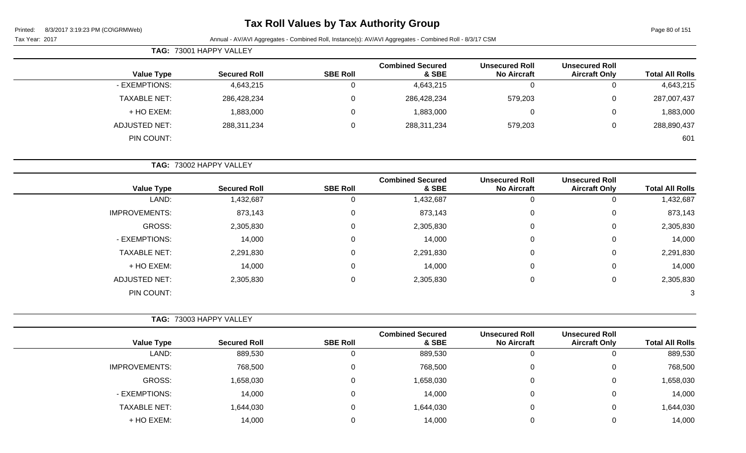## **Tax Roll Values by Tax Authority Group**

Page 80 of 151

Tax Year: 2017 Annual - AV/AVI Aggregates - Combined Roll, Instance(s): AV/AVI Aggregates - Combined Roll - 8/3/17 CSM

|                   | <b>TAG: 73001 HAPPY VALLEY</b> |                 |                                  |                                             |                                               |                        |
|-------------------|--------------------------------|-----------------|----------------------------------|---------------------------------------------|-----------------------------------------------|------------------------|
| <b>Value Type</b> | <b>Secured Roll</b>            | <b>SBE Roll</b> | <b>Combined Secured</b><br>& SBE | <b>Unsecured Roll</b><br><b>No Aircraft</b> | <b>Unsecured Roll</b><br><b>Aircraft Only</b> | <b>Total All Rolls</b> |
| - EXEMPTIONS:     | 4,643,215                      |                 | 4,643,215                        | 0                                           | 0                                             | 4,643,215              |
| TAXABLE NET:      | 286,428,234                    |                 | 286,428,234                      | 579,203                                     | 0                                             | 287,007,437            |
| + HO EXEM:        | 1,883,000                      |                 | 1,883,000                        | 0                                           | 0                                             | 1,883,000              |
| ADJUSTED NET:     | 288,311,234                    |                 | 288,311,234                      | 579,203                                     | 0                                             | 288,890,437            |
| PIN COUNT:        |                                |                 |                                  |                                             |                                               | 601                    |

**TAG:** 73002 HAPPY VALLEY

| <b>Value Type</b>    | <b>Secured Roll</b> | <b>SBE Roll</b> | <b>Combined Secured</b><br>& SBE | <b>Unsecured Roll</b><br><b>No Aircraft</b> | <b>Unsecured Roll</b><br><b>Aircraft Only</b> | <b>Total All Rolls</b> |
|----------------------|---------------------|-----------------|----------------------------------|---------------------------------------------|-----------------------------------------------|------------------------|
| LAND:                | 1,432,687           | U               | 1,432,687                        | 0                                           | 0                                             | 1,432,687              |
| <b>IMPROVEMENTS:</b> | 873,143             | 0               | 873,143                          | 0                                           | 0                                             | 873,143                |
| GROSS:               | 2,305,830           | 0               | 2,305,830                        | 0                                           | 0                                             | 2,305,830              |
| - EXEMPTIONS:        | 14,000              | 0               | 14,000                           | 0                                           | 0                                             | 14,000                 |
| <b>TAXABLE NET:</b>  | 2,291,830           | 0               | 2,291,830                        | 0                                           | 0                                             | 2,291,830              |
| + HO EXEM:           | 14,000              | 0               | 14,000                           | 0                                           | 0                                             | 14,000                 |
| <b>ADJUSTED NET:</b> | 2,305,830           | 0               | 2,305,830                        | 0                                           | 0                                             | 2,305,830              |
| PIN COUNT:           |                     |                 |                                  |                                             |                                               | 3                      |

|                      | <b>TAG: 73003 HAPPY VALLEY</b> |                 |                                  |                                             |                                               |                        |
|----------------------|--------------------------------|-----------------|----------------------------------|---------------------------------------------|-----------------------------------------------|------------------------|
| <b>Value Type</b>    | <b>Secured Roll</b>            | <b>SBE Roll</b> | <b>Combined Secured</b><br>& SBE | <b>Unsecured Roll</b><br><b>No Aircraft</b> | <b>Unsecured Roll</b><br><b>Aircraft Only</b> | <b>Total All Rolls</b> |
| LAND:                | 889,530                        | 0               | 889,530                          | 0                                           |                                               | 889,530                |
| <b>IMPROVEMENTS:</b> | 768,500                        | 0               | 768,500                          | 0                                           | U                                             | 768,500                |
| GROSS:               | 1,658,030                      | 0               | 1,658,030                        | 0                                           | 0                                             | 1,658,030              |
| - EXEMPTIONS:        | 14,000                         | 0               | 14,000                           | $\Omega$                                    | 0                                             | 14,000                 |
| <b>TAXABLE NET:</b>  | 1,644,030                      | 0               | 1,644,030                        | 0                                           | 0                                             | 1,644,030              |
| + HO EXEM:           | 14,000                         | 0               | 14,000                           | $\Omega$                                    |                                               | 14,000                 |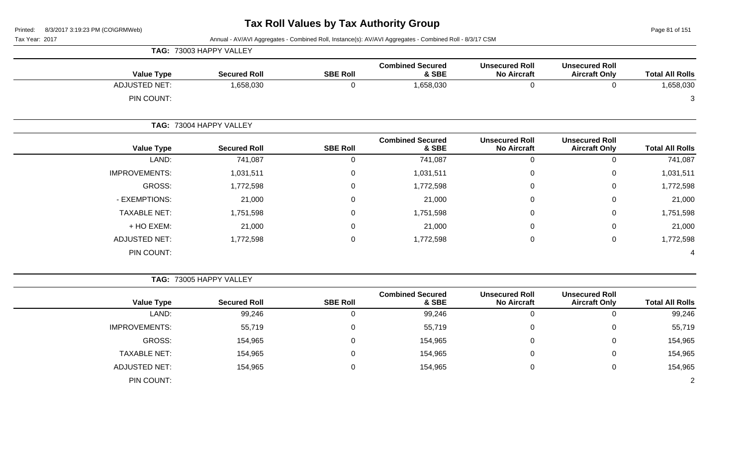**TAG:** 73003 HAPPY VALLEY

Page 81 of 151

| <b>Total All Rolls</b> | <b>Unsecured Roll</b><br><b>Aircraft Only</b> | <b>Unsecured Roll</b><br><b>No Aircraft</b> | <b>Combined Secured</b><br>& SBE | <b>SBE Roll</b> | <b>Secured Roll</b>     | <b>Value Type</b>    |
|------------------------|-----------------------------------------------|---------------------------------------------|----------------------------------|-----------------|-------------------------|----------------------|
| 1,658,030              | 0                                             | 0                                           | 1,658,030                        | 0               | 1,658,030               | <b>ADJUSTED NET:</b> |
| 3                      |                                               |                                             |                                  |                 |                         | PIN COUNT:           |
|                        |                                               |                                             |                                  |                 | TAG: 73004 HAPPY VALLEY |                      |
| <b>Total All Rolls</b> | <b>Unsecured Roll</b><br><b>Aircraft Only</b> | <b>Unsecured Roll</b><br><b>No Aircraft</b> | <b>Combined Secured</b><br>& SBE | <b>SBE Roll</b> | <b>Secured Roll</b>     | <b>Value Type</b>    |
| 741,087                | 0                                             | 0                                           | 741,087                          | 0               | 741,087                 | LAND:                |
| 1,031,511              | $\mathbf 0$                                   | 0                                           | 1,031,511                        | 0               | 1,031,511               | <b>IMPROVEMENTS:</b> |
| 1,772,598              | $\mathbf 0$                                   | 0                                           | 1,772,598                        | 0               | 1,772,598               | GROSS:               |
| 21,000                 | $\mathbf 0$                                   | 0                                           | 21,000                           | 0               | 21,000                  | - EXEMPTIONS:        |
| 1,751,598              | $\mathbf 0$                                   | 0                                           | 1,751,598                        | 0               | 1,751,598               | <b>TAXABLE NET:</b>  |
| 21,000                 | $\mathbf 0$                                   | 0                                           | 21,000                           | 0               | 21,000                  | + HO EXEM:           |
| 1,772,598              | $\mathbf 0$                                   | $\pmb{0}$                                   | 1,772,598                        | 0               | 1,772,598               | <b>ADJUSTED NET:</b> |
| 4                      |                                               |                                             |                                  |                 |                         | PIN COUNT:           |

|                      | <b>TAG: 73005 HAPPY VALLEY</b> |                 |                                  |                                             |                                               |                        |
|----------------------|--------------------------------|-----------------|----------------------------------|---------------------------------------------|-----------------------------------------------|------------------------|
| <b>Value Type</b>    | <b>Secured Roll</b>            | <b>SBE Roll</b> | <b>Combined Secured</b><br>& SBE | <b>Unsecured Roll</b><br><b>No Aircraft</b> | <b>Unsecured Roll</b><br><b>Aircraft Only</b> | <b>Total All Rolls</b> |
| LAND:                | 99,246                         | 0               | 99,246                           | O                                           |                                               | 99,246                 |
| <b>IMPROVEMENTS:</b> | 55,719                         | 0               | 55,719                           | 0                                           | 0                                             | 55,719                 |
| GROSS:               | 154,965                        | 0               | 154,965                          | 0                                           | 0                                             | 154,965                |
| <b>TAXABLE NET:</b>  | 154,965                        | 0               | 154,965                          | 0                                           | 0                                             | 154,965                |
| <b>ADJUSTED NET:</b> | 154,965                        | 0               | 154,965                          | 0                                           | 0                                             | 154,965                |
| PIN COUNT:           |                                |                 |                                  |                                             |                                               | $\overline{2}$         |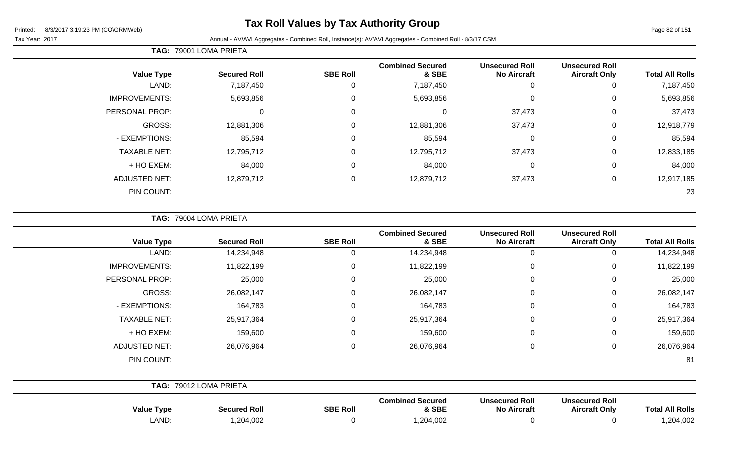## **Tax Roll Values by Tax Authority Group**

Page 82 of 151

#### Tax Year: 2017 Annual - AV/AVI Aggregates - Combined Roll, Instance(s): AV/AVI Aggregates - Combined Roll - 8/3/17 CSM

| <b>Total All Rolls</b> | <b>Unsecured Roll</b><br><b>Aircraft Only</b> | <b>Unsecured Roll</b><br><b>No Aircraft</b> | <b>Combined Secured</b><br>& SBE | <b>SBE Roll</b> | <b>Secured Roll</b> | <b>Value Type</b>    |
|------------------------|-----------------------------------------------|---------------------------------------------|----------------------------------|-----------------|---------------------|----------------------|
| 7,187,450              | 0                                             | 0                                           | 7,187,450                        | υ               | 7,187,450           | LAND:                |
| 5,693,856              | 0                                             | 0                                           | 5,693,856                        | 0               | 5,693,856           | <b>IMPROVEMENTS:</b> |
| 37,473                 | 0                                             | 37,473                                      | 0                                | 0               | 0                   | PERSONAL PROP:       |
| 12,918,779             | 0                                             | 37,473                                      | 12,881,306                       | 0               | 12,881,306          | GROSS:               |
| 85,594                 | 0                                             | 0                                           | 85,594                           | 0               | 85,594              | - EXEMPTIONS:        |
| 12,833,185             | $\mathbf 0$                                   | 37,473                                      | 12,795,712                       | 0               | 12,795,712          | <b>TAXABLE NET:</b>  |
| 84,000                 | 0                                             | 0                                           | 84,000                           | 0               | 84,000              | + HO EXEM:           |
| 12,917,185             | 0                                             | 37,473                                      | 12,879,712                       | $\mathbf 0$     | 12,879,712          | <b>ADJUSTED NET:</b> |
| 23                     |                                               |                                             |                                  |                 |                     | PIN COUNT:           |
|                        |                                               |                                             |                                  |                 |                     |                      |

**TAG:** 79004 LOMA PRIETA

**TAG:** 79001 LOMA PRIETA

| <b>Total All Rolls</b> | <b>Unsecured Roll</b><br><b>Aircraft Only</b> | <b>Unsecured Roll</b><br><b>No Aircraft</b>            | <b>Combined Secured</b><br>& SBE                       | <b>SBE Roll</b>             | <b>Secured Roll</b>                | <b>Value Type</b>                          |
|------------------------|-----------------------------------------------|--------------------------------------------------------|--------------------------------------------------------|-----------------------------|------------------------------------|--------------------------------------------|
| 14,234,948             | 0                                             | 0                                                      | 14,234,948                                             | 0                           | 14,234,948                         | LAND:                                      |
| 11,822,199             | $\mathbf 0$                                   | 0                                                      | 11,822,199                                             | $\mathbf 0$                 | 11,822,199                         | <b>IMPROVEMENTS:</b>                       |
| 25,000                 | $\mathbf 0$                                   | $\mathbf 0$                                            | 25,000                                                 | 0                           | 25,000                             | PERSONAL PROP:                             |
| 26,082,147             | $\mathbf 0$                                   | 0                                                      | 26,082,147                                             | $\mathbf 0$                 | 26,082,147                         | GROSS:                                     |
| 164,783                | $\mathbf 0$                                   | 0                                                      | 164,783                                                | $\mathbf 0$                 | 164,783                            | - EXEMPTIONS:                              |
| 25,917,364             | $\mathbf 0$                                   | $\mathbf 0$                                            | 25,917,364                                             | $\mathbf 0$                 | 25,917,364                         | <b>TAXABLE NET:</b>                        |
| 159,600                | $\mathbf 0$                                   | $\mathbf 0$                                            | 159,600                                                | $\mathbf 0$                 | 159,600                            | + HO EXEM:                                 |
| 26,076,964             | $\mathbf 0$                                   | 0                                                      | 26,076,964                                             | $\mathbf 0$                 | 26,076,964                         | <b>ADJUSTED NET:</b>                       |
| 81                     |                                               |                                                        |                                                        |                             |                                    | PIN COUNT:                                 |
|                        |                                               |                                                        |                                                        |                             | TAG: 79012 LOMA PRIETA             |                                            |
| .                      | <b>Unsecured Roll</b><br>.                    | <b>Unsecured Roll</b><br>$\mathbf{r}$ and $\mathbf{r}$ | <b>Combined Secured</b><br>$\sim$ $\sim$ $\sim$ $\sim$ | $\sim$ $\sim$ $\sim$ $\sim$ | $\sim$ $\sim$ $\sim$ $\sim$ $\sim$ | $\mathbf{v}$ , and the set of $\mathbf{v}$ |

**Value Type Secured Roll SBE Roll & SBE No Aircraft Aircraft Only Total All Rolls** LAND: 1,204,002 0 1,204,002 0 0 1,204,002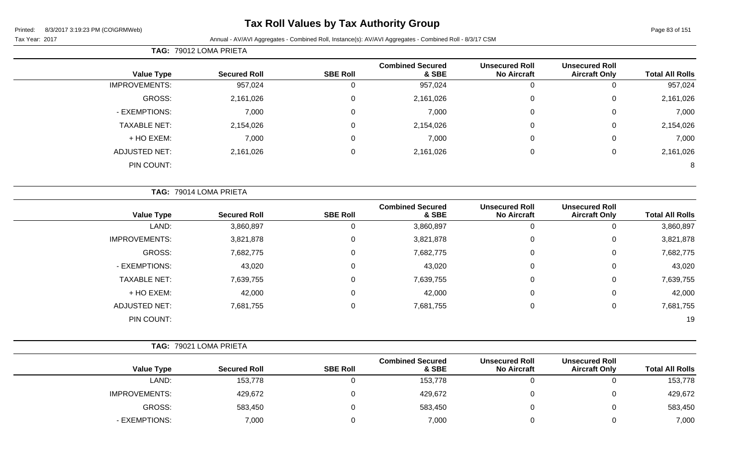$\sim$ 

## **Tax Roll Values by Tax Authority Group**

Tax Year: 2017 **Annual - AV/AVI Aggregates - Combined Roll, Instance(s): AV/AVI Aggregates - Combined Roll - 8/3/17 CSM** 

|                      | <b>TAG: 79012 LOMA PRIETA</b> |                 |                                  |                                             |                                               |                        |
|----------------------|-------------------------------|-----------------|----------------------------------|---------------------------------------------|-----------------------------------------------|------------------------|
| <b>Value Type</b>    | <b>Secured Roll</b>           | <b>SBE Roll</b> | <b>Combined Secured</b><br>& SBE | <b>Unsecured Roll</b><br><b>No Aircraft</b> | <b>Unsecured Roll</b><br><b>Aircraft Only</b> | <b>Total All Rolls</b> |
| <b>IMPROVEMENTS:</b> | 957,024                       |                 | 957,024                          | U                                           |                                               | 957,024                |
| GROSS:               | 2,161,026                     |                 | 2,161,026                        | $\overline{0}$                              |                                               | 2,161,026              |
| - EXEMPTIONS:        | 7,000                         |                 | 7,000                            |                                             |                                               | 7,000                  |
| <b>TAXABLE NET:</b>  | 2,154,026                     |                 | 2,154,026                        | 0                                           |                                               | 2,154,026              |
| + HO EXEM:           | 7,000                         |                 | 7,000                            | C                                           |                                               | 7,000                  |

ADJUSTED NET: 2,161,026 0 2,161,026 0 0 2,161,026 PIN COUNT: 8

|                      | TAG: 79014 LOMA PRIETA |                 |                                  |                                             |                                               |                        |
|----------------------|------------------------|-----------------|----------------------------------|---------------------------------------------|-----------------------------------------------|------------------------|
| <b>Value Type</b>    | <b>Secured Roll</b>    | <b>SBE Roll</b> | <b>Combined Secured</b><br>& SBE | <b>Unsecured Roll</b><br><b>No Aircraft</b> | <b>Unsecured Roll</b><br><b>Aircraft Only</b> | <b>Total All Rolls</b> |
| LAND:                | 3,860,897              | 0               | 3,860,897                        | 0                                           | 0                                             | 3,860,897              |
| <b>IMPROVEMENTS:</b> | 3,821,878              | 0               | 3,821,878                        | 0                                           | 0                                             | 3,821,878              |
| <b>GROSS:</b>        | 7,682,775              | 0               | 7,682,775                        | 0                                           | 0                                             | 7,682,775              |
| - EXEMPTIONS:        | 43,020                 | 0               | 43,020                           | 0                                           | 0                                             | 43,020                 |
| <b>TAXABLE NET:</b>  | 7,639,755              | 0               | 7,639,755                        | $\overline{0}$                              | 0                                             | 7,639,755              |
| + HO EXEM:           | 42,000                 | 0               | 42,000                           | 0                                           | 0                                             | 42,000                 |
| <b>ADJUSTED NET:</b> | 7,681,755              | 0               | 7,681,755                        | 0                                           | 0                                             | 7,681,755              |
| PIN COUNT:           |                        |                 |                                  |                                             |                                               | 19                     |

|  | TAG: 79021 LOMA PRIETA |  |
|--|------------------------|--|
|  |                        |  |

| <b>Value Type</b>    | <b>Secured Roll</b> | <b>SBE Roll</b> | <b>Combined Secured</b><br>& SBE | <b>Unsecured Roll</b><br><b>No Aircraft</b> | <b>Unsecured Roll</b><br><b>Aircraft Only</b> | <b>Total All Rolls</b> |
|----------------------|---------------------|-----------------|----------------------------------|---------------------------------------------|-----------------------------------------------|------------------------|
| LAND:                | 153,778             |                 | 153,778                          |                                             |                                               | 153,778                |
| <b>IMPROVEMENTS:</b> | 429,672             |                 | 429,672                          |                                             |                                               | 429,672                |
| GROSS:               | 583,450             |                 | 583,450                          |                                             |                                               | 583,450                |
| - EXEMPTIONS:        | 7,000               |                 | 7,000                            |                                             |                                               | 7,000                  |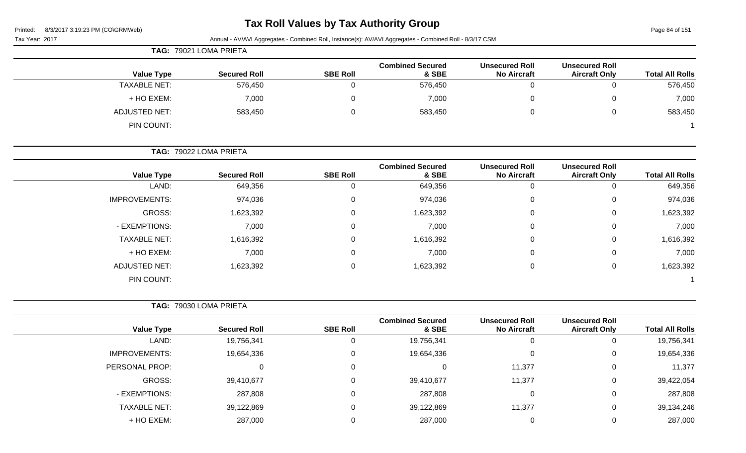| Printed: |  | 8/3/2017 3:19:23 PM (CO\GRMWeb) |  |
|----------|--|---------------------------------|--|
|          |  |                                 |  |

# **Tax Roll Values by Tax Authority Group**

Page 84 of 151

|                        |                                               |                                             | Annual - AV/AVI Aggregates - Combined Roll, Instance(s): AV/AVI Aggregates - Combined Roll - 8/3/17 CSM |                 |                        | Tax Year: 2017       |
|------------------------|-----------------------------------------------|---------------------------------------------|---------------------------------------------------------------------------------------------------------|-----------------|------------------------|----------------------|
|                        |                                               |                                             |                                                                                                         |                 | TAG: 79021 LOMA PRIETA |                      |
| <b>Total All Rolls</b> | <b>Unsecured Roll</b><br><b>Aircraft Only</b> | <b>Unsecured Roll</b><br><b>No Aircraft</b> | <b>Combined Secured</b><br>& SBE                                                                        | <b>SBE Roll</b> | <b>Secured Roll</b>    | <b>Value Type</b>    |
| 576,450                | $\mathbf 0$                                   | $\mathbf 0$                                 | 576,450                                                                                                 | $\mathbf 0$     | 576,450                | <b>TAXABLE NET:</b>  |
| 7,000                  | 0                                             | $\mathbf 0$                                 | 7,000                                                                                                   | $\mathbf 0$     | 7,000                  | + HO EXEM:           |
| 583,450                | 0                                             | 0                                           | 583,450                                                                                                 | $\mathbf 0$     | 583,450                | <b>ADJUSTED NET:</b> |
|                        |                                               |                                             |                                                                                                         |                 |                        | PIN COUNT:           |
|                        |                                               |                                             |                                                                                                         |                 | TAG: 79022 LOMA PRIETA |                      |
| <b>Total All Rolls</b> | <b>Unsecured Roll</b><br><b>Aircraft Only</b> | <b>Unsecured Roll</b><br><b>No Aircraft</b> | <b>Combined Secured</b><br>& SBE                                                                        | <b>SBE Roll</b> | <b>Secured Roll</b>    | <b>Value Type</b>    |
| 649,356                | $\mathbf 0$                                   | $\mathbf 0$                                 | 649,356                                                                                                 | 0               | 649,356                | LAND:                |
| 974,036                | 0                                             | 0                                           | 974,036                                                                                                 | 0               | 974,036                | <b>IMPROVEMENTS:</b> |
| 1,623,392              | 0                                             | 0                                           | 1,623,392                                                                                               | 0               | 1,623,392              | GROSS:               |
| 7,000                  | 0                                             | 0                                           | 7,000                                                                                                   | 0               | 7,000                  | - EXEMPTIONS:        |
| 1,616,392              | 0                                             | 0                                           | 1,616,392                                                                                               | 0               | 1,616,392              | <b>TAXABLE NET:</b>  |
| 7,000                  | 0                                             | 0                                           | 7,000                                                                                                   | 0               | 7,000                  | + HO EXEM:           |
| 1,623,392              | 0                                             | $\mathbf 0$                                 | 1,623,392                                                                                               | 0               | 1,623,392              | <b>ADJUSTED NET:</b> |
|                        |                                               |                                             |                                                                                                         |                 |                        | PIN COUNT:           |
|                        |                                               |                                             |                                                                                                         |                 | TAG: 79030 LOMA PRIETA |                      |
| <b>Total All Rolls</b> | <b>Unsecured Roll</b><br><b>Aircraft Only</b> | <b>Unsecured Roll</b><br><b>No Aircraft</b> | <b>Combined Secured</b><br>& SBE                                                                        | <b>SBE Roll</b> | <b>Secured Roll</b>    | <b>Value Type</b>    |
| 19,756,341             | 0                                             | $\mathbf 0$                                 | 19,756,341                                                                                              | $\mathbf 0$     | 19,756,341             | LAND:                |
| 19,654,336             | 0                                             | 0                                           | 19,654,336                                                                                              | 0               | 19,654,336             | <b>IMPROVEMENTS:</b> |
| 11,377                 | 0                                             | 11,377                                      | $\mathbf 0$                                                                                             | 0               | $\mathbf 0$            | PERSONAL PROP:       |
| 39,422,054             | 0                                             | 11,377                                      | 39,410,677                                                                                              | 0               | 39,410,677             | GROSS:               |
| 287,808                | 0                                             | $\overline{0}$                              | 287,808                                                                                                 | $\mathbf 0$     | 287,808                | - EXEMPTIONS:        |
| 39,134,246             | 0                                             | 11,377                                      | 39,122,869                                                                                              | $\mathbf 0$     | 39,122,869             | <b>TAXABLE NET:</b>  |
| 287,000                | 0                                             | $\overline{0}$                              | 287,000                                                                                                 | $\mathbf 0$     | 287,000                | + HO EXEM:           |
|                        |                                               |                                             |                                                                                                         |                 |                        |                      |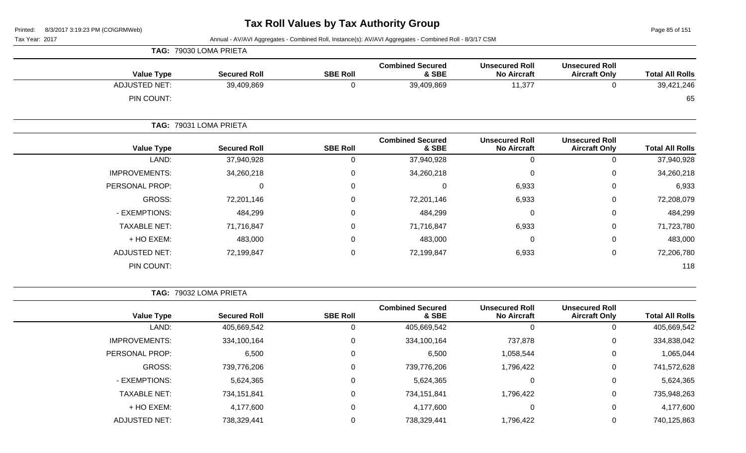Page 85 of 151

Tax Year: 2017 Annual - AV/AVI Aggregates - Combined Roll, Instance(s): AV/AVI Aggregates - Combined Roll - 8/3/17 CSM

| <b>Value Type</b>    | <b>Secured Roll</b>    | <b>SBE Roll</b> | <b>Combined Secured</b><br>& SBE | <b>Unsecured Roll</b><br><b>No Aircraft</b> | <b>Unsecured Roll</b><br><b>Aircraft Only</b> | <b>Total All Rolls</b> |
|----------------------|------------------------|-----------------|----------------------------------|---------------------------------------------|-----------------------------------------------|------------------------|
| <b>ADJUSTED NET:</b> | 39,409,869             | 0               | 39,409,869                       | 11,377                                      | 0                                             | 39,421,246             |
| PIN COUNT:           |                        |                 |                                  |                                             |                                               | 65                     |
|                      | TAG: 79031 LOMA PRIETA |                 |                                  |                                             |                                               |                        |
| <b>Value Type</b>    | <b>Secured Roll</b>    | <b>SBE Roll</b> | <b>Combined Secured</b><br>& SBE | <b>Unsecured Roll</b><br><b>No Aircraft</b> | <b>Unsecured Roll</b><br><b>Aircraft Only</b> | <b>Total All Rolls</b> |
| LAND:                | 37,940,928             | $\mathbf 0$     | 37,940,928                       | 0                                           | $\mathbf 0$                                   | 37,940,928             |
| <b>IMPROVEMENTS:</b> | 34,260,218             | $\mathbf 0$     | 34,260,218                       | 0                                           | $\mathbf 0$                                   | 34,260,218             |
| PERSONAL PROP:       | 0                      | $\mathbf 0$     | $\mathbf 0$                      | 6,933                                       | $\mathbf 0$                                   | 6,933                  |
| GROSS:               | 72,201,146             | $\mathbf 0$     | 72,201,146                       | 6,933                                       | 0                                             | 72,208,079             |
| - EXEMPTIONS:        | 484,299                | $\overline{0}$  | 484,299                          | $\mathbf 0$                                 | $\mathbf 0$                                   | 484,299                |
| <b>TAXABLE NET:</b>  | 71,716,847             | $\mathbf 0$     | 71,716,847                       | 6,933                                       | 0                                             | 71,723,780             |
| + HO EXEM:           | 483,000                | $\mathbf 0$     | 483,000                          | $\overline{0}$                              | 0                                             | 483,000                |
| <b>ADJUSTED NET:</b> | 72,199,847             | $\mathbf 0$     | 72,199,847                       | 6,933                                       | 0                                             | 72,206,780             |
| PIN COUNT:           |                        |                 |                                  |                                             |                                               | 118                    |

**TAG:** 79032 LOMA PRIETA

**TAG:** 79030 LOMA PRIETA

|                      |                     |                 | <b>Combined Secured</b> | <b>Unsecured Roll</b> | <b>Unsecured Roll</b> |                        |
|----------------------|---------------------|-----------------|-------------------------|-----------------------|-----------------------|------------------------|
| <b>Value Type</b>    | <b>Secured Roll</b> | <b>SBE Roll</b> | & SBE                   | <b>No Aircraft</b>    | <b>Aircraft Only</b>  | <b>Total All Rolls</b> |
| LAND:                | 405,669,542         |                 | 405,669,542             | 0                     |                       | 405,669,542            |
| <b>IMPROVEMENTS:</b> | 334,100,164         |                 | 334,100,164             | 737,878               | 0                     | 334,838,042            |
| PERSONAL PROP:       | 6,500               |                 | 6,500                   | 1,058,544             | 0                     | 1,065,044              |
| GROSS:               | 739,776,206         |                 | 739,776,206             | 1,796,422             | 0                     | 741,572,628            |
| - EXEMPTIONS:        | 5,624,365           |                 | 5,624,365               | 0                     |                       | 5,624,365              |
| <b>TAXABLE NET:</b>  | 734,151,841         |                 | 734,151,841             | 1,796,422             | 0                     | 735,948,263            |
| + HO EXEM:           | 4,177,600           |                 | 4,177,600               | 0                     | 0                     | 4,177,600              |
| <b>ADJUSTED NET:</b> | 738,329,441         |                 | 738,329,441             | 1,796,422             |                       | 740,125,863            |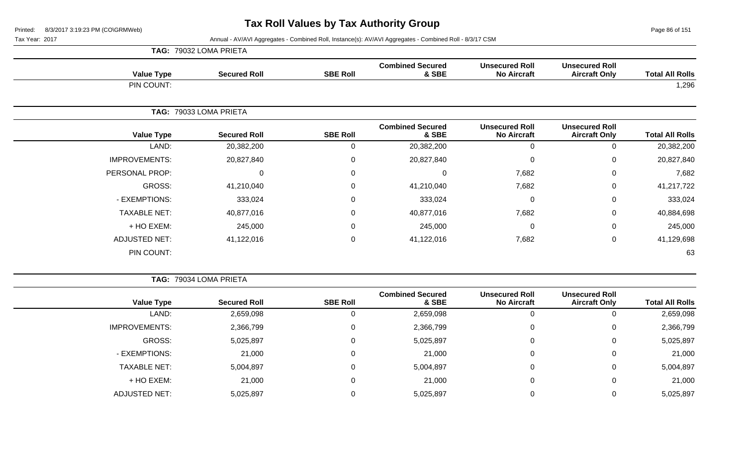Page 86 of 151

|                      | TAG: 79032 LOMA PRIETA |                 |                                  |                                             |                                               |                        |
|----------------------|------------------------|-----------------|----------------------------------|---------------------------------------------|-----------------------------------------------|------------------------|
| <b>Value Type</b>    | <b>Secured Roll</b>    | <b>SBE Roll</b> | <b>Combined Secured</b><br>& SBE | <b>Unsecured Roll</b><br><b>No Aircraft</b> | <b>Unsecured Roll</b><br><b>Aircraft Only</b> | <b>Total All Rolls</b> |
| PIN COUNT:           |                        |                 |                                  |                                             |                                               | 1,296                  |
|                      | TAG: 79033 LOMA PRIETA |                 |                                  |                                             |                                               |                        |
| <b>Value Type</b>    | <b>Secured Roll</b>    | <b>SBE Roll</b> | <b>Combined Secured</b><br>& SBE | <b>Unsecured Roll</b><br><b>No Aircraft</b> | <b>Unsecured Roll</b><br><b>Aircraft Only</b> | <b>Total All Rolls</b> |
| LAND:                | 20,382,200             | 0               | 20,382,200                       | 0                                           | 0                                             | 20,382,200             |
| <b>IMPROVEMENTS:</b> | 20,827,840             | $\mathbf 0$     | 20,827,840                       | 0                                           | $\mathbf 0$                                   | 20,827,840             |
| PERSONAL PROP:       | $\mathbf 0$            | $\mathbf 0$     | 0                                | 7,682                                       | $\mathbf 0$                                   | 7,682                  |
| GROSS:               | 41,210,040             | $\mathbf 0$     | 41,210,040                       | 7,682                                       | $\mathbf 0$                                   | 41,217,722             |
| - EXEMPTIONS:        | 333,024                | $\mathbf 0$     | 333,024                          | 0                                           | $\mathbf 0$                                   | 333,024                |
| <b>TAXABLE NET:</b>  | 40,877,016             | $\mathbf 0$     | 40,877,016                       | 7,682                                       | $\mathbf 0$                                   | 40,884,698             |
| + HO EXEM:           | 245,000                | $\mathbf 0$     | 245,000                          | 0                                           | 0                                             | 245,000                |
| <b>ADJUSTED NET:</b> | 41,122,016             | $\mathbf 0$     | 41,122,016                       | 7,682                                       | $\mathbf 0$                                   | 41,129,698             |
| PIN COUNT:           |                        |                 |                                  |                                             |                                               | 63                     |

|                      | TAG: 79034 LOMA PRIETA |                 |                                  |                                             |                                               |                        |
|----------------------|------------------------|-----------------|----------------------------------|---------------------------------------------|-----------------------------------------------|------------------------|
| <b>Value Type</b>    | <b>Secured Roll</b>    | <b>SBE Roll</b> | <b>Combined Secured</b><br>& SBE | <b>Unsecured Roll</b><br><b>No Aircraft</b> | <b>Unsecured Roll</b><br><b>Aircraft Only</b> | <b>Total All Rolls</b> |
| LAND:                | 2,659,098              | 0               | 2,659,098                        | 0                                           |                                               | 2,659,098              |
| <b>IMPROVEMENTS:</b> | 2,366,799              | 0               | 2,366,799                        | 0                                           | 0                                             | 2,366,799              |
| GROSS:               | 5,025,897              | 0               | 5,025,897                        | 0                                           | 0                                             | 5,025,897              |
| - EXEMPTIONS:        | 21,000                 | 0               | 21,000                           | 0                                           | 0                                             | 21,000                 |
| <b>TAXABLE NET:</b>  | 5,004,897              | 0               | 5,004,897                        | 0                                           | 0                                             | 5,004,897              |
| + HO EXEM:           | 21,000                 | 0               | 21,000                           | 0                                           | 0                                             | 21,000                 |
| <b>ADJUSTED NET:</b> | 5,025,897              |                 | 5,025,897                        | C                                           |                                               | 5,025,897              |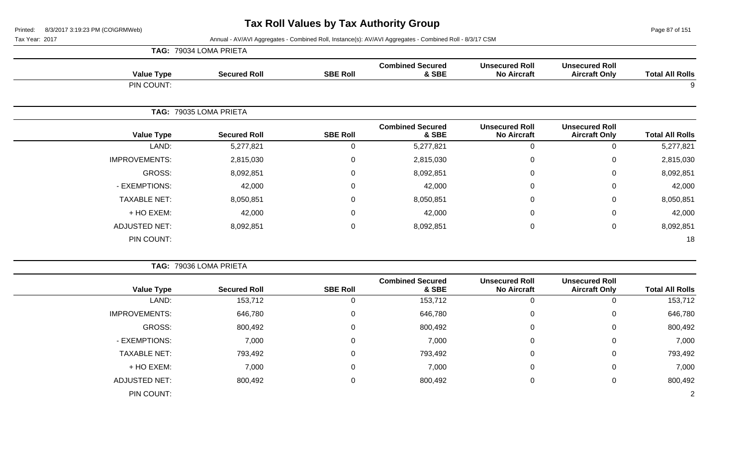Page 87 of 151

|                      |                   | TAG: 79034 LOMA PRIETA |                  |                                  |                                             |                                               |                        |
|----------------------|-------------------|------------------------|------------------|----------------------------------|---------------------------------------------|-----------------------------------------------|------------------------|
|                      | <b>Value Type</b> | <b>Secured Roll</b>    | <b>SBE Roll</b>  | <b>Combined Secured</b><br>& SBE | <b>Unsecured Roll</b><br><b>No Aircraft</b> | <b>Unsecured Roll</b><br><b>Aircraft Only</b> | <b>Total All Rolls</b> |
|                      | PIN COUNT:        |                        |                  |                                  |                                             |                                               | 9                      |
|                      |                   | TAG: 79035 LOMA PRIETA |                  |                                  |                                             |                                               |                        |
|                      | <b>Value Type</b> | <b>Secured Roll</b>    | <b>SBE Roll</b>  | <b>Combined Secured</b><br>& SBE | <b>Unsecured Roll</b><br><b>No Aircraft</b> | <b>Unsecured Roll</b><br><b>Aircraft Only</b> | <b>Total All Rolls</b> |
|                      | LAND:             | 5,277,821              | 0                | 5,277,821                        | $\mathbf 0$                                 | 0                                             | 5,277,821              |
| <b>IMPROVEMENTS:</b> |                   | 2,815,030              | $\mathbf 0$      | 2,815,030                        | $\mathbf 0$                                 | 0                                             | 2,815,030              |
|                      | <b>GROSS:</b>     | 8,092,851              | $\overline{0}$   | 8,092,851                        | $\mathbf 0$                                 | 0                                             | 8,092,851              |
| - EXEMPTIONS:        |                   | 42,000                 | $\mathbf 0$      | 42,000                           | $\mathbf 0$                                 | 0                                             | 42,000                 |
| <b>TAXABLE NET:</b>  |                   | 8,050,851              | 0                | 8,050,851                        | 0                                           | 0                                             | 8,050,851              |
|                      | + HO EXEM:        | 42,000                 | $\boldsymbol{0}$ | 42,000                           | $\boldsymbol{0}$                            | 0                                             | 42,000                 |
| <b>ADJUSTED NET:</b> |                   | 8,092,851              | $\mathbf 0$      | 8,092,851                        | $\mathbf 0$                                 | 0                                             | 8,092,851              |
|                      | PIN COUNT:        |                        |                  |                                  |                                             |                                               | 18                     |

|                        |                                               |                                             |                                  |                 | TAG: 79036 LOMA PRIETA |                      |
|------------------------|-----------------------------------------------|---------------------------------------------|----------------------------------|-----------------|------------------------|----------------------|
| <b>Total All Rolls</b> | <b>Unsecured Roll</b><br><b>Aircraft Only</b> | <b>Unsecured Roll</b><br><b>No Aircraft</b> | <b>Combined Secured</b><br>& SBE | <b>SBE Roll</b> | <b>Secured Roll</b>    | <b>Value Type</b>    |
| 153,712                |                                               | $\Omega$                                    | 153,712                          | $\Omega$        | 153,712                | LAND:                |
| 646,780                | 0                                             | $\mathbf 0$                                 | 646,780                          | $\mathbf 0$     | 646,780                | <b>IMPROVEMENTS:</b> |
| 800,492                | 0                                             | $\Omega$                                    | 800,492                          | 0               | 800,492                | GROSS:               |
| 7,000                  | 0                                             | 0                                           | 7,000                            | $\mathbf 0$     | 7,000                  | - EXEMPTIONS:        |
| 793,492                | 0                                             | 0                                           | 793,492                          | $\mathbf 0$     | 793,492                | <b>TAXABLE NET:</b>  |
| 7,000                  | 0                                             | $\Omega$                                    | 7,000                            | 0               | 7,000                  | + HO EXEM:           |
| 800,492                | 0                                             | 0                                           | 800,492                          | 0               | 800,492                | <b>ADJUSTED NET:</b> |
| 2                      |                                               |                                             |                                  |                 |                        | PIN COUNT:           |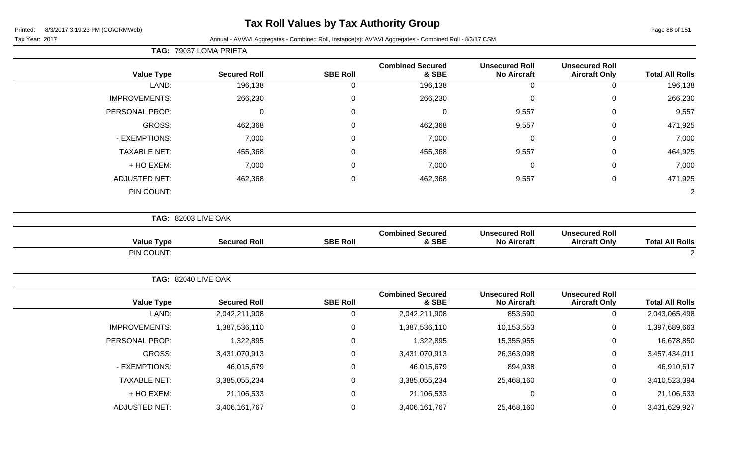### **Tax Roll Values by Tax Authority Group**

Tax Year: 2017 Annual - AV/AVI Aggregates - Combined Roll, Instance(s): AV/AVI Aggregates - Combined Roll - 8/3/17 CSM

**TAG:** 79037 LOMA PRIETA

 $\overline{\phantom{a}}$ 

| <b>Total All Rolls</b> | <b>Unsecured Roll</b><br><b>Aircraft Only</b> | <b>Unsecured Roll</b><br><b>No Aircraft</b> | <b>Combined Secured</b><br>& SBE                                                                                                                                                                                                                                                                                                                                                                                                                                                                                                             | <b>SBE Roll</b> | <b>Secured Roll</b> | <b>Value Type</b>    |
|------------------------|-----------------------------------------------|---------------------------------------------|----------------------------------------------------------------------------------------------------------------------------------------------------------------------------------------------------------------------------------------------------------------------------------------------------------------------------------------------------------------------------------------------------------------------------------------------------------------------------------------------------------------------------------------------|-----------------|---------------------|----------------------|
| 196,138                | $\mathsf{O}\xspace$                           | $\overline{0}$                              | 196,138                                                                                                                                                                                                                                                                                                                                                                                                                                                                                                                                      | $\mathbf 0$     | 196,138             | LAND:                |
| 266,230                | $\mathbf 0$                                   | $\mathbf 0$                                 | 266,230                                                                                                                                                                                                                                                                                                                                                                                                                                                                                                                                      | 0               | 266,230             | <b>IMPROVEMENTS:</b> |
| 9,557                  | 0                                             | 9,557                                       | $\mathbf 0$                                                                                                                                                                                                                                                                                                                                                                                                                                                                                                                                  | 0               | $\Omega$            | PERSONAL PROP:       |
| 471,925                | 0                                             | 9,557                                       | 462,368                                                                                                                                                                                                                                                                                                                                                                                                                                                                                                                                      | 0               | 462,368             | <b>GROSS:</b>        |
| 7,000                  | 0                                             | $\mathbf 0$                                 | 7,000                                                                                                                                                                                                                                                                                                                                                                                                                                                                                                                                        | $\Omega$        | 7,000               | - EXEMPTIONS:        |
| 464,925                | 0                                             | 9,557                                       | 455,368                                                                                                                                                                                                                                                                                                                                                                                                                                                                                                                                      | 0               | 455,368             | <b>TAXABLE NET:</b>  |
| 7,000                  | 0                                             | 0                                           | 7,000                                                                                                                                                                                                                                                                                                                                                                                                                                                                                                                                        | $\Omega$        | 7,000               | + HO EXEM:           |
| 471,925                | $\mathbf 0$                                   | 9,557                                       | 462,368                                                                                                                                                                                                                                                                                                                                                                                                                                                                                                                                      | 0               | 462,368             | <b>ADJUSTED NET:</b> |
| $\overline{2}$         |                                               |                                             | <b>TAG: 82003 LIVE OAK</b><br><b>Combined Secured</b><br>& SBE<br><b>Secured Roll</b><br><b>SBE Roll</b><br><b>TAG: 82040 LIVE OAK</b><br><b>Combined Secured</b><br><b>Secured Roll</b><br><b>SBE Roll</b><br>& SBE<br>$\mathbf 0$<br>2,042,211,908<br>2,042,211,908<br>$\mathsf 0$<br>1,387,536,110<br>1,387,536,110<br>1,322,895<br>0<br>1,322,895<br>3,431,070,913<br>0<br>3,431,070,913<br>46,015,679<br>0<br>46,015,679<br>0<br>3,385,055,234<br>3,385,055,234<br>21,106,533<br>0<br>21,106,533<br>0<br>3,406,161,767<br>3,406,161,767 | PIN COUNT:      |                     |                      |
|                        |                                               |                                             |                                                                                                                                                                                                                                                                                                                                                                                                                                                                                                                                              |                 |                     |                      |
| <b>Total All Rolls</b> | <b>Unsecured Roll</b><br><b>Aircraft Only</b> | <b>Unsecured Roll</b><br><b>No Aircraft</b> |                                                                                                                                                                                                                                                                                                                                                                                                                                                                                                                                              |                 |                     | <b>Value Type</b>    |
| 2                      |                                               |                                             |                                                                                                                                                                                                                                                                                                                                                                                                                                                                                                                                              |                 |                     | PIN COUNT:           |
|                        |                                               |                                             |                                                                                                                                                                                                                                                                                                                                                                                                                                                                                                                                              |                 |                     |                      |
| <b>Total All Rolls</b> | <b>Unsecured Roll</b><br><b>Aircraft Only</b> | <b>Unsecured Roll</b><br><b>No Aircraft</b> |                                                                                                                                                                                                                                                                                                                                                                                                                                                                                                                                              |                 |                     | <b>Value Type</b>    |
| 2,043,065,498          | $\mathbf 0$                                   | 853,590                                     |                                                                                                                                                                                                                                                                                                                                                                                                                                                                                                                                              |                 |                     | LAND:                |
| 1,397,689,663          | $\mathsf 0$                                   | 10,153,553                                  |                                                                                                                                                                                                                                                                                                                                                                                                                                                                                                                                              |                 |                     | IMPROVEMENTS:        |
| 16,678,850             | $\boldsymbol{0}$                              | 15,355,955                                  |                                                                                                                                                                                                                                                                                                                                                                                                                                                                                                                                              |                 |                     | PERSONAL PROP:       |
| 3,457,434,011          | 0                                             | 26,363,098                                  |                                                                                                                                                                                                                                                                                                                                                                                                                                                                                                                                              |                 |                     | GROSS:               |
| 46,910,617             | 0                                             | 894,938                                     |                                                                                                                                                                                                                                                                                                                                                                                                                                                                                                                                              |                 |                     | - EXEMPTIONS:        |
| 3,410,523,394          | 0                                             | 25,468,160                                  |                                                                                                                                                                                                                                                                                                                                                                                                                                                                                                                                              |                 |                     | <b>TAXABLE NET:</b>  |
| 21,106,533             | $\mathsf 0$                                   | $\mathbf 0$                                 |                                                                                                                                                                                                                                                                                                                                                                                                                                                                                                                                              |                 |                     | + HO EXEM:           |
| 3,431,629,927          | $\mathbf 0$                                   | 25,468,160                                  |                                                                                                                                                                                                                                                                                                                                                                                                                                                                                                                                              |                 |                     | <b>ADJUSTED NET:</b> |
|                        |                                               |                                             |                                                                                                                                                                                                                                                                                                                                                                                                                                                                                                                                              |                 |                     |                      |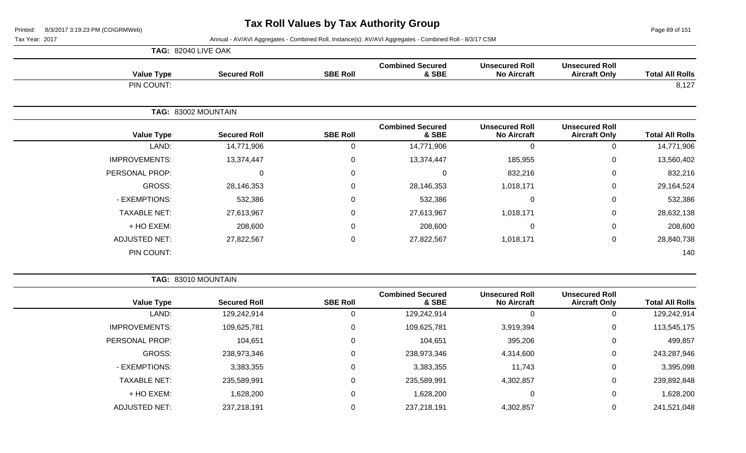Page 89 of 151

Tax Year: 2017 Annual - AV/AVI Aggregates - Combined Roll, Instance(s): AV/AVI Aggregates - Combined Roll - 8/3/17 CSM

|                      | <b>TAG: 82040 LIVE OAK</b> |                 |                                  |                                             |                                               |                        |
|----------------------|----------------------------|-----------------|----------------------------------|---------------------------------------------|-----------------------------------------------|------------------------|
| <b>Value Type</b>    | <b>Secured Roll</b>        | <b>SBE Roll</b> | <b>Combined Secured</b><br>& SBE | <b>Unsecured Roll</b><br><b>No Aircraft</b> | <b>Unsecured Roll</b><br><b>Aircraft Only</b> | <b>Total All Rolls</b> |
| PIN COUNT:           |                            |                 |                                  |                                             |                                               | 8,127                  |
|                      | TAG: 83002 MOUNTAIN        |                 |                                  |                                             |                                               |                        |
| <b>Value Type</b>    | <b>Secured Roll</b>        | <b>SBE Roll</b> | <b>Combined Secured</b><br>& SBE | <b>Unsecured Roll</b><br><b>No Aircraft</b> | <b>Unsecured Roll</b><br><b>Aircraft Only</b> | <b>Total All Rolls</b> |
| LAND:                | 14,771,906                 | $\mathbf 0$     | 14,771,906                       | 0                                           | $\Omega$                                      | 14,771,906             |
| <b>IMPROVEMENTS:</b> | 13,374,447                 | $\mathbf 0$     | 13,374,447                       | 185,955                                     | $\mathbf 0$                                   | 13,560,402             |
| PERSONAL PROP:       | 0                          | $\mathbf 0$     | 0                                | 832,216                                     | 0                                             | 832,216                |
| <b>GROSS:</b>        | 28,146,353                 | $\mathbf 0$     | 28,146,353                       | 1,018,171                                   | $\mathbf 0$                                   | 29,164,524             |
| - EXEMPTIONS:        | 532,386                    | $\mathbf 0$     | 532,386                          | 0                                           | $\mathbf 0$                                   | 532,386                |
| <b>TAXABLE NET:</b>  | 27,613,967                 | $\mathbf 0$     | 27,613,967                       | 1,018,171                                   | 0                                             | 28,632,138             |
| + HO EXEM:           | 208,600                    | $\mathbf 0$     | 208,600                          | 0                                           | $\mathbf 0$                                   | 208,600                |
| <b>ADJUSTED NET:</b> | 27,822,567                 | 0               | 27,822,567                       | 1,018,171                                   | 0                                             | 28,840,738             |
| PIN COUNT:           |                            |                 |                                  |                                             |                                               | 140                    |

**TAG:** 83010 MOUNTAIN

|                        | <b>Unsecured Roll</b> |                                             | <b>Combined Secured</b> |                 |                     |                      |
|------------------------|-----------------------|---------------------------------------------|-------------------------|-----------------|---------------------|----------------------|
| <b>Total All Rolls</b> | <b>Aircraft Only</b>  | <b>Unsecured Roll</b><br><b>No Aircraft</b> | & SBE                   | <b>SBE Roll</b> | <b>Secured Roll</b> | <b>Value Type</b>    |
| 129,242,914            | 0                     | 0                                           | 129,242,914             | U               | 129,242,914         | LAND:                |
| 113,545,175            | 0                     | 3,919,394                                   | 109,625,781             | 0               | 109,625,781         | <b>IMPROVEMENTS:</b> |
| 499,857                | 0                     | 395,206                                     | 104,651                 | 0               | 104,651             | PERSONAL PROP:       |
| 243,287,946            | $\mathbf 0$           | 4,314,600                                   | 238,973,346             | $\Omega$        | 238,973,346         | GROSS:               |
| 3,395,098              | 0                     | 11,743                                      | 3,383,355               | 0               | 3,383,355           | - EXEMPTIONS:        |
| 239,892,848            | 0                     | 4,302,857                                   | 235,589,991             | $\Omega$        | 235,589,991         | <b>TAXABLE NET:</b>  |
| 1,628,200              | $\mathbf 0$           | 0                                           | 1,628,200               | $\Omega$        | 1,628,200           | $+$ HO EXEM:         |
| 241,521,048            | 0                     | 4,302,857                                   | 237,218,191             |                 | 237,218,191         | <b>ADJUSTED NET:</b> |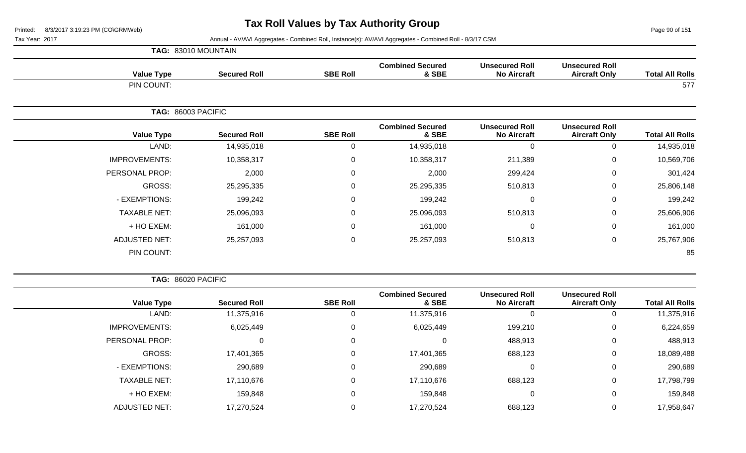Page 90 of 151

Tax Year: 2017 Annual - AV/AVI Aggregates - Combined Roll, Instance(s): AV/AVI Aggregates - Combined Roll - 8/3/17 CSM

|                      | TAG: 83010 MOUNTAIN |                 |                                  |                                             |                                               |                        |
|----------------------|---------------------|-----------------|----------------------------------|---------------------------------------------|-----------------------------------------------|------------------------|
| <b>Value Type</b>    | <b>Secured Roll</b> | <b>SBE Roll</b> | <b>Combined Secured</b><br>& SBE | <b>Unsecured Roll</b><br><b>No Aircraft</b> | <b>Unsecured Roll</b><br><b>Aircraft Only</b> | <b>Total All Rolls</b> |
| PIN COUNT:           |                     |                 |                                  |                                             |                                               | 577                    |
|                      | TAG: 86003 PACIFIC  |                 |                                  |                                             |                                               |                        |
| <b>Value Type</b>    | <b>Secured Roll</b> | <b>SBE Roll</b> | <b>Combined Secured</b><br>& SBE | <b>Unsecured Roll</b><br><b>No Aircraft</b> | <b>Unsecured Roll</b><br><b>Aircraft Only</b> | <b>Total All Rolls</b> |
| LAND:                | 14,935,018          | 0               | 14,935,018                       | $\Omega$                                    | 0                                             | 14,935,018             |
| <b>IMPROVEMENTS:</b> | 10,358,317          | $\mathbf 0$     | 10,358,317                       | 211,389                                     | 0                                             | 10,569,706             |
| PERSONAL PROP:       | 2,000               | $\mathbf 0$     | 2,000                            | 299,424                                     | $\mathbf 0$                                   | 301,424                |
| <b>GROSS:</b>        | 25,295,335          | $\mathbf 0$     | 25,295,335                       | 510,813                                     | 0                                             | 25,806,148             |
| - EXEMPTIONS:        | 199,242             | $\mathbf 0$     | 199,242                          | $\Omega$                                    | $\mathbf 0$                                   | 199,242                |
| <b>TAXABLE NET:</b>  | 25,096,093          | $\mathbf 0$     | 25,096,093                       | 510,813                                     | 0                                             | 25,606,906             |
| + HO EXEM:           | 161,000             | $\mathbf 0$     | 161,000                          | $\Omega$                                    | 0                                             | 161,000                |
| <b>ADJUSTED NET:</b> | 25,257,093          | $\mathbf 0$     | 25,257,093                       | 510,813                                     | 0                                             | 25,767,906             |
| PIN COUNT:           |                     |                 |                                  |                                             |                                               | 85                     |

**TAG:** 86020 PACIFIC

| <b>Total All Rolls</b> | <b>Unsecured Roll</b><br><b>Aircraft Only</b> | <b>Unsecured Roll</b><br><b>No Aircraft</b> | <b>Combined Secured</b><br>& SBE | <b>SBE Roll</b> | <b>Secured Roll</b> | <b>Value Type</b>    |
|------------------------|-----------------------------------------------|---------------------------------------------|----------------------------------|-----------------|---------------------|----------------------|
| 11,375,916             |                                               |                                             | 11,375,916                       |                 | 11,375,916          | LAND:                |
| 6,224,659              | 0                                             | 199,210                                     | 6,025,449                        |                 | 6,025,449           | <b>IMPROVEMENTS:</b> |
| 488,913                | 0                                             | 488,913                                     |                                  |                 | 0                   | PERSONAL PROP:       |
| 18,089,488             | 0                                             | 688,123                                     | 17,401,365                       |                 | 17,401,365          | GROSS:               |
| 290,689                | 0                                             |                                             | 290,689                          |                 | 290,689             | - EXEMPTIONS:        |
| 17,798,799             | 0                                             | 688,123                                     | 17,110,676                       | 0               | 17,110,676          | <b>TAXABLE NET:</b>  |
| 159,848                | 0                                             | 0                                           | 159,848                          |                 | 159,848             | + HO EXEM:           |
| 17,958,647             |                                               | 688,123                                     | 17,270,524                       |                 | 17,270,524          | <b>ADJUSTED NET:</b> |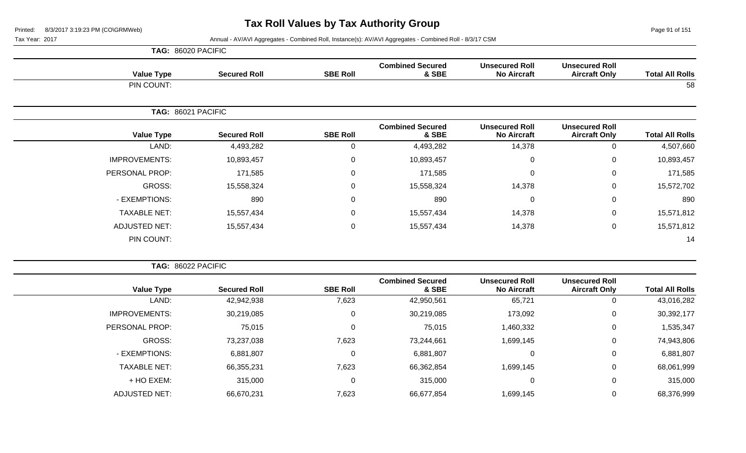**TAG:** 86020 PACIFIC

Page 91 of 151

| <b>Value Type</b>    | <b>Secured Roll</b> | <b>SBE Roll</b>  | <b>Combined Secured</b><br>& SBE | <b>Unsecured Roll</b><br><b>No Aircraft</b> | <b>Unsecured Roll</b><br><b>Aircraft Only</b> | <b>Total All Rolls</b> |
|----------------------|---------------------|------------------|----------------------------------|---------------------------------------------|-----------------------------------------------|------------------------|
| PIN COUNT:           |                     |                  |                                  |                                             |                                               | 58                     |
| TAG: 86021 PACIFIC   |                     |                  |                                  |                                             |                                               |                        |
| <b>Value Type</b>    | <b>Secured Roll</b> | <b>SBE Roll</b>  | <b>Combined Secured</b><br>& SBE | <b>Unsecured Roll</b><br><b>No Aircraft</b> | <b>Unsecured Roll</b><br><b>Aircraft Only</b> | <b>Total All Rolls</b> |
| LAND:                | 4,493,282           | 0                | 4,493,282                        | 14,378                                      | 0                                             | 4,507,660              |
| <b>IMPROVEMENTS:</b> | 10,893,457          | $\mathbf 0$      | 10,893,457                       | $\mathbf 0$                                 | 0                                             | 10,893,457             |
| PERSONAL PROP:       | 171,585             | $\boldsymbol{0}$ | 171,585                          | $\mathbf 0$                                 | 0                                             | 171,585                |
| GROSS:               | 15,558,324          | $\mathbf 0$      | 15,558,324                       | 14,378                                      | 0                                             | 15,572,702             |
| - EXEMPTIONS:        | 890                 | 0                | 890                              | $\mathbf 0$                                 | 0                                             | 890                    |
| <b>TAXABLE NET:</b>  | 15,557,434          | $\boldsymbol{0}$ | 15,557,434                       | 14,378                                      | 0                                             | 15,571,812             |
| <b>ADJUSTED NET:</b> | 15,557,434          | $\boldsymbol{0}$ | 15,557,434                       | 14,378                                      | 0                                             | 15,571,812             |
| PIN COUNT:           |                     |                  |                                  |                                             |                                               | 14                     |

| TAG: 86022 PACIFIC    |                     |                 |                                  |                                             |                                               |                        |
|-----------------------|---------------------|-----------------|----------------------------------|---------------------------------------------|-----------------------------------------------|------------------------|
| <b>Value Type</b>     | <b>Secured Roll</b> | <b>SBE Roll</b> | <b>Combined Secured</b><br>& SBE | <b>Unsecured Roll</b><br><b>No Aircraft</b> | <b>Unsecured Roll</b><br><b>Aircraft Only</b> | <b>Total All Rolls</b> |
| LAND:                 | 42,942,938          | 7,623           | 42,950,561                       | 65,721                                      | 0                                             | 43,016,282             |
| <b>IMPROVEMENTS:</b>  | 30,219,085          | 0               | 30,219,085                       | 173,092                                     | 0                                             | 30,392,177             |
| <b>PERSONAL PROP:</b> | 75,015              | 0               | 75,015                           | 1,460,332                                   | 0                                             | 1,535,347              |
| <b>GROSS:</b>         | 73,237,038          | 7,623           | 73,244,661                       | 1,699,145                                   | 0                                             | 74,943,806             |
| - EXEMPTIONS:         | 6,881,807           | 0               | 6,881,807                        | 0                                           | 0                                             | 6,881,807              |
| <b>TAXABLE NET:</b>   | 66,355,231          | 7,623           | 66,362,854                       | 1,699,145                                   | 0                                             | 68,061,999             |
| + HO EXEM:            | 315,000             | 0               | 315,000                          | 0                                           | 0                                             | 315,000                |
| ADJUSTED NET:         | 66,670,231          | 7,623           | 66,677,854                       | 1,699,145                                   | 0                                             | 68,376,999             |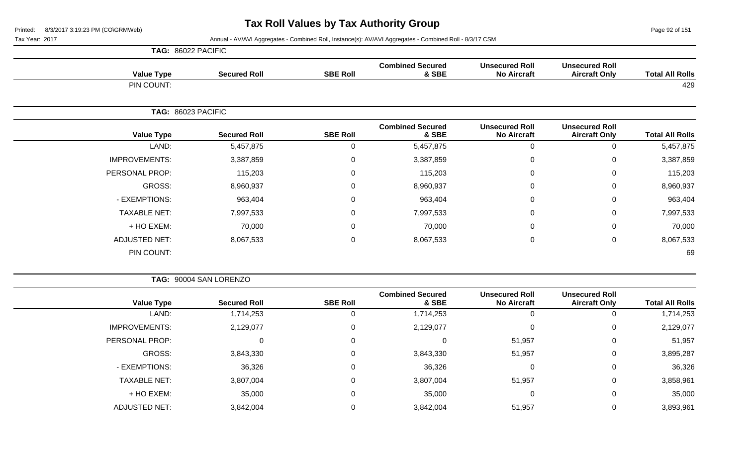Page 92 of 151

|                      | TAG: 86022 PACIFIC  |                 |                                  |                                             |                                               |                        |
|----------------------|---------------------|-----------------|----------------------------------|---------------------------------------------|-----------------------------------------------|------------------------|
| <b>Value Type</b>    | <b>Secured Roll</b> | <b>SBE Roll</b> | <b>Combined Secured</b><br>& SBE | <b>Unsecured Roll</b><br><b>No Aircraft</b> | <b>Unsecured Roll</b><br><b>Aircraft Only</b> | <b>Total All Rolls</b> |
| PIN COUNT:           |                     |                 |                                  |                                             |                                               | 429                    |
|                      | TAG: 86023 PACIFIC  |                 |                                  |                                             |                                               |                        |
| <b>Value Type</b>    | <b>Secured Roll</b> | <b>SBE Roll</b> | <b>Combined Secured</b><br>& SBE | <b>Unsecured Roll</b><br><b>No Aircraft</b> | <b>Unsecured Roll</b><br><b>Aircraft Only</b> | <b>Total All Rolls</b> |
| LAND:                | 5,457,875           | 0               | 5,457,875                        | 0                                           | 0                                             | 5,457,875              |
| <b>IMPROVEMENTS:</b> | 3,387,859           | $\mathbf 0$     | 3,387,859                        | 0                                           | 0                                             | 3,387,859              |
| PERSONAL PROP:       | 115,203             | 0               | 115,203                          | 0                                           | $\mathbf 0$                                   | 115,203                |
| GROSS:               | 8,960,937           | 0               | 8,960,937                        | 0                                           | $\mathbf 0$                                   | 8,960,937              |
| - EXEMPTIONS:        | 963,404             | 0               | 963,404                          | $\mathbf{0}$                                | $\mathbf 0$                                   | 963,404                |
| <b>TAXABLE NET:</b>  | 7,997,533           | 0               | 7,997,533                        | 0                                           | $\mathbf 0$                                   | 7,997,533              |
| + HO EXEM:           | 70,000              | 0               | 70,000                           | $\mathbf 0$                                 | $\mathbf 0$                                   | 70,000                 |
| <b>ADJUSTED NET:</b> | 8,067,533           | $\mathbf 0$     | 8,067,533                        | 0                                           | 0                                             | 8,067,533              |
| PIN COUNT:           |                     |                 |                                  |                                             |                                               | 69                     |

|  | <b>TAG: 90004 SAN LORENZO</b> |
|--|-------------------------------|
|--|-------------------------------|

| <b>Total All Rolls</b> | <b>Unsecured Roll</b><br><b>Aircraft Only</b> | <b>Unsecured Roll</b><br><b>No Aircraft</b> | <b>Combined Secured</b><br>& SBE | <b>SBE Roll</b> | <b>Secured Roll</b> | <b>Value Type</b>    |
|------------------------|-----------------------------------------------|---------------------------------------------|----------------------------------|-----------------|---------------------|----------------------|
| 1,714,253              | 0                                             | 0                                           | 1,714,253                        |                 | 1,714,253           | LAND:                |
| 2,129,077              | 0                                             | 0                                           | 2,129,077                        | 0               | 2,129,077           | <b>IMPROVEMENTS:</b> |
| 51,957                 | 0                                             | 51,957                                      |                                  | 0               |                     | PERSONAL PROP:       |
| 3,895,287              | 0                                             | 51,957                                      | 3,843,330                        | 0               | 3,843,330           | GROSS:               |
| 36,326                 | 0                                             | 0                                           | 36,326                           | 0               | 36,326              | - EXEMPTIONS:        |
| 3,858,961              | $\mathbf 0$                                   | 51,957                                      | 3,807,004                        | 0               | 3,807,004           | <b>TAXABLE NET:</b>  |
| 35,000                 | $\mathbf 0$                                   | $\Omega$                                    | 35,000                           | 0               | 35,000              | + HO EXEM:           |
| 3,893,961              | 0                                             | 51,957                                      | 3,842,004                        |                 | 3,842,004           | <b>ADJUSTED NET:</b> |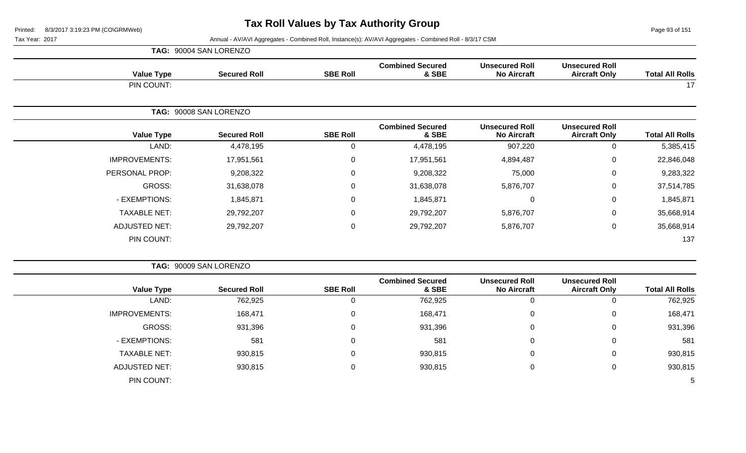Page 93 of 151

|                      | TAG: 90004 SAN LORENZO |                 |                                  |                                             |                                               |                        |  |  |
|----------------------|------------------------|-----------------|----------------------------------|---------------------------------------------|-----------------------------------------------|------------------------|--|--|
| <b>Value Type</b>    | <b>Secured Roll</b>    | <b>SBE Roll</b> | <b>Combined Secured</b><br>& SBE | <b>Unsecured Roll</b><br><b>No Aircraft</b> | <b>Unsecured Roll</b><br><b>Aircraft Only</b> | <b>Total All Rolls</b> |  |  |
| PIN COUNT:           |                        |                 |                                  |                                             |                                               | 17                     |  |  |
|                      | TAG: 90008 SAN LORENZO |                 |                                  |                                             |                                               |                        |  |  |
| <b>Value Type</b>    | <b>Secured Roll</b>    | <b>SBE Roll</b> | <b>Combined Secured</b><br>& SBE | <b>Unsecured Roll</b><br><b>No Aircraft</b> | <b>Unsecured Roll</b><br><b>Aircraft Only</b> | <b>Total All Rolls</b> |  |  |
| LAND:                | 4,478,195              | 0               | 4,478,195                        | 907,220                                     | $\mathbf 0$                                   | 5,385,415              |  |  |
| <b>IMPROVEMENTS:</b> | 17,951,561             | $\mathbf 0$     | 17,951,561                       | 4,894,487                                   | $\mathbf 0$                                   | 22,846,048             |  |  |
| PERSONAL PROP:       | 9,208,322              | $\mathbf 0$     | 9,208,322                        | 75,000                                      | $\mathbf 0$                                   | 9,283,322              |  |  |
| GROSS:               | 31,638,078             | $\mathbf 0$     | 31,638,078                       | 5,876,707                                   | $\mathbf 0$                                   | 37,514,785             |  |  |
| - EXEMPTIONS:        | 1,845,871              | $\mathbf 0$     | 1,845,871                        | 0                                           | $\mathbf 0$                                   | 1,845,871              |  |  |
| <b>TAXABLE NET:</b>  | 29,792,207             | $\mathbf 0$     | 29,792,207                       | 5,876,707                                   | $\mathbf 0$                                   | 35,668,914             |  |  |
| <b>ADJUSTED NET:</b> | 29,792,207             | $\pmb{0}$       | 29,792,207                       | 5,876,707                                   | $\pmb{0}$                                     | 35,668,914             |  |  |
| PIN COUNT:           |                        |                 |                                  |                                             |                                               | 137                    |  |  |

|                      | TAG: 90009 SAN LORENZO |                 |                                  |                                             |                                               |                        |  |  |
|----------------------|------------------------|-----------------|----------------------------------|---------------------------------------------|-----------------------------------------------|------------------------|--|--|
| <b>Value Type</b>    | <b>Secured Roll</b>    | <b>SBE Roll</b> | <b>Combined Secured</b><br>& SBE | <b>Unsecured Roll</b><br><b>No Aircraft</b> | <b>Unsecured Roll</b><br><b>Aircraft Only</b> | <b>Total All Rolls</b> |  |  |
| LAND:                | 762,925                | 0               | 762,925                          | 0                                           | 0                                             | 762,925                |  |  |
| <b>IMPROVEMENTS:</b> | 168,471                | 0               | 168,471                          | 0                                           | 0                                             | 168,471                |  |  |
| GROSS:               | 931,396                | 0               | 931,396                          | 0                                           | $\overline{0}$                                | 931,396                |  |  |
| - EXEMPTIONS:        | 581                    | 0               | 581                              | 0                                           | 0                                             | 581                    |  |  |
| <b>TAXABLE NET:</b>  | 930,815                | 0               | 930,815                          | 0                                           | $\mathbf 0$                                   | 930,815                |  |  |
| ADJUSTED NET:        | 930,815                | 0               | 930,815                          | 0                                           | 0                                             | 930,815                |  |  |
| PIN COUNT:           |                        |                 |                                  |                                             |                                               | -5                     |  |  |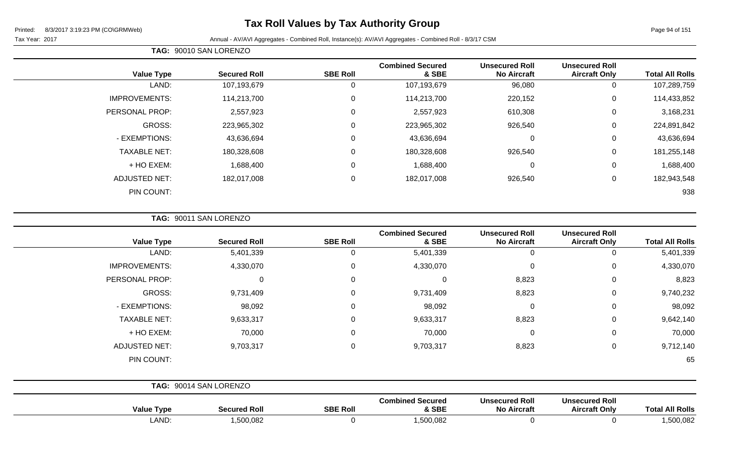## **Tax Roll Values by Tax Authority Group**

Page 94 of 151

Tax Year: 2017 Annual - AV/AVI Aggregates - Combined Roll, Instance(s): AV/AVI Aggregates - Combined Roll - 8/3/17 CSM

| <b>Total All Rolls</b> | <b>Unsecured Roll</b><br><b>Aircraft Only</b> | <b>Unsecured Roll</b><br><b>No Aircraft</b> | <b>Combined Secured</b><br>& SBE | <b>SBE Roll</b> | <b>Secured Roll</b> | <b>Value Type</b>     |
|------------------------|-----------------------------------------------|---------------------------------------------|----------------------------------|-----------------|---------------------|-----------------------|
| 107,289,759            | 0                                             | 96,080                                      | 107,193,679                      | 0               | 107,193,679         | LAND:                 |
| 114,433,852            | 0                                             | 220,152                                     | 114,213,700                      | 0               | 114,213,700         | <b>IMPROVEMENTS:</b>  |
| 3,168,231              | 0                                             | 610,308                                     | 2,557,923                        | 0               | 2,557,923           | <b>PERSONAL PROP:</b> |
| 224,891,842            | 0                                             | 926,540                                     | 223,965,302                      | 0               | 223,965,302         | GROSS:                |
| 43,636,694             | 0                                             | 0                                           | 43,636,694                       | 0               | 43,636,694          | - EXEMPTIONS:         |
| 181,255,148            | 0                                             | 926,540                                     | 180,328,608                      | 0               | 180,328,608         | <b>TAXABLE NET:</b>   |
| 1,688,400              | 0                                             | 0                                           | 1,688,400                        | $\mathbf 0$     | 1,688,400           | + HO EXEM:            |
| 182,943,548            | 0                                             | 926,540                                     | 182,017,008                      | $\mathbf 0$     | 182,017,008         | ADJUSTED NET:         |
| 938                    |                                               |                                             |                                  |                 |                     | PIN COUNT:            |
|                        |                                               |                                             |                                  |                 |                     |                       |

**TAG:** 90011 SAN LORENZO

**TAG:** 90010 SAN LORENZO

| <b>Value Type</b>    | <b>Secured Roll</b>    | <b>SBE Roll</b> | <b>Combined Secured</b><br>& SBE | <b>Unsecured Roll</b><br><b>No Aircraft</b> | <b>Unsecured Roll</b><br><b>Aircraft Only</b> | <b>Total All Rolls</b> |
|----------------------|------------------------|-----------------|----------------------------------|---------------------------------------------|-----------------------------------------------|------------------------|
| LAND:                | 5,401,339              | 0               | 5,401,339                        | 0                                           | 0                                             | 5,401,339              |
| <b>IMPROVEMENTS:</b> | 4,330,070              | $\mathbf 0$     | 4,330,070                        | $\mathbf 0$                                 | $\mathbf 0$                                   | 4,330,070              |
| PERSONAL PROP:       | 0                      | 0               | 0                                | 8,823                                       | 0                                             | 8,823                  |
| GROSS:               | 9,731,409              | $\Omega$        | 9,731,409                        | 8,823                                       | $\mathbf 0$                                   | 9,740,232              |
| - EXEMPTIONS:        | 98,092                 | 0               | 98,092                           | $\overline{0}$                              | $\mathbf 0$                                   | 98,092                 |
| <b>TAXABLE NET:</b>  | 9,633,317              | $\mathbf 0$     | 9,633,317                        | 8,823                                       | $\mathbf 0$                                   | 9,642,140              |
| + HO EXEM:           | 70,000                 | 0               | 70,000                           | $\mathbf 0$                                 | $\mathbf 0$                                   | 70,000                 |
| <b>ADJUSTED NET:</b> | 9,703,317              | $\Omega$        | 9,703,317                        | 8,823                                       | $\mathbf 0$                                   | 9,712,140              |
| PIN COUNT:           |                        |                 |                                  |                                             |                                               | 65                     |
|                      | TAG: 90014 SAN LORENZO |                 |                                  |                                             |                                               |                        |
| <b>Value Type</b>    | <b>Secured Roll</b>    | <b>SBE Roll</b> | <b>Combined Secured</b><br>& SBE | <b>Unsecured Roll</b><br><b>No Aircraft</b> | <b>Unsecured Roll</b><br><b>Aircraft Only</b> | <b>Total All Rolls</b> |

LAND: 1,500,082 0 1,500,082 0 0 1,500,082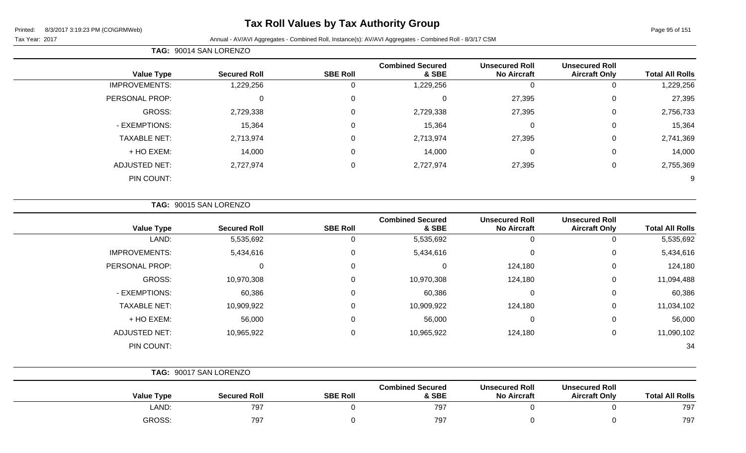## **Tax Roll Values by Tax Authority Group**

Tax Year: 2017 Annual - AV/AVI Aggregates - Combined Roll, Instance(s): AV/AVI Aggregates - Combined Roll - 8/3/17 CSM

|                   | TAG: 90014 SAN LORENZO |                 |                                  |                                             |                                               |                        |
|-------------------|------------------------|-----------------|----------------------------------|---------------------------------------------|-----------------------------------------------|------------------------|
| <b>Value Type</b> | <b>Secured Roll</b>    | <b>SBE Roll</b> | <b>Combined Secured</b><br>& SBE | <b>Unsecured Roll</b><br><b>No Aircraft</b> | <b>Unsecured Roll</b><br><b>Aircraft Only</b> | <b>Total All Rolls</b> |
| IMPROVEMENTS:     | ,229,256               |                 | .229.256                         |                                             |                                               | ,229,256               |
| P                 |                        |                 |                                  | 27.205                                      |                                               | 27.205                 |

| 27,395    | 0 | 27,395 | U         | 0 | υ         | PERSONAL PROP:       |
|-----------|---|--------|-----------|---|-----------|----------------------|
| 2,756,733 | 0 | 27,395 | 2,729,338 | 0 | 2,729,338 | GROSS:               |
| 15,364    | 0 | U      | 15,364    | 0 | 15,364    | - EXEMPTIONS:        |
| 2,741,369 | 0 | 27,395 | 2,713,974 | 0 | 2,713,974 | <b>TAXABLE NET:</b>  |
| 14,000    | 0 | U      | 14,000    | 0 | 14,000    | + HO EXEM:           |
| 2,755,369 | 0 | 27,395 | 2,727,974 | 0 | 2,727,974 | <b>ADJUSTED NET:</b> |
| 9         |   |        |           |   |           | PIN COUNT:           |
|           |   |        |           |   |           |                      |

**TAG:** 90015 SAN LORENZO

| <b>Value Type</b>    | <b>Secured Roll</b> | <b>SBE Roll</b> | <b>Combined Secured</b><br>& SBE | <b>Unsecured Roll</b><br><b>No Aircraft</b> | <b>Unsecured Roll</b><br><b>Aircraft Only</b> | <b>Total All Rolls</b> |
|----------------------|---------------------|-----------------|----------------------------------|---------------------------------------------|-----------------------------------------------|------------------------|
| LAND:                | 5,535,692           | U               | 5,535,692                        | -0                                          |                                               | 5,535,692              |
| <b>IMPROVEMENTS:</b> | 5,434,616           | 0               | 5,434,616                        | $\mathbf 0$                                 | 0                                             | 5,434,616              |
| PERSONAL PROP:       | 0                   | 0               |                                  | 124,180                                     | 0                                             | 124,180                |
| GROSS:               | 10,970,308          | $\mathbf{0}$    | 10,970,308                       | 124,180                                     | 0                                             | 11,094,488             |
| - EXEMPTIONS:        | 60,386              | $\mathbf{0}$    | 60,386                           | 0                                           | 0                                             | 60,386                 |
| <b>TAXABLE NET:</b>  | 10,909,922          | $\mathbf{0}$    | 10,909,922                       | 124,180                                     | $\Omega$                                      | 11,034,102             |
| + HO EXEM:           | 56,000              | 0               | 56,000                           | $\mathbf 0$                                 | $\Omega$                                      | 56,000                 |
| <b>ADJUSTED NET:</b> | 10,965,922          | 0               | 10,965,922                       | 124,180                                     | 0                                             | 11,090,102             |
| PIN COUNT:           |                     |                 |                                  |                                             |                                               | 34                     |

|                   | TAG: 90017 SAN LORENZO |                 |                                  |                                             |                                               |                        |
|-------------------|------------------------|-----------------|----------------------------------|---------------------------------------------|-----------------------------------------------|------------------------|
| <b>Value Type</b> | <b>Secured Roll</b>    | <b>SBE Roll</b> | <b>Combined Secured</b><br>& SBE | <b>Unsecured Roll</b><br><b>No Aircraft</b> | <b>Unsecured Roll</b><br><b>Aircraft Only</b> | <b>Total All Rolls</b> |
| LAND:             | 797                    |                 | 797                              |                                             |                                               | 797                    |
| GROSS:            | 797                    |                 | 797                              |                                             |                                               | 797                    |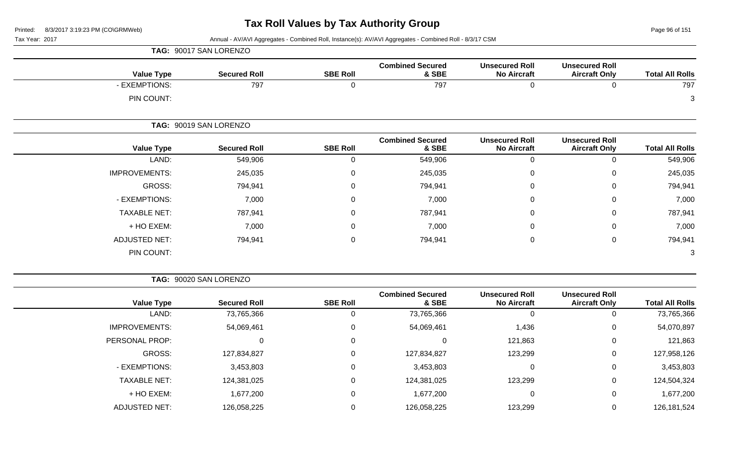Page 96 of 151

Tax Year: 2017 **Annual - AV/AVI Aggregates - Combined Roll**, Instance(s): AV/AVI Aggregates - Combined Roll - 8/3/17 CSM

|                      | TAG: 90017 SAN LORENZO |                 |                                  |                                             |                                               |                        |
|----------------------|------------------------|-----------------|----------------------------------|---------------------------------------------|-----------------------------------------------|------------------------|
| <b>Value Type</b>    | <b>Secured Roll</b>    | <b>SBE Roll</b> | <b>Combined Secured</b><br>& SBE | <b>Unsecured Roll</b><br><b>No Aircraft</b> | <b>Unsecured Roll</b><br><b>Aircraft Only</b> | <b>Total All Rolls</b> |
| - EXEMPTIONS:        | 797                    | 0               | 797                              | $\pmb{0}$                                   | 0                                             | 797                    |
| PIN COUNT:           |                        |                 |                                  |                                             |                                               | 3                      |
|                      | TAG: 90019 SAN LORENZO |                 |                                  |                                             |                                               |                        |
| <b>Value Type</b>    | <b>Secured Roll</b>    | <b>SBE Roll</b> | <b>Combined Secured</b><br>& SBE | <b>Unsecured Roll</b><br><b>No Aircraft</b> | <b>Unsecured Roll</b><br><b>Aircraft Only</b> | <b>Total All Rolls</b> |
| LAND:                | 549,906                | $\mathbf 0$     | 549,906                          | $\mathbf 0$                                 | 0                                             | 549,906                |
| <b>IMPROVEMENTS:</b> | 245,035                | $\mathbf 0$     | 245,035                          | $\pmb{0}$                                   | $\mathbf 0$                                   | 245,035                |
| GROSS:               | 794,941                | 0               | 794,941                          | $\mathbf 0$                                 | 0                                             | 794,941                |
| - EXEMPTIONS:        | 7,000                  | $\overline{0}$  | 7,000                            | $\pmb{0}$                                   | $\mathbf 0$                                   | 7,000                  |
| <b>TAXABLE NET:</b>  | 787,941                | $\mathbf 0$     | 787,941                          | $\pmb{0}$                                   | 0                                             | 787,941                |
| + HO EXEM:           | 7,000                  | $\Omega$        | 7,000                            | $\boldsymbol{0}$                            | 0                                             | 7,000                  |
| <b>ADJUSTED NET:</b> | 794,941                | $\mathbf 0$     | 794,941                          | $\pmb{0}$                                   | $\mathbf 0$                                   | 794,941                |
| PIN COUNT:           |                        |                 |                                  |                                             |                                               | 3                      |

**TAG:** 90020 SAN LORENZO

| <b>Total All Rolls</b> | <b>Unsecured Roll</b><br><b>Aircraft Only</b> | <b>Unsecured Roll</b><br><b>No Aircraft</b> | <b>Combined Secured</b><br>& SBE | <b>SBE Roll</b> | <b>Secured Roll</b> | <b>Value Type</b>    |
|------------------------|-----------------------------------------------|---------------------------------------------|----------------------------------|-----------------|---------------------|----------------------|
| 73,765,366             |                                               |                                             | 73,765,366                       |                 | 73,765,366          | LAND:                |
| 54,070,897             | 0                                             | 1,436                                       | 54,069,461                       | 0               | 54,069,461          | <b>IMPROVEMENTS:</b> |
| 121,863                | 0                                             | 121,863                                     |                                  | 0               |                     | PERSONAL PROP:       |
| 127,958,126            |                                               | 123,299                                     | 127,834,827                      | 0               | 127,834,827         | GROSS:               |
| 3,453,803              | 0                                             |                                             | 3,453,803                        | 0               | 3,453,803           | - EXEMPTIONS:        |
| 124,504,324            | 0                                             | 123,299                                     | 124,381,025                      | 0               | 124,381,025         | <b>TAXABLE NET:</b>  |
| 1,677,200              | $\Omega$                                      |                                             | 1,677,200                        | 0               | 1,677,200           | + HO EXEM:           |
| 126, 181, 524          |                                               | 123,299                                     | 126,058,225                      |                 | 126,058,225         | <b>ADJUSTED NET:</b> |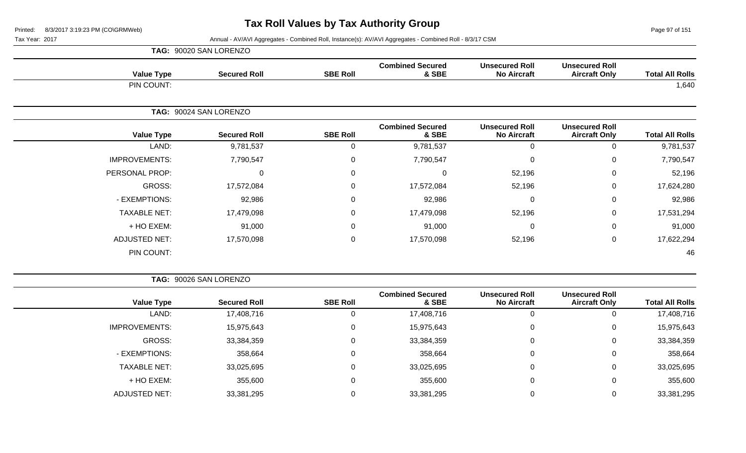Page 97 of 151

|                      | TAG: 90020 SAN LORENZO |                 |                                  |                                             |                                               |                        |  |  |  |
|----------------------|------------------------|-----------------|----------------------------------|---------------------------------------------|-----------------------------------------------|------------------------|--|--|--|
| <b>Value Type</b>    | <b>Secured Roll</b>    | <b>SBE Roll</b> | <b>Combined Secured</b><br>& SBE | <b>Unsecured Roll</b><br><b>No Aircraft</b> | <b>Unsecured Roll</b><br><b>Aircraft Only</b> | <b>Total All Rolls</b> |  |  |  |
| PIN COUNT:           |                        |                 |                                  |                                             |                                               | 1,640                  |  |  |  |
|                      | TAG: 90024 SAN LORENZO |                 |                                  |                                             |                                               |                        |  |  |  |
| <b>Value Type</b>    | <b>Secured Roll</b>    | <b>SBE Roll</b> | <b>Combined Secured</b><br>& SBE | <b>Unsecured Roll</b><br><b>No Aircraft</b> | <b>Unsecured Roll</b><br><b>Aircraft Only</b> | <b>Total All Rolls</b> |  |  |  |
| LAND:                | 9,781,537              | 0               | 9,781,537                        | $\Omega$                                    | 0                                             | 9,781,537              |  |  |  |
| <b>IMPROVEMENTS:</b> | 7,790,547              | 0               | 7,790,547                        | 0                                           | $\mathbf 0$                                   | 7,790,547              |  |  |  |
| PERSONAL PROP:       | 0                      | 0               | 0                                | 52,196                                      | 0                                             | 52,196                 |  |  |  |
| GROSS:               | 17,572,084             | 0               | 17,572,084                       | 52,196                                      | $\mathbf 0$                                   | 17,624,280             |  |  |  |
| - EXEMPTIONS:        | 92,986                 | 0               | 92,986                           | 0                                           | $\mathbf 0$                                   | 92,986                 |  |  |  |
| <b>TAXABLE NET:</b>  | 17,479,098             | $\pmb{0}$       | 17,479,098                       | 52,196                                      | $\mathbf 0$                                   | 17,531,294             |  |  |  |
| + HO EXEM:           | 91,000                 | 0               | 91,000                           | $\Omega$                                    | 0                                             | 91,000                 |  |  |  |
| <b>ADJUSTED NET:</b> | 17,570,098             | $\pmb{0}$       | 17,570,098                       | 52,196                                      | $\mathbf 0$                                   | 17,622,294             |  |  |  |
| PIN COUNT:           |                        |                 |                                  |                                             |                                               | 46                     |  |  |  |

|                        |                                               |                                             |                                  | TAG: 90026 SAN LORENZO |                     |                      |  |
|------------------------|-----------------------------------------------|---------------------------------------------|----------------------------------|------------------------|---------------------|----------------------|--|
| <b>Total All Rolls</b> | <b>Unsecured Roll</b><br><b>Aircraft Only</b> | <b>Unsecured Roll</b><br><b>No Aircraft</b> | <b>Combined Secured</b><br>& SBE | <b>SBE Roll</b>        | <b>Secured Roll</b> | <b>Value Type</b>    |  |
| 17,408,716             | 0                                             | 0                                           | 17,408,716                       |                        | 17,408,716          | LAND:                |  |
| 15,975,643             | 0                                             | $\mathbf 0$                                 | 15,975,643                       | $\Omega$               | 15,975,643          | <b>IMPROVEMENTS:</b> |  |
| 33,384,359             | 0                                             | 0                                           | 33,384,359                       | $\Omega$               | 33,384,359          | GROSS:               |  |
| 358,664                | 0                                             | $\mathbf 0$                                 | 358,664                          | 0                      | 358,664             | - EXEMPTIONS:        |  |
| 33,025,695             | 0                                             | 0                                           | 33,025,695                       | $\Omega$               | 33,025,695          | <b>TAXABLE NET:</b>  |  |
| 355,600                | 0                                             | 0                                           | 355,600                          | $\Omega$               | 355,600             | + HO EXEM:           |  |
| 33,381,295             | 0                                             | $\Omega$                                    | 33,381,295                       | 0                      | 33,381,295          | <b>ADJUSTED NET:</b> |  |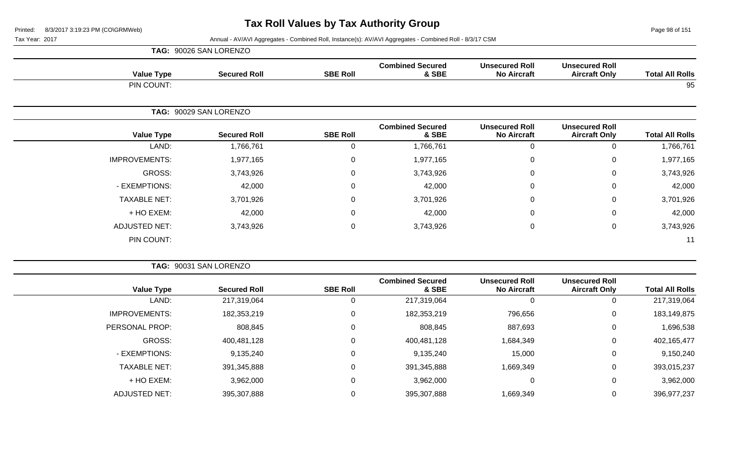Page 98 of 151

|                      | TAG: 90026 SAN LORENZO |                 |                                  |                                             |                                               |                        |
|----------------------|------------------------|-----------------|----------------------------------|---------------------------------------------|-----------------------------------------------|------------------------|
| <b>Value Type</b>    | <b>Secured Roll</b>    | <b>SBE Roll</b> | <b>Combined Secured</b><br>& SBE | <b>Unsecured Roll</b><br><b>No Aircraft</b> | <b>Unsecured Roll</b><br><b>Aircraft Only</b> | <b>Total All Rolls</b> |
| PIN COUNT:           |                        |                 |                                  |                                             |                                               | 95                     |
|                      | TAG: 90029 SAN LORENZO |                 |                                  |                                             |                                               |                        |
| <b>Value Type</b>    | <b>Secured Roll</b>    | <b>SBE Roll</b> | <b>Combined Secured</b><br>& SBE | <b>Unsecured Roll</b><br><b>No Aircraft</b> | <b>Unsecured Roll</b><br><b>Aircraft Only</b> | <b>Total All Rolls</b> |
| LAND:                | 1,766,761              | 0               | 1,766,761                        | $\mathbf 0$                                 | 0                                             | 1,766,761              |
| <b>IMPROVEMENTS:</b> | 1,977,165              | $\mathbf 0$     | 1,977,165                        | 0                                           | $\mathbf 0$                                   | 1,977,165              |
| GROSS:               | 3,743,926              | 0               | 3,743,926                        | 0                                           | $\mathbf 0$                                   | 3,743,926              |
| - EXEMPTIONS:        | 42,000                 | $\mathbf 0$     | 42,000                           | 0                                           | 0                                             | 42,000                 |
| <b>TAXABLE NET:</b>  | 3,701,926              | 0               | 3,701,926                        | 0                                           | $\mathbf 0$                                   | 3,701,926              |
| + HO EXEM:           | 42,000                 | 0               | 42,000                           | 0                                           | 0                                             | 42,000                 |
| <b>ADJUSTED NET:</b> | 3,743,926              | 0               | 3,743,926                        | 0                                           | $\mathbf 0$                                   | 3,743,926              |
| PIN COUNT:           |                        |                 |                                  |                                             |                                               | 11                     |

|                      | TAG: 90031 SAN LORENZO |                 |                                  |                                             |                                               |                        |
|----------------------|------------------------|-----------------|----------------------------------|---------------------------------------------|-----------------------------------------------|------------------------|
| <b>Value Type</b>    | <b>Secured Roll</b>    | <b>SBE Roll</b> | <b>Combined Secured</b><br>& SBE | <b>Unsecured Roll</b><br><b>No Aircraft</b> | <b>Unsecured Roll</b><br><b>Aircraft Only</b> | <b>Total All Rolls</b> |
| LAND:                | 217,319,064            |                 | 217,319,064                      | 0                                           | 0                                             | 217,319,064            |
| <b>IMPROVEMENTS:</b> | 182,353,219            |                 | 182,353,219                      | 796,656                                     | $\mathbf 0$                                   | 183,149,875            |
| PERSONAL PROP:       | 808,845                |                 | 808,845                          | 887,693                                     | 0                                             | 1,696,538              |
| GROSS:               | 400,481,128            | 0               | 400,481,128                      | 1,684,349                                   | $\mathbf 0$                                   | 402,165,477            |
| - EXEMPTIONS:        | 9,135,240              |                 | 9,135,240                        | 15,000                                      | $\mathbf 0$                                   | 9,150,240              |
| <b>TAXABLE NET:</b>  | 391,345,888            | 0               | 391,345,888                      | 1,669,349                                   | $\mathbf 0$                                   | 393,015,237            |
| + HO EXEM:           | 3,962,000              | 0               | 3,962,000                        | 0                                           | 0                                             | 3,962,000              |
| <b>ADJUSTED NET:</b> | 395,307,888            |                 | 395,307,888                      | 1,669,349                                   | 0                                             | 396,977,237            |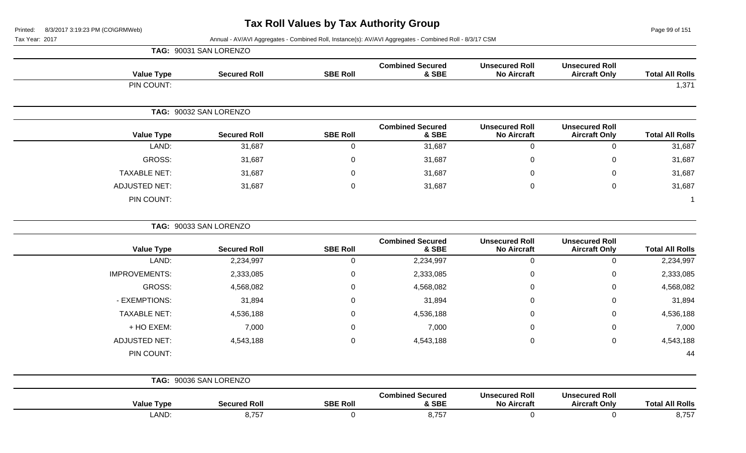Page 99 of 151

| Tax Year: 2017 | Annual - AV/AVI Aggregates - Combined Roll, Instance(s): AV/AVI Aggregates - Combined Roll - 8/3/17 CSM |
|----------------|---------------------------------------------------------------------------------------------------------|
|                | TAG: 90031 SAN LORENZO                                                                                  |

| <b>Total All Rolls</b> | <b>Unsecured Roll</b><br><b>Aircraft Only</b> | <b>Unsecured Roll</b><br><b>No Aircraft</b> | <b>Combined Secured</b><br>& SBE | <b>SBE Roll</b>  | <b>Secured Roll</b>    | <b>Value Type</b>    |
|------------------------|-----------------------------------------------|---------------------------------------------|----------------------------------|------------------|------------------------|----------------------|
| 1,371                  |                                               |                                             |                                  |                  |                        | PIN COUNT:           |
|                        |                                               |                                             |                                  |                  | TAG: 90032 SAN LORENZO |                      |
| <b>Total All Rolls</b> | <b>Unsecured Roll</b><br><b>Aircraft Only</b> | <b>Unsecured Roll</b><br><b>No Aircraft</b> | <b>Combined Secured</b><br>& SBE | <b>SBE Roll</b>  | <b>Secured Roll</b>    | <b>Value Type</b>    |
| 31,687                 | $\pmb{0}$                                     | $\mathbf 0$                                 | 31,687                           | $\mathbf 0$      | 31,687                 | LAND:                |
| 31,687                 | $\mathbf 0$                                   | $\mathbf 0$                                 | 31,687                           | $\mathbf 0$      | 31,687                 | GROSS:               |
| 31,687                 | $\mathbf 0$                                   | $\Omega$                                    | 31,687                           | $\mathbf 0$      | 31,687                 | <b>TAXABLE NET:</b>  |
| 31,687                 | $\mathbf 0$                                   | $\mathbf 0$                                 | 31,687                           | $\overline{0}$   | 31,687                 | <b>ADJUSTED NET:</b> |
|                        |                                               |                                             |                                  |                  |                        | PIN COUNT:           |
|                        |                                               |                                             |                                  |                  | TAG: 90033 SAN LORENZO |                      |
| <b>Total All Rolls</b> | <b>Unsecured Roll</b><br><b>Aircraft Only</b> | <b>Unsecured Roll</b><br><b>No Aircraft</b> | <b>Combined Secured</b><br>& SBE | <b>SBE Roll</b>  | <b>Secured Roll</b>    | <b>Value Type</b>    |
| 2,234,997              | $\mathbf 0$                                   | $\mathbf 0$                                 | 2,234,997                        | $\overline{0}$   | 2,234,997              | LAND:                |
| 2,333,085              | 0                                             | $\Omega$                                    | 2,333,085                        | $\boldsymbol{0}$ | 2,333,085              | <b>IMPROVEMENTS:</b> |
| 4,568,082              | $\mathbf 0$                                   | $\Omega$                                    | 4,568,082                        | $\mathbf 0$      | 4,568,082              | <b>GROSS:</b>        |
| 31,894                 | 0                                             | $\Omega$                                    | 31,894                           | $\mathbf 0$      | 31,894                 | - EXEMPTIONS:        |
| 4,536,188              | 0                                             | $\Omega$                                    | 4,536,188                        | $\mathbf 0$      | 4,536,188              | <b>TAXABLE NET:</b>  |
| 7,000                  | $\mathbf 0$                                   | $\mathbf 0$                                 | 7,000                            | $\overline{0}$   | 7,000                  | + HO EXEM:           |
| 4,543,188              | $\mathbf 0$                                   | $\mathbf 0$                                 | 4,543,188                        | $\mathbf 0$      | 4,543,188              | <b>ADJUSTED NET:</b> |
| 44                     |                                               |                                             |                                  |                  |                        | PIN COUNT:           |
|                        |                                               |                                             |                                  |                  | TAG: 90036 SAN LORENZO |                      |
| <b>Total All Rolls</b> | <b>Unsecured Roll</b><br><b>Aircraft Only</b> | <b>Unsecured Roll</b><br><b>No Aircraft</b> | <b>Combined Secured</b><br>& SBE | <b>SBE Roll</b>  | <b>Secured Roll</b>    | <b>Value Type</b>    |
| 8,757                  | $\mathbf 0$                                   | $\pmb{0}$                                   | 8,757                            | $\boldsymbol{0}$ | 8,757                  | LAND:                |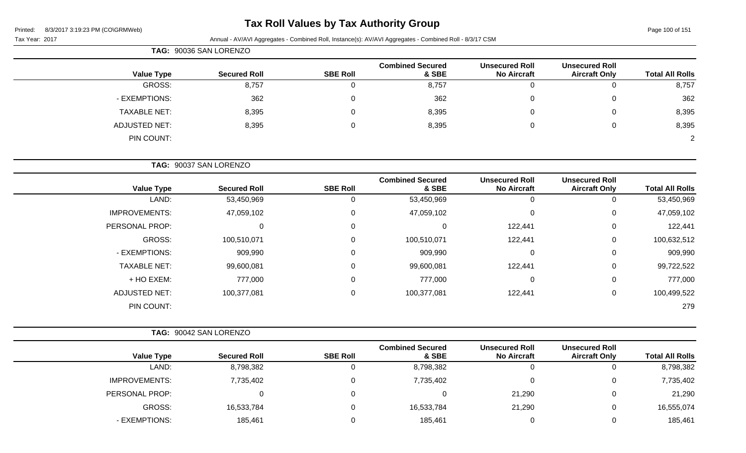## **Tax Roll Values by Tax Authority Group**

Page 100 of 151

| Tax Year: 2017 |  |
|----------------|--|
|----------------|--|

|                      | TAG: 90036 SAN LORENZO |                 |                                  |                                             |                                               |                        |
|----------------------|------------------------|-----------------|----------------------------------|---------------------------------------------|-----------------------------------------------|------------------------|
| <b>Value Type</b>    | <b>Secured Roll</b>    | <b>SBE Roll</b> | <b>Combined Secured</b><br>& SBE | <b>Unsecured Roll</b><br><b>No Aircraft</b> | <b>Unsecured Roll</b><br><b>Aircraft Only</b> | <b>Total All Rolls</b> |
| GROSS:               | 8,757                  |                 | 8,757                            | 0                                           | 0                                             | 8,757                  |
| - EXEMPTIONS:        | 362                    |                 | 362                              | 0                                           | 0                                             | 362                    |
| <b>TAXABLE NET:</b>  | 8,395                  |                 | 8,395                            | 0                                           | 0                                             | 8,395                  |
| <b>ADJUSTED NET:</b> | 8,395                  |                 | 8,395                            | 0                                           | 0                                             | 8,395                  |
| PIN COUNT:           |                        |                 |                                  |                                             |                                               | 2                      |

| TAG: 90037 SAN LORENZO |
|------------------------|
|------------------------|

| <b>Value Type</b>    | <b>Secured Roll</b> | <b>SBE Roll</b> | <b>Combined Secured</b><br>& SBE | <b>Unsecured Roll</b><br><b>No Aircraft</b> | <b>Unsecured Roll</b><br><b>Aircraft Only</b> | <b>Total All Rolls</b> |
|----------------------|---------------------|-----------------|----------------------------------|---------------------------------------------|-----------------------------------------------|------------------------|
| LAND:                | 53,450,969          | U               | 53,450,969                       | U                                           |                                               | 53,450,969             |
| <b>IMPROVEMENTS:</b> | 47,059,102          | 0               | 47,059,102                       | 0                                           | 0                                             | 47,059,102             |
| PERSONAL PROP:       | 0                   | 0               |                                  | 122,441                                     | 0                                             | 122,441                |
| GROSS:               | 100,510,071         | 0               | 100,510,071                      | 122,441                                     | 0                                             | 100,632,512            |
| - EXEMPTIONS:        | 909,990             | 0               | 909,990                          | 0                                           | 0                                             | 909,990                |
| <b>TAXABLE NET:</b>  | 99,600,081          | 0               | 99,600,081                       | 122,441                                     | $\Omega$                                      | 99,722,522             |
| + HO EXEM:           | 777,000             | 0               | 777,000                          | 0                                           | 0                                             | 777,000                |
| <b>ADJUSTED NET:</b> | 100,377,081         | 0               | 100,377,081                      | 122,441                                     | 0                                             | 100,499,522            |
| PIN COUNT:           |                     |                 |                                  |                                             |                                               | 279                    |

|                      | TAG: 90042 SAN LORENZO |                 |                                  |                                             |                                               |                        |
|----------------------|------------------------|-----------------|----------------------------------|---------------------------------------------|-----------------------------------------------|------------------------|
| <b>Value Type</b>    | <b>Secured Roll</b>    | <b>SBE Roll</b> | <b>Combined Secured</b><br>& SBE | <b>Unsecured Roll</b><br><b>No Aircraft</b> | <b>Unsecured Roll</b><br><b>Aircraft Only</b> | <b>Total All Rolls</b> |
| LAND:                | 8,798,382              |                 | 8,798,382                        | 0                                           |                                               | 8,798,382              |
| <b>IMPROVEMENTS:</b> | 7,735,402              | 0               | 7,735,402                        | 0                                           |                                               | 7,735,402              |
| PERSONAL PROP:       |                        | 0               |                                  | 21,290                                      |                                               | 21,290                 |
| GROSS:               | 16,533,784             | 0               | 16,533,784                       | 21,290                                      |                                               | 16,555,074             |
| - EXEMPTIONS:        | 185,461                |                 | 185,461                          | C                                           |                                               | 185,461                |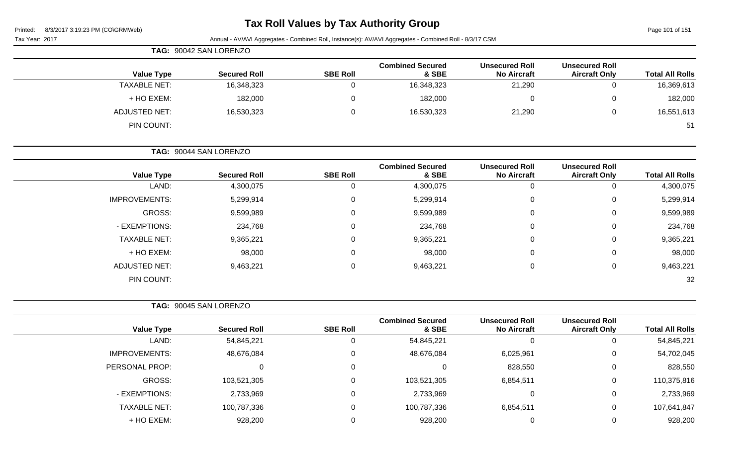## **Tax Roll Values by Tax Authority Group**

Page 101 of 151

| $0.972011$ 3.13.23 T IVI (00 IOI MITTED)<br>Tax Year: 2017 |                        |                 | Annual - AV/AVI Aggregates - Combined Roll, Instance(s): AV/AVI Aggregates - Combined Roll - 8/3/17 CSM |                                             |                                               | i ayu ivi bi ivi       |
|------------------------------------------------------------|------------------------|-----------------|---------------------------------------------------------------------------------------------------------|---------------------------------------------|-----------------------------------------------|------------------------|
|                                                            | TAG: 90042 SAN LORENZO |                 |                                                                                                         |                                             |                                               |                        |
| <b>Value Type</b>                                          | <b>Secured Roll</b>    | <b>SBE Roll</b> | <b>Combined Secured</b><br>& SBE                                                                        | <b>Unsecured Roll</b><br><b>No Aircraft</b> | <b>Unsecured Roll</b><br><b>Aircraft Only</b> | <b>Total All Rolls</b> |
| <b>TAXABLE NET:</b>                                        | 16,348,323             | $\mathbf 0$     | 16,348,323                                                                                              | 21,290                                      | 0                                             | 16,369,613             |
| + HO EXEM:                                                 | 182,000                | 0               | 182,000                                                                                                 | 0                                           | 0                                             | 182,000                |
| <b>ADJUSTED NET:</b>                                       | 16,530,323             | $\mathbf 0$     | 16,530,323                                                                                              | 21,290                                      | 0                                             | 16,551,613             |
| PIN COUNT:                                                 |                        |                 |                                                                                                         |                                             |                                               | 51                     |
|                                                            | TAG: 90044 SAN LORENZO |                 |                                                                                                         |                                             |                                               |                        |
| <b>Value Type</b>                                          | <b>Secured Roll</b>    | <b>SBE Roll</b> | <b>Combined Secured</b><br>& SBE                                                                        | <b>Unsecured Roll</b><br><b>No Aircraft</b> | <b>Unsecured Roll</b><br><b>Aircraft Only</b> | <b>Total All Rolls</b> |
| LAND:                                                      | 4,300,075              | 0               | 4,300,075                                                                                               | $\mathbf 0$                                 | $\mathbf 0$                                   | 4,300,075              |
| <b>IMPROVEMENTS:</b>                                       | 5,299,914              | 0               | 5,299,914                                                                                               | 0                                           | 0                                             | 5,299,914              |
| <b>GROSS:</b>                                              | 9,599,989              | 0               | 9,599,989                                                                                               | 0                                           | 0                                             | 9,599,989              |
| - EXEMPTIONS:                                              | 234,768                | 0               | 234,768                                                                                                 | 0                                           | 0                                             | 234,768                |
| <b>TAXABLE NET:</b>                                        | 9,365,221              | 0               | 9,365,221                                                                                               | 0                                           | 0                                             | 9,365,221              |
| + HO EXEM:                                                 | 98,000                 | 0               | 98,000                                                                                                  | 0                                           | 0                                             | 98,000                 |
| <b>ADJUSTED NET:</b>                                       | 9,463,221              | 0               | 9,463,221                                                                                               | 0                                           | 0                                             | 9,463,221              |
| PIN COUNT:                                                 |                        |                 |                                                                                                         |                                             |                                               | 32                     |
|                                                            | TAG: 90045 SAN LORENZO |                 |                                                                                                         |                                             |                                               |                        |
| <b>Value Type</b>                                          | <b>Secured Roll</b>    | <b>SBE Roll</b> | <b>Combined Secured</b><br>& SBE                                                                        | <b>Unsecured Roll</b><br><b>No Aircraft</b> | <b>Unsecured Roll</b><br><b>Aircraft Only</b> | <b>Total All Rolls</b> |
| LAND:                                                      | 54,845,221             | $\mathbf 0$     | 54,845,221                                                                                              | $\mathbf 0$                                 | $\mathbf 0$                                   | 54,845,221             |
| <b>IMPROVEMENTS:</b>                                       | 48,676,084             | 0               | 48,676,084                                                                                              | 6,025,961                                   | 0                                             | 54,702,045             |
| PERSONAL PROP:                                             | $\mathbf 0$            | $\mathbf 0$     | 0                                                                                                       | 828,550                                     | 0                                             | 828,550                |
| GROSS:                                                     | 103,521,305            | 0               | 103,521,305                                                                                             | 6,854,511                                   | 0                                             | 110,375,816            |
| - EXEMPTIONS:                                              | 2,733,969              | $\mathbf 0$     | 2,733,969                                                                                               | 0                                           | 0                                             | 2,733,969              |
| <b>TAXABLE NET:</b>                                        | 100,787,336            | 0               | 100,787,336                                                                                             | 6,854,511                                   | 0                                             | 107,641,847            |
| + HO EXEM:                                                 | 928,200                | 0               | 928,200                                                                                                 | $\mathbf 0$                                 | 0                                             | 928,200                |
|                                                            |                        |                 |                                                                                                         |                                             |                                               |                        |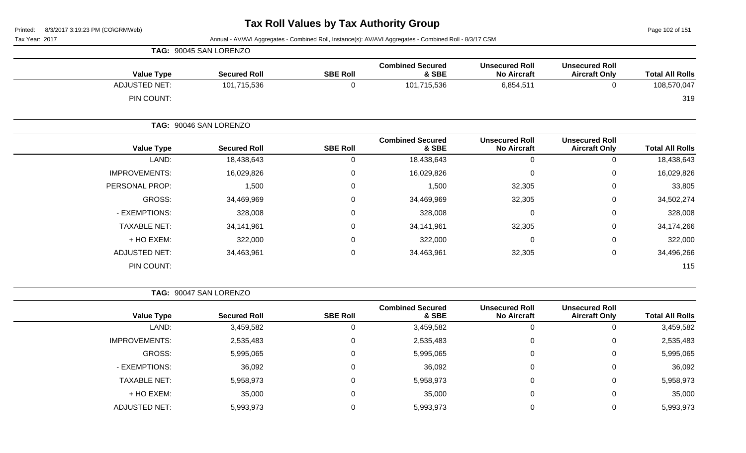Page 102 of 151

Tax Year: 2017 Annual - AV/AVI Aggregates - Combined Roll, Instance(s): AV/AVI Aggregates - Combined Roll - 8/3/17 CSM

|                      | TAG: 90045 SAN LORENZO |                 |                                  |                                             |                                               |                        |
|----------------------|------------------------|-----------------|----------------------------------|---------------------------------------------|-----------------------------------------------|------------------------|
| <b>Value Type</b>    | <b>Secured Roll</b>    | <b>SBE Roll</b> | <b>Combined Secured</b><br>& SBE | <b>Unsecured Roll</b><br><b>No Aircraft</b> | <b>Unsecured Roll</b><br><b>Aircraft Only</b> | <b>Total All Rolls</b> |
| <b>ADJUSTED NET:</b> | 101,715,536            | 0               | 101,715,536                      | 6,854,511                                   | 0                                             | 108,570,047            |
| PIN COUNT:           |                        |                 |                                  |                                             |                                               | 319                    |
|                      | TAG: 90046 SAN LORENZO |                 |                                  |                                             |                                               |                        |
| <b>Value Type</b>    | <b>Secured Roll</b>    | <b>SBE Roll</b> | <b>Combined Secured</b><br>& SBE | <b>Unsecured Roll</b><br><b>No Aircraft</b> | <b>Unsecured Roll</b><br><b>Aircraft Only</b> | <b>Total All Rolls</b> |
| LAND:                | 18,438,643             | 0               | 18,438,643                       | $\mathbf 0$                                 | 0                                             | 18,438,643             |
| <b>IMPROVEMENTS:</b> | 16,029,826             | $\mathbf 0$     | 16,029,826                       | $\mathbf 0$                                 | 0                                             | 16,029,826             |
| PERSONAL PROP:       | 1,500                  | 0               | 1,500                            | 32,305                                      | 0                                             | 33,805                 |
| GROSS:               | 34,469,969             | 0               | 34,469,969                       | 32,305                                      | 0                                             | 34,502,274             |
| - EXEMPTIONS:        | 328,008                | 0               | 328,008                          | $\mathbf 0$                                 | 0                                             | 328,008                |
| <b>TAXABLE NET:</b>  | 34,141,961             | 0               | 34,141,961                       | 32,305                                      | 0                                             | 34,174,266             |
| + HO EXEM:           | 322,000                | $\mathbf 0$     | 322,000                          | $\mathbf 0$                                 | 0                                             | 322,000                |
| <b>ADJUSTED NET:</b> | 34,463,961             | $\mathbf 0$     | 34,463,961                       | 32,305                                      | 0                                             | 34,496,266             |
| PIN COUNT:           |                        |                 |                                  |                                             |                                               | 115                    |

**TAG:** 90047 SAN LORENZO

| <b>Total All Rolls</b> | <b>Unsecured Roll</b><br><b>Aircraft Only</b> | <b>Unsecured Roll</b><br><b>No Aircraft</b> | <b>Combined Secured</b><br>& SBE | <b>SBE Roll</b> | <b>Secured Roll</b> | <b>Value Type</b>    |
|------------------------|-----------------------------------------------|---------------------------------------------|----------------------------------|-----------------|---------------------|----------------------|
| 3,459,582              | U                                             | 0                                           | 3,459,582                        | O               | 3,459,582           | LAND:                |
| 2,535,483              | 0                                             | $\Omega$                                    | 2,535,483                        | $\Omega$        | 2,535,483           | <b>IMPROVEMENTS:</b> |
| 5,995,065              | 0                                             | $\Omega$                                    | 5,995,065                        | $\Omega$        | 5,995,065           | GROSS:               |
| 36,092                 | $\Omega$                                      | 0                                           | 36,092                           | $\Omega$        | 36,092              | - EXEMPTIONS:        |
| 5,958,973              | 0                                             | 0                                           | 5,958,973                        | $\Omega$        | 5,958,973           | <b>TAXABLE NET:</b>  |
| 35,000                 | 0                                             | 0                                           | 35,000                           | 0               | 35,000              | + HO EXEM:           |
| 5,993,973              | 0                                             | $\Omega$                                    | 5,993,973                        |                 | 5,993,973           | <b>ADJUSTED NET:</b> |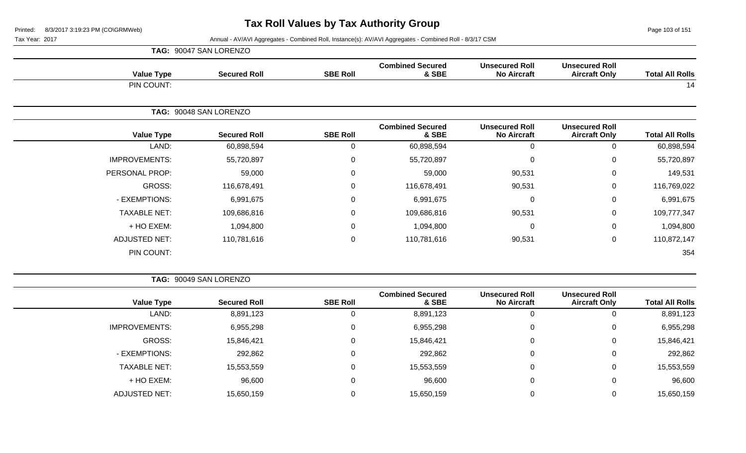Page 103 of 151

|                      | TAG: 90047 SAN LORENZO |                 |                                  |                                             |                                               |                        |
|----------------------|------------------------|-----------------|----------------------------------|---------------------------------------------|-----------------------------------------------|------------------------|
| <b>Value Type</b>    | <b>Secured Roll</b>    | <b>SBE Roll</b> | <b>Combined Secured</b><br>& SBE | <b>Unsecured Roll</b><br><b>No Aircraft</b> | <b>Unsecured Roll</b><br><b>Aircraft Only</b> | <b>Total All Rolls</b> |
| PIN COUNT:           |                        |                 |                                  |                                             |                                               | 14                     |
|                      | TAG: 90048 SAN LORENZO |                 |                                  |                                             |                                               |                        |
| <b>Value Type</b>    | <b>Secured Roll</b>    | <b>SBE Roll</b> | <b>Combined Secured</b><br>& SBE | <b>Unsecured Roll</b><br><b>No Aircraft</b> | <b>Unsecured Roll</b><br><b>Aircraft Only</b> | <b>Total All Rolls</b> |
| LAND:                | 60,898,594             | 0               | 60,898,594                       | $\mathbf 0$                                 | 0                                             | 60,898,594             |
| <b>IMPROVEMENTS:</b> | 55,720,897             | $\mathbf 0$     | 55,720,897                       | $\mathbf 0$                                 | $\mathbf 0$                                   | 55,720,897             |
| PERSONAL PROP:       | 59,000                 | $\mathbf 0$     | 59,000                           | 90,531                                      | $\pmb{0}$                                     | 149,531                |
| <b>GROSS:</b>        | 116,678,491            | $\mathbf{0}$    | 116,678,491                      | 90,531                                      | $\mathbf 0$                                   | 116,769,022            |
| - EXEMPTIONS:        | 6,991,675              | $\mathbf 0$     | 6,991,675                        | 0                                           | $\mathbf 0$                                   | 6,991,675              |
| <b>TAXABLE NET:</b>  | 109,686,816            | $\mathbf 0$     | 109,686,816                      | 90,531                                      | $\pmb{0}$                                     | 109,777,347            |
| + HO EXEM:           | 1,094,800              | $\mathbf 0$     | 1,094,800                        | $\mathbf 0$                                 | $\mathbf 0$                                   | 1,094,800              |
| <b>ADJUSTED NET:</b> | 110,781,616            | $\mathbf 0$     | 110,781,616                      | 90,531                                      | $\pmb{0}$                                     | 110,872,147            |
| PIN COUNT:           |                        |                 |                                  |                                             |                                               | 354                    |

|                        |                                               |                                             |                                  |                 | TAG: 90049 SAN LORENZO |                      |  |
|------------------------|-----------------------------------------------|---------------------------------------------|----------------------------------|-----------------|------------------------|----------------------|--|
| <b>Total All Rolls</b> | <b>Unsecured Roll</b><br><b>Aircraft Only</b> | <b>Unsecured Roll</b><br><b>No Aircraft</b> | <b>Combined Secured</b><br>& SBE | <b>SBE Roll</b> | <b>Secured Roll</b>    | <b>Value Type</b>    |  |
| 8,891,123              | 0                                             | υ                                           | 8,891,123                        | υ               | 8,891,123              | LAND:                |  |
| 6,955,298              | 0                                             | 0                                           | 6,955,298                        | 0               | 6,955,298              | <b>IMPROVEMENTS:</b> |  |
| 15,846,421             | 0                                             | $\mathbf 0$                                 | 15,846,421                       | 0               | 15,846,421             | GROSS:               |  |
| 292,862                | 0                                             | $\Omega$                                    | 292,862                          | 0               | 292,862                | - EXEMPTIONS:        |  |
| 15,553,559             | 0                                             | $\Omega$                                    | 15,553,559                       | 0               | 15,553,559             | <b>TAXABLE NET:</b>  |  |
| 96,600                 | 0                                             | $\mathbf 0$                                 | 96,600                           | 0               | 96,600                 | + HO EXEM:           |  |
| 15,650,159             | 0                                             |                                             | 15,650,159                       |                 | 15,650,159             | <b>ADJUSTED NET:</b> |  |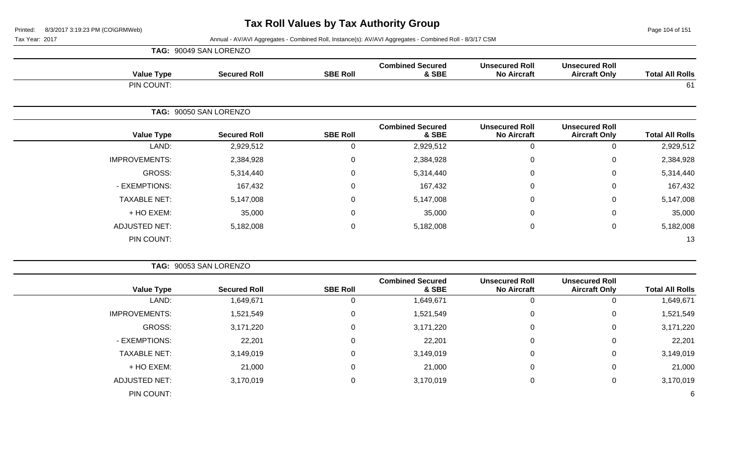**TAG:** 90049 SAN LORENZO

Page 104 of 151

| <b>Value Type</b>    | <b>Secured Roll</b>    | <b>SBE Roll</b> | <b>Combined Secured</b><br>& SBE | <b>Unsecured Roll</b><br><b>No Aircraft</b> | <b>Unsecured Roll</b><br><b>Aircraft Only</b> | <b>Total All Rolls</b> |
|----------------------|------------------------|-----------------|----------------------------------|---------------------------------------------|-----------------------------------------------|------------------------|
| PIN COUNT:           |                        |                 |                                  |                                             |                                               | 61                     |
|                      | TAG: 90050 SAN LORENZO |                 |                                  |                                             |                                               |                        |
| <b>Value Type</b>    | <b>Secured Roll</b>    | <b>SBE Roll</b> | <b>Combined Secured</b><br>& SBE | <b>Unsecured Roll</b><br><b>No Aircraft</b> | <b>Unsecured Roll</b><br><b>Aircraft Only</b> | <b>Total All Rolls</b> |
| LAND:                | 2,929,512              | $\mathbf 0$     | 2,929,512                        | $\mathbf 0$                                 | 0                                             | 2,929,512              |
| <b>IMPROVEMENTS:</b> | 2,384,928              | $\mathsf 0$     | 2,384,928                        | $\mathbf 0$                                 | $\mathbf 0$                                   | 2,384,928              |
| GROSS:               | 5,314,440              | $\mathbf 0$     | 5,314,440                        | $\mathbf 0$                                 | 0                                             | 5,314,440              |
| - EXEMPTIONS:        | 167,432                | $\mathsf 0$     | 167,432                          | $\mathbf 0$                                 | $\mathbf 0$                                   | 167,432                |
| <b>TAXABLE NET:</b>  | 5,147,008              | $\mathbf 0$     | 5,147,008                        | $\mathbf 0$                                 | 0                                             | 5,147,008              |
| + HO EXEM:           | 35,000                 | $\mathsf 0$     | 35,000                           | $\mathbf 0$                                 | $\mathbf 0$                                   | 35,000                 |
| <b>ADJUSTED NET:</b> | 5,182,008              | 0               | 5,182,008                        | $\mathbf 0$                                 | $\mathbf 0$                                   | 5,182,008              |
| PIN COUNT:           |                        |                 |                                  |                                             |                                               | 13                     |

|                      | TAG: 90053 SAN LORENZO |                 |                                  |                                             |                                               |                        |
|----------------------|------------------------|-----------------|----------------------------------|---------------------------------------------|-----------------------------------------------|------------------------|
| <b>Value Type</b>    | <b>Secured Roll</b>    | <b>SBE Roll</b> | <b>Combined Secured</b><br>& SBE | <b>Unsecured Roll</b><br><b>No Aircraft</b> | <b>Unsecured Roll</b><br><b>Aircraft Only</b> | <b>Total All Rolls</b> |
| LAND:                | 1,649,671              | 0               | 1,649,671                        |                                             | 0                                             | 1,649,671              |
| <b>IMPROVEMENTS:</b> | 1,521,549              | 0               | 1,521,549                        | 0                                           | 0                                             | 1,521,549              |
| GROSS:               | 3,171,220              | 0               | 3,171,220                        | $\Omega$                                    | 0                                             | 3,171,220              |
| - EXEMPTIONS:        | 22,201                 | 0               | 22,201                           | 0                                           | 0                                             | 22,201                 |
| <b>TAXABLE NET:</b>  | 3,149,019              | 0               | 3,149,019                        | 0                                           | $\mathbf 0$                                   | 3,149,019              |
| + HO EXEM:           | 21,000                 | 0               | 21,000                           |                                             | 0                                             | 21,000                 |
| <b>ADJUSTED NET:</b> | 3,170,019              | 0               | 3,170,019                        | 0                                           | 0                                             | 3,170,019              |
| PIN COUNT:           |                        |                 |                                  |                                             |                                               | 6                      |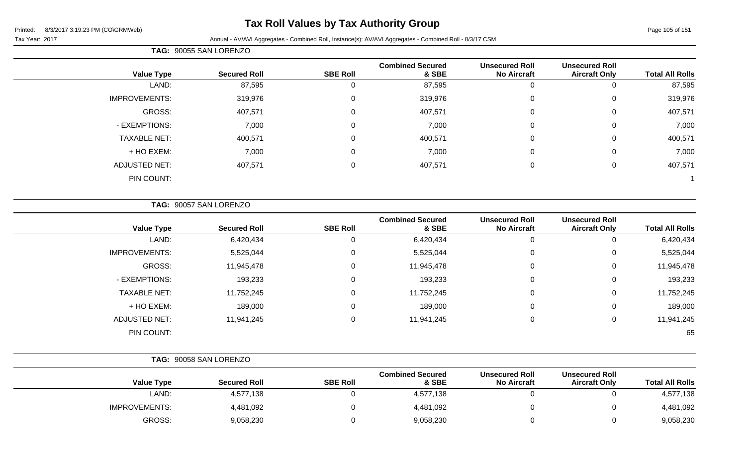## **Tax Roll Values by Tax Authority Group**

Tax Year: 2017 Annual - AV/AVI Aggregates - Combined Roll, Instance(s): AV/AVI Aggregates - Combined Roll - 8/3/17 CSM

|                        |                                               |                                             |                                  |                 | TAG: 90055 SAN LORENZO |                      |
|------------------------|-----------------------------------------------|---------------------------------------------|----------------------------------|-----------------|------------------------|----------------------|
| <b>Total All Rolls</b> | <b>Unsecured Roll</b><br><b>Aircraft Only</b> | <b>Unsecured Roll</b><br><b>No Aircraft</b> | <b>Combined Secured</b><br>& SBE | <b>SBE Roll</b> | <b>Secured Roll</b>    | <b>Value Type</b>    |
| 87,595                 |                                               |                                             | 87,595                           |                 | 87,595                 | LAND:                |
| 319,976                |                                               |                                             | 319,976                          |                 | 319,976                | <b>IMPROVEMENTS:</b> |

| GROSS:              | 407,571 | 0 | 407,571 | 0 | 407,571 |
|---------------------|---------|---|---------|---|---------|
| - EXEMPTIONS:       | 7,000   | 0 | 7,000   | 0 | 7,000   |
| <b>TAXABLE NET:</b> | 400,571 | 0 | 400,571 | 0 | 400,571 |
| + HO EXEM:          | 7,000   | 0 | 7,000   | 0 | 7,000   |
| ADJUSTED NET:       | 407,571 | 0 | 407,571 | 0 | 407,571 |
| PIN COUNT:          |         |   |         |   |         |

**TAG:** 90057 SAN LORENZO

| <b>Value Type</b>    | <b>Secured Roll</b> | <b>SBE Roll</b> | <b>Combined Secured</b><br>& SBE | <b>Unsecured Roll</b><br><b>No Aircraft</b> | <b>Unsecured Roll</b><br><b>Aircraft Only</b> | <b>Total All Rolls</b> |
|----------------------|---------------------|-----------------|----------------------------------|---------------------------------------------|-----------------------------------------------|------------------------|
| LAND:                | 6,420,434           | U               | 6,420,434                        | υ                                           | 0                                             | 6,420,434              |
| <b>IMPROVEMENTS:</b> | 5,525,044           | 0               | 5,525,044                        | 0                                           | 0                                             | 5,525,044              |
| GROSS:               | 11,945,478          | 0               | 11,945,478                       | 0                                           | 0                                             | 11,945,478             |
| - EXEMPTIONS:        | 193,233             | 0               | 193,233                          | $\overline{0}$                              | 0                                             | 193,233                |
| <b>TAXABLE NET:</b>  | 11,752,245          | 0               | 11,752,245                       | $\overline{0}$                              | 0                                             | 11,752,245             |
| + HO EXEM:           | 189,000             | 0               | 189,000                          | 0                                           | 0                                             | 189,000                |
| <b>ADJUSTED NET:</b> | 11,941,245          | $\mathbf 0$     | 11,941,245                       | $\Omega$                                    | 0                                             | 11,941,245             |
| PIN COUNT:           |                     |                 |                                  |                                             |                                               | 65                     |

|                      | TAG: 90058 SAN LORENZO |                 |                                  |                                             |                                               |                        |  |  |
|----------------------|------------------------|-----------------|----------------------------------|---------------------------------------------|-----------------------------------------------|------------------------|--|--|
| <b>Value Type</b>    | <b>Secured Roll</b>    | <b>SBE Roll</b> | <b>Combined Secured</b><br>& SBE | <b>Unsecured Roll</b><br><b>No Aircraft</b> | <b>Unsecured Roll</b><br><b>Aircraft Only</b> | <b>Total All Rolls</b> |  |  |
| LAND:                | 4,577,138              |                 | 4,577,138                        |                                             |                                               | 4,577,138              |  |  |
| <b>IMPROVEMENTS:</b> | 4,481,092              |                 | 4,481,092                        |                                             |                                               | 4,481,092              |  |  |
| GROSS:               | 9,058,230              |                 | 9,058,230                        |                                             |                                               | 9,058,230              |  |  |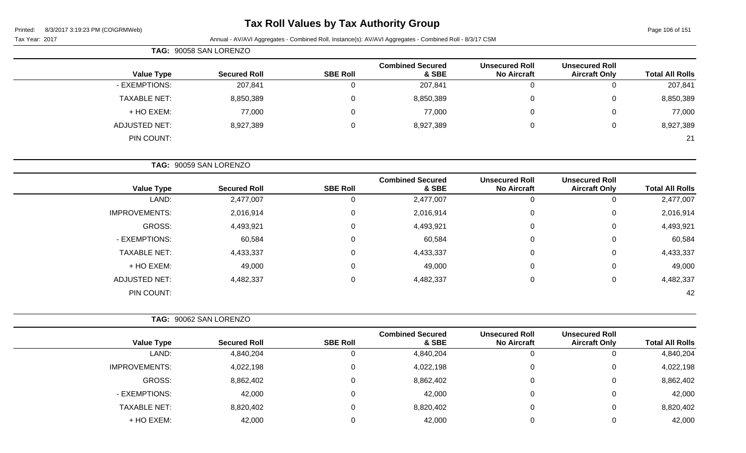## **Tax Roll Values by Tax Authority Group**

Page 106 of 151

Tax Year: 2017 Annual - AV/AVI Aggregates - Combined Roll, Instance(s): AV/AVI Aggregates - Combined Roll - 8/3/17 CSM

| TAG: 90058 SAN LORENZO |                     |                 |                                  |                                             |                                               |                        |
|------------------------|---------------------|-----------------|----------------------------------|---------------------------------------------|-----------------------------------------------|------------------------|
| <b>Value Type</b>      | <b>Secured Roll</b> | <b>SBE Roll</b> | <b>Combined Secured</b><br>& SBE | <b>Unsecured Roll</b><br><b>No Aircraft</b> | <b>Unsecured Roll</b><br><b>Aircraft Only</b> | <b>Total All Rolls</b> |
| - EXEMPTIONS:          | 207,841             |                 | 207,841                          | $\overline{0}$                              | 0                                             | 207,841                |
| <b>TAXABLE NET:</b>    | 8,850,389           |                 | 8,850,389                        | 0                                           | 0                                             | 8,850,389              |
| + HO EXEM:             | 77,000              |                 | 77,000                           | 0                                           | 0                                             | 77,000                 |
| ADJUSTED NET:          | 8,927,389           |                 | 8,927,389                        | 0                                           | 0                                             | 8,927,389              |
| PIN COUNT:             |                     |                 |                                  |                                             |                                               | 21                     |

|                        |                                               |                                             |                                  | TAG: 90059 SAN LORENZO |                     |                      |  |
|------------------------|-----------------------------------------------|---------------------------------------------|----------------------------------|------------------------|---------------------|----------------------|--|
| <b>Total All Rolls</b> | <b>Unsecured Roll</b><br><b>Aircraft Only</b> | <b>Unsecured Roll</b><br><b>No Aircraft</b> | <b>Combined Secured</b><br>& SBE | <b>SBE Roll</b>        | <b>Secured Roll</b> | <b>Value Type</b>    |  |
| 2,477,007              | 0                                             |                                             | 2,477,007                        | υ                      | 2,477,007           | LAND:                |  |
| 2,016,914              | 0                                             |                                             | 2,016,914                        | U                      | 2,016,914           | <b>IMPROVEMENTS:</b> |  |
| 4,493,921              | 0                                             |                                             | 4,493,921                        | U                      | 4,493,921           | GROSS:               |  |
| 60,584                 | 0                                             |                                             | 60,584                           | U                      | 60,584              | - EXEMPTIONS:        |  |
| 4,433,337              | 0                                             |                                             | 4,433,337                        | 0                      | 4,433,337           | <b>TAXABLE NET:</b>  |  |
| 49,000                 | 0                                             |                                             | 49,000                           | 0                      | 49,000              | + HO EXEM:           |  |
| 4,482,337              | 0                                             |                                             | 4,482,337                        |                        | 4,482,337           | <b>ADJUSTED NET:</b> |  |

PIN COUNT: 42

|                      | TAG: 90062 SAN LORENZO |                 |                                  |                                             |                                               |                        |
|----------------------|------------------------|-----------------|----------------------------------|---------------------------------------------|-----------------------------------------------|------------------------|
| <b>Value Type</b>    | <b>Secured Roll</b>    | <b>SBE Roll</b> | <b>Combined Secured</b><br>& SBE | <b>Unsecured Roll</b><br><b>No Aircraft</b> | <b>Unsecured Roll</b><br><b>Aircraft Only</b> | <b>Total All Rolls</b> |
| LAND:                | 4,840,204              | 0               | 4,840,204                        | 0                                           |                                               | 4,840,204              |
| <b>IMPROVEMENTS:</b> | 4,022,198              | 0               | 4,022,198                        | 0                                           |                                               | 4,022,198              |
| GROSS:               | 8,862,402              | $\Omega$        | 8,862,402                        | 0                                           | 0                                             | 8,862,402              |
| - EXEMPTIONS:        | 42,000                 | 0               | 42,000                           | 0                                           | 0                                             | 42,000                 |
| <b>TAXABLE NET:</b>  | 8,820,402              | $\Omega$        | 8,820,402                        | 0                                           | 0                                             | 8,820,402              |
| + HO EXEM:           | 42,000                 | 0               | 42,000                           | $\Omega$                                    |                                               | 42,000                 |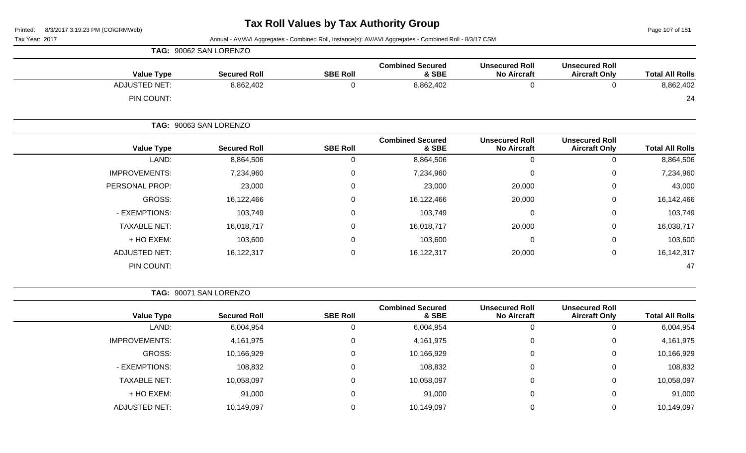Page 107 of 151

Tax Year: 2017 Annual - AV/AVI Aggregates - Combined Roll, Instance(s): AV/AVI Aggregates - Combined Roll - 8/3/17 CSM

| <b>Value Type</b>    | <b>Secured Roll</b>    | <b>SBE Roll</b>  | <b>Combined Secured</b><br>& SBE | <b>Unsecured Roll</b><br><b>No Aircraft</b> | <b>Unsecured Roll</b><br><b>Aircraft Only</b> | <b>Total All Rolls</b> |
|----------------------|------------------------|------------------|----------------------------------|---------------------------------------------|-----------------------------------------------|------------------------|
| <b>ADJUSTED NET:</b> | 8,862,402              | 0                | 8,862,402                        | $\mathbf 0$                                 | 0                                             | 8,862,402              |
| PIN COUNT:           |                        |                  |                                  |                                             |                                               | 24                     |
|                      | TAG: 90063 SAN LORENZO |                  |                                  |                                             |                                               |                        |
| <b>Value Type</b>    | <b>Secured Roll</b>    | <b>SBE Roll</b>  | <b>Combined Secured</b><br>& SBE | <b>Unsecured Roll</b><br><b>No Aircraft</b> | <b>Unsecured Roll</b><br><b>Aircraft Only</b> | <b>Total All Rolls</b> |
| LAND:                | 8,864,506              | 0                | 8,864,506                        | $\mathbf 0$                                 | 0                                             | 8,864,506              |
| <b>IMPROVEMENTS:</b> | 7,234,960              | 0                | 7,234,960                        | 0                                           | 0                                             | 7,234,960              |
| PERSONAL PROP:       | 23,000                 | 0                | 23,000                           | 20,000                                      | 0                                             | 43,000                 |
| GROSS:               | 16,122,466             | $\mathbf 0$      | 16,122,466                       | 20,000                                      | 0                                             | 16,142,466             |
| - EXEMPTIONS:        | 103,749                | $\mathbf 0$      | 103,749                          | $\mathbf 0$                                 | 0                                             | 103,749                |
| <b>TAXABLE NET:</b>  | 16,018,717             | 0                | 16,018,717                       | 20,000                                      | 0                                             | 16,038,717             |
| + HO EXEM:           | 103,600                | 0                | 103,600                          | 0                                           | 0                                             | 103,600                |
| ADJUSTED NET:        | 16,122,317             | $\boldsymbol{0}$ | 16,122,317                       | 20,000                                      | $\,0\,$                                       | 16, 142, 317           |
| PIN COUNT:           |                        |                  |                                  |                                             |                                               | 47                     |

**TAG:** 90071 SAN LORENZO

**TAG:** 90062 SAN LORENZO

| <b>Total All Rolls</b> | <b>Unsecured Roll</b><br><b>Aircraft Only</b> | <b>Unsecured Roll</b><br><b>No Aircraft</b> | <b>Combined Secured</b><br>& SBE | <b>SBE Roll</b> | <b>Secured Roll</b> | <b>Value Type</b>    |
|------------------------|-----------------------------------------------|---------------------------------------------|----------------------------------|-----------------|---------------------|----------------------|
| 6,004,954              | 0                                             |                                             | 6,004,954                        | 0               | 6,004,954           | LAND:                |
| 4,161,975              | $\overline{0}$                                |                                             | 4,161,975                        | 0               | 4,161,975           | <b>IMPROVEMENTS:</b> |
| 10,166,929             | 0                                             |                                             | 10,166,929                       | 0               | 10,166,929          | GROSS:               |
| 108,832                | $\mathbf 0$                                   |                                             | 108,832                          | 0               | 108,832             | - EXEMPTIONS:        |
| 10,058,097             | $\mathbf 0$                                   |                                             | 10,058,097                       | 0               | 10,058,097          | <b>TAXABLE NET:</b>  |
| 91,000                 | $\overline{0}$                                |                                             | 91,000                           | 0               | 91,000              | + HO EXEM:           |
| 10,149,097             | 0                                             |                                             | 10,149,097                       | 0               | 10,149,097          | ADJUSTED NET:        |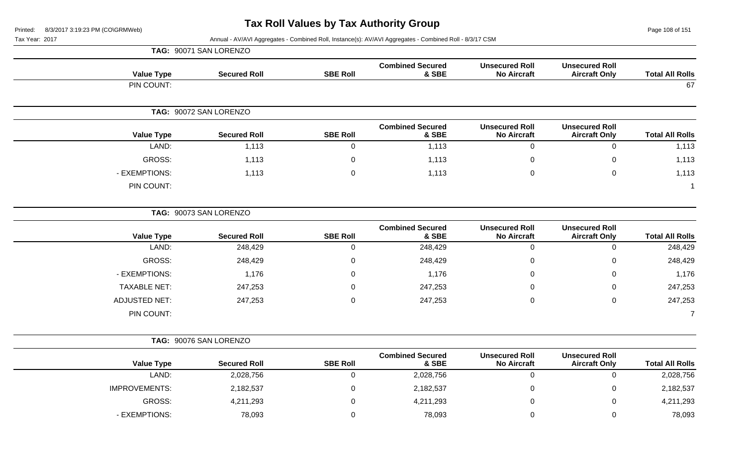**TAG:** 90071 SAN LORENZO

Page 108 of 151

| <b>Total All Rolls</b> | <b>Unsecured Roll</b><br><b>Aircraft Only</b> | <b>Unsecured Roll</b><br><b>No Aircraft</b> | <b>Combined Secured</b><br>& SBE | <b>SBE Roll</b> | <b>Secured Roll</b>    | <b>Value Type</b> |
|------------------------|-----------------------------------------------|---------------------------------------------|----------------------------------|-----------------|------------------------|-------------------|
| 67                     |                                               |                                             |                                  |                 |                        | PIN COUNT:        |
|                        |                                               |                                             |                                  |                 | TAG: 90072 SAN LORENZO |                   |
| <b>Total All Rolls</b> | <b>Unsecured Roll</b><br><b>Aircraft Only</b> | <b>Unsecured Roll</b><br><b>No Aircraft</b> | <b>Combined Secured</b><br>& SBE | <b>SBE Roll</b> | <b>Secured Roll</b>    | <b>Value Type</b> |
| 1,113                  | $\mathbf{0}$                                  | $\mathbf 0$                                 | 1,113                            |                 | 1,113                  | LAND:             |
| 1,113                  | $\mathbf 0$                                   | $\mathbf 0$                                 | 1,113                            | $\Omega$        | 1,113                  | GROSS:            |
| 1,113                  | $\mathbf 0$                                   | $\mathbf 0$                                 | 1,113                            | $\Omega$        | 1,113                  | - EXEMPTIONS:     |
|                        |                                               |                                             |                                  |                 |                        | PIN COUNT:        |

|                      | TAG: 90073 SAN LORENZO |                 |                                  |                                             |                                               |                        |
|----------------------|------------------------|-----------------|----------------------------------|---------------------------------------------|-----------------------------------------------|------------------------|
| <b>Value Type</b>    | <b>Secured Roll</b>    | <b>SBE Roll</b> | <b>Combined Secured</b><br>& SBE | <b>Unsecured Roll</b><br><b>No Aircraft</b> | <b>Unsecured Roll</b><br><b>Aircraft Only</b> | <b>Total All Rolls</b> |
| LAND:                | 248,429                | υ               | 248,429                          | 0                                           |                                               | 248,429                |
| GROSS:               | 248,429                | 0               | 248,429                          | $\overline{0}$                              | 0                                             | 248,429                |
| - EXEMPTIONS:        | 1,176                  | $\mathbf 0$     | 1,176                            | $\mathbf 0$                                 | $\Omega$                                      | 1,176                  |
| <b>TAXABLE NET:</b>  | 247,253                | 0               | 247,253                          | $\overline{0}$                              | 0                                             | 247,253                |
| <b>ADJUSTED NET:</b> | 247,253                | 0               | 247,253                          | $\overline{0}$                              | 0                                             | 247,253                |
| PIN COUNT:           |                        |                 |                                  |                                             |                                               |                        |

|                      | TAG: 90076 SAN LORENZO |                 |                                  |                                             |                                               |                        |
|----------------------|------------------------|-----------------|----------------------------------|---------------------------------------------|-----------------------------------------------|------------------------|
| <b>Value Type</b>    | <b>Secured Roll</b>    | <b>SBE Roll</b> | <b>Combined Secured</b><br>& SBE | <b>Unsecured Roll</b><br><b>No Aircraft</b> | <b>Unsecured Roll</b><br><b>Aircraft Only</b> | <b>Total All Rolls</b> |
| LAND:                | 2,028,756              |                 | 2,028,756                        | 0                                           |                                               | 2,028,756              |
| <b>IMPROVEMENTS:</b> | 2,182,537              |                 | 2,182,537                        | 0                                           |                                               | 2,182,537              |
| GROSS:               | 4,211,293              |                 | 4,211,293                        | 0                                           |                                               | 4,211,293              |
| - EXEMPTIONS:        | 78,093                 |                 | 78,093                           | 0                                           |                                               | 78,093                 |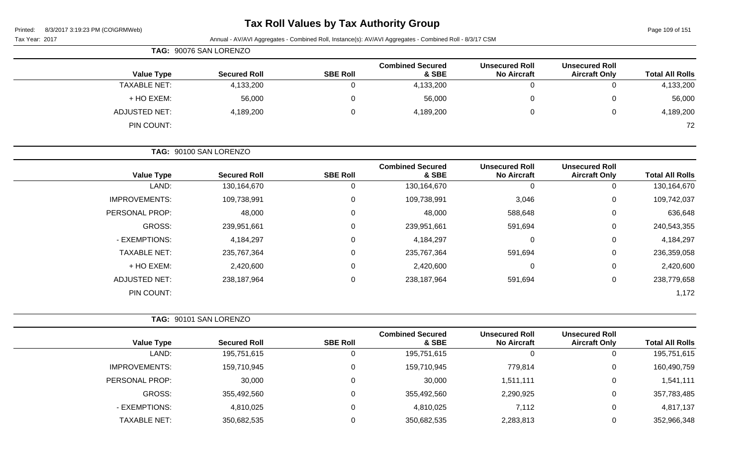## **Tax Roll Values by Tax Authority Group**

Page 109 of 151

| Tax Year: 2017       |       |                        |                 | Annual - AV/AVI Aggregates - Combined Roll, Instance(s): AV/AVI Aggregates - Combined Roll - 8/3/17 CSM |                                             |                                               |                        |
|----------------------|-------|------------------------|-----------------|---------------------------------------------------------------------------------------------------------|---------------------------------------------|-----------------------------------------------|------------------------|
|                      |       | TAG: 90076 SAN LORENZO |                 |                                                                                                         |                                             |                                               |                        |
| <b>Value Type</b>    |       | <b>Secured Roll</b>    | <b>SBE Roll</b> | <b>Combined Secured</b><br>& SBE                                                                        | <b>Unsecured Roll</b><br><b>No Aircraft</b> | <b>Unsecured Roll</b><br><b>Aircraft Only</b> | <b>Total All Rolls</b> |
| <b>TAXABLE NET:</b>  |       | 4,133,200              | 0               | 4,133,200                                                                                               | $\mathbf 0$                                 | 0                                             | 4,133,200              |
| + HO EXEM:           |       | 56,000                 | 0               | 56,000                                                                                                  | $\mathbf 0$                                 | 0                                             | 56,000                 |
| <b>ADJUSTED NET:</b> |       | 4,189,200              | 0               | 4,189,200                                                                                               | $\mathbf 0$                                 | $\mathsf 0$                                   | 4,189,200              |
| PIN COUNT:           |       |                        |                 |                                                                                                         |                                             |                                               | 72                     |
|                      |       | TAG: 90100 SAN LORENZO |                 |                                                                                                         |                                             |                                               |                        |
| <b>Value Type</b>    |       | <b>Secured Roll</b>    | <b>SBE Roll</b> | <b>Combined Secured</b><br>& SBE                                                                        | <b>Unsecured Roll</b><br><b>No Aircraft</b> | <b>Unsecured Roll</b><br><b>Aircraft Only</b> | <b>Total All Rolls</b> |
|                      | LAND: | 130,164,670            | 0               | 130,164,670                                                                                             | $\mathbf 0$                                 | $\mathbf 0$                                   | 130,164,670            |
| <b>IMPROVEMENTS:</b> |       | 109,738,991            | 0               | 109,738,991                                                                                             | 3,046                                       | 0                                             | 109,742,037            |
| PERSONAL PROP:       |       | 48,000                 | $\Omega$        | 48,000                                                                                                  | 588,648                                     | 0                                             | 636,648                |
| <b>GROSS:</b>        |       | 239,951,661            | 0               | 239,951,661                                                                                             | 591,694                                     | 0                                             | 240,543,355            |
| - EXEMPTIONS:        |       | 4,184,297              | ∩               | 4,184,297                                                                                               | 0                                           | 0                                             | 4,184,297              |
| <b>TAXABLE NET:</b>  |       | 235,767,364            | 0               | 235,767,364                                                                                             | 591,694                                     | 0                                             | 236,359,058            |
| + HO EXEM:           |       | 2,420,600              | ∩               | 2,420,600                                                                                               | $\mathbf 0$                                 | 0                                             | 2,420,600              |
| <b>ADJUSTED NET:</b> |       | 238,187,964            | $\Omega$        | 238,187,964                                                                                             | 591,694                                     | 0                                             | 238,779,658            |
| PIN COUNT:           |       |                        |                 |                                                                                                         |                                             |                                               | 1,172                  |
|                      |       | TAG: 90101 SAN LORENZO |                 |                                                                                                         |                                             |                                               |                        |
| <b>Value Type</b>    |       | <b>Secured Roll</b>    | <b>SBE Roll</b> | <b>Combined Secured</b><br>& SBE                                                                        | <b>Unsecured Roll</b><br><b>No Aircraft</b> | <b>Unsecured Roll</b><br><b>Aircraft Only</b> | <b>Total All Rolls</b> |
|                      | LAND: | 195,751,615            | 0               | 195,751,615                                                                                             | $\mathbf 0$                                 | 0                                             | 195,751,615            |
| $I$ MODOV/FMENTO.    |       | $4EQ$ 740 $QAE$        | $\sim$          | $4EQ$ 740 $0AE$                                                                                         | 770.011                                     | $\sim$                                        | 400, 400, 750          |

| LAND:                | 195,751,615 | ν | 195,751,615 |           | 195,751,615 |
|----------------------|-------------|---|-------------|-----------|-------------|
| <b>IMPROVEMENTS:</b> | 159,710,945 | υ | 159,710,945 | 779,814   | 160,490,759 |
| PERSONAL PROP:       | 30,000      | υ | 30,000      | 1,511,111 | 1,541,111   |
| GROSS:               | 355,492,560 | υ | 355,492,560 | 2,290,925 | 357,783,485 |
| - EXEMPTIONS:        | 4,810,025   |   | 4,810,025   | 7,112     | 4,817,137   |
| <b>TAXABLE NET:</b>  | 350,682,535 | ν | 350,682,535 | 2,283,813 | 352,966,348 |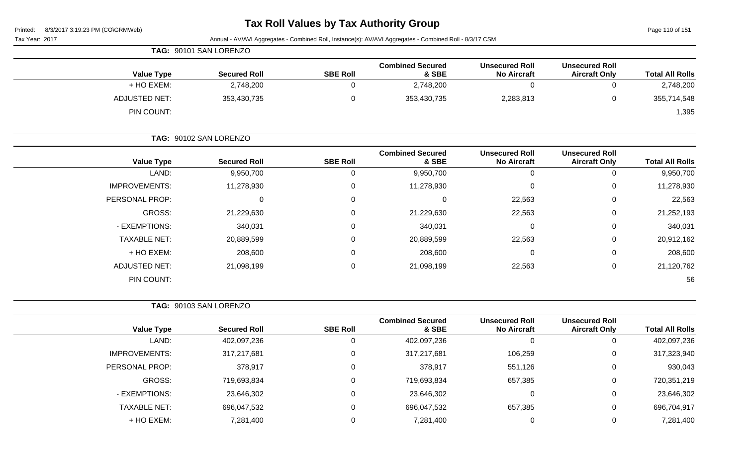## **Tax Roll Values by Tax Authority Group**

Page 110 of 151

|                        |                                               |                                             | Annual - AV/AVI Aggregates - Combined Roll, Instance(s): AV/AVI Aggregates - Combined Roll - 8/3/17 CSM |                 |                        |                      |
|------------------------|-----------------------------------------------|---------------------------------------------|---------------------------------------------------------------------------------------------------------|-----------------|------------------------|----------------------|
|                        |                                               |                                             |                                                                                                         |                 | TAG: 90101 SAN LORENZO |                      |
| <b>Total All Rolls</b> | <b>Unsecured Roll</b><br><b>Aircraft Only</b> | <b>Unsecured Roll</b><br><b>No Aircraft</b> | <b>Combined Secured</b><br>& SBE                                                                        | <b>SBE Roll</b> | <b>Secured Roll</b>    | <b>Value Type</b>    |
| 2,748,200              | 0                                             | 0                                           | 2,748,200                                                                                               | $\mathbf 0$     | 2,748,200              | + HO EXEM:           |
| 355,714,548            | 0                                             | 2,283,813                                   | 353,430,735                                                                                             | 0               | 353,430,735            | <b>ADJUSTED NET:</b> |
| 1,395                  |                                               |                                             |                                                                                                         |                 |                        | PIN COUNT:           |
|                        |                                               |                                             |                                                                                                         |                 | TAG: 90102 SAN LORENZO |                      |
| <b>Total All Rolls</b> | <b>Unsecured Roll</b><br><b>Aircraft Only</b> | <b>Unsecured Roll</b><br><b>No Aircraft</b> | <b>Combined Secured</b><br>& SBE                                                                        | <b>SBE Roll</b> | <b>Secured Roll</b>    | <b>Value Type</b>    |
| 9,950,700              | 0                                             | 0                                           | 9,950,700                                                                                               | $\mathbf 0$     | 9,950,700              | LAND:                |
| 11,278,930             | $\Omega$                                      | $\Omega$                                    | 11,278,930                                                                                              | 0               | 11,278,930             | <b>IMPROVEMENTS:</b> |
| 22,563                 | $\Omega$                                      | 22,563                                      | 0                                                                                                       | 0               | 0                      | PERSONAL PROP:       |
| 21,252,193             | $\Omega$                                      | 22,563                                      | 21,229,630                                                                                              | 0               | 21,229,630             | <b>GROSS:</b>        |
| 340,031                | $\Omega$                                      | $\Omega$                                    | 340,031                                                                                                 | 0               | 340,031                | - EXEMPTIONS:        |
| 20,912,162             | $\Omega$                                      | 22,563                                      | 20,889,599                                                                                              | 0               | 20,889,599             | <b>TAXABLE NET:</b>  |
| 208,600                | $\Omega$                                      | $\Omega$                                    | 208,600                                                                                                 | 0               | 208,600                | + HO EXEM:           |
| 21,120,762             | 0                                             | 22,563                                      | 21,098,199                                                                                              | 0               | 21,098,199             | <b>ADJUSTED NET:</b> |
| 56                     |                                               |                                             |                                                                                                         |                 |                        | PIN COUNT:           |
|                        |                                               |                                             |                                                                                                         |                 | TAG: 90103 SAN LORENZO |                      |
| <b>Total All Rolls</b> | <b>Unsecured Roll</b><br><b>Aircraft Only</b> | <b>Unsecured Roll</b><br><b>No Aircraft</b> | <b>Combined Secured</b><br>& SBE                                                                        | <b>SBE Roll</b> | <b>Secured Roll</b>    | <b>Value Type</b>    |
| 402,097,236            | $\mathbf 0$                                   | 0                                           | 402,097,236                                                                                             | 0               | 402,097,236            | LAND:                |
| 317,323,940            | 0                                             | 106,259                                     | 317,217,681                                                                                             | 0               | 317,217,681            | <b>IMPROVEMENTS:</b> |
| 930,043                | $\pmb{0}$                                     | 551,126                                     | 378,917                                                                                                 | $\pmb{0}$       | 378,917                | PERSONAL PROP:       |
| 720, 351, 219          | $\mathbf 0$                                   | 657,385                                     | 719,693,834                                                                                             | $\pmb{0}$       | 719,693,834            | GROSS:               |
| 23,646,302             | $\mathbf 0$                                   | 0                                           | 23,646,302                                                                                              | 0               | 23,646,302             | - EXEMPTIONS:        |
| 696,704,917            | $\mathbf 0$                                   | 657,385                                     | 696,047,532                                                                                             | 0               | 696,047,532            | TAXABLE NET:         |
| 7,281,400              | $\pmb{0}$                                     | 0                                           | 7,281,400                                                                                               | $\pmb{0}$       | 7,281,400              | + HO EXEM:           |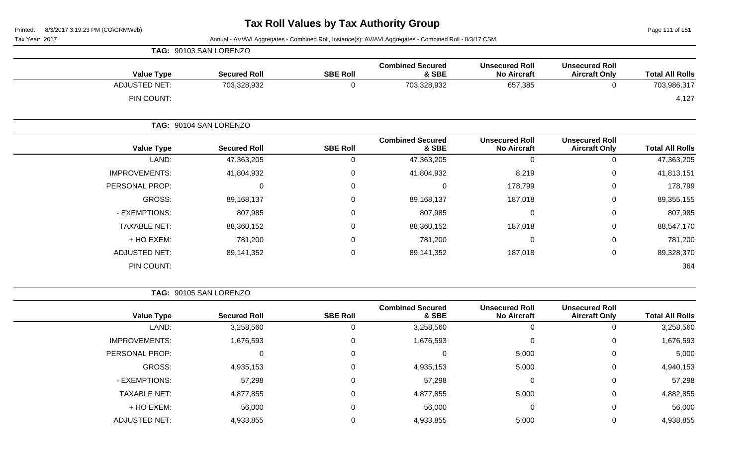Page 111 of 151

Tax Year: 2017 Annual - AV/AVI Aggregates - Combined Roll, Instance(s): AV/AVI Aggregates - Combined Roll - 8/3/17 CSM

| TAG: 90103 SAN LORENZO |                 |                                  |                                             |                                               |                        |
|------------------------|-----------------|----------------------------------|---------------------------------------------|-----------------------------------------------|------------------------|
| <b>Secured Roll</b>    | <b>SBE Roll</b> | <b>Combined Secured</b><br>& SBE | <b>Unsecured Roll</b><br><b>No Aircraft</b> | <b>Unsecured Roll</b><br><b>Aircraft Only</b> | <b>Total All Rolls</b> |
| 703,328,932            | 0               | 703,328,932                      | 657,385                                     | 0                                             | 703,986,317            |
|                        |                 |                                  |                                             |                                               | 4,127                  |
| TAG: 90104 SAN LORENZO |                 |                                  |                                             |                                               |                        |
| <b>Secured Roll</b>    | <b>SBE Roll</b> | <b>Combined Secured</b><br>& SBE | <b>Unsecured Roll</b><br><b>No Aircraft</b> | <b>Unsecured Roll</b><br><b>Aircraft Only</b> | <b>Total All Rolls</b> |
| 47,363,205             | 0               | 47,363,205                       | 0                                           | $\mathbf 0$                                   | 47,363,205             |
| 41,804,932             | 0               | 41,804,932                       | 8,219                                       | 0                                             | 41,813,151             |
| 0                      | 0               | 0                                | 178,799                                     | 0                                             | 178,799                |
| 89,168,137             | 0               | 89,168,137                       | 187,018                                     | $\mathbf 0$                                   | 89,355,155             |
| 807,985                | 0               | 807,985                          | 0                                           | $\mathbf 0$                                   | 807,985                |
| 88,360,152             | $\mathbf 0$     | 88,360,152                       | 187,018                                     | $\mathbf 0$                                   | 88,547,170             |
| 781,200                | 0               | 781,200                          | 0                                           | $\mathbf 0$                                   | 781,200                |
| 89,141,352             | 0               | 89,141,352                       | 187,018                                     | $\mathbf 0$                                   | 89,328,370             |
|                        |                 |                                  |                                             |                                               | 364                    |
|                        |                 |                                  |                                             |                                               |                        |

**TAG:** 90105 SAN LORENZO

| <b>Value Type</b>    | <b>Secured Roll</b> | <b>SBE Roll</b> | <b>Combined Secured</b><br>& SBE | <b>Unsecured Roll</b><br><b>No Aircraft</b> | <b>Unsecured Roll</b><br><b>Aircraft Only</b> | <b>Total All Rolls</b> |
|----------------------|---------------------|-----------------|----------------------------------|---------------------------------------------|-----------------------------------------------|------------------------|
| LAND:                | 3,258,560           |                 | 3,258,560                        | 0                                           |                                               | 3,258,560              |
| <b>IMPROVEMENTS:</b> | 1,676,593           | 0               | 1,676,593                        | 0                                           | 0                                             | 1,676,593              |
| PERSONAL PROP:       | 0                   | 0               |                                  | 5,000                                       | 0                                             | 5,000                  |
| GROSS:               | 4,935,153           | 0               | 4,935,153                        | 5,000                                       | 0                                             | 4,940,153              |
| - EXEMPTIONS:        | 57,298              | 0               | 57,298                           | 0                                           | 0                                             | 57,298                 |
| <b>TAXABLE NET:</b>  | 4,877,855           | 0               | 4,877,855                        | 5,000                                       | 0                                             | 4,882,855              |
| + HO EXEM:           | 56,000              | 0               | 56,000                           | 0                                           | 0                                             | 56,000                 |
| <b>ADJUSTED NET:</b> | 4,933,855           |                 | 4,933,855                        | 5,000                                       |                                               | 4,938,855              |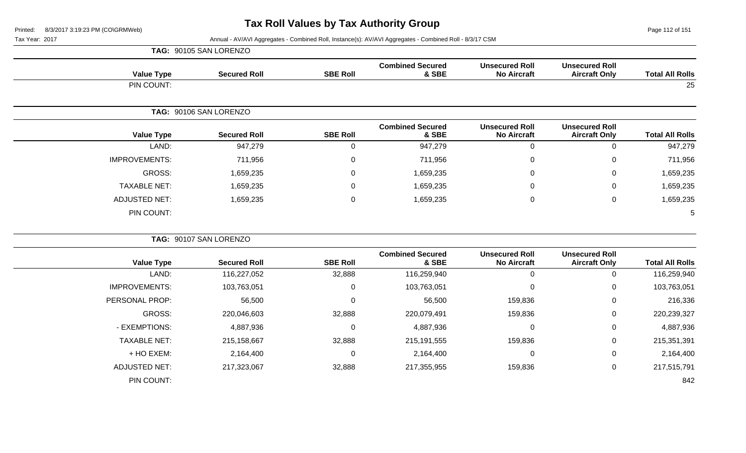**TAG:** 90105 SAN LORENZO

Page 112 of 151

| <b>Total All Rolls</b> | <b>Unsecured Roll</b><br><b>Aircraft Only</b> | <b>Unsecured Roll</b><br><b>No Aircraft</b> | <b>Combined Secured</b><br>& SBE | <b>SBE Roll</b> | <b>Secured Roll</b>    | <b>Value Type</b>    |
|------------------------|-----------------------------------------------|---------------------------------------------|----------------------------------|-----------------|------------------------|----------------------|
| 25                     |                                               |                                             |                                  |                 |                        | PIN COUNT:           |
|                        |                                               |                                             |                                  |                 | TAG: 90106 SAN LORENZO |                      |
| <b>Total All Rolls</b> | <b>Unsecured Roll</b><br><b>Aircraft Only</b> | <b>Unsecured Roll</b><br><b>No Aircraft</b> | <b>Combined Secured</b><br>& SBE | <b>SBE Roll</b> | <b>Secured Roll</b>    | <b>Value Type</b>    |
| 947,279                | $\mathbf 0$                                   | $\mathbf 0$                                 | 947,279                          | $\mathbf 0$     | 947,279                | LAND:                |
| 711,956                | 0                                             | $\mathbf 0$                                 | 711,956                          | 0               | 711,956                | <b>IMPROVEMENTS:</b> |
| 1,659,235              | $\mathbf 0$                                   | $\mathbf 0$                                 | 1,659,235                        | $\mathbf 0$     | 1,659,235              | <b>GROSS:</b>        |
| 1,659,235              | $\mathbf 0$                                   | 0                                           | 1,659,235                        | 0               | 1,659,235              | <b>TAXABLE NET:</b>  |
| 1,659,235              | $\mathbf 0$                                   | $\mathbf 0$                                 | 1,659,235                        | $\mathbf 0$     | 1,659,235              | <b>ADJUSTED NET:</b> |
| 5                      |                                               |                                             |                                  |                 |                        | PIN COUNT:           |
|                        |                                               |                                             |                                  |                 | TAG: 90107 SAN LORENZO |                      |
| <b>Total All Rolls</b> | <b>Unsecured Roll</b><br><b>Aircraft Only</b> | <b>Unsecured Roll</b><br><b>No Aircraft</b> | <b>Combined Secured</b><br>& SBE | <b>SBE Roll</b> | <b>Secured Roll</b>    | <b>Value Type</b>    |
| 116,259,940            | $\mathbf 0$                                   | $\mathbf 0$                                 | 116,259,940                      | 32,888          | 116,227,052            | LAND:                |
| 103,763,051            | $\mathbf 0$                                   | $\mathbf 0$                                 | 103,763,051                      | $\mathbf 0$     | 103,763,051            | <b>IMPROVEMENTS:</b> |
| 216,336                | $\mathbf 0$                                   | 159,836                                     | 56,500                           | $\mathbf 0$     | 56,500                 | PERSONAL PROP:       |
| 220,239,327            | $\mathbf 0$                                   | 159,836                                     | 220,079,491                      | 32,888          | 220,046,603            | <b>GROSS:</b>        |
| 4,887,936              | $\mathbf 0$                                   | 0                                           | 4,887,936                        | 0               | 4,887,936              | - EXEMPTIONS:        |
| 215,351,391            | $\mathbf 0$                                   | 159,836                                     | 215, 191, 555                    | 32,888          | 215,158,667            | <b>TAXABLE NET:</b>  |
| 2,164,400              | $\pmb{0}$                                     | 0                                           | 2,164,400                        | 0               | 2,164,400              | + HO EXEM:           |
| 217,515,791            | $\mathbf 0$                                   | 159,836                                     | 217,355,955                      | 32,888          | 217,323,067            | <b>ADJUSTED NET:</b> |
| 842                    |                                               |                                             |                                  |                 |                        | PIN COUNT:           |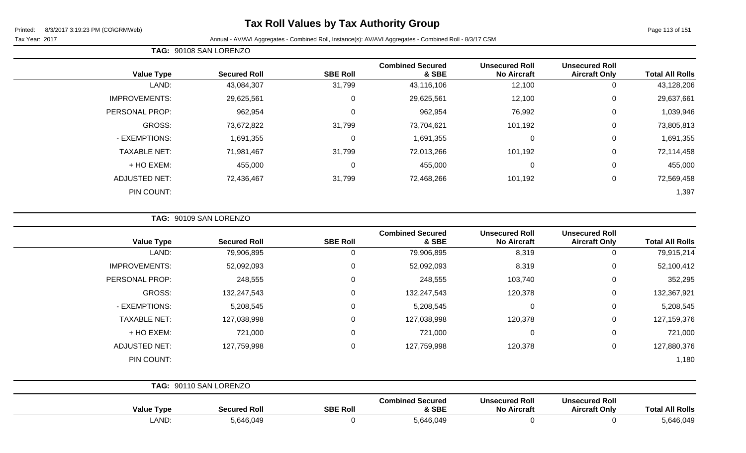### **Tax Roll Values by Tax Authority Group**

Page 113 of 151

Tax Year: 2017 **Annual - AV/AVI Aggregates - Combined Roll**, Instance(s): AV/AVI Aggregates - Combined Roll - 8/3/17 CSM

| TAG: 90108 SAN LORENZO |                     |                 |                                  |                                             |                                               |                        |
|------------------------|---------------------|-----------------|----------------------------------|---------------------------------------------|-----------------------------------------------|------------------------|
| <b>Value Type</b>      | <b>Secured Roll</b> | <b>SBE Roll</b> | <b>Combined Secured</b><br>& SBE | <b>Unsecured Roll</b><br><b>No Aircraft</b> | <b>Unsecured Roll</b><br><b>Aircraft Only</b> | <b>Total All Rolls</b> |
| LAND:                  | 43,084,307          | 31,799          | 43,116,106                       | 12,100                                      | 0                                             | 43,128,206             |
| <b>IMPROVEMENTS:</b>   | 29,625,561          | $\Omega$        | 29,625,561                       | 12,100                                      | $\mathbf 0$                                   | 29,637,661             |
| PERSONAL PROP:         | 962,954             | $\Omega$        | 962,954                          | 76,992                                      | $\mathbf 0$                                   | 1,039,946              |
| GROSS:                 | 73,672,822          | 31,799          | 73,704,621                       | 101,192                                     | $\mathbf 0$                                   | 73,805,813             |
| - EXEMPTIONS:          | 1,691,355           | $\Omega$        | 1,691,355                        | 0                                           | 0                                             | 1,691,355              |
| <b>TAXABLE NET:</b>    | 71,981,467          | 31,799          | 72,013,266                       | 101,192                                     | $\mathbf 0$                                   | 72,114,458             |
| + HO EXEM:             | 455,000             | $\Omega$        | 455,000                          | $\mathbf 0$                                 | $\mathbf 0$                                   | 455,000                |
| <b>ADJUSTED NET:</b>   | 72,436,467          | 31,799          | 72,468,266                       | 101,192                                     | $\mathbf 0$                                   | 72,569,458             |
| PIN COUNT:             |                     |                 |                                  |                                             |                                               | 1,397                  |

**TAG:** 90109 SAN LORENZO

| <b>Value Type</b>    | <b>Secured Roll</b>    | <b>SBE Roll</b> | <b>Combined Secured</b><br>& SBE | <b>Unsecured Roll</b><br><b>No Aircraft</b> | <b>Unsecured Roll</b><br><b>Aircraft Only</b> | <b>Total All Rolls</b> |
|----------------------|------------------------|-----------------|----------------------------------|---------------------------------------------|-----------------------------------------------|------------------------|
| LAND:                | 79,906,895             | 0               | 79,906,895                       | 8,319                                       | 0                                             | 79,915,214             |
| <b>IMPROVEMENTS:</b> | 52,092,093             | 0               | 52,092,093                       | 8,319                                       | $\mathbf 0$                                   | 52,100,412             |
| PERSONAL PROP:       | 248,555                | 0               | 248,555                          | 103,740                                     | $\mathbf 0$                                   | 352,295                |
| <b>GROSS:</b>        | 132,247,543            | 0               | 132,247,543                      | 120,378                                     | $\mathbf 0$                                   | 132,367,921            |
| - EXEMPTIONS:        | 5,208,545              | 0               | 5,208,545                        | $\mathbf 0$                                 | 0                                             | 5,208,545              |
| <b>TAXABLE NET:</b>  | 127,038,998            | 0               | 127,038,998                      | 120,378                                     | $\mathbf 0$                                   | 127,159,376            |
| + HO EXEM:           | 721,000                | 0               | 721,000                          | $\mathbf 0$                                 | 0                                             | 721,000                |
| <b>ADJUSTED NET:</b> | 127,759,998            | 0               | 127,759,998                      | 120,378                                     | $\mathbf 0$                                   | 127,880,376            |
| PIN COUNT:           |                        |                 |                                  |                                             |                                               | 1,180                  |
|                      | TAG: 90110 SAN LORENZO |                 |                                  |                                             |                                               |                        |

| <b>Value Type</b> | Secured Roll | <b>SBE Roll</b> | <b>Combined Secured</b><br>& SBE | <b>Unsecured Roll</b><br><b>No Aircraft</b> | <b>Unsecured Roll</b><br><b>Aircraft Only</b> | <b>Total All Rolls</b> |
|-------------------|--------------|-----------------|----------------------------------|---------------------------------------------|-----------------------------------------------|------------------------|
| LAND              | 5,646,049    |                 | 646,049;د                        |                                             |                                               | 5,646,049              |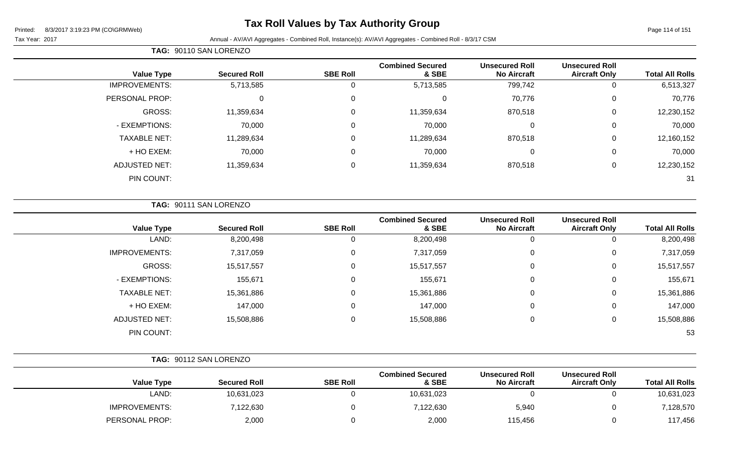### **Tax Roll Values by Tax Authority Group**

Page 114 of 151

#### Tax Year: 2017 Annual - AV/AVI Aggregates - Combined Roll, Instance(s): AV/AVI Aggregates - Combined Roll - 8/3/17 CSM

| <b>Total All Rolls</b> | <b>Unsecured Roll</b><br><b>Aircraft Only</b> | <b>Unsecured Roll</b><br><b>No Aircraft</b> | <b>Combined Secured</b><br>& SBE | <b>SBE Roll</b> | <b>Secured Roll</b> | <b>Value Type</b>    |
|------------------------|-----------------------------------------------|---------------------------------------------|----------------------------------|-----------------|---------------------|----------------------|
| 6,513,327              | 0                                             | 799,742                                     | 5,713,585                        | υ               | 5,713,585           | <b>IMPROVEMENTS:</b> |
| 70,776                 | 0                                             | 70,776                                      | 0                                | 0               | 0                   | PERSONAL PROP:       |
| 12,230,152             | 0                                             | 870,518                                     | 11,359,634                       | 0               | 11,359,634          | GROSS:               |
| 70,000                 | 0                                             | 0                                           | 70,000                           | 0               | 70,000              | - EXEMPTIONS:        |
| 12,160,152             | $\mathbf 0$                                   | 870,518                                     | 11,289,634                       | 0               | 11,289,634          | <b>TAXABLE NET:</b>  |
| 70,000                 | $\mathbf 0$                                   | $\overline{0}$                              | 70,000                           | 0               | 70,000              | + HO EXEM:           |
| 12,230,152             | $\mathbf 0$                                   | 870,518                                     | 11,359,634                       | $\mathbf 0$     | 11,359,634          | <b>ADJUSTED NET:</b> |
| 31                     |                                               |                                             |                                  |                 |                     | PIN COUNT:           |
|                        |                                               |                                             |                                  |                 |                     |                      |

|  |  |  |  | <b>TAG: 90111 SAN LORENZO</b> |  |
|--|--|--|--|-------------------------------|--|
|--|--|--|--|-------------------------------|--|

**TAG:** 90110 SAN LORENZO

| <b>Value Type</b>    | <b>Secured Roll</b> | <b>SBE Roll</b> | <b>Combined Secured</b><br>& SBE | <b>Unsecured Roll</b><br><b>No Aircraft</b> | <b>Unsecured Roll</b><br><b>Aircraft Only</b> | <b>Total All Rolls</b> |
|----------------------|---------------------|-----------------|----------------------------------|---------------------------------------------|-----------------------------------------------|------------------------|
| LAND:                | 8,200,498           | 0               | 8,200,498                        | 0                                           | U                                             | 8,200,498              |
| <b>IMPROVEMENTS:</b> | 7,317,059           | 0               | 7,317,059                        | 0                                           | U                                             | 7,317,059              |
| GROSS:               | 15,517,557          | 0               | 15,517,557                       | 0                                           | 0                                             | 15,517,557             |
| - EXEMPTIONS:        | 155,671             | 0               | 155,671                          | 0                                           | 0                                             | 155,671                |
| <b>TAXABLE NET:</b>  | 15,361,886          | 0               | 15,361,886                       | $\pmb{0}$                                   | 0                                             | 15,361,886             |
| + HO EXEM:           | 147,000             | 0               | 147,000                          | $\mathbf 0$                                 | 0                                             | 147,000                |
| <b>ADJUSTED NET:</b> | 15,508,886          | 0               | 15,508,886                       | $\mathbf 0$                                 | U                                             | 15,508,886             |
| PIN COUNT:           |                     |                 |                                  |                                             |                                               | 53                     |

|                        |                                               |                                             | TAG: 90112 SAN LORENZO           |                 |                     |                      |  |  |
|------------------------|-----------------------------------------------|---------------------------------------------|----------------------------------|-----------------|---------------------|----------------------|--|--|
| <b>Total All Rolls</b> | <b>Unsecured Roll</b><br><b>Aircraft Only</b> | <b>Unsecured Roll</b><br><b>No Aircraft</b> | <b>Combined Secured</b><br>& SBE | <b>SBE Roll</b> | <b>Secured Roll</b> | <b>Value Type</b>    |  |  |
| 10,631,023             |                                               |                                             | 10,631,023                       |                 | 10,631,023          | LAND:                |  |  |
| 7,128,570              |                                               | 5,940                                       | 7,122,630                        |                 | 7,122,630           | <b>IMPROVEMENTS:</b> |  |  |
| 117,456                |                                               | 115,456                                     | 2,000                            |                 | 2,000               | PERSONAL PROP:       |  |  |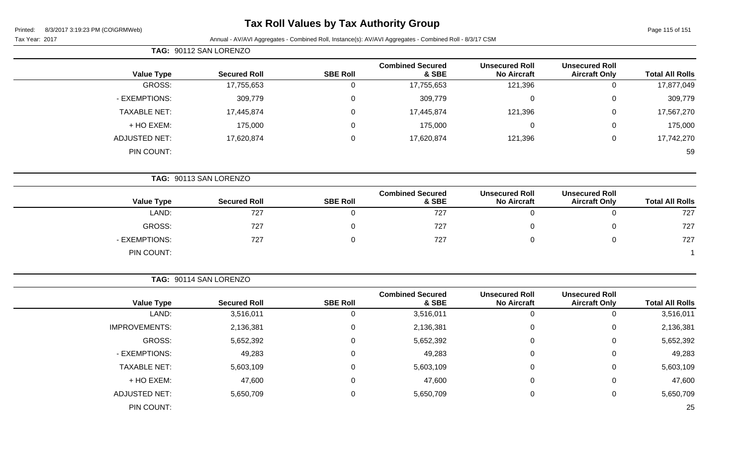### **Tax Roll Values by Tax Authority Group**

Page 115 of 151

Tax Year: 2017 Annual - AV/AVI Aggregates - Combined Roll, Instance(s): AV/AVI Aggregates - Combined Roll - 8/3/17 CSM

|                        |                                               |                                             |                                  |                 | TAG: 90112 SAN LORENZO |                      |
|------------------------|-----------------------------------------------|---------------------------------------------|----------------------------------|-----------------|------------------------|----------------------|
| <b>Total All Rolls</b> | <b>Unsecured Roll</b><br><b>Aircraft Only</b> | <b>Unsecured Roll</b><br><b>No Aircraft</b> | <b>Combined Secured</b><br>& SBE | <b>SBE Roll</b> | <b>Secured Roll</b>    | <b>Value Type</b>    |
| 17,877,049             | $\mathbf 0$                                   | 121,396                                     | 17,755,653                       | $\mathbf 0$     | 17,755,653             | GROSS:               |
| 309,779                | $\mathbf 0$                                   | $\mathbf 0$                                 | 309,779                          | $\mathbf 0$     | 309,779                | - EXEMPTIONS:        |
| 17,567,270             | $\pmb{0}$                                     | 121,396                                     | 17,445,874                       | $\mathbf 0$     | 17,445,874             | <b>TAXABLE NET:</b>  |
| 175,000                | $\mathbf 0$                                   | $\overline{0}$                              | 175,000                          | $\mathbf 0$     | 175,000                | + HO EXEM:           |
| 17,742,270             | $\mathbf 0$                                   | 121,396                                     | 17,620,874                       | $\mathbf 0$     | 17,620,874             | <b>ADJUSTED NET:</b> |
| 59                     |                                               |                                             |                                  |                 |                        | PIN COUNT:           |
|                        |                                               |                                             |                                  |                 | TAG: 90113 SAN LORENZO |                      |
| <b>Total All Rolls</b> | <b>Unsecured Roll</b><br><b>Aircraft Only</b> | <b>Unsecured Roll</b><br><b>No Aircraft</b> | <b>Combined Secured</b><br>& SBE | <b>SBE Roll</b> | <b>Secured Roll</b>    | <b>Value Type</b>    |
| 727                    | $\mathbf 0$                                   | $\mathbf 0$                                 | 727                              | $\mathbf 0$     | 727                    | LAND:                |
| 727                    | $\mathbf 0$                                   | 0                                           | 727                              | $\mathbf 0$     | 727                    | GROSS:               |
| 727                    | $\mathbf 0$                                   | $\overline{0}$                              | 727                              | $\mathbf 0$     | 727                    | - EXEMPTIONS:        |
|                        |                                               |                                             |                                  |                 |                        | PIN COUNT:           |

**TAG:** 90114 SAN LORENZO

| <b>Total All Rolls</b> | <b>Unsecured Roll</b><br><b>Aircraft Only</b> | <b>Unsecured Roll</b><br><b>No Aircraft</b> | <b>Combined Secured</b><br>& SBE | <b>SBE Roll</b> | <b>Secured Roll</b> | <b>Value Type</b>    |
|------------------------|-----------------------------------------------|---------------------------------------------|----------------------------------|-----------------|---------------------|----------------------|
| 3,516,011              | 0                                             | U                                           | 3,516,011                        |                 | 3,516,011           | LAND:                |
| 2,136,381              | 0                                             | 0                                           | 2,136,381                        | 0               | 2,136,381           | <b>IMPROVEMENTS:</b> |
| 5,652,392              | 0                                             | 0                                           | 5,652,392                        | 0               | 5,652,392           | GROSS:               |
| 49,283                 | 0                                             | 0                                           | 49,283                           | 0               | 49,283              | - EXEMPTIONS:        |
| 5,603,109              | 0                                             | 0                                           | 5,603,109                        | $\Omega$        | 5,603,109           | <b>TAXABLE NET:</b>  |
| 47,600                 | 0                                             | ⌒<br>U                                      | 47,600                           | $\Omega$        | 47,600              | + HO EXEM:           |
| 5,650,709              | 0                                             | U                                           | 5,650,709                        | $\Omega$        | 5,650,709           | <b>ADJUSTED NET:</b> |
| 25                     |                                               |                                             |                                  |                 |                     | PIN COUNT:           |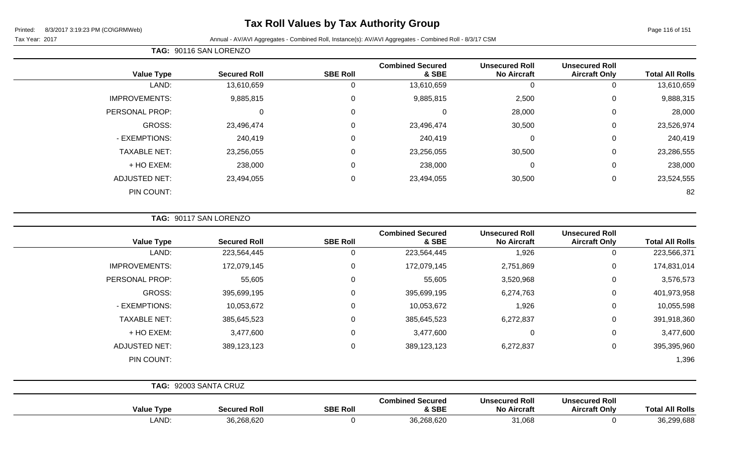### **Tax Roll Values by Tax Authority Group**

Page 116 of 151

Tax Year: 2017 **Annual - AV/AVI Aggregates - Combined Roll**, Instance(s): AV/AVI Aggregates - Combined Roll - 8/3/17 CSM

| <b>Total All Rolls</b> | <b>Unsecured Roll</b><br><b>Aircraft Only</b> | <b>Unsecured Roll</b><br><b>No Aircraft</b> | <b>Combined Secured</b><br>& SBE | <b>SBE Roll</b> | <b>Secured Roll</b> | <b>Value Type</b>    |
|------------------------|-----------------------------------------------|---------------------------------------------|----------------------------------|-----------------|---------------------|----------------------|
| 13,610,659             | 0                                             | 0                                           | 13,610,659                       | 0               | 13,610,659          | LAND:                |
| 9,888,315              | 0                                             | 2,500                                       | 9,885,815                        | 0               | 9,885,815           | <b>IMPROVEMENTS:</b> |
| 28,000                 | 0                                             | 28,000                                      | $\Omega$                         | $\mathbf 0$     |                     | PERSONAL PROP:       |
| 23,526,974             | 0                                             | 30,500                                      | 23,496,474                       | $\mathbf 0$     | 23,496,474          | GROSS:               |
| 240,419                | 0                                             | 0                                           | 240,419                          | 0               | 240,419             | - EXEMPTIONS:        |
| 23,286,555             | 0                                             | 30,500                                      | 23,256,055                       | 0               | 23,256,055          | <b>TAXABLE NET:</b>  |
| 238,000                | 0                                             | 0                                           | 238,000                          | $\mathbf 0$     | 238,000             | + HO EXEM:           |
| 23,524,555             | 0                                             | 30,500                                      | 23,494,055                       | $\overline{0}$  | 23,494,055          | <b>ADJUSTED NET:</b> |
| 82                     |                                               |                                             |                                  |                 |                     | PIN COUNT:           |
|                        |                                               |                                             |                                  |                 |                     |                      |

**TAG:** 90117 SAN LORENZO

**TAG:** 90116 SAN LORENZO

| <b>Total All Rolls</b> | <b>Unsecured Roll</b><br><b>Aircraft Only</b> | <b>Unsecured Roll</b><br><b>No Aircraft</b> | <b>Combined Secured</b><br>& SBE | <b>SBE Roll</b> | <b>Secured Roll</b>   | <b>Value Type</b>    |
|------------------------|-----------------------------------------------|---------------------------------------------|----------------------------------|-----------------|-----------------------|----------------------|
| 223,566,371            | 0                                             | 1,926                                       | 223,564,445                      | 0               | 223,564,445           | LAND:                |
| 174,831,014            | $\mathbf 0$                                   | 2,751,869                                   | 172,079,145                      | $\Omega$        | 172,079,145           | <b>IMPROVEMENTS:</b> |
| 3,576,573              | 0                                             | 3,520,968                                   | 55,605                           | $\mathbf{0}$    | 55,605                | PERSONAL PROP:       |
| 401,973,958            | $\mathbf 0$                                   | 6,274,763                                   | 395,699,195                      | 0               | 395,699,195           | GROSS:               |
| 10,055,598             | $\pmb{0}$                                     | 1,926                                       | 10,053,672                       | $\Omega$        | 10,053,672            | - EXEMPTIONS:        |
| 391,918,360            | 0                                             | 6,272,837                                   | 385,645,523                      | $\Omega$        | 385,645,523           | <b>TAXABLE NET:</b>  |
| 3,477,600              | $\mathbf 0$                                   | $\overline{0}$                              | 3,477,600                        | $\Omega$        | 3,477,600             | + HO EXEM:           |
| 395,395,960            | 0                                             | 6,272,837                                   | 389,123,123                      | $\Omega$        | 389,123,123           | <b>ADJUSTED NET:</b> |
| 1,396                  |                                               |                                             |                                  |                 |                       | PIN COUNT:           |
|                        |                                               |                                             |                                  |                 | TAG: 92003 SANTA CRUZ |                      |
|                        | The concern of Posts                          | <b>The second in Fig. 11</b>                |                                  |                 |                       |                      |

| <b>Value Type</b> | Secured Roll | <b>SBE Roll</b> | <b>Combined Secured</b><br>& SBE | <b>Unsecured Roll</b><br>No Aircraft | <b>Unsecured Roll</b><br>Aircraft Only | <b>All Rolls</b><br>'otal |
|-------------------|--------------|-----------------|----------------------------------|--------------------------------------|----------------------------------------|---------------------------|
| <b>AND</b>        | 36,268,620   |                 | 26.260.620<br>∖.∠oo.o∠∪          | 31,068                               |                                        | 36,299,688                |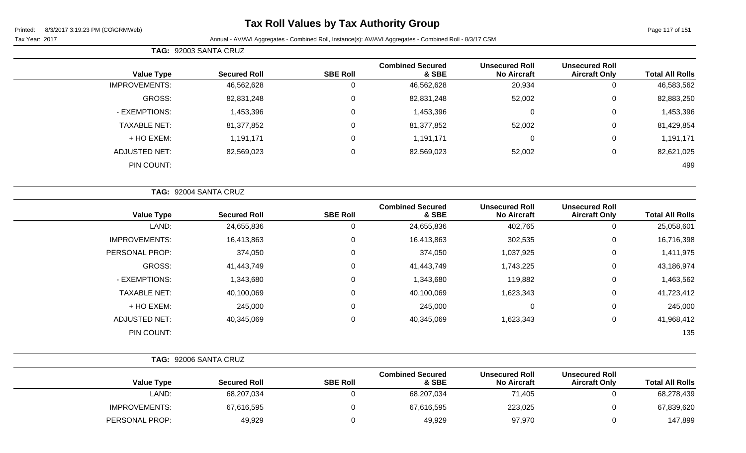# **Tax Roll Values by Tax Authority Group**

|                      | TAG: 92003 SANTA CRUZ |                  |                                  |                                             |                                               |                        |
|----------------------|-----------------------|------------------|----------------------------------|---------------------------------------------|-----------------------------------------------|------------------------|
| <b>Value Type</b>    | <b>Secured Roll</b>   | <b>SBE Roll</b>  | <b>Combined Secured</b><br>& SBE | <b>Unsecured Roll</b><br><b>No Aircraft</b> | <b>Unsecured Roll</b><br><b>Aircraft Only</b> | <b>Total All Rolls</b> |
| <b>IMPROVEMENTS:</b> | 46,562,628            | 0                | 46,562,628                       | 20,934                                      | 0                                             | 46,583,562             |
| GROSS:               | 82,831,248            | $\mathbf 0$      | 82,831,248                       | 52,002                                      | 0                                             | 82,883,250             |
| - EXEMPTIONS:        | 1,453,396             | $\mathbf 0$      | 1,453,396                        | 0                                           | 0                                             | 1,453,396              |
| <b>TAXABLE NET:</b>  | 81,377,852            | $\mathbf 0$      | 81,377,852                       | 52,002                                      | 0                                             | 81,429,854             |
| + HO EXEM:           | 1,191,171             | $\boldsymbol{0}$ | 1,191,171                        | $\mathbf{0}$                                | 0                                             | 1,191,171              |
| <b>ADJUSTED NET:</b> | 82,569,023            | $\mathsf 0$      | 82,569,023                       | 52,002                                      | 0                                             | 82,621,025             |
| PIN COUNT:           |                       |                  |                                  |                                             |                                               | 499                    |
|                      | TAG: 92004 SANTA CRUZ |                  |                                  |                                             |                                               |                        |
| <b>Value Type</b>    | <b>Secured Roll</b>   | <b>SBE Roll</b>  | <b>Combined Secured</b><br>& SBE | <b>Unsecured Roll</b><br><b>No Aircraft</b> | <b>Unsecured Roll</b><br><b>Aircraft Only</b> | <b>Total All Rolls</b> |
| LAND:                | 24,655,836            | 0                | 24,655,836                       | 402,765                                     | 0                                             | 25,058,601             |

| 25,058,601 | 0           | 402,765   | 24,655,836 |          | 24,655,836 | LAND:                |
|------------|-------------|-----------|------------|----------|------------|----------------------|
| 16,716,398 | 0           | 302,535   | 16,413,863 |          | 16,413,863 | <b>IMPROVEMENTS:</b> |
| 1,411,975  | 0           | 1,037,925 | 374,050    | $\Omega$ | 374,050    | PERSONAL PROP:       |
| 43,186,974 | 0           | 1,743,225 | 41,443,749 |          | 41,443,749 | GROSS:               |
| 1,463,562  | $\mathbf 0$ | 119,882   | 1,343,680  | 0        | 1,343,680  | - EXEMPTIONS:        |
| 41,723,412 | 0           | 1,623,343 | 40,100,069 |          | 40,100,069 | <b>TAXABLE NET:</b>  |
| 245,000    | 0           | 0         | 245,000    |          | 245,000    | + HO EXEM:           |
| 41,968,412 | 0           | 1,623,343 | 40,345,069 | 0        | 40,345,069 | ADJUSTED NET:        |
| 135        |             |           |            |          |            | PIN COUNT:           |
|            |             |           |            |          |            |                      |

|                      | TAG: 92006 SANTA CRUZ |                 |                                  |                                             |                                               |                        |
|----------------------|-----------------------|-----------------|----------------------------------|---------------------------------------------|-----------------------------------------------|------------------------|
| <b>Value Type</b>    | <b>Secured Roll</b>   | <b>SBE Roll</b> | <b>Combined Secured</b><br>& SBE | <b>Unsecured Roll</b><br><b>No Aircraft</b> | <b>Unsecured Roll</b><br><b>Aircraft Only</b> | <b>Total All Rolls</b> |
| LAND:                | 68,207,034            |                 | 68,207,034                       | 71,405                                      |                                               | 68,278,439             |
| <b>IMPROVEMENTS:</b> | 67,616,595            |                 | 67,616,595                       | 223,025                                     | 0                                             | 67,839,620             |
| PERSONAL PROP:       | 49,929                |                 | 49,929                           | 97,970                                      |                                               | 147,899                |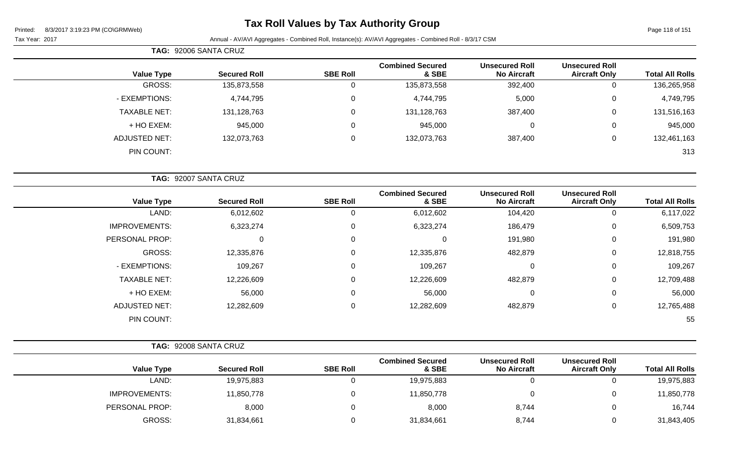### **Tax Roll Values by Tax Authority Group**

Page 118 of 151

|                     | TAG: 92006 SANTA CRUZ |                 |                                  |                                             |                                               |                        |
|---------------------|-----------------------|-----------------|----------------------------------|---------------------------------------------|-----------------------------------------------|------------------------|
| <b>Value Type</b>   | <b>Secured Roll</b>   | <b>SBE Roll</b> | <b>Combined Secured</b><br>& SBE | <b>Unsecured Roll</b><br><b>No Aircraft</b> | <b>Unsecured Roll</b><br><b>Aircraft Only</b> | <b>Total All Rolls</b> |
| GROSS:              | 135,873,558           | U               | 135,873,558                      | 392,400                                     | 0                                             | 136,265,958            |
| - EXEMPTIONS:       | 4,744,795             | 0               | 4,744,795                        | 5,000                                       | 0                                             | 4,749,795              |
| <b>TAXABLE NET:</b> | 131,128,763           | 0               | 131,128,763                      | 387,400                                     | 0                                             | 131,516,163            |
| + HO EXEM:          | 945,000               | 0               | 945,000                          | $\Omega$                                    | $\overline{0}$                                | 945,000                |
| ADJUSTED NET:       | 132,073,763           | 0               | 132,073,763                      | 387,400                                     | 0                                             | 132,461,163            |
| PIN COUNT:          |                       |                 |                                  |                                             |                                               | 313                    |

| TAG: 92007 SANTA CRUZ |                     |                 |                                  |                                             |                                               |                        |
|-----------------------|---------------------|-----------------|----------------------------------|---------------------------------------------|-----------------------------------------------|------------------------|
| <b>Value Type</b>     | <b>Secured Roll</b> | <b>SBE Roll</b> | <b>Combined Secured</b><br>& SBE | <b>Unsecured Roll</b><br><b>No Aircraft</b> | <b>Unsecured Roll</b><br><b>Aircraft Only</b> | <b>Total All Rolls</b> |
| LAND:                 | 6,012,602           | 0               | 6,012,602                        | 104,420                                     | 0                                             | 6,117,022              |
| <b>IMPROVEMENTS:</b>  | 6,323,274           | 0               | 6,323,274                        | 186,479                                     | 0                                             | 6,509,753              |
| PERSONAL PROP:        | 0                   | 0               |                                  | 191,980                                     | 0                                             | 191,980                |
| <b>GROSS:</b>         | 12,335,876          | 0               | 12,335,876                       | 482,879                                     | $\mathbf 0$                                   | 12,818,755             |
| - EXEMPTIONS:         | 109,267             | $\Omega$        | 109,267                          | $\mathbf 0$                                 | 0                                             | 109,267                |
| <b>TAXABLE NET:</b>   | 12,226,609          | $\mathbf 0$     | 12,226,609                       | 482,879                                     | 0                                             | 12,709,488             |
| + HO EXEM:            | 56,000              | $\overline{0}$  | 56,000                           | $\mathbf 0$                                 | 0                                             | 56,000                 |
| <b>ADJUSTED NET:</b>  | 12,282,609          | $\Omega$        | 12,282,609                       | 482,879                                     | 0                                             | 12,765,488             |
| PIN COUNT:            |                     |                 |                                  |                                             |                                               | 55                     |

| <b>Value Type</b>    | <b>Secured Roll</b> | <b>SBE Roll</b> | <b>Combined Secured</b><br>& SBE | <b>Unsecured Roll</b><br><b>No Aircraft</b> | <b>Unsecured Roll</b><br><b>Aircraft Only</b> | <b>Total All Rolls</b> |
|----------------------|---------------------|-----------------|----------------------------------|---------------------------------------------|-----------------------------------------------|------------------------|
| LAND:                | 19,975,883          |                 | 19,975,883                       |                                             |                                               | 19,975,883             |
| <b>IMPROVEMENTS:</b> | 11,850,778          |                 | 11,850,778                       |                                             |                                               | 11,850,778             |
| PERSONAL PROP:       | 8,000               |                 | 8,000                            | 8,744                                       |                                               | 16,744                 |
| GROSS:               | 31,834,661          |                 | 31,834,661                       | 8,744                                       |                                               | 31,843,405             |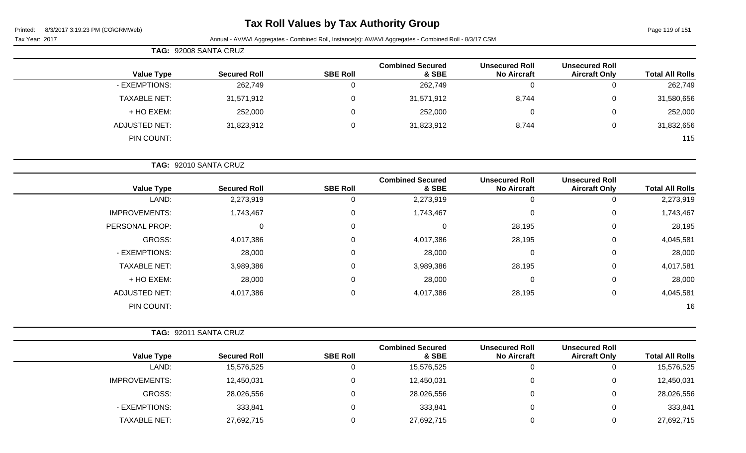### **Tax Roll Values by Tax Authority Group**

Page 119 of 151

|                     | TAG: 92008 SANTA CRUZ |                 |                                  |                                             |                                               |                        |
|---------------------|-----------------------|-----------------|----------------------------------|---------------------------------------------|-----------------------------------------------|------------------------|
| <b>Value Type</b>   | <b>Secured Roll</b>   | <b>SBE Roll</b> | <b>Combined Secured</b><br>& SBE | <b>Unsecured Roll</b><br><b>No Aircraft</b> | <b>Unsecured Roll</b><br><b>Aircraft Only</b> | <b>Total All Rolls</b> |
| - EXEMPTIONS:       | 262,749               | 0               | 262,749                          | 0                                           | 0                                             | 262,749                |
| <b>TAXABLE NET:</b> | 31,571,912            | $\Omega$        | 31,571,912                       | 8,744                                       | 0                                             | 31,580,656             |
| + HO EXEM:          | 252,000               | 0               | 252,000                          | 0                                           | $\mathbf 0$                                   | 252,000                |
| ADJUSTED NET:       | 31,823,912            | $\Omega$        | 31,823,912                       | 8,744                                       | 0                                             | 31,832,656             |
| PIN COUNT:          |                       |                 |                                  |                                             |                                               | 115                    |

|                        |                                               |                                             |                                  |                 | TAG: 92010 SANTA CRUZ |                      |
|------------------------|-----------------------------------------------|---------------------------------------------|----------------------------------|-----------------|-----------------------|----------------------|
| <b>Total All Rolls</b> | <b>Unsecured Roll</b><br><b>Aircraft Only</b> | <b>Unsecured Roll</b><br><b>No Aircraft</b> | <b>Combined Secured</b><br>& SBE | <b>SBE Roll</b> | <b>Secured Roll</b>   | <b>Value Type</b>    |
| 2,273,919              | 0                                             | 0                                           | 2,273,919                        | U               | 2,273,919             | LAND:                |
| 1,743,467              | 0                                             | $\mathbf 0$                                 | 1,743,467                        | 0               | 1,743,467             | <b>IMPROVEMENTS:</b> |
| 28,195                 | 0                                             | 28,195                                      | $\Omega$                         | $\mathbf 0$     | 0                     | PERSONAL PROP:       |
| 4,045,581              | 0                                             | 28,195                                      | 4,017,386                        | 0               | 4,017,386             | GROSS:               |
| 28,000                 | 0                                             | 0                                           | 28,000                           | $\mathbf 0$     | 28,000                | - EXEMPTIONS:        |
| 4,017,581              | $\mathbf 0$                                   | 28,195                                      | 3,989,386                        | 0               | 3,989,386             | <b>TAXABLE NET:</b>  |
| 28,000                 | $\overline{0}$                                | $\mathbf 0$                                 | 28,000                           | 0               | 28,000                | + HO EXEM:           |
| 4,045,581              | 0                                             | 28,195                                      | 4,017,386                        | $\mathbf 0$     | 4,017,386             | <b>ADJUSTED NET:</b> |
| 16                     |                                               |                                             |                                  |                 |                       | PIN COUNT:           |

|                      | TAG: 92011 SANTA CRUZ |                 |                                  |                                             |                                               |                        |
|----------------------|-----------------------|-----------------|----------------------------------|---------------------------------------------|-----------------------------------------------|------------------------|
| <b>Value Type</b>    | <b>Secured Roll</b>   | <b>SBE Roll</b> | <b>Combined Secured</b><br>& SBE | <b>Unsecured Roll</b><br><b>No Aircraft</b> | <b>Unsecured Roll</b><br><b>Aircraft Only</b> | <b>Total All Rolls</b> |
| LAND:                | 15,576,525            |                 | 15,576,525                       |                                             |                                               | 15,576,525             |
| <b>IMPROVEMENTS:</b> | 12,450,031            | 0               | 12,450,031                       |                                             |                                               | 12,450,031             |
| GROSS:               | 28,026,556            | 0               | 28,026,556                       |                                             |                                               | 28,026,556             |
| - EXEMPTIONS:        | 333,841               |                 | 333,841                          |                                             |                                               | 333,841                |
| <b>TAXABLE NET:</b>  | 27,692,715            |                 | 27,692,715                       |                                             |                                               | 27,692,715             |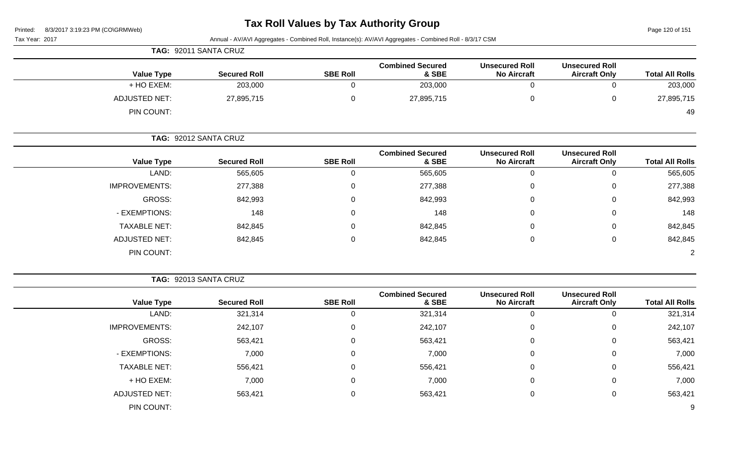## **Tax Roll Values by Tax Authority Group**

Page 120 of 151

| Tax Year: 2017 |                      |                       |                 | Annual - AV/AVI Aggregates - Combined Roll, Instance(s): AV/AVI Aggregates - Combined Roll - 8/3/17 CSM |                                             |                                               |                        |
|----------------|----------------------|-----------------------|-----------------|---------------------------------------------------------------------------------------------------------|---------------------------------------------|-----------------------------------------------|------------------------|
|                |                      | TAG: 92011 SANTA CRUZ |                 |                                                                                                         |                                             |                                               |                        |
|                | <b>Value Type</b>    | <b>Secured Roll</b>   | <b>SBE Roll</b> | <b>Combined Secured</b><br>& SBE                                                                        | <b>Unsecured Roll</b><br><b>No Aircraft</b> | <b>Unsecured Roll</b><br><b>Aircraft Only</b> | <b>Total All Rolls</b> |
|                | + HO EXEM:           | 203,000               | 0               | 203,000                                                                                                 | 0                                           | 0                                             | 203,000                |
|                | <b>ADJUSTED NET:</b> | 27,895,715            | 0               | 27,895,715                                                                                              | 0                                           | 0                                             | 27,895,715             |
|                | PIN COUNT:           |                       |                 |                                                                                                         |                                             |                                               | 49                     |
|                |                      | TAG: 92012 SANTA CRUZ |                 |                                                                                                         |                                             |                                               |                        |
|                | <b>Value Type</b>    | <b>Secured Roll</b>   | <b>SBE Roll</b> | <b>Combined Secured</b><br>& SBE                                                                        | <b>Unsecured Roll</b><br><b>No Aircraft</b> | <b>Unsecured Roll</b><br><b>Aircraft Only</b> | <b>Total All Rolls</b> |
|                | LAND:                | 565,605               | $\Omega$        | 565,605                                                                                                 | 0                                           | $\Omega$                                      | 565,605                |
|                | <b>IMPROVEMENTS:</b> | 277,388               | 0               | 277,388                                                                                                 | 0                                           | 0                                             | 277,388                |
|                | GROSS:               | 842,993               | $\Omega$        | 842,993                                                                                                 | 0                                           | 0                                             | 842,993                |
|                | - EXEMPTIONS:        | 148                   | 0               | 148                                                                                                     | 0                                           | 0                                             | 148                    |
|                | <b>TAXABLE NET:</b>  | 842,845               | 0               | 842,845                                                                                                 | 0                                           | 0                                             | 842,845                |
|                | <b>ADJUSTED NET:</b> | 842,845               | 0               | 842,845                                                                                                 | 0                                           | 0                                             | 842,845                |
|                | PIN COUNT:           |                       |                 |                                                                                                         |                                             |                                               | $\overline{2}$         |

| <b>Total All Rolls</b> | <b>Unsecured Roll</b><br><b>Aircraft Only</b> | <b>Unsecured Roll</b><br><b>No Aircraft</b> | <b>Combined Secured</b><br>& SBE | <b>SBE Roll</b> | <b>Secured Roll</b> | <b>Value Type</b>    |
|------------------------|-----------------------------------------------|---------------------------------------------|----------------------------------|-----------------|---------------------|----------------------|
| 321,314                | 0                                             | 0                                           | 321,314                          |                 | 321,314             | LAND:                |
| 242,107                | 0                                             | 0                                           | 242,107                          | 0               | 242,107             | <b>IMPROVEMENTS:</b> |
| 563,421                | 0                                             | 0                                           | 563,421                          | $\Omega$        | 563,421             | GROSS:               |
| 7,000                  | 0                                             | 0                                           | 7,000                            | $\Omega$        | 7,000               | - EXEMPTIONS:        |
| 556,421                | 0                                             | 0                                           | 556,421                          | $\Omega$        | 556,421             | <b>TAXABLE NET:</b>  |
| 7,000                  | $\mathbf 0$                                   | 0                                           | 7,000                            | $\mathbf 0$     | 7,000               | + HO EXEM:           |
| 563,421                | $\mathbf 0$                                   | 0                                           | 563,421                          | $\mathbf 0$     | 563,421             | <b>ADJUSTED NET:</b> |
| 9                      |                                               |                                             |                                  |                 |                     | PIN COUNT:           |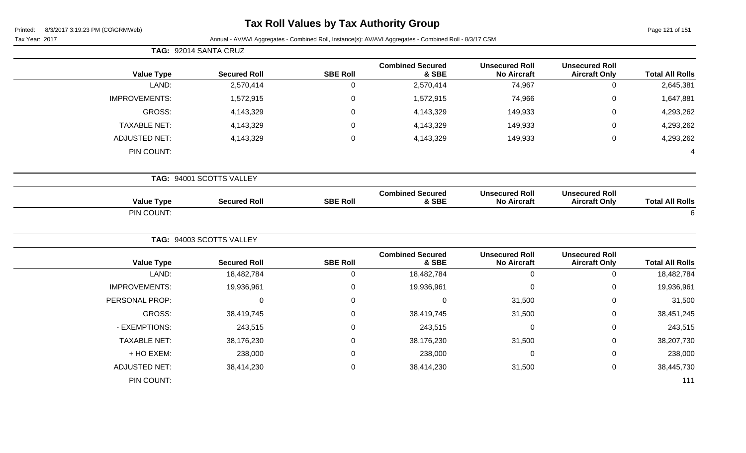# **Tax Roll Values by Tax Authority Group**

Page 121 of 151

|                      | TAG: 92014 SANTA CRUZ    |                 |                                  |                                             |                                               |                        |
|----------------------|--------------------------|-----------------|----------------------------------|---------------------------------------------|-----------------------------------------------|------------------------|
| <b>Value Type</b>    | <b>Secured Roll</b>      | <b>SBE Roll</b> | <b>Combined Secured</b><br>& SBE | <b>Unsecured Roll</b><br><b>No Aircraft</b> | <b>Unsecured Roll</b><br><b>Aircraft Only</b> | <b>Total All Rolls</b> |
| LAND:                | 2,570,414                | $\mathsf 0$     | 2,570,414                        | 74,967                                      | $\boldsymbol{0}$                              | 2,645,381              |
| <b>IMPROVEMENTS:</b> | 1,572,915                | $\mathbf 0$     | 1,572,915                        | 74,966                                      | $\mathbf 0$                                   | 1,647,881              |
| <b>GROSS:</b>        | 4,143,329                | $\mathbf 0$     | 4,143,329                        | 149,933                                     | 0                                             | 4,293,262              |
| <b>TAXABLE NET:</b>  | 4,143,329                | $\mathbf 0$     | 4,143,329                        | 149,933                                     | 0                                             | 4,293,262              |
| <b>ADJUSTED NET:</b> | 4,143,329                | $\pmb{0}$       | 4,143,329                        | 149,933                                     | $\mathbf 0$                                   | 4,293,262              |
| PIN COUNT:           |                          |                 |                                  |                                             |                                               | $\overline{A}$         |
|                      | TAG: 94001 SCOTTS VALLEY |                 |                                  |                                             |                                               |                        |
| <b>Value Type</b>    | <b>Secured Roll</b>      | <b>SBE Roll</b> | <b>Combined Secured</b><br>& SBE | <b>Unsecured Roll</b><br><b>No Aircraft</b> | <b>Unsecured Roll</b><br><b>Aircraft Only</b> | <b>Total All Rolls</b> |
| PIN COUNT:           |                          |                 |                                  |                                             |                                               | 6                      |
|                      | TAG: 94003 SCOTTS VALLEY |                 |                                  |                                             |                                               |                        |
| <b>Value Type</b>    | <b>Secured Roll</b>      | <b>SBE Roll</b> | <b>Combined Secured</b><br>& SBE | <b>Unsecured Roll</b><br><b>No Aircraft</b> | <b>Unsecured Roll</b><br><b>Aircraft Only</b> | <b>Total All Rolls</b> |
| LAND:                | 18,482,784               | $\mathbf 0$     | 18,482,784                       | $\mathbf 0$                                 | $\mathbf 0$                                   | 18,482,784             |
| <b>IMPROVEMENTS:</b> | 19,936,961               | $\mathbf 0$     | 19,936,961                       | $\mathbf 0$                                 | 0                                             | 19,936,961             |
| PERSONAL PROP:       | $\pmb{0}$                | $\pmb{0}$       | $\mathbf 0$                      | 31,500                                      | $\mathbf 0$                                   | 31,500                 |
| <b>GROSS:</b>        | 38,419,745               | $\mathbf 0$     | 38,419,745                       | 31,500                                      | $\pmb{0}$                                     | 38,451,245             |
| - EXEMPTIONS:        | 243,515                  | $\mathbf 0$     | 243,515                          | 0                                           | $\mathbf 0$                                   | 243,515                |
| <b>TAXABLE NET:</b>  | 38,176,230               | $\mathbf 0$     | 38,176,230                       | 31,500                                      | $\mathbf 0$                                   | 38,207,730             |
| + HO EXEM:           | 238,000                  | $\mathbf 0$     | 238,000                          | 0                                           | $\mathbf 0$                                   | 238,000                |
| <b>ADJUSTED NET:</b> | 38,414,230               | $\mathbf 0$     | 38,414,230                       | 31,500                                      | $\mathbf 0$                                   | 38,445,730             |
| PIN COUNT:           |                          |                 |                                  |                                             |                                               | 111                    |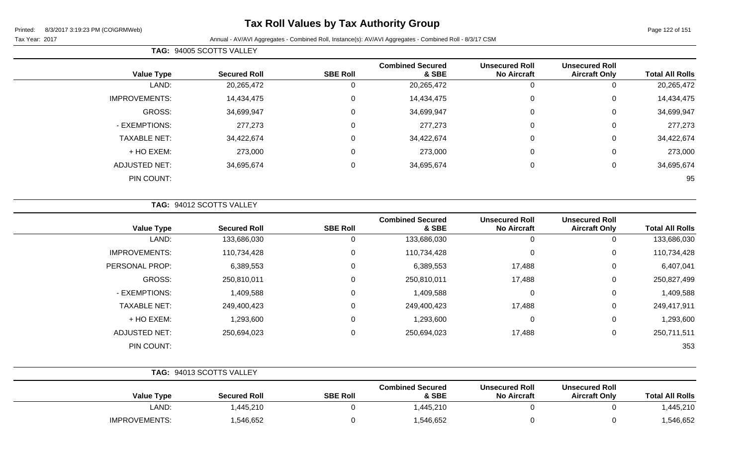### **Tax Roll Values by Tax Authority Group**

| <b>TAG: 94005 SCOTTS VALLEY</b> |  |
|---------------------------------|--|
|---------------------------------|--|

| <b>Total All Rolls</b> | <b>Unsecured Roll</b><br><b>Aircraft Only</b> | <b>Unsecured Roll</b><br><b>No Aircraft</b> | <b>Combined Secured</b><br>& SBE | <b>SBE Roll</b> | <b>Secured Roll</b> | <b>Value Type</b>    |
|------------------------|-----------------------------------------------|---------------------------------------------|----------------------------------|-----------------|---------------------|----------------------|
| 20,265,472             | 0                                             | 0                                           | 20,265,472                       | υ               | 20,265,472          | LAND:                |
| 14,434,475             | 0                                             | 0                                           | 14,434,475                       | 0               | 14,434,475          | <b>IMPROVEMENTS:</b> |
| 34,699,947             | 0                                             | 0                                           | 34,699,947                       | 0               | 34,699,947          | GROSS:               |
| 277,273                | 0                                             | $\Omega$                                    | 277,273                          |                 | 277,273             | - EXEMPTIONS:        |
| 34,422,674             | 0                                             | 0                                           | 34,422,674                       | $\Omega$        | 34,422,674          | <b>TAXABLE NET:</b>  |
| 273,000                | 0                                             | 0                                           | 273,000                          | $\Omega$        | 273,000             | + HO EXEM:           |
| 34,695,674             | 0                                             | $\overline{0}$                              | 34,695,674                       | $\Omega$        | 34,695,674          | <b>ADJUSTED NET:</b> |
| 95                     |                                               |                                             |                                  |                 |                     | PIN COUNT:           |
|                        |                                               |                                             |                                  |                 |                     |                      |

| TAG: 94012 SCOTTS VALLEY |  |
|--------------------------|--|
|                          |  |

| <b>Value Type</b>    | <b>Secured Roll</b> | <b>SBE Roll</b> | <b>Combined Secured</b><br>& SBE | <b>Unsecured Roll</b><br><b>No Aircraft</b> | <b>Unsecured Roll</b><br><b>Aircraft Only</b> | <b>Total All Rolls</b> |
|----------------------|---------------------|-----------------|----------------------------------|---------------------------------------------|-----------------------------------------------|------------------------|
| LAND:                | 133,686,030         | 0               | 133,686,030                      | 0                                           | 0                                             | 133,686,030            |
| <b>IMPROVEMENTS:</b> | 110,734,428         | 0               | 110,734,428                      | $\Omega$                                    | 0                                             | 110,734,428            |
| PERSONAL PROP:       | 6,389,553           | 0               | 6,389,553                        | 17,488                                      | 0                                             | 6,407,041              |
| GROSS:               | 250,810,011         | 0               | 250,810,011                      | 17,488                                      | 0                                             | 250,827,499            |
| - EXEMPTIONS:        | 1,409,588           | 0               | 1,409,588                        |                                             | 0                                             | 1,409,588              |
| <b>TAXABLE NET:</b>  | 249,400,423         | $\mathbf 0$     | 249,400,423                      | 17,488                                      | 0                                             | 249,417,911            |
| + HO EXEM:           | 1,293,600           | $\mathbf 0$     | 1,293,600                        | 0                                           | 0                                             | 1,293,600              |
| <b>ADJUSTED NET:</b> | 250,694,023         | 0               | 250,694,023                      | 17,488                                      | 0                                             | 250,711,511            |
| PIN COUNT:           |                     |                 |                                  |                                             |                                               | 353                    |

|                      | TAG: 94013 SCOTTS VALLEY |                 |                                  |                                             |                                               |                        |
|----------------------|--------------------------|-----------------|----------------------------------|---------------------------------------------|-----------------------------------------------|------------------------|
| <b>Value Type</b>    | <b>Secured Roll</b>      | <b>SBE Roll</b> | <b>Combined Secured</b><br>& SBE | <b>Unsecured Roll</b><br><b>No Aircraft</b> | <b>Unsecured Roll</b><br><b>Aircraft Only</b> | <b>Total All Rolls</b> |
| LAND:                | 1,445,210                |                 | 1,445,210                        |                                             |                                               | 1,445,210              |
| <b>IMPROVEMENTS:</b> | 1,546,652                |                 | 1,546,652                        |                                             |                                               | 1,546,652              |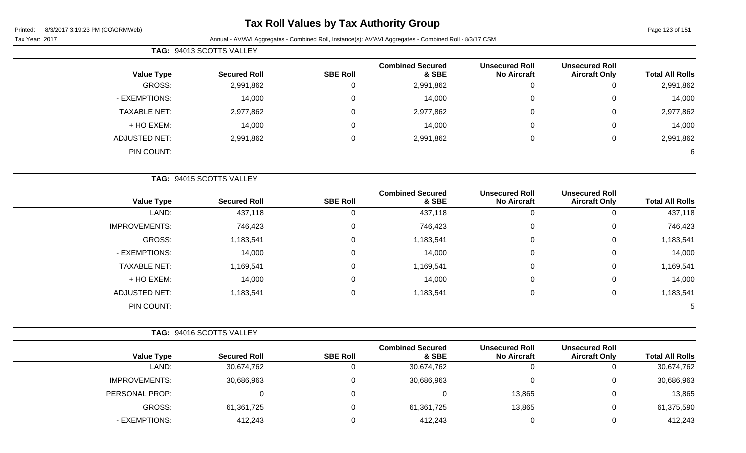### **Tax Roll Values by Tax Authority Group**

Page 123 of 151

|                      | TAG: 94013 SCOTTS VALLEY |                 |                                  |                                             |                                               |                        |
|----------------------|--------------------------|-----------------|----------------------------------|---------------------------------------------|-----------------------------------------------|------------------------|
| <b>Value Type</b>    | <b>Secured Roll</b>      | <b>SBE Roll</b> | <b>Combined Secured</b><br>& SBE | <b>Unsecured Roll</b><br><b>No Aircraft</b> | <b>Unsecured Roll</b><br><b>Aircraft Only</b> | <b>Total All Rolls</b> |
| GROSS:               | 2,991,862                | $\mathbf 0$     | 2,991,862                        | $\mathbf 0$                                 | $\mathbf 0$                                   | 2,991,862              |
| - EXEMPTIONS:        | 14,000                   | $\pmb{0}$       | 14,000                           | 0                                           | $\pmb{0}$                                     | 14,000                 |
| <b>TAXABLE NET:</b>  | 2,977,862                | $\mathbf 0$     | 2,977,862                        | 0                                           | 0                                             | 2,977,862              |
| + HO EXEM:           | 14,000                   | $\mathbf 0$     | 14,000                           | 0                                           | 0                                             | 14,000                 |
| <b>ADJUSTED NET:</b> | 2,991,862                | $\pmb{0}$       | 2,991,862                        | $\mathbf 0$                                 | $\mathbf 0$                                   | 2,991,862              |
| PIN COUNT:           |                          |                 |                                  |                                             |                                               | 6                      |
|                      | TAG: 94015 SCOTTS VALLEY |                 |                                  |                                             |                                               |                        |
| <b>Value Type</b>    | <b>Secured Roll</b>      | <b>SBE Roll</b> | <b>Combined Secured</b><br>& SBE | <b>Unsecured Roll</b><br><b>No Aircraft</b> | <b>Unsecured Roll</b><br><b>Aircraft Only</b> | <b>Total All Rolls</b> |
| LAND:                | 437,118                  | $\mathbf 0$     | 437,118                          | $\mathbf 0$                                 | $\mathbf 0$                                   | 437,118                |
| <b>IMPROVEMENTS:</b> | 746,423                  | $\mathbf 0$     | 746,423                          | 0                                           | $\mathbf 0$                                   | 746,423                |
| GROSS:               | 1,183,541                | $\mathbf 0$     | 1,183,541                        | $\Omega$                                    | 0                                             | 1,183,541              |
| - EXEMPTIONS:        | 14,000                   | $\mathbf 0$     | 14,000                           | 0                                           | 0                                             | 14,000                 |
| <b>TAXABLE NET:</b>  | 1,169,541                | $\mathbf 0$     | 1,169,541                        | 0                                           | 0                                             | 1,169,541              |
| + HO EXEM:           | 14,000                   | $\mathbf 0$     | 14,000                           | 0                                           | 0                                             | 14,000                 |
| <b>ADJUSTED NET:</b> | 1,183,541                | $\pmb{0}$       | 1,183,541                        | $\pmb{0}$                                   | $\mathbf 0$                                   | 1,183,541              |
| PIN COUNT:           |                          |                 |                                  |                                             |                                               | h                      |

|                      | TAG: 94016 SCOTTS VALLEY |                 |                                  |                                             |                                               |                        |
|----------------------|--------------------------|-----------------|----------------------------------|---------------------------------------------|-----------------------------------------------|------------------------|
| <b>Value Type</b>    | <b>Secured Roll</b>      | <b>SBE Roll</b> | <b>Combined Secured</b><br>& SBE | <b>Unsecured Roll</b><br><b>No Aircraft</b> | <b>Unsecured Roll</b><br><b>Aircraft Only</b> | <b>Total All Rolls</b> |
| LAND:                | 30,674,762               |                 | 30,674,762                       | U                                           |                                               | 30,674,762             |
| <b>IMPROVEMENTS:</b> | 30,686,963               |                 | 30,686,963                       | C                                           |                                               | 30,686,963             |
| PERSONAL PROP:       |                          |                 |                                  | 13,865                                      |                                               | 13,865                 |
| GROSS:               | 61,361,725               |                 | 61,361,725                       | 13,865                                      |                                               | 61,375,590             |
| - EXEMPTIONS:        | 412,243                  |                 | 412,243                          |                                             |                                               | 412,243                |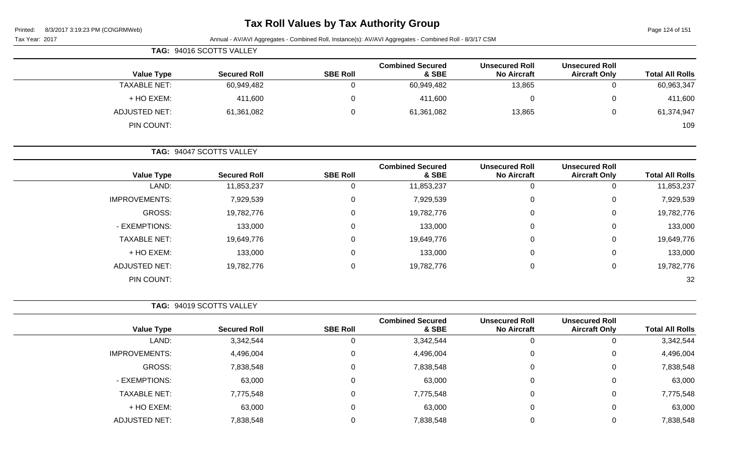| Printed: |  | 8/3/2017 3:19:23 PM (CO\GRMWeb) |
|----------|--|---------------------------------|

### **Tax Roll Values by Tax Authority Group**

Page 124 of 151

| 8/3/2017 3:19:23 PM (CO\GRMWeb)<br>Printed:<br>Tax Year: 2017 |                          |                 | Annual - AV/AVI Aggregates - Combined Roll, Instance(s): AV/AVI Aggregates - Combined Roll - 8/3/17 CSM |                                             |                                               | Page 124 of 151        |
|---------------------------------------------------------------|--------------------------|-----------------|---------------------------------------------------------------------------------------------------------|---------------------------------------------|-----------------------------------------------|------------------------|
|                                                               | TAG: 94016 SCOTTS VALLEY |                 |                                                                                                         |                                             |                                               |                        |
| <b>Value Type</b>                                             | <b>Secured Roll</b>      | <b>SBE Roll</b> | <b>Combined Secured</b><br>& SBE                                                                        | <b>Unsecured Roll</b><br><b>No Aircraft</b> | <b>Unsecured Roll</b><br><b>Aircraft Only</b> | <b>Total All Rolls</b> |
| <b>TAXABLE NET:</b>                                           | 60,949,482               | 0               | 60,949,482                                                                                              | 13,865                                      | $\mathbf 0$                                   | 60,963,347             |
| + HO EXEM:                                                    | 411,600                  | 0               | 411,600                                                                                                 | 0                                           | 0                                             | 411,600                |
| <b>ADJUSTED NET:</b>                                          | 61,361,082               | 0               | 61,361,082                                                                                              | 13,865                                      | 0                                             | 61,374,947             |
| PIN COUNT:                                                    |                          |                 |                                                                                                         |                                             |                                               | 109                    |
|                                                               | TAG: 94047 SCOTTS VALLEY |                 |                                                                                                         |                                             |                                               |                        |
| <b>Value Type</b>                                             | <b>Secured Roll</b>      | <b>SBE Roll</b> | <b>Combined Secured</b><br>& SBE                                                                        | <b>Unsecured Roll</b><br><b>No Aircraft</b> | <b>Unsecured Roll</b><br><b>Aircraft Only</b> | <b>Total All Rolls</b> |
| LAND:                                                         | 11,853,237               | $\mathbf 0$     | 11,853,237                                                                                              | $\mathbf 0$                                 | $\mathbf 0$                                   | 11,853,237             |
| <b>IMPROVEMENTS:</b>                                          | 7,929,539                | 0               | 7,929,539                                                                                               | $\mathbf 0$                                 | 0                                             | 7,929,539              |
| GROSS:                                                        | 19,782,776               | 0               | 19,782,776                                                                                              | 0                                           | 0                                             | 19,782,776             |
| - EXEMPTIONS:                                                 | 133,000                  | 0               | 133,000                                                                                                 | 0                                           | 0                                             | 133,000                |
| <b>TAXABLE NET:</b>                                           | 19,649,776               | 0               | 19,649,776                                                                                              | 0                                           | 0                                             | 19,649,776             |
| + HO EXEM:                                                    | 133,000                  | 0               | 133,000                                                                                                 | 0                                           | 0                                             | 133,000                |
| <b>ADJUSTED NET:</b>                                          | 19,782,776               | $\pmb{0}$       | 19,782,776                                                                                              | $\pmb{0}$                                   | $\pmb{0}$                                     | 19,782,776             |
| PIN COUNT:                                                    |                          |                 |                                                                                                         |                                             |                                               | 32                     |
|                                                               | TAG: 94019 SCOTTS VALLEY |                 |                                                                                                         |                                             |                                               |                        |
| <b>Value Type</b>                                             | <b>Secured Roll</b>      | <b>SBE Roll</b> | <b>Combined Secured</b><br>& SBE                                                                        | <b>Unsecured Roll</b><br><b>No Aircraft</b> | <b>Unsecured Roll</b><br><b>Aircraft Only</b> | <b>Total All Rolls</b> |
| LAND:                                                         | 3,342,544                | 0               | 3,342,544                                                                                               | $\mathbf 0$                                 | $\mathbf 0$                                   | 3,342,544              |
| <b>IMPROVEMENTS:</b>                                          | 4,496,004                | 0               | 4,496,004                                                                                               | 0                                           | 0                                             | 4,496,004              |
| <b>GROSS:</b>                                                 | 7,838,548                | $\mathbf 0$     | 7,838,548                                                                                               | $\boldsymbol{0}$                            | $\pmb{0}$                                     | 7,838,548              |
| - EXEMPTIONS:                                                 | 63,000                   | $\mathbf 0$     | 63,000                                                                                                  | $\pmb{0}$                                   | $\pmb{0}$                                     | 63,000                 |
| TAXABLE NET:                                                  | 7,775,548                | 0               | 7,775,548                                                                                               | $\pmb{0}$                                   | 0                                             | 7,775,548              |
| + HO EXEM:                                                    | 63,000                   | $\mathbf 0$     | 63,000                                                                                                  | $\mathbf 0$                                 | 0                                             | 63,000                 |
| <b>ADJUSTED NET:</b>                                          | 7,838,548                | $\mathbf 0$     | 7,838,548                                                                                               | 0                                           | 0                                             | 7,838,548              |
|                                                               |                          |                 |                                                                                                         |                                             |                                               |                        |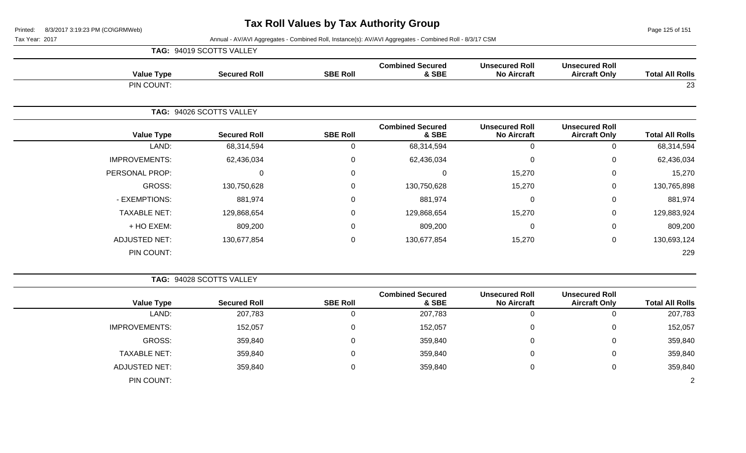Page 125 of 151

|                      | TAG: 94019 SCOTTS VALLEY |                 |                                  |                                             |                                               |                        |
|----------------------|--------------------------|-----------------|----------------------------------|---------------------------------------------|-----------------------------------------------|------------------------|
| <b>Value Type</b>    | <b>Secured Roll</b>      | <b>SBE Roll</b> | <b>Combined Secured</b><br>& SBE | <b>Unsecured Roll</b><br><b>No Aircraft</b> | <b>Unsecured Roll</b><br><b>Aircraft Only</b> | <b>Total All Rolls</b> |
| PIN COUNT:           |                          |                 |                                  |                                             |                                               | 23                     |
|                      | TAG: 94026 SCOTTS VALLEY |                 |                                  |                                             |                                               |                        |
| <b>Value Type</b>    | <b>Secured Roll</b>      | <b>SBE Roll</b> | <b>Combined Secured</b><br>& SBE | <b>Unsecured Roll</b><br><b>No Aircraft</b> | <b>Unsecured Roll</b><br><b>Aircraft Only</b> | <b>Total All Rolls</b> |
| LAND:                | 68,314,594               | 0               | 68,314,594                       | $\Omega$                                    | 0                                             | 68,314,594             |
| <b>IMPROVEMENTS:</b> | 62,436,034               | 0               | 62,436,034                       | $\mathbf{0}$                                | $\mathbf 0$                                   | 62,436,034             |
| PERSONAL PROP:       | 0                        | 0               | $\mathbf 0$                      | 15,270                                      | $\mathbf 0$                                   | 15,270                 |
| GROSS:               | 130,750,628              | 0               | 130,750,628                      | 15,270                                      | $\mathbf 0$                                   | 130,765,898            |
| - EXEMPTIONS:        | 881,974                  | $\mathbf 0$     | 881,974                          | $\Omega$                                    | $\mathbf 0$                                   | 881,974                |
| <b>TAXABLE NET:</b>  | 129,868,654              | 0               | 129,868,654                      | 15,270                                      | $\mathbf 0$                                   | 129,883,924            |
| + HO EXEM:           | 809,200                  | 0               | 809,200                          | $\Omega$                                    | $\mathbf 0$                                   | 809,200                |
| <b>ADJUSTED NET:</b> | 130,677,854              | $\pmb{0}$       | 130,677,854                      | 15,270                                      | $\mathbf 0$                                   | 130,693,124            |
| PIN COUNT:           |                          |                 |                                  |                                             |                                               | 229                    |

|                      | TAG: 94028 SCOTTS VALLEY |                 |                                  |                                             |                                               |                        |
|----------------------|--------------------------|-----------------|----------------------------------|---------------------------------------------|-----------------------------------------------|------------------------|
| <b>Value Type</b>    | <b>Secured Roll</b>      | <b>SBE Roll</b> | <b>Combined Secured</b><br>& SBE | <b>Unsecured Roll</b><br><b>No Aircraft</b> | <b>Unsecured Roll</b><br><b>Aircraft Only</b> | <b>Total All Rolls</b> |
| LAND:                | 207,783                  | U               | 207,783                          |                                             | ν                                             | 207,783                |
| <b>IMPROVEMENTS:</b> | 152,057                  | 0               | 152,057                          |                                             | U                                             | 152,057                |
| GROSS:               | 359,840                  | 0               | 359,840                          |                                             | 0                                             | 359,840                |
| <b>TAXABLE NET:</b>  | 359,840                  | 0               | 359,840                          |                                             | 0                                             | 359,840                |
| ADJUSTED NET:        | 359,840                  | 0               | 359,840                          |                                             | U                                             | 359,840                |
| PIN COUNT:           |                          |                 |                                  |                                             |                                               |                        |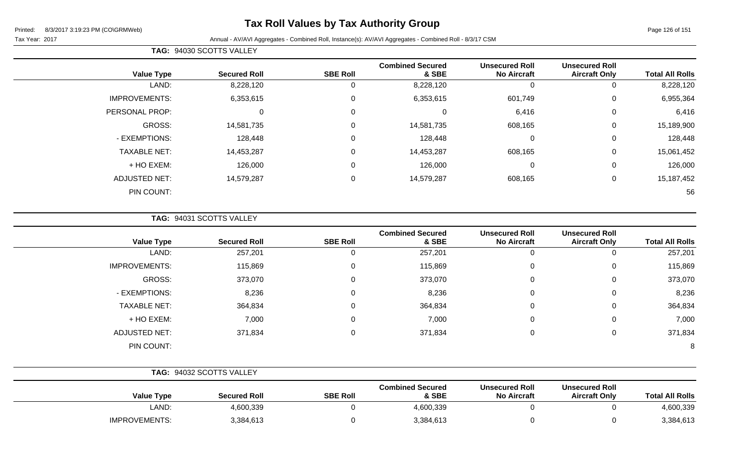### **Tax Roll Values by Tax Authority Group**

#### Tax Year: 2017 **Annual - AV/AVI Aggregates - Combined Roll**, Instance(s): AV/AVI Aggregates - Combined Roll - 8/3/17 CSM

|  | <b>TAG: 94030 SCOTTS VALLEY</b> |
|--|---------------------------------|
|--|---------------------------------|

|                      |                     |                  | <b>Combined Secured</b> | <b>Unsecured Roll</b> | <b>Unsecured Roll</b> |                        |
|----------------------|---------------------|------------------|-------------------------|-----------------------|-----------------------|------------------------|
| <b>Value Type</b>    | <b>Secured Roll</b> | <b>SBE Roll</b>  | & SBE                   | <b>No Aircraft</b>    | <b>Aircraft Only</b>  | <b>Total All Rolls</b> |
| LAND:                | 8,228,120           | U                | 8,228,120               | 0                     |                       | 8,228,120              |
| <b>IMPROVEMENTS:</b> | 6,353,615           | $\mathbf 0$      | 6,353,615               | 601,749               | 0                     | 6,955,364              |
| PERSONAL PROP:       | $\overline{0}$      | $\mathbf 0$      | 0                       | 6,416                 | $\mathbf 0$           | 6,416                  |
| GROSS:               | 14,581,735          | $\boldsymbol{0}$ | 14,581,735              | 608,165               | 0                     | 15,189,900             |
| - EXEMPTIONS:        | 128,448             | $\mathbf 0$      | 128,448                 | $\mathbf 0$           | 0                     | 128,448                |
| <b>TAXABLE NET:</b>  | 14,453,287          | $\mathbf 0$      | 14,453,287              | 608,165               | 0                     | 15,061,452             |
| + HO EXEM:           | 126,000             | $\overline{0}$   | 126,000                 | 0                     | 0                     | 126,000                |
| <b>ADJUSTED NET:</b> | 14,579,287          | $\mathbf 0$      | 14,579,287              | 608,165               | 0                     | 15,187,452             |
| PIN COUNT:           |                     |                  |                         |                       |                       | 56                     |

**TAG:** 94031 SCOTTS VALLEY

|                      |                     |                 | <b>Combined Secured</b> | <b>Unsecured Roll</b> | <b>Unsecured Roll</b> |                        |
|----------------------|---------------------|-----------------|-------------------------|-----------------------|-----------------------|------------------------|
| <b>Value Type</b>    | <b>Secured Roll</b> | <b>SBE Roll</b> | & SBE                   | <b>No Aircraft</b>    | <b>Aircraft Only</b>  | <b>Total All Rolls</b> |
| LAND:                | 257,201             | 0               | 257,201                 | 0                     |                       | 257,201                |
| <b>IMPROVEMENTS:</b> | 115,869             | 0               | 115,869                 | 0                     | 0                     | 115,869                |
| GROSS:               | 373,070             | 0               | 373,070                 | $\mathbf 0$           | 0                     | 373,070                |
| - EXEMPTIONS:        | 8,236               | 0               | 8,236                   | $\mathbf 0$           | 0                     | 8,236                  |
| <b>TAXABLE NET:</b>  | 364,834             | $\mathbf 0$     | 364,834                 | $\mathbf 0$           | 0                     | 364,834                |
| + HO EXEM:           | 7,000               | $\mathbf 0$     | 7,000                   | $\mathbf 0$           | 0                     | 7,000                  |
| <b>ADJUSTED NET:</b> | 371,834             | 0               | 371,834                 | $\mathbf 0$           | 0                     | 371,834                |
| PIN COUNT:           |                     |                 |                         |                       |                       | 8                      |

|                      | TAG: 94032 SCOTTS VALLEY |                 |                                  |                                             |                                               |                        |
|----------------------|--------------------------|-----------------|----------------------------------|---------------------------------------------|-----------------------------------------------|------------------------|
| <b>Value Type</b>    | <b>Secured Roll</b>      | <b>SBE Roll</b> | <b>Combined Secured</b><br>& SBE | <b>Unsecured Roll</b><br><b>No Aircraft</b> | <b>Unsecured Roll</b><br><b>Aircraft Only</b> | <b>Total All Rolls</b> |
| ∟AND:                | 4,600,339                |                 | 4,600,339                        |                                             |                                               | 4,600,339              |
| <b>IMPROVEMENTS:</b> | 3,384,613                |                 | 3,384,613                        |                                             |                                               | 3,384,613              |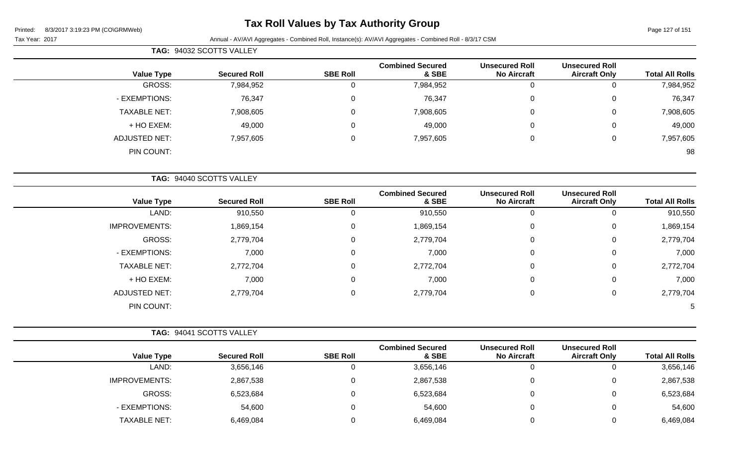### **Tax Roll Values by Tax Authority Group**

Page 127 of 151

Tax Year: 2017 Annual - AV/AVI Aggregates - Combined Roll, Instance(s): AV/AVI Aggregates - Combined Roll - 8/3/17 CSM

|                      | TAG: 94032 SCOTTS VALLEY |                 |                                  |                                             |                                               |                        |
|----------------------|--------------------------|-----------------|----------------------------------|---------------------------------------------|-----------------------------------------------|------------------------|
| <b>Value Type</b>    | <b>Secured Roll</b>      | <b>SBE Roll</b> | <b>Combined Secured</b><br>& SBE | <b>Unsecured Roll</b><br><b>No Aircraft</b> | <b>Unsecured Roll</b><br><b>Aircraft Only</b> | <b>Total All Rolls</b> |
| GROSS:               | 7,984,952                | 0               | 7,984,952                        | 0                                           | $\mathbf 0$                                   | 7,984,952              |
| - EXEMPTIONS:        | 76,347                   | $\Omega$        | 76,347                           | 0                                           | 0                                             | 76,347                 |
| <b>TAXABLE NET:</b>  | 7,908,605                | 0               | 7,908,605                        | 0                                           | $\mathbf 0$                                   | 7,908,605              |
| + HO EXEM:           | 49,000                   | $\Omega$        | 49,000                           | 0                                           | 0                                             | 49,000                 |
| <b>ADJUSTED NET:</b> | 7,957,605                | $\Omega$        | 7,957,605                        | 0                                           | 0                                             | 7,957,605              |
| PIN COUNT:           |                          |                 |                                  |                                             |                                               | 98                     |
|                      | TAG: 94040 SCOTTS VALLEY |                 |                                  |                                             |                                               |                        |
| <b>Value Type</b>    | <b>Secured Roll</b>      | <b>SBE Roll</b> | <b>Combined Secured</b><br>& SBE | <b>Unsecured Roll</b><br><b>No Aircraft</b> | <b>Unsecured Roll</b><br><b>Aircraft Only</b> | <b>Total All Rolls</b> |
| LAND:                | 910,550                  | $\mathbf 0$     | 910,550                          | 0                                           | $\mathbf{0}$                                  | 910,550                |
| <b>IMPROVEMENTS:</b> | 1,869,154                | $\mathbf{0}$    | 1,869,154                        | 0                                           | $\mathbf 0$                                   | 1,869,154              |
| GROSS:               | 2,779,704                | $\Omega$        | 2,779,704                        | $\Omega$                                    | $\mathbf{0}$                                  | 2,779,704              |
| - EXEMPTIONS:        | 7,000                    | $\Omega$        | 7,000                            | 0                                           | $\mathbf 0$                                   | 7,000                  |
| <b>TAXABLE NET:</b>  | 2,772,704                | $\Omega$        | 2,772,704                        | 0                                           | 0                                             | 2,772,704              |
| + HO EXEM:           | 7,000                    | 0               | 7,000                            | 0                                           | 0                                             | 7,000                  |

ADJUSTED NET: 2,779,704 0 2,779,704 0 0 2,779,704 PIN COUNT: 5

|                        |                                               |                                             |                                  |                 | TAG: 94041 SCOTTS VALLEY |                      |  |
|------------------------|-----------------------------------------------|---------------------------------------------|----------------------------------|-----------------|--------------------------|----------------------|--|
| <b>Total All Rolls</b> | <b>Unsecured Roll</b><br><b>Aircraft Only</b> | <b>Unsecured Roll</b><br><b>No Aircraft</b> | <b>Combined Secured</b><br>& SBE | <b>SBE Roll</b> | <b>Secured Roll</b>      | <b>Value Type</b>    |  |
| 3,656,146              | 0                                             |                                             | 3,656,146                        |                 | 3,656,146                | LAND:                |  |
| 2,867,538              | $\overline{0}$                                |                                             | 2,867,538                        |                 | 2,867,538                | <b>IMPROVEMENTS:</b> |  |
| 6,523,684              | 0                                             |                                             | 6,523,684                        |                 | 6,523,684                | GROSS:               |  |
| 54,600                 | 0                                             |                                             | 54,600                           |                 | 54,600                   | - EXEMPTIONS:        |  |
| 6,469,084              | $\overline{0}$                                |                                             | 6,469,084                        |                 | 6,469,084                | <b>TAXABLE NET:</b>  |  |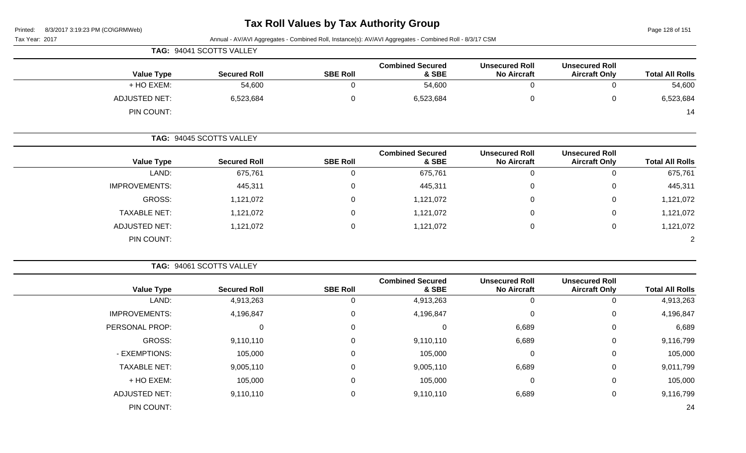| 8/3/2017 3:19:23 PM (CO\GRMWeb)<br>Printed: |                          |                 | <b>Tax Roll Values by Tax Authority Group</b>                                                           |                                             |                                               | Page 128 of 151        |
|---------------------------------------------|--------------------------|-----------------|---------------------------------------------------------------------------------------------------------|---------------------------------------------|-----------------------------------------------|------------------------|
| Tax Year: 2017                              |                          |                 | Annual - AV/AVI Aggregates - Combined Roll, Instance(s): AV/AVI Aggregates - Combined Roll - 8/3/17 CSM |                                             |                                               |                        |
|                                             | TAG: 94041 SCOTTS VALLEY |                 |                                                                                                         |                                             |                                               |                        |
| <b>Value Type</b>                           | <b>Secured Roll</b>      | <b>SBE Roll</b> | <b>Combined Secured</b><br>& SBE                                                                        | <b>Unsecured Roll</b><br><b>No Aircraft</b> | <b>Unsecured Roll</b><br><b>Aircraft Only</b> | <b>Total All Rolls</b> |
| + HO EXEM:                                  | 54,600                   | 0               | 54,600                                                                                                  | $\mathbf 0$                                 | $\mathbf 0$                                   | 54,600                 |
| <b>ADJUSTED NET:</b>                        | 6,523,684                | $\mathbf 0$     | 6,523,684                                                                                               | $\mathbf 0$                                 | $\pmb{0}$                                     | 6,523,684              |
| PIN COUNT:                                  |                          |                 |                                                                                                         |                                             |                                               | 14                     |
|                                             | TAG: 94045 SCOTTS VALLEY |                 |                                                                                                         |                                             |                                               |                        |
| <b>Value Type</b>                           | <b>Secured Roll</b>      | <b>SBE Roll</b> | <b>Combined Secured</b><br>& SBE                                                                        | <b>Unsecured Roll</b><br><b>No Aircraft</b> | <b>Unsecured Roll</b><br><b>Aircraft Only</b> | <b>Total All Rolls</b> |
| LAND:                                       | 675,761                  | 0               | 675,761                                                                                                 | $\mathbf 0$                                 | $\mathbf 0$                                   | 675,761                |
| <b>IMPROVEMENTS:</b>                        | 445,311                  | 0               | 445,311                                                                                                 | $\mathbf{0}$                                | $\mathbf 0$                                   | 445,311                |
| <b>GROSS:</b>                               | 1,121,072                | 0               | 1,121,072                                                                                               | 0                                           | 0                                             | 1,121,072              |
| <b>TAXABLE NET:</b>                         | 1,121,072                | $\Omega$        | 1,121,072                                                                                               | 0                                           | 0                                             | 1,121,072              |
| <b>ADJUSTED NET:</b>                        | 1,121,072                | 0               | 1,121,072                                                                                               | $\mathbf 0$                                 | 0                                             | 1,121,072              |
| PIN COUNT:                                  |                          |                 |                                                                                                         |                                             |                                               | $\overline{2}$         |
|                                             | TAG: 94061 SCOTTS VALLEY |                 |                                                                                                         |                                             |                                               |                        |
| <b>Value Type</b>                           | <b>Secured Roll</b>      | <b>SBE Roll</b> | <b>Combined Secured</b><br>& SBE                                                                        | <b>Unsecured Roll</b><br><b>No Aircraft</b> | <b>Unsecured Roll</b><br><b>Aircraft Only</b> | <b>Total All Rolls</b> |
| LAND:                                       | 4,913,263                | 0               | 4,913,263                                                                                               | $\mathbf 0$                                 | 0                                             | 4,913,263              |
| <b>IMPROVEMENTS:</b>                        | 4,196,847                | 0               | 4,196,847                                                                                               | $\mathbf 0$                                 | 0                                             | 4,196,847              |
| PERSONAL PROP:                              | $\Omega$                 | $\Omega$        | 0                                                                                                       | 6,689                                       | $\Omega$                                      | 6,689                  |
| <b>GROSS:</b>                               | 9,110,110                | 0               | 9,110,110                                                                                               | 6,689                                       | 0                                             | 9,116,799              |

- EXEMPTIONS: 105,000 0 105,000 0 0 105,000 TAXABLE NET: 9,005,110 0 9,005,110 6,689 0 9,011,799 + HO EXEM: 105,000 0 105,000 0 0 105,000

ADJUSTED NET: 6 9,110,110 0 9,110,110 0 9,110,110 6,689 0 9,116,799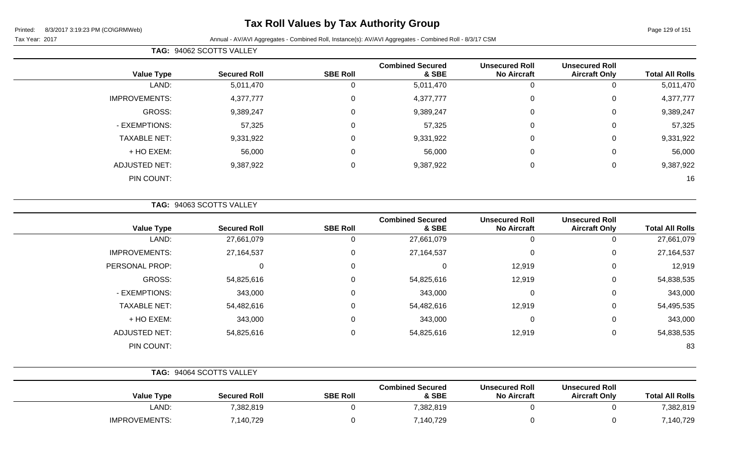### **Tax Roll Values by Tax Authority Group**

Tax Year: 2017 Annual - AV/AVI Aggregates - Combined Roll, Instance(s): AV/AVI Aggregates - Combined Roll - 8/3/17 CSM

|                      | TAG: 94062 SCOTTS VALLEY |                 |                                  |                                             |                                               |                        |
|----------------------|--------------------------|-----------------|----------------------------------|---------------------------------------------|-----------------------------------------------|------------------------|
| <b>Value Type</b>    | <b>Secured Roll</b>      | <b>SBE Roll</b> | <b>Combined Secured</b><br>& SBE | <b>Unsecured Roll</b><br><b>No Aircraft</b> | <b>Unsecured Roll</b><br><b>Aircraft Only</b> | <b>Total All Rolls</b> |
| LAND:                | 5,011,470                |                 | 5,011,470                        | 0                                           |                                               | 5,011,470              |
| <b>IMPROVEMENTS:</b> | 4,377,777                | 0               | 4,377,777                        | $\mathbf 0$                                 | 0                                             | 4,377,777              |
| <b>GROSS:</b>        | 9,389,247                | 0               | 9,389,247                        | $\mathbf 0$                                 | 0                                             | 9,389,247              |
| - EXEMPTIONS:        | 57,325                   | $\mathbf 0$     | 57,325                           | $\mathbf 0$                                 | $\Omega$                                      | 57,325                 |
| <b>TAXABLE NET:</b>  | 9,331,922                | 0               | 9,331,922                        | $\mathbf 0$                                 | 0                                             | 9,331,922              |
| + HO EXEM:           | 56,000                   | $\Omega$        | 56,000                           | $\mathbf 0$                                 | 0                                             | 56,000                 |
| <b>ADJUSTED NET:</b> | 9,387,922                | $\mathbf 0$     | 9,387,922                        | $\mathbf 0$                                 | 0                                             | 9,387,922              |
| PIN COUNT:           |                          |                 |                                  |                                             |                                               | 16                     |

**TAG:** 94063 SCOTTS VALLEY

| <b>Value Type</b>    | <b>Secured Roll</b> | <b>SBE Roll</b> | <b>Combined Secured</b><br>& SBE | <b>Unsecured Roll</b><br><b>No Aircraft</b> | <b>Unsecured Roll</b><br><b>Aircraft Only</b> | <b>Total All Rolls</b> |
|----------------------|---------------------|-----------------|----------------------------------|---------------------------------------------|-----------------------------------------------|------------------------|
| LAND:                | 27,661,079          |                 | 27,661,079                       | 0                                           | 0                                             | 27,661,079             |
| <b>IMPROVEMENTS:</b> | 27,164,537          | 0               | 27,164,537                       | 0                                           | 0                                             | 27, 164, 537           |
| PERSONAL PROP:       | 0                   | 0               | 0                                | 12,919                                      | 0                                             | 12,919                 |
| GROSS:               | 54,825,616          | 0               | 54,825,616                       | 12,919                                      | 0                                             | 54,838,535             |
| - EXEMPTIONS:        | 343,000             | 0               | 343,000                          | 0                                           | 0                                             | 343,000                |
| <b>TAXABLE NET:</b>  | 54,482,616          | 0               | 54,482,616                       | 12,919                                      | 0                                             | 54,495,535             |
| + HO EXEM:           | 343,000             | 0               | 343,000                          | 0                                           | 0                                             | 343,000                |
| <b>ADJUSTED NET:</b> | 54,825,616          | 0               | 54,825,616                       | 12,919                                      | 0                                             | 54,838,535             |
| PIN COUNT:           |                     |                 |                                  |                                             |                                               | 83                     |

|                      | <b>TAG: 94064 SCOTTS VALLEY</b> |                 |                                  |                                             |                                               |                        |
|----------------------|---------------------------------|-----------------|----------------------------------|---------------------------------------------|-----------------------------------------------|------------------------|
| <b>Value Type</b>    | <b>Secured Roll</b>             | <b>SBE Roll</b> | <b>Combined Secured</b><br>& SBE | <b>Unsecured Roll</b><br><b>No Aircraft</b> | <b>Unsecured Roll</b><br><b>Aircraft Only</b> | <b>Total All Rolls</b> |
| LAND:                | 7,382,819                       |                 | 7,382,819                        |                                             |                                               | 7,382,819              |
| <b>IMPROVEMENTS:</b> | 7,140,729                       |                 | 7,140,729                        |                                             |                                               | 7,140,729              |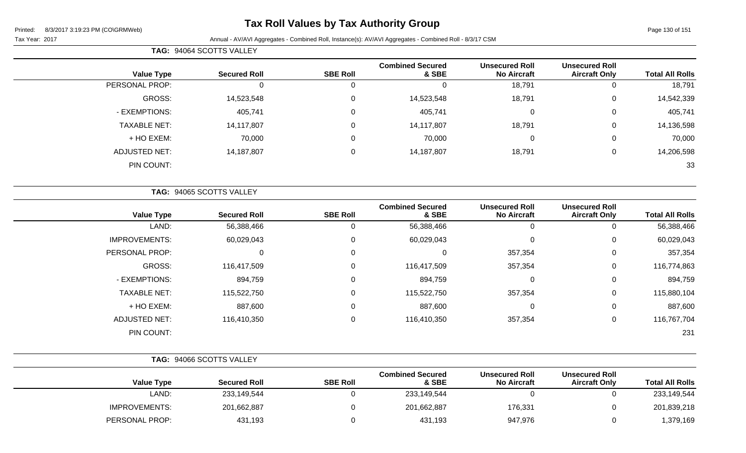### **Tax Roll Values by Tax Authority Group**

| <b>TAG: 94064 SCOTTS VALLEY</b> |
|---------------------------------|

| <b>Total All Rolls</b> | <b>Unsecured Roll</b><br><b>Aircraft Only</b> | <b>Unsecured Roll</b><br><b>No Aircraft</b> | <b>Combined Secured</b><br>& SBE | <b>SBE Roll</b> | <b>Secured Roll</b> | <b>Value Type</b>   |
|------------------------|-----------------------------------------------|---------------------------------------------|----------------------------------|-----------------|---------------------|---------------------|
| 18,791                 | 0                                             | 18,791                                      | 0                                |                 |                     | PERSONAL PROP:      |
| 14,542,339             | 0                                             | 18,791                                      | 14,523,548                       | 0               | 14,523,548          | GROSS:              |
| 405,741                | 0                                             | 0                                           | 405,741                          | $\Omega$        | 405,741             | - EXEMPTIONS:       |
| 14,136,598             | 0                                             | 18,791                                      | 14,117,807                       | $\Omega$        | 14,117,807          | <b>TAXABLE NET:</b> |
| 70,000                 | 0                                             |                                             | 70,000                           | $\Omega$        | 70,000              | + HO EXEM:          |
| 14,206,598             | 0                                             | 18,791                                      | 14,187,807                       | 0               | 14,187,807          | ADJUSTED NET:       |
| 33                     |                                               |                                             |                                  |                 |                     | PIN COUNT:          |
|                        |                                               |                                             |                                  |                 |                     |                     |

|                      | TAG: 94065 SCOTTS VALLEY |                 |                                  |                                             |                                               |                        |
|----------------------|--------------------------|-----------------|----------------------------------|---------------------------------------------|-----------------------------------------------|------------------------|
| <b>Value Type</b>    | <b>Secured Roll</b>      | <b>SBE Roll</b> | <b>Combined Secured</b><br>& SBE | <b>Unsecured Roll</b><br><b>No Aircraft</b> | <b>Unsecured Roll</b><br><b>Aircraft Only</b> | <b>Total All Rolls</b> |
| LAND:                | 56,388,466               | 0               | 56,388,466                       | 0                                           | 0                                             | 56,388,466             |
| <b>IMPROVEMENTS:</b> | 60,029,043               | 0               | 60,029,043                       | 0                                           | 0                                             | 60,029,043             |
| PERSONAL PROP:       | 0                        | 0               | 0                                | 357,354                                     | 0                                             | 357,354                |
| GROSS:               | 116,417,509              | 0               | 116,417,509                      | 357,354                                     | 0                                             | 116,774,863            |
| - EXEMPTIONS:        | 894,759                  | 0               | 894,759                          | 0                                           | 0                                             | 894,759                |
| <b>TAXABLE NET:</b>  | 115,522,750              | 0               | 115,522,750                      | 357,354                                     | 0                                             | 115,880,104            |
| + HO EXEM:           | 887,600                  | 0               | 887,600                          | 0                                           | 0                                             | 887,600                |
| <b>ADJUSTED NET:</b> | 116,410,350              | 0               | 116,410,350                      | 357,354                                     | 0                                             | 116,767,704            |
| PIN COUNT:           |                          |                 |                                  |                                             |                                               | 231                    |

|                        |                                               | TAG: 94066 SCOTTS VALLEY                    |                                  |                 |                     |                      |  |
|------------------------|-----------------------------------------------|---------------------------------------------|----------------------------------|-----------------|---------------------|----------------------|--|
| <b>Total All Rolls</b> | <b>Unsecured Roll</b><br><b>Aircraft Only</b> | <b>Unsecured Roll</b><br><b>No Aircraft</b> | <b>Combined Secured</b><br>& SBE | <b>SBE Roll</b> | <b>Secured Roll</b> | <b>Value Type</b>    |  |
| 233,149,544            |                                               |                                             | 233,149,544                      |                 | 233,149,544         | LAND:                |  |
| 201,839,218            |                                               | 176,331                                     | 201,662,887                      |                 | 201,662,887         | <b>IMPROVEMENTS:</b> |  |
| 1,379,169              |                                               | 947,976                                     | 431,193                          |                 | 431,193             | PERSONAL PROP:       |  |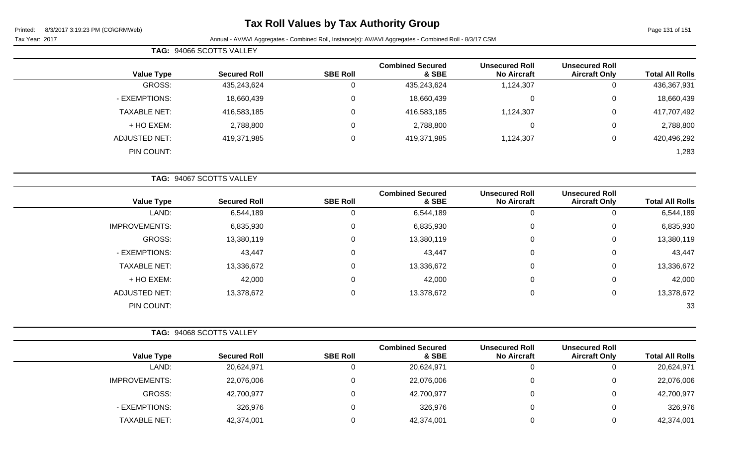### **Tax Roll Values by Tax Authority Group**

Page 131 of 151

|                      | TAG: 94066 SCOTTS VALLEY |                 |                                  |                                             |                                               |                        |
|----------------------|--------------------------|-----------------|----------------------------------|---------------------------------------------|-----------------------------------------------|------------------------|
| <b>Value Type</b>    | <b>Secured Roll</b>      | <b>SBE Roll</b> | <b>Combined Secured</b><br>& SBE | <b>Unsecured Roll</b><br><b>No Aircraft</b> | <b>Unsecured Roll</b><br><b>Aircraft Only</b> | <b>Total All Rolls</b> |
| GROSS:               | 435,243,624              |                 | 435,243,624                      | 1,124,307                                   | 0                                             | 436,367,931            |
| - EXEMPTIONS:        | 18,660,439               | 0               | 18,660,439                       | 0                                           | 0                                             | 18,660,439             |
| <b>TAXABLE NET:</b>  | 416,583,185              | 0               | 416,583,185                      | 1,124,307                                   | 0                                             | 417,707,492            |
| + HO EXEM:           | 2,788,800                | 0               | 2,788,800                        | 0                                           | 0                                             | 2,788,800              |
| <b>ADJUSTED NET:</b> | 419,371,985              | 0               | 419,371,985                      | 1,124,307                                   | 0                                             | 420,496,292            |
| PIN COUNT:           |                          |                 |                                  |                                             |                                               | 1,283                  |

|                      | TAG: 94067 SCOTTS VALLEY |                 |                                  |                                             |                                               |                        |
|----------------------|--------------------------|-----------------|----------------------------------|---------------------------------------------|-----------------------------------------------|------------------------|
| <b>Value Type</b>    | <b>Secured Roll</b>      | <b>SBE Roll</b> | <b>Combined Secured</b><br>& SBE | <b>Unsecured Roll</b><br><b>No Aircraft</b> | <b>Unsecured Roll</b><br><b>Aircraft Only</b> | <b>Total All Rolls</b> |
| LAND:                | 6,544,189                |                 | 6,544,189                        | 0                                           |                                               | 6,544,189              |
| <b>IMPROVEMENTS:</b> | 6,835,930                | $\Omega$        | 6,835,930                        | $\mathbf 0$                                 | 0                                             | 6,835,930              |
| GROSS:               | 13,380,119               | 0               | 13,380,119                       | $\mathbf 0$                                 | 0                                             | 13,380,119             |
| - EXEMPTIONS:        | 43,447                   | $\Omega$        | 43,447                           | $\mathbf 0$                                 | $\Omega$                                      | 43,447                 |
| <b>TAXABLE NET:</b>  | 13,336,672               | $\Omega$        | 13,336,672                       | $\mathbf 0$                                 | 0                                             | 13,336,672             |
| + HO EXEM:           | 42,000                   | $\Omega$        | 42,000                           | $\mathbf 0$                                 | 0                                             | 42,000                 |
| <b>ADJUSTED NET:</b> | 13,378,672               | $\mathbf{0}$    | 13,378,672                       | $\mathbf 0$                                 | 0                                             | 13,378,672             |
| PIN COUNT:           |                          |                 |                                  |                                             |                                               | 33                     |

|                      | TAG: 94068 SCOTTS VALLEY |                 |                                  |                                             |                                               |                        |
|----------------------|--------------------------|-----------------|----------------------------------|---------------------------------------------|-----------------------------------------------|------------------------|
| <b>Value Type</b>    | <b>Secured Roll</b>      | <b>SBE Roll</b> | <b>Combined Secured</b><br>& SBE | <b>Unsecured Roll</b><br><b>No Aircraft</b> | <b>Unsecured Roll</b><br><b>Aircraft Only</b> | <b>Total All Rolls</b> |
| LAND:                | 20,624,971               |                 | 20,624,971                       | C                                           |                                               | 20,624,971             |
| <b>IMPROVEMENTS:</b> | 22,076,006               |                 | 22,076,006                       | 0                                           |                                               | 22,076,006             |
| GROSS:               | 42,700,977               |                 | 42,700,977                       | 0                                           |                                               | 42,700,977             |
| - EXEMPTIONS:        | 326,976                  |                 | 326,976                          | 0                                           |                                               | 326,976                |
| TAXABLE NET:         | 42,374,001               |                 | 42,374,001                       |                                             |                                               | 42,374,001             |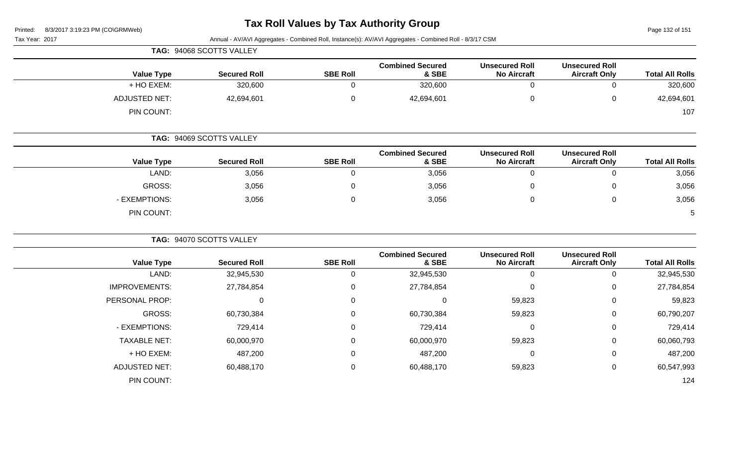#### **Tax Roll Values by Tax Authority Group**

| 8/3/2017 3:19:23 PM (CO\GRMWeb)<br>Printed: | <b>Tax Roll values by Tax Authority Group</b> |                 |                                                                                                         |                                             |                                               |                        |
|---------------------------------------------|-----------------------------------------------|-----------------|---------------------------------------------------------------------------------------------------------|---------------------------------------------|-----------------------------------------------|------------------------|
| Tax Year: 2017                              |                                               |                 | Annual - AV/AVI Aggregates - Combined Roll, Instance(s): AV/AVI Aggregates - Combined Roll - 8/3/17 CSM |                                             |                                               |                        |
|                                             | TAG: 94068 SCOTTS VALLEY                      |                 |                                                                                                         |                                             |                                               |                        |
| <b>Value Type</b>                           | <b>Secured Roll</b>                           | <b>SBE Roll</b> | <b>Combined Secured</b><br>& SBE                                                                        | <b>Unsecured Roll</b><br><b>No Aircraft</b> | <b>Unsecured Roll</b><br><b>Aircraft Only</b> | <b>Total All Rolls</b> |
| + HO EXEM:                                  | 320,600                                       | $\Omega$        | 320,600                                                                                                 | $\mathbf 0$                                 | $\Omega$                                      | 320,600                |
| <b>ADJUSTED NET:</b>                        | 42,694,601                                    | 0               | 42,694,601                                                                                              | $\pmb{0}$                                   | 0                                             | 42,694,601             |
| PIN COUNT:                                  |                                               |                 |                                                                                                         |                                             |                                               | 107                    |
|                                             | TAG: 94069 SCOTTS VALLEY                      |                 |                                                                                                         |                                             |                                               |                        |
| <b>Value Type</b>                           | <b>Secured Roll</b>                           | <b>SBE Roll</b> | <b>Combined Secured</b><br>& SBE                                                                        | <b>Unsecured Roll</b><br><b>No Aircraft</b> | <b>Unsecured Roll</b><br><b>Aircraft Only</b> | <b>Total All Rolls</b> |
| LAND:                                       | 3,056                                         | $\mathbf 0$     | 3,056                                                                                                   | $\mathbf 0$                                 | $\mathbf 0$                                   | 3,056                  |
| <b>GROSS:</b>                               | 3,056                                         | 0               | 3,056                                                                                                   | 0                                           | 0                                             | 3,056                  |
| - EXEMPTIONS:                               | 3,056                                         | 0               | 3,056                                                                                                   | $\pmb{0}$                                   | 0                                             | 3,056                  |
| PIN COUNT:                                  |                                               |                 |                                                                                                         |                                             |                                               | 5                      |
|                                             | TAG: 94070 SCOTTS VALLEY                      |                 |                                                                                                         |                                             |                                               |                        |
| <b>Value Type</b>                           | <b>Secured Roll</b>                           | <b>SBE Roll</b> | <b>Combined Secured</b><br>& SBE                                                                        | <b>Unsecured Roll</b><br><b>No Aircraft</b> | <b>Unsecured Roll</b><br><b>Aircraft Only</b> | <b>Total All Rolls</b> |
| LAND:                                       | 32,945,530                                    | 0               | 32,945,530                                                                                              | $\mathbf 0$                                 | 0                                             | 32,945,530             |
| <b>IMPROVEMENTS:</b>                        | 27,784,854                                    | 0               | 27,784,854                                                                                              | 0                                           | 0                                             | 27,784,854             |
| PERSONAL PROP:                              | $\mathbf 0$                                   | 0               | $\mathbf 0$                                                                                             | 59,823                                      | 0                                             | 59,823                 |
| <b>GROSS:</b>                               | 60,730,384                                    | 0               | 60,730,384                                                                                              | 59,823                                      | 0                                             | 60,790,207             |
| - EXEMPTIONS:                               | 729,414                                       | 0               | 729,414                                                                                                 | 0                                           | 0                                             | 729,414                |
| <b>TAXABLE NET:</b>                         | 60,000,970                                    | 0               | 60,000,970                                                                                              | 59,823                                      | 0                                             | 60,060,793             |
| + HO EXEM:                                  | 487,200                                       | 0               | 487,200                                                                                                 | $\mathbf 0$                                 | 0                                             | 487,200                |
| <b>ADJUSTED NET:</b>                        | 60,488,170                                    | 0               | 60,488,170                                                                                              | 59,823                                      | 0                                             | 60,547,993             |
|                                             |                                               |                 |                                                                                                         |                                             |                                               |                        |

PIN COUNT: 124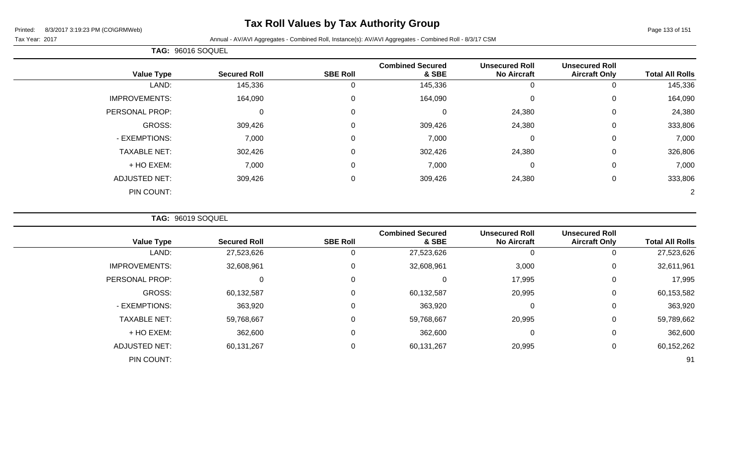### **Tax Roll Values by Tax Authority Group**

#### Tax Year: 2017 **Annual - AV/AVI Aggregates - Combined Roll**, Instance(s): AV/AVI Aggregates - Combined Roll - 8/3/17 CSM

|                                  |                 | TAG: 96016 SOQUEL   |                   |
|----------------------------------|-----------------|---------------------|-------------------|
| <b>Combined Secured</b><br>& SBE | <b>SBE Roll</b> | <b>Secured Roll</b> | <b>Value Type</b> |
| 115336                           |                 | 1/536               | AND.              |

| <b>Value Type</b>    | <b>Secured Roll</b> | <b>SBE Roll</b> | <b>Combined Secured</b><br>& SBE | <b>Unsecured Roll</b><br><b>No Aircraft</b> | <b>Unsecured Roll</b><br><b>Aircraft Only</b> | <b>Total All Rolls</b> |
|----------------------|---------------------|-----------------|----------------------------------|---------------------------------------------|-----------------------------------------------|------------------------|
| LAND:                | 145,336             | 0               | 145,336                          | O                                           | 0                                             | 145,336                |
| <b>IMPROVEMENTS:</b> | 164,090             | 0               | 164,090                          | $\mathbf 0$                                 | 0                                             | 164,090                |
| PERSONAL PROP:       | 0                   | 0               |                                  | 24,380                                      | $\mathbf 0$                                   | 24,380                 |
| GROSS:               | 309,426             | $\mathbf 0$     | 309,426                          | 24,380                                      | 0                                             | 333,806                |
| - EXEMPTIONS:        | 7,000               | 0               | 7,000                            | $\mathbf 0$                                 | $\mathbf 0$                                   | 7,000                  |
| <b>TAXABLE NET:</b>  | 302,426             | $\overline{0}$  | 302,426                          | 24,380                                      | $\mathbf 0$                                   | 326,806                |
| + HO EXEM:           | 7,000               | $\mathbf 0$     | 7,000                            | $\mathbf 0$                                 | 0                                             | 7,000                  |
| <b>ADJUSTED NET:</b> | 309,426             | 0               | 309,426                          | 24,380                                      | 0                                             | 333,806                |
| PIN COUNT:           |                     |                 |                                  |                                             |                                               | 2                      |

**TAG:** 96019 SOQUEL

| <b>Total All Rolls</b> | <b>Unsecured Roll</b><br><b>Aircraft Only</b> | <b>Unsecured Roll</b><br><b>No Aircraft</b> | <b>Combined Secured</b><br>& SBE | <b>SBE Roll</b> | <b>Secured Roll</b> | <b>Value Type</b>    |
|------------------------|-----------------------------------------------|---------------------------------------------|----------------------------------|-----------------|---------------------|----------------------|
| 27,523,626             | 0                                             | 0                                           | 27,523,626                       | 0               | 27,523,626          | LAND:                |
| 32,611,961             | 0                                             | 3,000                                       | 32,608,961                       | 0               | 32,608,961          | <b>IMPROVEMENTS:</b> |
| 17,995                 | 0                                             | 17,995                                      | 0                                | 0               | 0                   | PERSONAL PROP:       |
| 60,153,582             | $\mathbf 0$                                   | 20,995                                      | 60,132,587                       | 0               | 60,132,587          | GROSS:               |
| 363,920                | $\mathbf 0$                                   | $\mathbf 0$                                 | 363,920                          | 0               | 363,920             | - EXEMPTIONS:        |
| 59,789,662             | 0                                             | 20,995                                      | 59,768,667                       | 0               | 59,768,667          | <b>TAXABLE NET:</b>  |
| 362,600                | 0                                             | $\mathbf 0$                                 | 362,600                          | $\mathbf 0$     | 362,600             | + HO EXEM:           |
| 60,152,262             | 0                                             | 20,995                                      | 60,131,267                       | $\mathbf 0$     | 60,131,267          | <b>ADJUSTED NET:</b> |
| 91                     |                                               |                                             |                                  |                 |                     | PIN COUNT:           |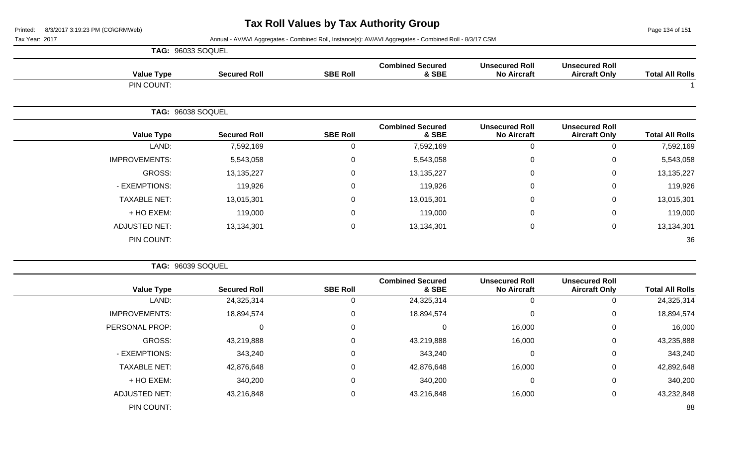Page 134 of 151

|                      | <b>TAG: 96033 SOQUEL</b> |                 |                                  |                                             |                                               |                        |
|----------------------|--------------------------|-----------------|----------------------------------|---------------------------------------------|-----------------------------------------------|------------------------|
| <b>Value Type</b>    | <b>Secured Roll</b>      | <b>SBE Roll</b> | <b>Combined Secured</b><br>& SBE | <b>Unsecured Roll</b><br><b>No Aircraft</b> | <b>Unsecured Roll</b><br><b>Aircraft Only</b> | <b>Total All Rolls</b> |
| PIN COUNT:           |                          |                 |                                  |                                             |                                               |                        |
|                      | TAG: 96038 SOQUEL        |                 |                                  |                                             |                                               |                        |
| <b>Value Type</b>    | <b>Secured Roll</b>      | <b>SBE Roll</b> | <b>Combined Secured</b><br>& SBE | <b>Unsecured Roll</b><br><b>No Aircraft</b> | <b>Unsecured Roll</b><br><b>Aircraft Only</b> | <b>Total All Rolls</b> |
| LAND:                | 7,592,169                | $\overline{0}$  | 7,592,169                        | 0                                           | 0                                             | 7,592,169              |
| <b>IMPROVEMENTS:</b> | 5,543,058                | $\mathbf 0$     | 5,543,058                        | 0                                           | 0                                             | 5,543,058              |
| <b>GROSS:</b>        | 13,135,227               | $\mathbf 0$     | 13,135,227                       | 0                                           | $\mathbf{0}$                                  | 13,135,227             |
| - EXEMPTIONS:        | 119,926                  | $\mathbf 0$     | 119,926                          | 0                                           | $\mathbf 0$                                   | 119,926                |
| <b>TAXABLE NET:</b>  | 13,015,301               | $\mathbf 0$     | 13,015,301                       | 0                                           | $\mathbf 0$                                   | 13,015,301             |
| + HO EXEM:           | 119,000                  | $\mathbf 0$     | 119,000                          | 0                                           | $\Omega$                                      | 119,000                |
| <b>ADJUSTED NET:</b> | 13,134,301               | $\mathbf 0$     | 13,134,301                       | 0                                           | $\mathbf 0$                                   | 13,134,301             |
| PIN COUNT:           |                          |                 |                                  |                                             |                                               | 36                     |

|                        |                                               |                                             |                                  |                 |                     | TAG: 96039 SOQUEL    |
|------------------------|-----------------------------------------------|---------------------------------------------|----------------------------------|-----------------|---------------------|----------------------|
| <b>Total All Rolls</b> | <b>Unsecured Roll</b><br><b>Aircraft Only</b> | <b>Unsecured Roll</b><br><b>No Aircraft</b> | <b>Combined Secured</b><br>& SBE | <b>SBE Roll</b> | <b>Secured Roll</b> | <b>Value Type</b>    |
| 24,325,314             | 0                                             | υ                                           | 24,325,314                       | 0               | 24,325,314          | LAND:                |
| 18,894,574             | 0                                             | 0                                           | 18,894,574                       | 0               | 18,894,574          | <b>IMPROVEMENTS:</b> |
| 16,000                 | 0                                             | 16,000                                      | 0                                | 0               |                     | PERSONAL PROP:       |
| 43,235,888             | 0                                             | 16,000                                      | 43,219,888                       | 0               | 43,219,888          | GROSS:               |
| 343,240                | 0                                             | 0                                           | 343,240                          | 0               | 343,240             | - EXEMPTIONS:        |
| 42,892,648             | 0                                             | 16,000                                      | 42,876,648                       | 0               | 42,876,648          | <b>TAXABLE NET:</b>  |
| 340,200                | 0                                             | 0                                           | 340,200                          | 0               | 340,200             | + HO EXEM:           |
| 43,232,848             | 0                                             | 16,000                                      | 43,216,848                       | 0               | 43,216,848          | <b>ADJUSTED NET:</b> |
| 88                     |                                               |                                             |                                  |                 |                     | PIN COUNT:           |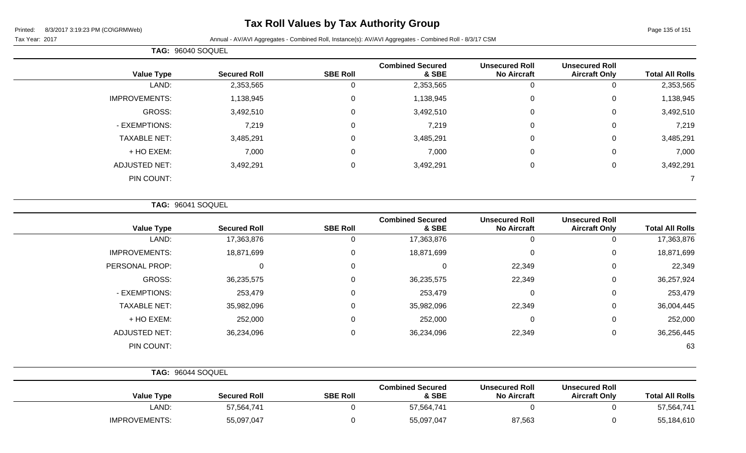### **Tax Roll Values by Tax Authority Group**

Tax Year: 2017 **Annual - AV/AVI Aggregates - Combined Roll**, Instance(s): AV/AVI Aggregates - Combined Roll - 8/3/17 CSM

|                      | TAG: 96040 SOQUEL   |                 |                                  |                                             |                                               |                        |  |
|----------------------|---------------------|-----------------|----------------------------------|---------------------------------------------|-----------------------------------------------|------------------------|--|
| <b>Value Type</b>    | <b>Secured Roll</b> | <b>SBE Roll</b> | <b>Combined Secured</b><br>& SBE | <b>Unsecured Roll</b><br><b>No Aircraft</b> | <b>Unsecured Roll</b><br><b>Aircraft Only</b> | <b>Total All Rolls</b> |  |
| LAND:                | 2,353,565           | υ               | 2,353,565                        | 0                                           |                                               | 2,353,565              |  |
| <b>IMPROVEMENTS:</b> | 1,138,945           | 0               | 1,138,945                        | $\mathbf 0$                                 | 0                                             | 1,138,945              |  |
| GROSS:               | 3,492,510           | $\mathbf 0$     | 3,492,510                        | 0                                           | 0                                             | 3,492,510              |  |
| - EXEMPTIONS:        | 7,219               | 0               | 7,219                            | 0                                           | 0                                             | 7,219                  |  |
| <b>TAXABLE NET:</b>  | 3,485,291           | $\Omega$        | 3,485,291                        | $\mathbf 0$                                 | 0                                             | 3,485,291              |  |
| + HO EXEM:           | 7,000               | 0               | 7,000                            | $\mathbf 0$                                 | 0                                             | 7,000                  |  |
| <b>ADJUSTED NET:</b> | 3,492,291           | 0               | 3,492,291                        | $\mathbf 0$                                 | 0                                             | 3,492,291              |  |
| PIN COUNT:           |                     |                 |                                  |                                             |                                               |                        |  |

**TAG:** 96041 SOQUEL

| <b>Value Type</b>    | <b>Secured Roll</b> | <b>SBE Roll</b> | <b>Combined Secured</b><br>& SBE | <b>Unsecured Roll</b><br><b>No Aircraft</b> | <b>Unsecured Roll</b><br><b>Aircraft Only</b> | <b>Total All Rolls</b> |
|----------------------|---------------------|-----------------|----------------------------------|---------------------------------------------|-----------------------------------------------|------------------------|
| LAND:                | 17,363,876          | υ               | 17,363,876                       |                                             | 0                                             | 17,363,876             |
| <b>IMPROVEMENTS:</b> | 18,871,699          | 0               | 18,871,699                       | 0                                           | 0                                             | 18,871,699             |
| PERSONAL PROP:       | 0                   | 0               | U                                | 22,349                                      | 0                                             | 22,349                 |
| GROSS:               | 36,235,575          | 0               | 36,235,575                       | 22,349                                      | 0                                             | 36,257,924             |
| - EXEMPTIONS:        | 253,479             | 0               | 253,479                          | $\Omega$                                    | 0                                             | 253,479                |
| <b>TAXABLE NET:</b>  | 35,982,096          | 0               | 35,982,096                       | 22,349                                      | 0                                             | 36,004,445             |
| + HO EXEM:           | 252,000             | 0               | 252,000                          | $\Omega$                                    | 0                                             | 252,000                |
| <b>ADJUSTED NET:</b> | 36,234,096          | 0               | 36,234,096                       | 22,349                                      | 0                                             | 36,256,445             |
| PIN COUNT:           |                     |                 |                                  |                                             |                                               | 63                     |

|                      | <b>TAG: 96044 SOQUEL</b> |                 |                                  |                                             |                                               |                        |
|----------------------|--------------------------|-----------------|----------------------------------|---------------------------------------------|-----------------------------------------------|------------------------|
| <b>Value Type</b>    | <b>Secured Roll</b>      | <b>SBE Roll</b> | <b>Combined Secured</b><br>& SBE | <b>Unsecured Roll</b><br><b>No Aircraft</b> | <b>Unsecured Roll</b><br><b>Aircraft Only</b> | <b>Total All Rolls</b> |
| LAND:                | 57,564,741               |                 | 57,564,741                       |                                             |                                               | 57,564,741             |
| <b>IMPROVEMENTS:</b> | 55,097,047               |                 | 55,097,047                       | 87,563                                      |                                               | 55,184,610             |

Page 135 of 151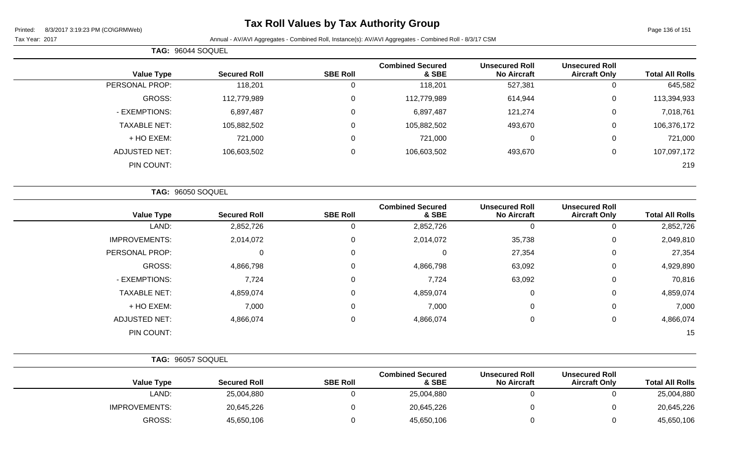### **Tax Roll Values by Tax Authority Group**

Page 136 of 151

Tax Year: 2017 Annual - AV/AVI Aggregates - Combined Roll, Instance(s): AV/AVI Aggregates - Combined Roll - 8/3/17 CSM

| <b>Total All Rolls</b> | <b>Unsecured Roll</b><br><b>Aircraft Only</b> | <b>Unsecured Roll</b><br><b>No Aircraft</b> | <b>Combined Secured</b><br>& SBE | <b>SBE Roll</b> | <b>Secured Roll</b> | <b>Value Type</b>        |
|------------------------|-----------------------------------------------|---------------------------------------------|----------------------------------|-----------------|---------------------|--------------------------|
| 645,582                | $\mathbf 0$                                   | 527,381                                     | 118,201                          | 0               | 118,201             | PERSONAL PROP:           |
| 113,394,933            | 0                                             | 614,944                                     | 112,779,989                      | 0               | 112,779,989         | GROSS:                   |
| 7,018,761              | 0                                             | 121,274                                     | 6,897,487                        | 0               | 6,897,487           | - EXEMPTIONS:            |
| 106,376,172            | 0                                             | 493,670                                     | 105,882,502                      | 0               | 105,882,502         | <b>TAXABLE NET:</b>      |
| 721,000                | $\overline{0}$                                | $\mathbf 0$                                 | 721,000                          | 0               | 721,000             | + HO EXEM:               |
| 107,097,172            | $\mathbf 0$                                   | 493,670                                     | 106,603,502                      | $\mathsf 0$     | 106,603,502         | <b>ADJUSTED NET:</b>     |
| 219                    |                                               |                                             |                                  |                 |                     | PIN COUNT:               |
|                        |                                               |                                             |                                  |                 |                     | <b>TAG: 96050 SOQUEL</b> |
| <b>Total All Rolls</b> | <b>Unsecured Roll</b><br><b>Aircraft Only</b> | <b>Unsecured Roll</b><br><b>No Aircraft</b> | <b>Combined Secured</b><br>& SBE | <b>SBE Roll</b> | <b>Secured Roll</b> | <b>Value Type</b>        |
| 2,852,726              | $\Omega$                                      | $\mathbf 0$                                 | 2,852,726                        | 0               | 2,852,726           | LAND:                    |
| 2,049,810              | $\mathbf 0$                                   | 35,738                                      | 2,014,072                        | 0               | 2,014,072           | <b>IMPROVEMENTS:</b>     |
| 27,354                 | $\Omega$                                      | 27,354                                      | $\Omega$                         | 0               | $\Omega$            | PERSONAL PROP:           |
| 4,929,890              | $\mathbf 0$                                   | 63,092                                      | 4,866,798                        | 0               | 4,866,798           | GROSS:                   |
| 70,816                 | $\mathbf 0$                                   | 63,092                                      | 7,724                            | 0               | 7,724               | - EXEMPTIONS:            |
| 4,859,074              | 0                                             | 0                                           | 4,859,074                        | 0               | 4,859,074           | <b>TAXABLE NET:</b>      |
| 7,000                  | $\overline{0}$                                | $\mathbf 0$                                 | 7,000                            | 0               | 7,000               | + HO EXEM:               |
| 4,866,074              | 0                                             | $\mathbf 0$                                 | 4,866,074                        | 0               | 4,866,074           | <b>ADJUSTED NET:</b>     |

PIN COUNT: 15

**TAG:** 96044 SOQUEL

| <b>TAG: 96057 SOQUEL</b> |                     |                 |                                  |                                             |                                               |                        |
|--------------------------|---------------------|-----------------|----------------------------------|---------------------------------------------|-----------------------------------------------|------------------------|
| <b>Value Type</b>        | <b>Secured Roll</b> | <b>SBE Roll</b> | <b>Combined Secured</b><br>& SBE | <b>Unsecured Roll</b><br><b>No Aircraft</b> | <b>Unsecured Roll</b><br><b>Aircraft Only</b> | <b>Total All Rolls</b> |
| LAND:                    | 25,004,880          |                 | 25,004,880                       |                                             |                                               | 25,004,880             |
| <b>IMPROVEMENTS:</b>     | 20,645,226          |                 | 20,645,226                       |                                             |                                               | 20,645,226             |
| GROSS:                   | 45,650,106          |                 | 45,650,106                       |                                             |                                               | 45,650,106             |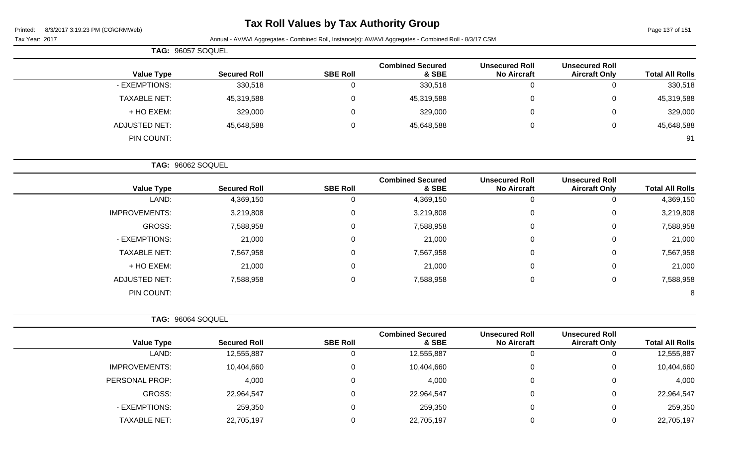Page 137 of 151

|  |  | Tax Year: 2017 |  |
|--|--|----------------|--|
|--|--|----------------|--|

Annual - AV/AVI Aggregates - Combined Roll, Instance(s): AV/AVI Aggregates - Combined Roll - 8/3/17 CSM

| TAG: 96057 SOQUEL    |                     |                 |                                  |                                             |                                               |                        |
|----------------------|---------------------|-----------------|----------------------------------|---------------------------------------------|-----------------------------------------------|------------------------|
| <b>Value Type</b>    | <b>Secured Roll</b> | <b>SBE Roll</b> | <b>Combined Secured</b><br>& SBE | <b>Unsecured Roll</b><br><b>No Aircraft</b> | <b>Unsecured Roll</b><br><b>Aircraft Only</b> | <b>Total All Rolls</b> |
| - EXEMPTIONS:        | 330,518             | 0               | 330,518                          | v                                           | 0                                             | 330,518                |
| <b>TAXABLE NET:</b>  | 45,319,588          | 0               | 45,319,588                       | 0                                           | 0                                             | 45,319,588             |
| + HO EXEM:           | 329,000             | 0               | 329,000                          | v                                           | 0                                             | 329,000                |
| <b>ADJUSTED NET:</b> | 45,648,588          | 0               | 45,648,588                       | 0                                           | 0                                             | 45,648,588             |
| PIN COUNT:           |                     |                 |                                  |                                             |                                               | 91                     |

**TAG:** 96062 SOQUEL

| <b>Value Type</b>    | <b>Secured Roll</b> | <b>SBE Roll</b> | <b>Combined Secured</b><br>& SBE | <b>Unsecured Roll</b><br><b>No Aircraft</b> | <b>Unsecured Roll</b><br><b>Aircraft Only</b> | <b>Total All Rolls</b> |
|----------------------|---------------------|-----------------|----------------------------------|---------------------------------------------|-----------------------------------------------|------------------------|
| LAND:                | 4,369,150           | Ü               | 4,369,150                        | U                                           |                                               | 4,369,150              |
| <b>IMPROVEMENTS:</b> | 3,219,808           | 0               | 3,219,808                        | $\mathbf 0$                                 | 0                                             | 3,219,808              |
| <b>GROSS:</b>        | 7,588,958           | 0               | 7,588,958                        | $\overline{0}$                              | 0                                             | 7,588,958              |
| - EXEMPTIONS:        | 21,000              | 0               | 21,000                           | $\mathbf 0$                                 | 0                                             | 21,000                 |
| <b>TAXABLE NET:</b>  | 7,567,958           | 0               | 7,567,958                        | $\mathbf 0$                                 | 0                                             | 7,567,958              |
| + HO EXEM:           | 21,000              | 0               | 21,000                           | 0                                           | 0                                             | 21,000                 |
| <b>ADJUSTED NET:</b> | 7,588,958           | 0               | 7,588,958                        | 0                                           | 0                                             | 7,588,958              |
| PIN COUNT:           |                     |                 |                                  |                                             |                                               | 8                      |

| TAG: 96064 SOQUEL    |                     |                 |                                  |                                             |                                               |                        |
|----------------------|---------------------|-----------------|----------------------------------|---------------------------------------------|-----------------------------------------------|------------------------|
| <b>Value Type</b>    | <b>Secured Roll</b> | <b>SBE Roll</b> | <b>Combined Secured</b><br>& SBE | <b>Unsecured Roll</b><br><b>No Aircraft</b> | <b>Unsecured Roll</b><br><b>Aircraft Only</b> | <b>Total All Rolls</b> |
| LAND:                | 12,555,887          |                 | 12,555,887                       | 0                                           | 0                                             | 12,555,887             |
| <b>IMPROVEMENTS:</b> | 10,404,660          |                 | 10,404,660                       | $\overline{0}$                              | $\overline{0}$                                | 10,404,660             |
| PERSONAL PROP:       | 4,000               |                 | 4,000                            | $\overline{0}$                              | $\overline{0}$                                | 4,000                  |
| GROSS:               | 22,964,547          |                 | 22,964,547                       | $\mathbf 0$                                 | 0                                             | 22,964,547             |
| - EXEMPTIONS:        | 259,350             |                 | 259,350                          | 0                                           | $\overline{0}$                                | 259,350                |
| <b>TAXABLE NET:</b>  | 22,705,197          |                 | 22,705,197                       | 0                                           | 0                                             | 22,705,197             |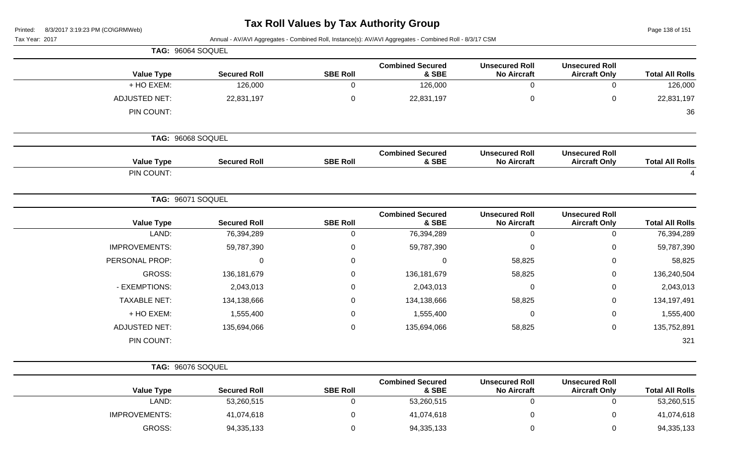## **Tax Roll Values by Tax Authority Group**

Page 138 of 151

|                        |                                               |                                             | Annual - AV/AVI Aggregates - Combined Roll, Instance(s): AV/AVI Aggregates - Combined Roll - 8/3/17 CSM |                 |                     | Tax Year: 2017       |
|------------------------|-----------------------------------------------|---------------------------------------------|---------------------------------------------------------------------------------------------------------|-----------------|---------------------|----------------------|
|                        |                                               |                                             |                                                                                                         |                 |                     | TAG: 96064 SOQUEL    |
| <b>Total All Rolls</b> | <b>Unsecured Roll</b><br><b>Aircraft Only</b> | <b>Unsecured Roll</b><br><b>No Aircraft</b> | <b>Combined Secured</b><br>& SBE                                                                        | <b>SBE Roll</b> | <b>Secured Roll</b> | <b>Value Type</b>    |
| 126,000                | $\mathbf 0$                                   | $\mathbf 0$                                 | 126,000                                                                                                 | $\mathbf 0$     | 126,000             | + HO EXEM:           |
| 22,831,197             | $\pmb{0}$                                     | $\pmb{0}$                                   | 22,831,197                                                                                              | $\pmb{0}$       | 22,831,197          | <b>ADJUSTED NET:</b> |
| 36                     |                                               |                                             |                                                                                                         |                 |                     | PIN COUNT:           |
|                        |                                               |                                             |                                                                                                         |                 |                     | TAG: 96068 SOQUEL    |
| <b>Total All Rolls</b> | <b>Unsecured Roll</b><br><b>Aircraft Only</b> | <b>Unsecured Roll</b><br><b>No Aircraft</b> | <b>Combined Secured</b><br>& SBE                                                                        | <b>SBE Roll</b> | <b>Secured Roll</b> | <b>Value Type</b>    |
| $\overline{4}$         |                                               |                                             |                                                                                                         |                 |                     | PIN COUNT:           |
|                        |                                               |                                             |                                                                                                         |                 |                     | TAG: 96071 SOQUEL    |
| <b>Total All Rolls</b> | <b>Unsecured Roll</b><br><b>Aircraft Only</b> | <b>Unsecured Roll</b><br><b>No Aircraft</b> | <b>Combined Secured</b><br>& SBE                                                                        | <b>SBE Roll</b> | <b>Secured Roll</b> | <b>Value Type</b>    |
| 76,394,289             | $\mathbf 0$                                   | $\mathbf 0$                                 | 76,394,289                                                                                              | $\mathbf 0$     | 76,394,289          | LAND:                |
| 59,787,390             | $\mathbf 0$                                   | $\mathbf 0$                                 | 59,787,390                                                                                              | $\mathbf 0$     | 59,787,390          | <b>IMPROVEMENTS:</b> |
| 58,825                 | $\mathbf 0$                                   | 58,825                                      | $\mathbf{0}$                                                                                            | $\pmb{0}$       | $\Omega$            | PERSONAL PROP:       |
| 136,240,504            | $\pmb{0}$                                     | 58,825                                      | 136,181,679                                                                                             | $\mathbf 0$     | 136, 181, 679       | GROSS:               |
| 2,043,013              | $\mathbf 0$                                   | $\mathbf 0$                                 | 2,043,013                                                                                               | $\mathbf 0$     | 2,043,013           | - EXEMPTIONS:        |
| 134,197,491            | 0                                             | 58,825                                      | 134,138,666                                                                                             | $\mathbf 0$     | 134,138,666         | <b>TAXABLE NET:</b>  |
| 1,555,400              | $\mathbf 0$                                   | $\mathbf 0$                                 | 1,555,400                                                                                               | $\mathbf 0$     | 1,555,400           | + HO EXEM:           |
| 135,752,891            | $\mathbf 0$                                   | 58,825                                      | 135,694,066                                                                                             | $\mathbf 0$     | 135,694,066         | <b>ADJUSTED NET:</b> |
| 321                    |                                               |                                             |                                                                                                         |                 |                     | PIN COUNT:           |
|                        |                                               |                                             |                                                                                                         |                 |                     | TAG: 96076 SOQUEL    |
| <b>Total All Rolls</b> | <b>Unsecured Roll</b><br><b>Aircraft Only</b> | <b>Unsecured Roll</b><br><b>No Aircraft</b> | <b>Combined Secured</b><br>& SBE                                                                        | <b>SBE Roll</b> | <b>Secured Roll</b> | <b>Value Type</b>    |
| 53,260,515             | $\mathbf 0$                                   | $\mathbf 0$                                 | 53,260,515                                                                                              | $\mathbf 0$     | 53,260,515          | LAND:                |
| 41,074,618             | $\mathbf 0$                                   | $\pmb{0}$                                   | 41,074,618                                                                                              | $\mathbf 0$     | 41,074,618          | <b>IMPROVEMENTS:</b> |
|                        |                                               |                                             |                                                                                                         |                 |                     |                      |

GROSS: 94,335,133 0 94,335,133 0 0 94,335,133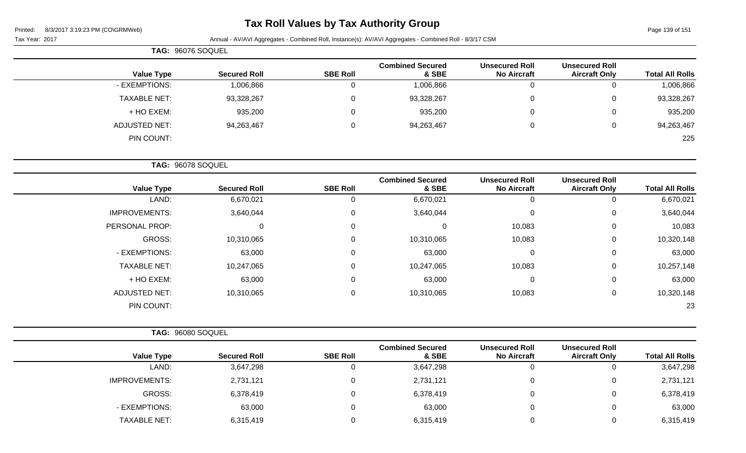Page 139 of 151

|  |  | Tax Year: 2017 |  |
|--|--|----------------|--|
|--|--|----------------|--|

| TAG: 96076 SOQUEL   |                     |                 |                                  |                                             |                                               |                        |
|---------------------|---------------------|-----------------|----------------------------------|---------------------------------------------|-----------------------------------------------|------------------------|
| <b>Value Type</b>   | <b>Secured Roll</b> | <b>SBE Roll</b> | <b>Combined Secured</b><br>& SBE | <b>Unsecured Roll</b><br><b>No Aircraft</b> | <b>Unsecured Roll</b><br><b>Aircraft Only</b> | <b>Total All Rolls</b> |
| - EXEMPTIONS:       | 1,006,866           | 0               | 1,006,866                        |                                             |                                               | 1,006,866              |
| <b>TAXABLE NET:</b> | 93,328,267          | 0               | 93,328,267                       |                                             | 0                                             | 93,328,267             |
| + HO EXEM:          | 935,200             | 0               | 935,200                          |                                             | 0                                             | 935,200                |
| ADJUSTED NET:       | 94,263,467          | 0               | 94,263,467                       |                                             | 0                                             | 94,263,467             |
| PIN COUNT:          |                     |                 |                                  |                                             |                                               | 225                    |
|                     |                     |                 |                                  |                                             |                                               |                        |
| TAG: 96078 SOQUEL   |                     |                 |                                  |                                             |                                               |                        |

| <b>Total All Rolls</b> | <b>Unsecured Roll</b><br><b>Aircraft Only</b> | <b>Unsecured Roll</b><br><b>No Aircraft</b> | <b>Combined Secured</b><br>& SBE | <b>SBE Roll</b>  | <b>Secured Roll</b> | <b>Value Type</b>    |
|------------------------|-----------------------------------------------|---------------------------------------------|----------------------------------|------------------|---------------------|----------------------|
| 6,670,021              | 0                                             | 0                                           | 6,670,021                        | 0                | 6,670,021           | LAND:                |
| 3,640,044              | 0                                             | 0                                           | 3,640,044                        | 0                | 3,640,044           | <b>IMPROVEMENTS:</b> |
| 10,083                 | $\mathbf 0$                                   | 10,083                                      | $\Omega$                         | 0                | 0                   | PERSONAL PROP:       |
| 10,320,148             | $\mathbf 0$                                   | 10,083                                      | 10,310,065                       | $\pmb{0}$        | 10,310,065          | GROSS:               |
| 63,000                 | $\mathbf 0$                                   | 0                                           | 63,000                           | 0                | 63,000              | - EXEMPTIONS:        |
| 10,257,148             | 0                                             | 10,083                                      | 10,247,065                       | $\pmb{0}$        | 10,247,065          | <b>TAXABLE NET:</b>  |
| 63,000                 | $\mathbf 0$                                   | 0                                           | 63,000                           | 0                | 63,000              | + HO EXEM:           |
| 10,320,148             | $\mathbf 0$                                   | 10,083                                      | 10,310,065                       | $\boldsymbol{0}$ | 10,310,065          | <b>ADJUSTED NET:</b> |
| 23                     |                                               |                                             |                                  |                  |                     | PIN COUNT:           |

|                      | TAG: 96080 SOQUEL   |                 |                                  |                                             |                                               |                        |
|----------------------|---------------------|-----------------|----------------------------------|---------------------------------------------|-----------------------------------------------|------------------------|
| <b>Value Type</b>    | <b>Secured Roll</b> | <b>SBE Roll</b> | <b>Combined Secured</b><br>& SBE | <b>Unsecured Roll</b><br><b>No Aircraft</b> | <b>Unsecured Roll</b><br><b>Aircraft Only</b> | <b>Total All Rolls</b> |
| LAND:                | 3,647,298           |                 | 3,647,298                        | $\overline{0}$                              | 0                                             | 3,647,298              |
| <b>IMPROVEMENTS:</b> | 2,731,121           |                 | 2,731,121                        | $\Omega$                                    | 0                                             | 2,731,121              |
| GROSS:               | 6,378,419           |                 | 6,378,419                        | 0                                           | 0                                             | 6,378,419              |
| - EXEMPTIONS:        | 63,000              |                 | 63,000                           | 0                                           | 0                                             | 63,000                 |
| <b>TAXABLE NET:</b>  | 6,315,419           |                 | 6,315,419                        | 0                                           | 0                                             | 6,315,419              |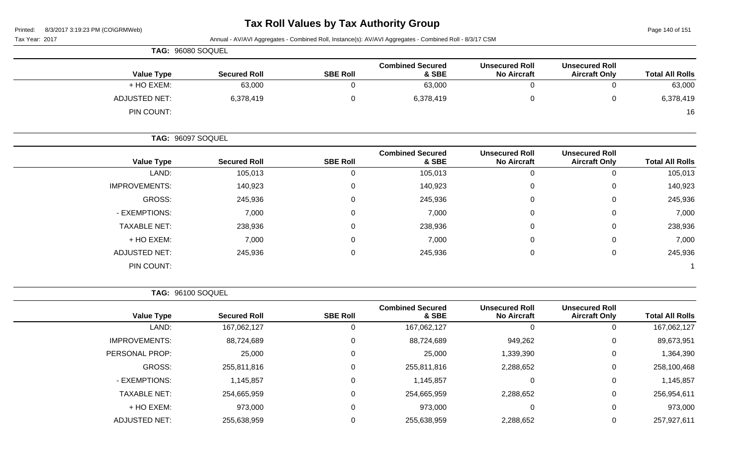Page 140 of 151

| Tax Year: 2017 | $\frac{1}{2}$        | Annual - AV/AVI Aggregates - Combined Roll, Instance(s): AV/AVI Aggregates - Combined Roll - 8/3/17 CSM |                 |                                  |                                             |                                               |                        |
|----------------|----------------------|---------------------------------------------------------------------------------------------------------|-----------------|----------------------------------|---------------------------------------------|-----------------------------------------------|------------------------|
|                | TAG: 96080 SOQUEL    |                                                                                                         |                 |                                  |                                             |                                               |                        |
|                | <b>Value Type</b>    | <b>Secured Roll</b>                                                                                     | <b>SBE Roll</b> | <b>Combined Secured</b><br>& SBE | <b>Unsecured Roll</b><br><b>No Aircraft</b> | <b>Unsecured Roll</b><br><b>Aircraft Only</b> | <b>Total All Rolls</b> |
|                | + HO EXEM:           | 63,000                                                                                                  |                 | 63,000                           | 0                                           |                                               | 63,000                 |
|                | <b>ADJUSTED NET:</b> | 6,378,419                                                                                               | $\mathbf 0$     | 6,378,419                        | 0                                           | $\Omega$                                      | 6,378,419              |
|                | PIN COUNT:           |                                                                                                         |                 |                                  |                                             |                                               | 16                     |
|                | TAG: 96097 SOQUEL    |                                                                                                         |                 |                                  |                                             |                                               |                        |
|                | <b>Value Type</b>    | <b>Secured Roll</b>                                                                                     | <b>SBE Roll</b> | <b>Combined Secured</b><br>& SBE | <b>Unsecured Roll</b><br><b>No Aircraft</b> | <b>Unsecured Roll</b><br><b>Aircraft Only</b> | <b>Total All Rolls</b> |
|                | LAND:                | 105,013                                                                                                 |                 | 105,013                          | 0                                           |                                               | 105,013                |
|                | <b>IMPROVEMENTS:</b> | 140,923                                                                                                 | $\Omega$        | 140,923                          | $\overline{0}$                              | $\Omega$                                      | 140,923                |
|                | GROSS:               | 245,936                                                                                                 | 0               | 245,936                          | 0                                           | $\Omega$                                      | 245,936                |
|                | - EXEMPTIONS:        | 7,000                                                                                                   |                 | 7,000                            | 0                                           | $\Omega$                                      | 7,000                  |

TAXABLE NET: 238,936 0 238,936 0 0 238,936 + HO EXEM: 7,000 0 7,000 0 0 7,000 ADJUSTED NET: 245,936 245,936 0 245,936 245,936 0 245,936 0 245,936 0 245,936

PIN COUNT: 1

**TAG:** 96100 SOQUEL

|                      |                     |                 | <b>Combined Secured</b> | <b>Unsecured Roll</b> | <b>Unsecured Roll</b> |                        |
|----------------------|---------------------|-----------------|-------------------------|-----------------------|-----------------------|------------------------|
| <b>Value Type</b>    | <b>Secured Roll</b> | <b>SBE Roll</b> | & SBE                   | <b>No Aircraft</b>    | <b>Aircraft Only</b>  | <b>Total All Rolls</b> |
| LAND:                | 167,062,127         |                 | 167,062,127             | 0                     |                       | 167,062,127            |
| <b>IMPROVEMENTS:</b> | 88,724,689          | 0               | 88,724,689              | 949,262               | 0                     | 89,673,951             |
| PERSONAL PROP:       | 25,000              | 0               | 25,000                  | 1,339,390             | 0                     | 1,364,390              |
| GROSS:               | 255,811,816         |                 | 255,811,816             | 2,288,652             | $\mathbf 0$           | 258,100,468            |
| - EXEMPTIONS:        | 1,145,857           |                 | 1,145,857               | 0                     | $\mathbf 0$           | 1,145,857              |
| <b>TAXABLE NET:</b>  | 254,665,959         |                 | 254,665,959             | 2,288,652             | 0                     | 256,954,611            |
| + HO EXEM:           | 973,000             | 0               | 973,000                 | $\Omega$              | 0                     | 973,000                |
| <b>ADJUSTED NET:</b> | 255,638,959         |                 | 255,638,959             | 2,288,652             | $\Omega$              | 257,927,611            |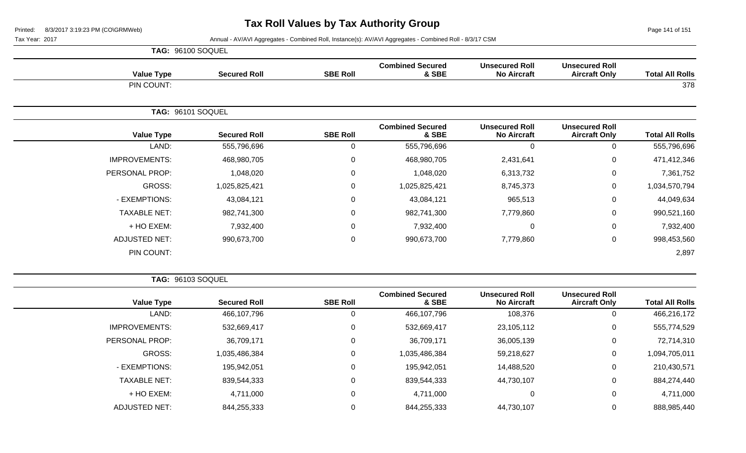Page 141 of 151

Tax Year: 2017 Annual - AV/AVI Aggregates - Combined Roll, Instance(s): AV/AVI Aggregates - Combined Roll - 8/3/17 CSM

|                      | <b>TAG: 96100 SOQUEL</b> |                  |                                  |                                             |                                               |                        |
|----------------------|--------------------------|------------------|----------------------------------|---------------------------------------------|-----------------------------------------------|------------------------|
| <b>Value Type</b>    | <b>Secured Roll</b>      | <b>SBE Roll</b>  | <b>Combined Secured</b><br>& SBE | <b>Unsecured Roll</b><br><b>No Aircraft</b> | <b>Unsecured Roll</b><br><b>Aircraft Only</b> | <b>Total All Rolls</b> |
| PIN COUNT:           |                          |                  |                                  |                                             |                                               | 378                    |
|                      | TAG: 96101 SOQUEL        |                  |                                  |                                             |                                               |                        |
| <b>Value Type</b>    | <b>Secured Roll</b>      | <b>SBE Roll</b>  | <b>Combined Secured</b><br>& SBE | <b>Unsecured Roll</b><br><b>No Aircraft</b> | <b>Unsecured Roll</b><br><b>Aircraft Only</b> | <b>Total All Rolls</b> |
| LAND:                | 555,796,696              | 0                | 555,796,696                      | 0                                           | $\Omega$                                      | 555,796,696            |
| <b>IMPROVEMENTS:</b> | 468,980,705              | $\mathbf 0$      | 468,980,705                      | 2,431,641                                   | 0                                             | 471,412,346            |
| PERSONAL PROP:       | 1,048,020                | $\boldsymbol{0}$ | 1,048,020                        | 6,313,732                                   | 0                                             | 7,361,752              |
| GROSS:               | 1,025,825,421            | $\mathbf 0$      | 1,025,825,421                    | 8,745,373                                   | 0                                             | 1,034,570,794          |
| - EXEMPTIONS:        | 43,084,121               | $\mathbf 0$      | 43,084,121                       | 965,513                                     | 0                                             | 44,049,634             |
| <b>TAXABLE NET:</b>  | 982,741,300              | $\mathbf 0$      | 982,741,300                      | 7,779,860                                   | 0                                             | 990,521,160            |
| + HO EXEM:           | 7,932,400                | $\mathbf 0$      | 7,932,400                        | 0                                           | 0                                             | 7,932,400              |
| <b>ADJUSTED NET:</b> | 990,673,700              | $\boldsymbol{0}$ | 990,673,700                      | 7,779,860                                   | 0                                             | 998,453,560            |
| PIN COUNT:           |                          |                  |                                  |                                             |                                               | 2,897                  |

**TAG:** 96103 SOQUEL

| <b>Total All Rolls</b> | <b>Unsecured Roll</b><br><b>Aircraft Only</b> | <b>Unsecured Roll</b><br><b>No Aircraft</b> | <b>Combined Secured</b><br>& SBE | <b>SBE Roll</b> | <b>Secured Roll</b> | <b>Value Type</b>    |
|------------------------|-----------------------------------------------|---------------------------------------------|----------------------------------|-----------------|---------------------|----------------------|
| 466,216,172            | 0                                             | 108,376                                     | 466,107,796                      | 0               | 466,107,796         | LAND:                |
| 555,774,529            | 0                                             | 23,105,112                                  | 532,669,417                      | 0               | 532,669,417         | <b>IMPROVEMENTS:</b> |
| 72,714,310             | 0                                             | 36,005,139                                  | 36,709,171                       | 0               | 36,709,171          | PERSONAL PROP:       |
| 1,094,705,011          | 0                                             | 59,218,627                                  | 1,035,486,384                    | 0               | 1,035,486,384       | GROSS:               |
| 210,430,571            | 0                                             | 14,488,520                                  | 195,942,051                      | 0               | 195,942,051         | - EXEMPTIONS:        |
| 884,274,440            | 0                                             | 44,730,107                                  | 839,544,333                      | 0               | 839,544,333         | <b>TAXABLE NET:</b>  |
| 4,711,000              | 0                                             | 0                                           | 4,711,000                        | 0               | 4,711,000           | + HO EXEM:           |
| 888,985,440            | 0                                             | 44,730,107                                  | 844,255,333                      | 0               | 844,255,333         | <b>ADJUSTED NET:</b> |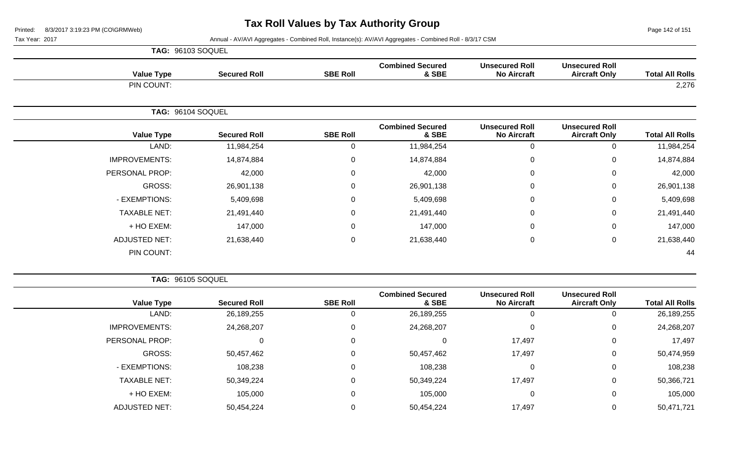Page 142 of 151

Tax Year: 2017 **Annual - AV/AVI Aggregates - Combined Roll**, Instance(s): AV/AVI Aggregates - Combined Roll - 8/3/17 CSM

| <b>TAG: 96103 SOQUEL</b> |                     |            |                 |                                  |                                             |                                               |                        |
|--------------------------|---------------------|------------|-----------------|----------------------------------|---------------------------------------------|-----------------------------------------------|------------------------|
| <b>Value Type</b>        | <b>Secured Roll</b> |            | <b>SBE Roll</b> | <b>Combined Secured</b><br>& SBE | <b>Unsecured Roll</b><br><b>No Aircraft</b> | <b>Unsecured Roll</b><br><b>Aircraft Only</b> | <b>Total All Rolls</b> |
| PIN COUNT:               |                     |            |                 |                                  |                                             |                                               | 2,276                  |
|                          | TAG: 96104 SOQUEL   |            |                 |                                  |                                             |                                               |                        |
| <b>Value Type</b>        | <b>Secured Roll</b> |            | <b>SBE Roll</b> | <b>Combined Secured</b><br>& SBE | <b>Unsecured Roll</b><br><b>No Aircraft</b> | <b>Unsecured Roll</b><br><b>Aircraft Only</b> | <b>Total All Rolls</b> |
| LAND:                    |                     | 11,984,254 | $\Omega$        | 11,984,254                       | 0                                           | 0                                             | 11,984,254             |
| <b>IMPROVEMENTS:</b>     |                     | 14,874,884 | 0               | 14,874,884                       | 0                                           | $\mathbf 0$                                   | 14,874,884             |
| PERSONAL PROP:           |                     | 42,000     | 0               | 42,000                           | 0                                           | $\mathbf 0$                                   | 42,000                 |
| GROSS:                   |                     | 26,901,138 | $\Omega$        | 26,901,138                       | $\mathbf{0}$                                | $\mathbf 0$                                   | 26,901,138             |
| - EXEMPTIONS:            |                     | 5,409,698  | $\Omega$        | 5,409,698                        | $\mathbf{0}$                                | $\mathbf 0$                                   | 5,409,698              |
| <b>TAXABLE NET:</b>      |                     | 21,491,440 | $\mathbf 0$     | 21,491,440                       | 0                                           | $\mathbf 0$                                   | 21,491,440             |
| + HO EXEM:               |                     | 147,000    | $\Omega$        | 147,000                          | 0                                           | 0                                             | 147,000                |
| <b>ADJUSTED NET:</b>     |                     | 21,638,440 | 0               | 21,638,440                       | 0                                           | $\mathbf 0$                                   | 21,638,440             |
| PIN COUNT:               |                     |            |                 |                                  |                                             |                                               | 44                     |

**TAG:** 96105 SOQUEL

| <b>Total All Rolls</b> | <b>Unsecured Roll</b><br><b>Aircraft Only</b> | <b>Unsecured Roll</b><br><b>No Aircraft</b> | <b>Combined Secured</b><br>& SBE | <b>SBE Roll</b> | <b>Secured Roll</b> | <b>Value Type</b>    |
|------------------------|-----------------------------------------------|---------------------------------------------|----------------------------------|-----------------|---------------------|----------------------|
| 26,189,255             |                                               |                                             | 26,189,255                       |                 | 26,189,255          | LAND:                |
| 24,268,207             | 0                                             | 0                                           | 24,268,207                       |                 | 24,268,207          | <b>IMPROVEMENTS:</b> |
| 17,497                 | 0                                             | 17,497                                      |                                  |                 | 0                   | PERSONAL PROP:       |
| 50,474,959             | 0                                             | 17,497                                      | 50,457,462                       |                 | 50,457,462          | GROSS:               |
| 108,238                | 0                                             | 0                                           | 108,238                          |                 | 108,238             | - EXEMPTIONS:        |
| 50,366,721             | 0                                             | 17,497                                      | 50,349,224                       |                 | 50,349,224          | <b>TAXABLE NET:</b>  |
| 105,000                | 0                                             | 0                                           | 105,000                          |                 | 105,000             | + HO EXEM:           |
| 50,471,721             |                                               | 17,497                                      | 50,454,224                       |                 | 50,454,224          | <b>ADJUSTED NET:</b> |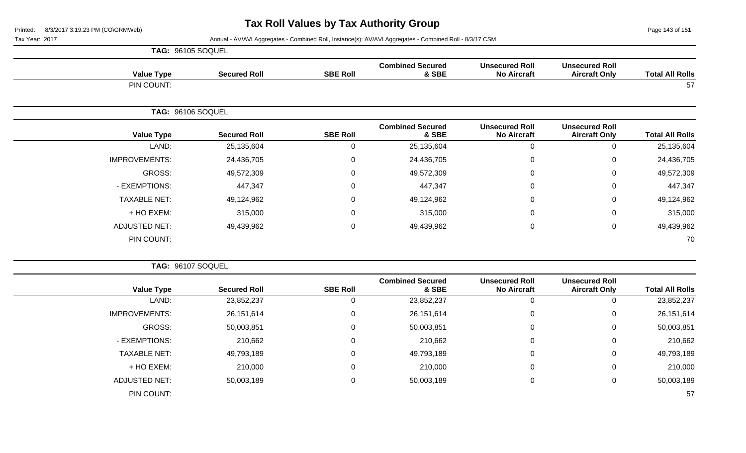Page 143 of 151

|                      | <b>TAG: 96105 SOQUEL</b> |                  |                                  |                                             |                                               |                        |
|----------------------|--------------------------|------------------|----------------------------------|---------------------------------------------|-----------------------------------------------|------------------------|
| <b>Value Type</b>    | <b>Secured Roll</b>      | <b>SBE Roll</b>  | <b>Combined Secured</b><br>& SBE | <b>Unsecured Roll</b><br><b>No Aircraft</b> | <b>Unsecured Roll</b><br><b>Aircraft Only</b> | <b>Total All Rolls</b> |
| PIN COUNT:           |                          |                  |                                  |                                             |                                               | 57                     |
|                      | TAG: 96106 SOQUEL        |                  |                                  |                                             |                                               |                        |
| <b>Value Type</b>    | <b>Secured Roll</b>      | <b>SBE Roll</b>  | <b>Combined Secured</b><br>& SBE | <b>Unsecured Roll</b><br><b>No Aircraft</b> | <b>Unsecured Roll</b><br><b>Aircraft Only</b> | <b>Total All Rolls</b> |
| LAND:                | 25,135,604               | $\mathbf 0$      | 25,135,604                       | $\mathbf 0$                                 | 0                                             | 25,135,604             |
| <b>IMPROVEMENTS:</b> | 24,436,705               | $\mathbf 0$      | 24,436,705                       | 0                                           | 0                                             | 24,436,705             |
| GROSS:               | 49,572,309               | $\mathbf 0$      | 49,572,309                       | 0                                           | 0                                             | 49,572,309             |
| - EXEMPTIONS:        | 447,347                  | $\mathbf 0$      | 447,347                          | 0                                           | $\Omega$                                      | 447,347                |
| <b>TAXABLE NET:</b>  | 49,124,962               | $\boldsymbol{0}$ | 49,124,962                       | 0                                           | 0                                             | 49,124,962             |
| + HO EXEM:           | 315,000                  | $\mathbf 0$      | 315,000                          | 0                                           | 0                                             | 315,000                |
| <b>ADJUSTED NET:</b> | 49,439,962               | $\pmb{0}$        | 49,439,962                       | $\overline{0}$                              | $\mathbf 0$                                   | 49,439,962             |
| PIN COUNT:           |                          |                  |                                  |                                             |                                               | 70                     |

|                      | TAG: 96107 SOQUEL   |                 |                                  |                                             |                                               |                        |
|----------------------|---------------------|-----------------|----------------------------------|---------------------------------------------|-----------------------------------------------|------------------------|
| <b>Value Type</b>    | <b>Secured Roll</b> | <b>SBE Roll</b> | <b>Combined Secured</b><br>& SBE | <b>Unsecured Roll</b><br><b>No Aircraft</b> | <b>Unsecured Roll</b><br><b>Aircraft Only</b> | <b>Total All Rolls</b> |
| LAND:                | 23,852,237          |                 | 23,852,237                       |                                             |                                               | 23,852,237             |
| <b>IMPROVEMENTS:</b> | 26,151,614          | 0               | 26,151,614                       | 0                                           | 0                                             | 26, 151, 614           |
| GROSS:               | 50,003,851          | 0               | 50,003,851                       | $\mathbf 0$                                 | 0                                             | 50,003,851             |
| - EXEMPTIONS:        | 210,662             | 0               | 210,662                          | $\mathbf 0$                                 | $\Omega$                                      | 210,662                |
| <b>TAXABLE NET:</b>  | 49,793,189          | $\mathbf 0$     | 49,793,189                       | 0                                           | 0                                             | 49,793,189             |
| + HO EXEM:           | 210,000             | 0               | 210,000                          | $\mathbf 0$                                 | 0                                             | 210,000                |
| <b>ADJUSTED NET:</b> | 50,003,189          | $\mathbf 0$     | 50,003,189                       | 0                                           | 0                                             | 50,003,189             |
| PIN COUNT:           |                     |                 |                                  |                                             |                                               | 57                     |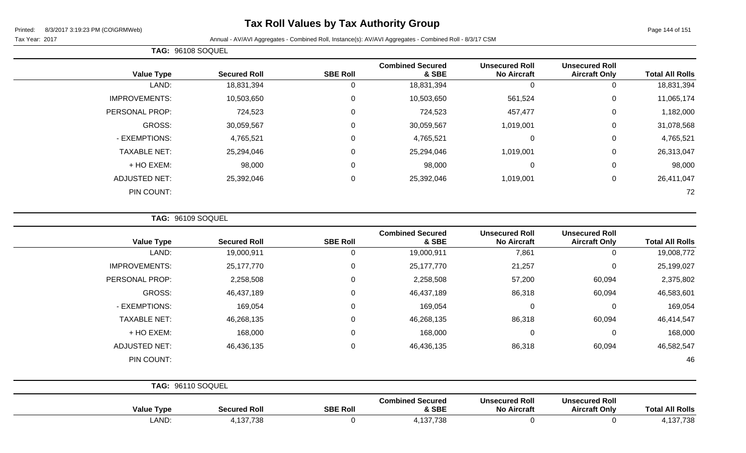Page 144 of 151

Tax Year: 2017 **Annual - AV/AVI Aggregates - Combined Roll**, Instance(s): AV/AVI Aggregates - Combined Roll - 8/3/17 CSM

|                      | TAG: 96108 SOQUEL   |                 |                                  |                                             |                                               |                        |
|----------------------|---------------------|-----------------|----------------------------------|---------------------------------------------|-----------------------------------------------|------------------------|
| <b>Value Type</b>    | <b>Secured Roll</b> | <b>SBE Roll</b> | <b>Combined Secured</b><br>& SBE | <b>Unsecured Roll</b><br><b>No Aircraft</b> | <b>Unsecured Roll</b><br><b>Aircraft Only</b> | <b>Total All Rolls</b> |
| LAND:                | 18,831,394          |                 | 18,831,394                       | 0                                           | 0                                             | 18,831,394             |
| <b>IMPROVEMENTS:</b> | 10,503,650          | $\Omega$        | 10,503,650                       | 561,524                                     | $\mathbf 0$                                   | 11,065,174             |
| PERSONAL PROP:       | 724,523             | $\Omega$        | 724,523                          | 457,477                                     | $\mathbf 0$                                   | 1,182,000              |
| <b>GROSS:</b>        | 30,059,567          | $\Omega$        | 30,059,567                       | 1,019,001                                   | 0                                             | 31,078,568             |
| - EXEMPTIONS:        | 4,765,521           | 0               | 4,765,521                        | 0                                           | $\mathbf 0$                                   | 4,765,521              |
| <b>TAXABLE NET:</b>  | 25,294,046          | $\Omega$        | 25,294,046                       | 1,019,001                                   | $\mathbf 0$                                   | 26,313,047             |
| + HO EXEM:           | 98,000              | $\Omega$        | 98,000                           | $\mathbf 0$                                 | $\mathbf 0$                                   | 98,000                 |
| <b>ADJUSTED NET:</b> | 25,392,046          | 0               | 25,392,046                       | 1,019,001                                   | $\mathbf 0$                                   | 26,411,047             |
| PIN COUNT:           |                     |                 |                                  |                                             |                                               | 72                     |

**TAG:** 96109 SOQUEL

| <b>Total All Rolls</b> | <b>Unsecured Roll</b><br><b>Aircraft Only</b> | <b>Unsecured Roll</b><br><b>No Aircraft</b> | <b>Combined Secured</b><br>& SBE | <b>SBE Roll</b> | <b>Secured Roll</b> | <b>Value Type</b>    |
|------------------------|-----------------------------------------------|---------------------------------------------|----------------------------------|-----------------|---------------------|----------------------|
| 19,008,772             | 0                                             | 7,861                                       | 19,000,911                       | 0               | 19,000,911          | LAND:                |
| 25,199,027             | 0                                             | 21,257                                      | 25,177,770                       | 0               | 25,177,770          | <b>IMPROVEMENTS:</b> |
| 2,375,802              | 60,094                                        | 57,200                                      | 2,258,508                        | 0               | 2,258,508           | PERSONAL PROP:       |
| 46,583,601             | 60,094                                        | 86,318                                      | 46,437,189                       | 0               | 46,437,189          | GROSS:               |
| 169,054                | $\mathbf 0$                                   | $\mathbf 0$                                 | 169,054                          | 0               | 169,054             | - EXEMPTIONS:        |
| 46,414,547             | 60,094                                        | 86,318                                      | 46,268,135                       | $\mathbf 0$     | 46,268,135          | <b>TAXABLE NET:</b>  |
| 168,000                | 0                                             | $\mathbf 0$                                 | 168,000                          | $\mathbf 0$     | 168,000             | + HO EXEM:           |
| 46,582,547             | 60,094                                        | 86,318                                      | 46,436,135                       | $\mathbf 0$     | 46,436,135          | <b>ADJUSTED NET:</b> |
| 46                     |                                               |                                             |                                  |                 |                     | PIN COUNT:           |
|                        |                                               |                                             |                                  |                 |                     | TAG: 96110 SOQUEL    |

| <b>Value Type</b> | <b>Secured Roll</b> | <b>SBE Roll</b> | <b>Combined Secured</b><br>& SBE | <b>Unsecured Roll</b><br>No Aircraft | <b>Unsecured Roll</b><br><b>Aircraft Only</b> | <b>All Rolls</b><br>'otal |
|-------------------|---------------------|-----------------|----------------------------------|--------------------------------------|-----------------------------------------------|---------------------------|
| LAND              | 137738<br>107.700   |                 | 137,738                          |                                      |                                               | 107700<br>738             |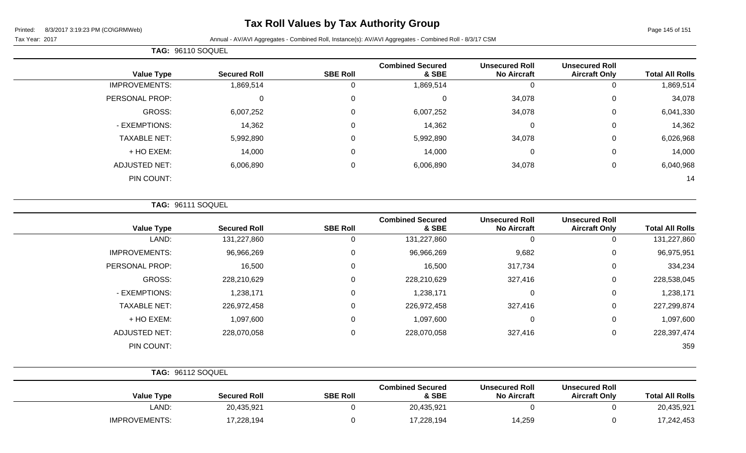# **Tax Roll Values by Tax Authority Group**

## Tax Year: 2017 **Annual - AV/AVI Aggregates - Combined Roll, Instance(s): AV/AVI Aggregates - Combined Roll - 8/3/17 CSM**

| <b>TAG: 96110 SOQUEL</b> |
|--------------------------|

| <b>Total All Rolls</b> | <b>Unsecured Roll</b><br><b>Aircraft Only</b> | <b>Unsecured Roll</b><br><b>No Aircraft</b> | <b>Combined Secured</b><br>& SBE | <b>SBE Roll</b> | <b>Secured Roll</b> | <b>Value Type</b>    |
|------------------------|-----------------------------------------------|---------------------------------------------|----------------------------------|-----------------|---------------------|----------------------|
| 1,869,514              | 0                                             | 0                                           | 1,869,514                        | υ               | 1,869,514           | <b>IMPROVEMENTS:</b> |
| 34,078                 | 0                                             | 34,078                                      |                                  | $\Omega$        | 0                   | PERSONAL PROP:       |
| 6,041,330              | $\mathbf 0$                                   | 34,078                                      | 6,007,252                        | $\Omega$        | 6,007,252           | GROSS:               |
| 14,362                 | 0                                             | 0                                           | 14,362                           |                 | 14,362              | - EXEMPTIONS:        |
| 6,026,968              | 0                                             | 34,078                                      | 5,992,890                        | $\Omega$        | 5,992,890           | <b>TAXABLE NET:</b>  |
| 14,000                 | 0                                             | 0                                           | 14,000                           | $\Omega$        | 14,000              | + HO EXEM:           |
| 6,040,968              | $\overline{0}$                                | 34,078                                      | 6,006,890                        | $\Omega$        | 6,006,890           | <b>ADJUSTED NET:</b> |
| 14                     |                                               |                                             |                                  |                 |                     | PIN COUNT:           |
|                        |                                               |                                             |                                  |                 |                     |                      |

**TAG:** 96111 SOQUEL

| <b>Value Type</b>    | <b>Secured Roll</b> | <b>SBE Roll</b> | <b>Combined Secured</b><br>& SBE | <b>Unsecured Roll</b><br><b>No Aircraft</b> | <b>Unsecured Roll</b><br><b>Aircraft Only</b> | <b>Total All Rolls</b> |
|----------------------|---------------------|-----------------|----------------------------------|---------------------------------------------|-----------------------------------------------|------------------------|
| LAND:                | 131,227,860         | 0               | 131,227,860                      | 0                                           | 0                                             | 131,227,860            |
| <b>IMPROVEMENTS:</b> | 96,966,269          | 0               | 96,966,269                       | 9,682                                       | 0                                             | 96,975,951             |
| PERSONAL PROP:       | 16,500              | 0               | 16,500                           | 317,734                                     | 0                                             | 334,234                |
| GROSS:               | 228,210,629         | 0               | 228,210,629                      | 327,416                                     | 0                                             | 228,538,045            |
| - EXEMPTIONS:        | 1,238,171           | 0               | 1,238,171                        | 0                                           | 0                                             | 1,238,171              |
| <b>TAXABLE NET:</b>  | 226,972,458         | 0               | 226,972,458                      | 327,416                                     | 0                                             | 227,299,874            |
| + HO EXEM:           | 1,097,600           | 0               | 1,097,600                        | 0                                           | 0                                             | 1,097,600              |
| <b>ADJUSTED NET:</b> | 228,070,058         | 0               | 228,070,058                      | 327,416                                     | 0                                             | 228,397,474            |
| PIN COUNT:           |                     |                 |                                  |                                             |                                               | 359                    |

| <b>TAG: 96112 SOQUEL</b> |                     |                 |                                  |                                             |                                               |                        |
|--------------------------|---------------------|-----------------|----------------------------------|---------------------------------------------|-----------------------------------------------|------------------------|
| <b>Value Type</b>        | <b>Secured Roll</b> | <b>SBE Roll</b> | <b>Combined Secured</b><br>& SBE | <b>Unsecured Roll</b><br><b>No Aircraft</b> | <b>Unsecured Roll</b><br><b>Aircraft Only</b> | <b>Total All Rolls</b> |
| LAND:                    | 20,435,921          |                 | 20,435,921                       |                                             |                                               | 20,435,921             |
| <b>IMPROVEMENTS:</b>     | 17,228,194          |                 | 17,228,194                       | 14,259                                      |                                               | 17,242,453             |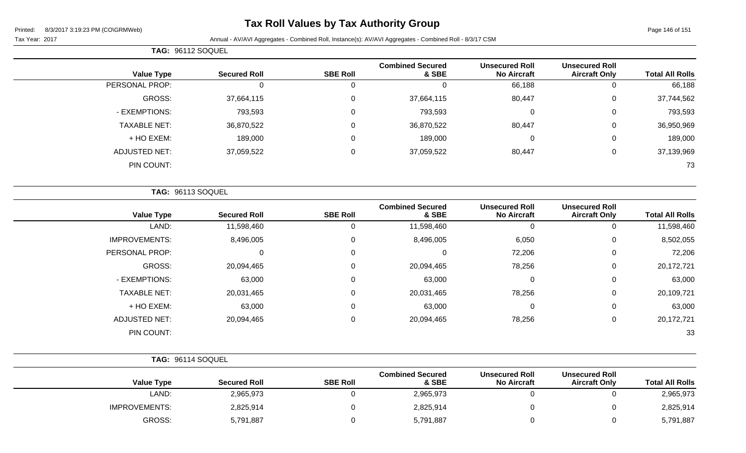**TAG:** 96112 SOQUEL

# **Tax Roll Values by Tax Authority Group**

### Tax Year: 2017 Annual - AV/AVI Aggregates - Combined Roll, Instance(s): AV/AVI Aggregates - Combined Roll - 8/3/17 CSM

| <b>Total All Rolls</b> | <b>Unsecured Roll</b><br><b>Aircraft Only</b> | <b>Unsecured Roll</b><br><b>No Aircraft</b> | <b>Combined Secured</b><br>& SBE | <b>SBE Roll</b> | <b>Secured Roll</b> | <b>Value Type</b>    |
|------------------------|-----------------------------------------------|---------------------------------------------|----------------------------------|-----------------|---------------------|----------------------|
| 66,188                 | 0                                             | 66,188                                      | 0                                | 0               |                     | PERSONAL PROP:       |
| 37,744,562             | $\mathbf 0$                                   | 80,447                                      | 37,664,115                       | 0               | 37,664,115          | GROSS:               |
| 793,593                | $\mathbf 0$                                   | $\mathbf 0$                                 | 793,593                          | 0               | 793,593             | - EXEMPTIONS:        |
| 36,950,969             | $\mathbf 0$                                   | 80,447                                      | 36,870,522                       | 0               | 36,870,522          | <b>TAXABLE NET:</b>  |
| 189,000                | $\mathbf 0$                                   | 0                                           | 189,000                          | 0               | 189,000             | + HO EXEM:           |
| 37,139,969             | $\mathbf 0$                                   | 80,447                                      | 37,059,522                       | 0               | 37,059,522          | <b>ADJUSTED NET:</b> |
| 73                     |                                               |                                             |                                  |                 |                     | PIN COUNT:           |
|                        |                                               |                                             |                                  |                 |                     | TAG: 96113 SOQUEL    |
| <b>Total All Rolls</b> | <b>Unsecured Roll</b><br><b>Aircraft Only</b> | <b>Unsecured Roll</b><br><b>No Aircraft</b> | <b>Combined Secured</b><br>& SBE | <b>SBE Roll</b> | <b>Secured Roll</b> | <b>Value Type</b>    |
| 11,598,460             | 0                                             | $\mathbf{0}$                                | 11,598,460                       | 0               | 11,598,460          | LAND:                |
| 0.500005               | $\sim$                                        | $\sim$ $\sim$ $\sim$                        | 0.10000                          | $\sim$          | 0.100000            | $\mathbf{R}$         |

| 8,502,055  | U | 6,050  | 8,496,005  | 0              | 8,496,005  | <b>IMPROVEMENTS:</b> |
|------------|---|--------|------------|----------------|------------|----------------------|
| 72,206     | 0 | 72,206 | 0          | $\overline{0}$ | 0          | PERSONAL PROP:       |
| 20,172,721 | U | 78,256 | 20,094,465 | 0              | 20,094,465 | GROSS:               |
| 63,000     | 0 | 0      | 63,000     | 0              | 63,000     | - EXEMPTIONS:        |
| 20,109,721 | 0 | 78,256 | 20,031,465 | 0              | 20,031,465 | <b>TAXABLE NET:</b>  |
| 63,000     | 0 | 0      | 63,000     | 0              | 63,000     | + HO EXEM:           |
| 20,172,721 |   | 78,256 | 20,094,465 | 0              | 20,094,465 | <b>ADJUSTED NET:</b> |
| 33         |   |        |            |                |            | PIN COUNT:           |
|            |   |        |            |                |            |                      |

|                      | TAG: 96114 SOQUEL   |                 |                                  |                                             |                                               |                        |
|----------------------|---------------------|-----------------|----------------------------------|---------------------------------------------|-----------------------------------------------|------------------------|
| <b>Value Type</b>    | <b>Secured Roll</b> | <b>SBE Roll</b> | <b>Combined Secured</b><br>& SBE | <b>Unsecured Roll</b><br><b>No Aircraft</b> | <b>Unsecured Roll</b><br><b>Aircraft Only</b> | <b>Total All Rolls</b> |
| LAND:                | 2,965,973           |                 | 2,965,973                        |                                             |                                               | 2,965,973              |
| <b>IMPROVEMENTS:</b> | 2,825,914           |                 | 2,825,914                        |                                             |                                               | 2,825,914              |
| GROSS:               | 5,791,887           |                 | 5,791,887                        |                                             |                                               | 5,791,887              |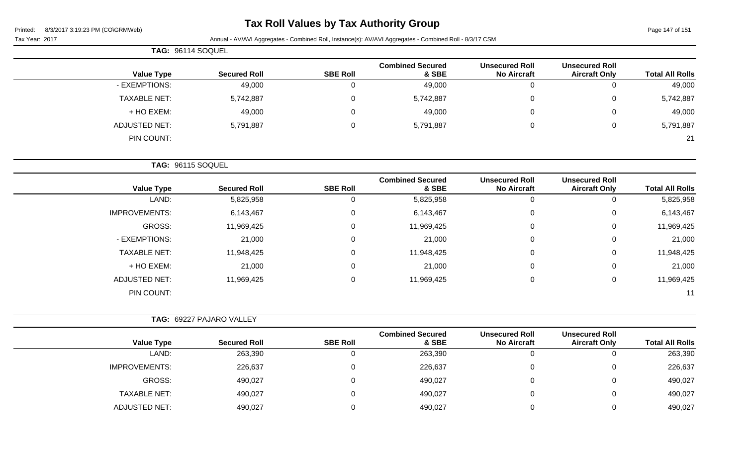Page 147 of 151

|  |  | Tax Year: 2017 |  |
|--|--|----------------|--|
|--|--|----------------|--|

Annual - AV/AVI Aggregates - Combined Roll, Instance(s): AV/AVI Aggregates - Combined Roll - 8/3/17 CSM

| TAG: 96114 SOQUEL   |                     |                 |                                  |                                             |                                               |                        |
|---------------------|---------------------|-----------------|----------------------------------|---------------------------------------------|-----------------------------------------------|------------------------|
| <b>Value Type</b>   | <b>Secured Roll</b> | <b>SBE Roll</b> | <b>Combined Secured</b><br>& SBE | <b>Unsecured Roll</b><br><b>No Aircraft</b> | <b>Unsecured Roll</b><br><b>Aircraft Only</b> | <b>Total All Rolls</b> |
| - EXEMPTIONS:       | 49,000              |                 | 49,000                           | 0                                           | $\mathbf{0}$                                  | 49,000                 |
| <b>TAXABLE NET:</b> | 5,742,887           | 0               | 5,742,887                        | $\mathbf 0$                                 | $\overline{0}$                                | 5,742,887              |
| + HO EXEM:          | 49,000              |                 | 49,000                           | $\mathbf{0}$                                | $\overline{0}$                                | 49,000                 |
| ADJUSTED NET:       | 5,791,887           | 0               | 5,791,887                        | $\mathbf 0$                                 | $\overline{0}$                                | 5,791,887              |
| PIN COUNT:          |                     |                 |                                  |                                             |                                               | 21                     |

**TAG:** 96115 SOQUEL

| <b>Value Type</b>    | <b>Secured Roll</b> | <b>SBE Roll</b> | <b>Combined Secured</b><br>& SBE | <b>Unsecured Roll</b><br><b>No Aircraft</b> | <b>Unsecured Roll</b><br><b>Aircraft Only</b> | <b>Total All Rolls</b> |
|----------------------|---------------------|-----------------|----------------------------------|---------------------------------------------|-----------------------------------------------|------------------------|
| LAND:                | 5,825,958           | 0               | 5,825,958                        | 0                                           | υ                                             | 5,825,958              |
| <b>IMPROVEMENTS:</b> | 6,143,467           | 0               | 6,143,467                        | 0                                           | 0                                             | 6,143,467              |
| GROSS:               | 11,969,425          | 0               | 11,969,425                       | 0                                           | 0                                             | 11,969,425             |
| - EXEMPTIONS:        | 21,000              | 0               | 21,000                           | 0                                           | 0                                             | 21,000                 |
| <b>TAXABLE NET:</b>  | 11,948,425          | 0               | 11,948,425                       | 0                                           | 0                                             | 11,948,425             |
| + HO EXEM:           | 21,000              | 0               | 21,000                           | 0                                           | 0                                             | 21,000                 |
| <b>ADJUSTED NET:</b> | 11,969,425          | 0               | 11,969,425                       | 0                                           | 0                                             | 11,969,425             |
| PIN COUNT:           |                     |                 |                                  |                                             |                                               | 11                     |

|                      | TAG: 69227 PAJARO VALLEY |                 |                                  |                                             |                                               |                        |
|----------------------|--------------------------|-----------------|----------------------------------|---------------------------------------------|-----------------------------------------------|------------------------|
| <b>Value Type</b>    | <b>Secured Roll</b>      | <b>SBE Roll</b> | <b>Combined Secured</b><br>& SBE | <b>Unsecured Roll</b><br><b>No Aircraft</b> | <b>Unsecured Roll</b><br><b>Aircraft Only</b> | <b>Total All Rolls</b> |
| LAND:                | 263,390                  |                 | 263,390                          | 0                                           |                                               | 263,390                |
| <b>IMPROVEMENTS:</b> | 226,637                  | 0               | 226,637                          | 0                                           |                                               | 226,637                |
| GROSS:               | 490,027                  |                 | 490,027                          | 0                                           |                                               | 490,027                |
| TAXABLE NET:         | 490,027                  |                 | 490,027                          | $\Omega$                                    |                                               | 490,027                |
| ADJUSTED NET:        | 490,027                  |                 | 490,027                          |                                             |                                               | 490,027                |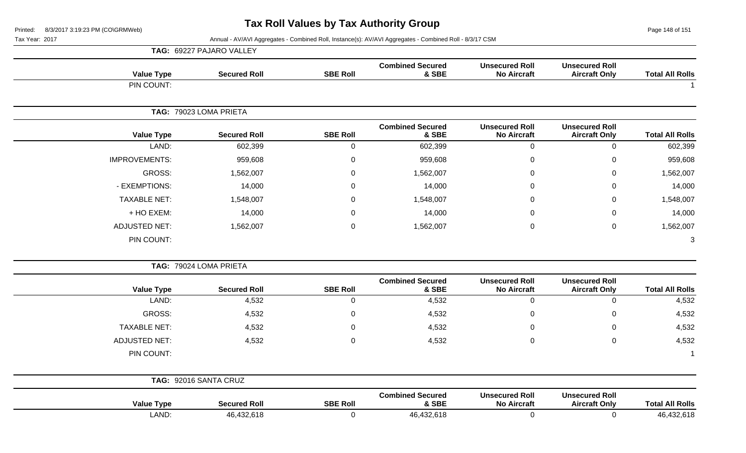Page 148 of 151

Tax Year: 2017 Annual - AV/AVI Aggregates - Combined Roll, Instance(s): AV/AVI Aggregates - Combined Roll - 8/3/17 CSM

|                        |                                               |                                             |                                  |                 | TAG: 69227 PAJARO VALLEY |                      |
|------------------------|-----------------------------------------------|---------------------------------------------|----------------------------------|-----------------|--------------------------|----------------------|
| <b>Total All Rolls</b> | <b>Unsecured Roll</b><br><b>Aircraft Only</b> | <b>Unsecured Roll</b><br><b>No Aircraft</b> | <b>Combined Secured</b><br>& SBE | <b>SBE Roll</b> | <b>Secured Roll</b>      | <b>Value Type</b>    |
|                        |                                               |                                             |                                  |                 |                          | PIN COUNT:           |
|                        |                                               |                                             |                                  |                 | TAG: 79023 LOMA PRIETA   |                      |
| <b>Total All Rolls</b> | <b>Unsecured Roll</b><br><b>Aircraft Only</b> | <b>Unsecured Roll</b><br><b>No Aircraft</b> | <b>Combined Secured</b><br>& SBE | <b>SBE Roll</b> | <b>Secured Roll</b>      | <b>Value Type</b>    |
| 602,399                | $\mathbf 0$                                   | $\mathbf 0$                                 | 602,399                          | $\mathbf 0$     | 602,399                  | LAND:                |
| 959,608                | 0                                             | $\mathbf 0$                                 | 959,608                          | $\pmb{0}$       | 959,608                  | <b>IMPROVEMENTS:</b> |
| 1,562,007              | $\mathsf 0$                                   | $\mathbf 0$                                 | 1,562,007                        | $\mathsf 0$     | 1,562,007                | GROSS:               |
| 14,000                 | $\boldsymbol{0}$                              | $\Omega$                                    | 14,000                           | $\mathbf 0$     | 14,000                   | - EXEMPTIONS:        |
| 1,548,007              | $\pmb{0}$                                     | $\mathbf 0$                                 | 1,548,007                        | $\pmb{0}$       | 1,548,007                | <b>TAXABLE NET:</b>  |
| 14,000                 | $\mathbf 0$                                   | 0                                           | 14,000                           | 0               | 14,000                   | + HO EXEM:           |
| 1,562,007              | $\mathsf 0$                                   | $\mathbf 0$                                 | 1,562,007                        | $\mathsf 0$     | 1,562,007                | <b>ADJUSTED NET:</b> |
| 3                      |                                               |                                             |                                  |                 |                          | PIN COUNT:           |
|                        |                                               |                                             |                                  |                 | TAG: 79024 LOMA PRIETA   |                      |
| <b>Total All Rolls</b> | <b>Unsecured Roll</b><br><b>Aircraft Only</b> | <b>Unsecured Roll</b><br><b>No Aircraft</b> | <b>Combined Secured</b><br>& SBE | <b>SBE Roll</b> | <b>Secured Roll</b>      | <b>Value Type</b>    |
| 4,532                  | $\mathbf 0$                                   | $\mathbf 0$                                 | 4,532                            | $\mathbf 0$     | 4,532                    | LAND:                |
| 4,532                  | 0                                             | $\mathbf 0$                                 | 4,532                            | $\mathsf 0$     | 4,532                    | GROSS:               |
| 4,532                  | $\mathbf 0$                                   | $\mathbf 0$                                 | 4,532                            | $\mathbf 0$     | 4,532                    | <b>TAXABLE NET:</b>  |
| 4,532                  | $\pmb{0}$                                     | $\mathbf 0$                                 | 4,532                            | $\mathbf 0$     | 4,532                    | <b>ADJUSTED NET:</b> |
| $\overline{1}$         |                                               |                                             |                                  |                 |                          | PIN COUNT:           |
|                        |                                               |                                             |                                  |                 | TAG: 92016 SANTA CRUZ    |                      |
| <b>Total All Rolls</b> | <b>Unsecured Roll</b><br><b>Aircraft Only</b> | <b>Unsecured Roll</b><br><b>No Aircraft</b> | <b>Combined Secured</b><br>& SBE | <b>SBE Roll</b> | <b>Secured Roll</b>      | <b>Value Type</b>    |
| 46,432,618             | $\mathbf 0$                                   | $\mathbf 0$                                 | 46,432,618                       | $\mathbf 0$     | 46,432,618               | LAND:                |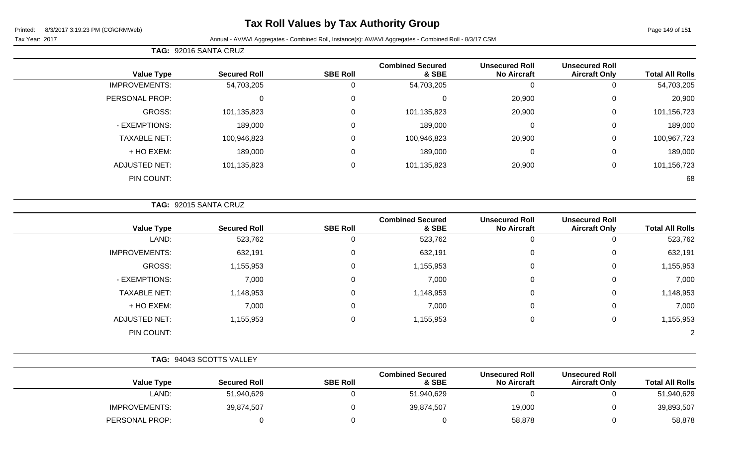# **Tax Roll Values by Tax Authority Group**

Tax Year: 2017 **Annual - AV/AVI Aggregates - Combined Roll**, Instance(s): AV/AVI Aggregates - Combined Roll - 8/3/17 CSM

| <b>Total All Rolls</b> | <b>Unsecured Roll</b><br><b>Aircraft Only</b> | <b>Unsecured Roll</b><br><b>No Aircraft</b> | <b>Combined Secured</b><br>& SBE | <b>SBE Roll</b> | <b>Secured Roll</b> | <b>Value Type</b>    |
|------------------------|-----------------------------------------------|---------------------------------------------|----------------------------------|-----------------|---------------------|----------------------|
| 54,703,205             | 0                                             |                                             | 54,703,205                       | 0               | 54,703,205          | <b>IMPROVEMENTS:</b> |
| 20,900                 | $\mathbf 0$                                   | 20,900                                      | $\Omega$                         | 0               | 0                   | PERSONAL PROP:       |
| 101,156,723            | $\mathbf 0$                                   | 20,900                                      | 101,135,823                      | 0               | 101,135,823         | GROSS:               |
| 189,000                | 0                                             | $\Omega$                                    | 189,000                          | $\Omega$        | 189,000             | - EXEMPTIONS:        |
| 100,967,723            | 0                                             | 20,900                                      | 100,946,823                      | 0               | 100,946,823         | <b>TAXABLE NET:</b>  |
| 189,000                | $\mathbf{0}$                                  | $\Omega$                                    | 189,000                          | 0               | 189,000             | + HO EXEM:           |
| 101,156,723            | 0                                             | 20,900                                      | 101,135,823                      | 0               | 101,135,823         | <b>ADJUSTED NET:</b> |
| 68                     |                                               |                                             |                                  |                 |                     | PIN COUNT:           |
|                        |                                               |                                             |                                  |                 |                     |                      |

**TAG:** 92015 SANTA CRUZ

**TAG:** 92016 SANTA CRUZ

| <b>Value Type</b>    | <b>Secured Roll</b> | <b>SBE Roll</b> | <b>Combined Secured</b><br>& SBE | <b>Unsecured Roll</b><br><b>No Aircraft</b> | <b>Unsecured Roll</b><br><b>Aircraft Only</b> | <b>Total All Rolls</b> |
|----------------------|---------------------|-----------------|----------------------------------|---------------------------------------------|-----------------------------------------------|------------------------|
| LAND:                | 523,762             | 0               | 523,762                          | U                                           | 0                                             | 523,762                |
| <b>IMPROVEMENTS:</b> | 632,191             | 0               | 632,191                          | 0                                           | 0                                             | 632,191                |
| GROSS:               | 1,155,953           | 0               | 1,155,953                        | 0                                           | 0                                             | 1,155,953              |
| - EXEMPTIONS:        | 7,000               | 0               | 7,000                            | 0                                           | 0                                             | 7,000                  |
| <b>TAXABLE NET:</b>  | 1,148,953           | 0               | 1,148,953                        | 0                                           | 0                                             | 1,148,953              |
| + HO EXEM:           | 7,000               | 0               | 7,000                            | 0                                           | 0                                             | 7,000                  |
| <b>ADJUSTED NET:</b> | 1,155,953           | $\mathbf 0$     | 1,155,953                        | 0                                           | 0                                             | 1,155,953              |
| PIN COUNT:           |                     |                 |                                  |                                             |                                               | $\overline{2}$         |

|                      | TAG: 94043 SCOTTS VALLEY |                 |                                  |                                             |                                               |                        |
|----------------------|--------------------------|-----------------|----------------------------------|---------------------------------------------|-----------------------------------------------|------------------------|
| <b>Value Type</b>    | <b>Secured Roll</b>      | <b>SBE Roll</b> | <b>Combined Secured</b><br>& SBE | <b>Unsecured Roll</b><br><b>No Aircraft</b> | <b>Unsecured Roll</b><br><b>Aircraft Only</b> | <b>Total All Rolls</b> |
| LAND:                | 51,940,629               |                 | 51,940,629                       |                                             |                                               | 51,940,629             |
| <b>IMPROVEMENTS:</b> | 39,874,507               |                 | 39,874,507                       | 19,000                                      |                                               | 39,893,507             |
| PERSONAL PROP:       |                          |                 |                                  | 58,878                                      |                                               | 58,878                 |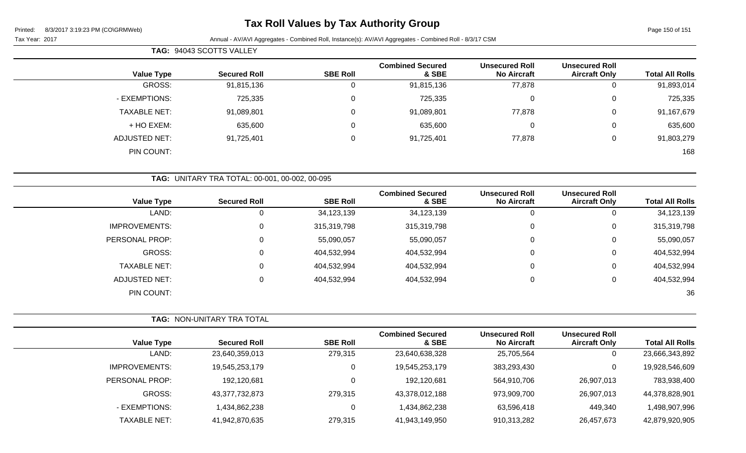# **Tax Roll Values by Tax Authority Group**

Page 150 of 151

Tax Year: 2017 **Annual - AV/AVI Aggregates - Combined Roll, Instance(s): AV/AVI Aggregates - Combined Roll - 8/3/17 CSM** 

|                      | TAG: 94043 SCOTTS VALLEY |                     |                 |                                  |                                             |                                               |                        |  |
|----------------------|--------------------------|---------------------|-----------------|----------------------------------|---------------------------------------------|-----------------------------------------------|------------------------|--|
| <b>Value Type</b>    |                          | <b>Secured Roll</b> | <b>SBE Roll</b> | <b>Combined Secured</b><br>& SBE | <b>Unsecured Roll</b><br><b>No Aircraft</b> | <b>Unsecured Roll</b><br><b>Aircraft Only</b> | <b>Total All Rolls</b> |  |
| GROSS:               |                          | 91,815,136          | υ               | 91,815,136                       | 77,878                                      | 0                                             | 91,893,014             |  |
| - EXEMPTIONS:        |                          | 725,335             | 0               | 725,335                          | 0                                           | 0                                             | 725,335                |  |
| <b>TAXABLE NET:</b>  |                          | 91,089,801          | $\Omega$        | 91,089,801                       | 77,878                                      | 0                                             | 91,167,679             |  |
| + HO EXEM:           |                          | 635,600             | υ               | 635,600                          | 0                                           | $\mathbf 0$                                   | 635,600                |  |
| <b>ADJUSTED NET:</b> |                          | 91,725,401          | $\Omega$        | 91,725,401                       | 77,878                                      | 0                                             | 91,803,279             |  |
| PIN COUNT:           |                          |                     |                 |                                  |                                             |                                               | 168                    |  |

|  |  | TAG: UNITARY TRA TOTAL: 00-001, 00-002, 00-095 |  |
|--|--|------------------------------------------------|--|
|--|--|------------------------------------------------|--|

| <b>Total All Rolls</b> | <b>Unsecured Roll</b><br><b>Aircraft Only</b> | <b>Unsecured Roll</b><br><b>No Aircraft</b> | <b>Combined Secured</b><br>& SBE | <b>SBE Roll</b> | <b>Secured Roll</b> | <b>Value Type</b>    |
|------------------------|-----------------------------------------------|---------------------------------------------|----------------------------------|-----------------|---------------------|----------------------|
| 34,123,139             | U                                             | 0                                           | 34,123,139                       | 34,123,139      | 0                   | LAND:                |
| 315,319,798            | 0                                             | 0                                           | 315,319,798                      | 315,319,798     | 0                   | <b>IMPROVEMENTS:</b> |
| 55,090,057             | 0                                             | 0                                           | 55,090,057                       | 55,090,057      | $\mathbf 0$         | PERSONAL PROP:       |
| 404,532,994            | 0                                             | 0                                           | 404,532,994                      | 404,532,994     | 0                   | GROSS:               |
| 404,532,994            | 0                                             | 0                                           | 404,532,994                      | 404,532,994     | $\mathbf 0$         | <b>TAXABLE NET:</b>  |
| 404,532,994            | 0                                             | 0                                           | 404,532,994                      | 404,532,994     | 0                   | ADJUSTED NET:        |
| 36                     |                                               |                                             |                                  |                 |                     | PIN COUNT:           |
|                        |                                               |                                             |                                  |                 |                     |                      |

|                      | <b>TAG: NON-UNITARY TRA TOTAL</b> |                 |                                  |                                             |                                               |                        |
|----------------------|-----------------------------------|-----------------|----------------------------------|---------------------------------------------|-----------------------------------------------|------------------------|
| <b>Value Type</b>    | <b>Secured Roll</b>               | <b>SBE Roll</b> | <b>Combined Secured</b><br>& SBE | <b>Unsecured Roll</b><br><b>No Aircraft</b> | <b>Unsecured Roll</b><br><b>Aircraft Only</b> | <b>Total All Rolls</b> |
| LAND:                | 23,640,359,013                    | 279,315         | 23,640,638,328                   | 25,705,564                                  | 0                                             | 23,666,343,892         |
| <b>IMPROVEMENTS:</b> | 19,545,253,179                    |                 | 19,545,253,179                   | 383,293,430                                 | $\mathbf{0}$                                  | 19,928,546,609         |
| PERSONAL PROP:       | 192,120,681                       |                 | 192,120,681                      | 564,910,706                                 | 26,907,013                                    | 783,938,400            |
| GROSS:               | 43,377,732,873                    | 279,315         | 43,378,012,188                   | 973,909,700                                 | 26,907,013                                    | 44,378,828,901         |
| - EXEMPTIONS:        | 1,434,862,238                     |                 | 1,434,862,238                    | 63,596,418                                  | 449,340                                       | ,498,907,996           |
| <b>TAXABLE NET:</b>  | 41,942,870,635                    | 279,315         | 41,943,149,950                   | 910,313,282                                 | 26,457,673                                    | 42,879,920,905         |